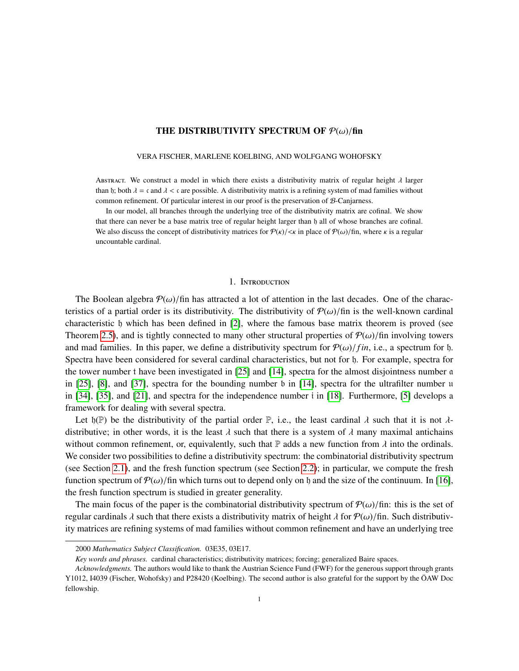# THE DISTRIBUTIVITY SPECTRUM OF  $\mathcal{P}(\omega)/\text{fin}$

#### VERA FISCHER, MARLENE KOELBING, AND WOLFGANG WOHOFSKY

ABSTRACT. We construct a model in which there exists a distributivity matrix of regular height  $\lambda$  larger than h; both  $\lambda = \mathfrak{c}$  and  $\lambda < \mathfrak{c}$  are possible. A distributivity matrix is a refining system of mad families without common refinement. Of particular interest in our proof is the preservation of B-Canjarness.

In our model, all branches through the underlying tree of the distributivity matrix are cofinal. We show that there can never be a base matrix tree of regular height larger than h all of whose branches are cofinal. We also discuss the concept of distributivity matrices for  $P(k)/\langle k \rangle$  in place of  $P(\omega)/\text{fin}$ , where k is a regular uncountable cardinal.

### 1. Introduction

The Boolean algebra  $\mathcal{P}(\omega)$ /fin has attracted a lot of attention in the last decades. One of the characteristics of a partial order is its distributivity. The distributivity of  $\mathcal{P}(\omega)/\text{fin}$  is the well-known cardinal characteristic h which has been defined in [\[2\]](#page-53-0), where the famous base matrix theorem is proved (see Theorem [2.5\)](#page-3-0), and is tightly connected to many other structural properties of  $\mathcal{P}(\omega)$ /fin involving towers and mad families. In this paper, we define a distributivity spectrum for  $\mathcal{P}(\omega)/fin$ , i.e., a spectrum for h. Spectra have been considered for several cardinal characteristics, but not for h. For example, spectra for the tower number t have been investigated in [\[25\]](#page-54-0) and [\[14\]](#page-54-1), spectra for the almost disjointness number a in [\[25\]](#page-54-0), [\[8\]](#page-54-2), and [\[37\]](#page-55-0), spectra for the bounding number b in [\[14\]](#page-54-1), spectra for the ultrafilter number u in [\[34\]](#page-55-1), [\[35\]](#page-55-2), and [\[21\]](#page-54-3), and spectra for the independence number i in [\[18\]](#page-54-4). Furthermore, [\[5\]](#page-54-5) develops a framework for dealing with several spectra.

Let  $\mathfrak{h}(\mathbb{P})$  be the distributivity of the partial order  $\mathbb{P}$ , i.e., the least cardinal  $\lambda$  such that it is not  $\lambda$ distributive; in other words, it is the least  $\lambda$  such that there is a system of  $\lambda$  many maximal antichains without common refinement, or, equivalently, such that  $\mathbb P$  adds a new function from  $\lambda$  into the ordinals. We consider two possibilities to define a distributivity spectrum: the combinatorial distributivity spectrum (see Section [2.1\)](#page-2-0), and the fresh function spectrum (see Section [2.2\)](#page-3-1); in particular, we compute the fresh function spectrum of  $\mathcal{P}(\omega)$ /fin which turns out to depend only on h and the size of the continuum. In [\[16\]](#page-54-6), the fresh function spectrum is studied in greater generality.

The main focus of the paper is the combinatorial distributivity spectrum of  $\mathcal{P}(\omega)$ /fin: this is the set of regular cardinals λ such that there exists a distributivity matrix of height λ for  $\mathcal{P}(\omega)/\text{fin}$ . Such distributivity matrices are refining systems of mad families without common refinement and have an underlying tree

<sup>2000</sup> *Mathematics Subject Classification.* 03E35, 03E17.

*Key words and phrases.* cardinal characteristics; distributivity matrices; forcing; generalized Baire spaces.

*Acknowledgments.* The authors would like to thank the Austrian Science Fund (FWF) for the generous support through grants Y1012, I4039 (Fischer, Wohofsky) and P28420 (Koelbing). The second author is also grateful for the support by the OAW Doc ¨ fellowship.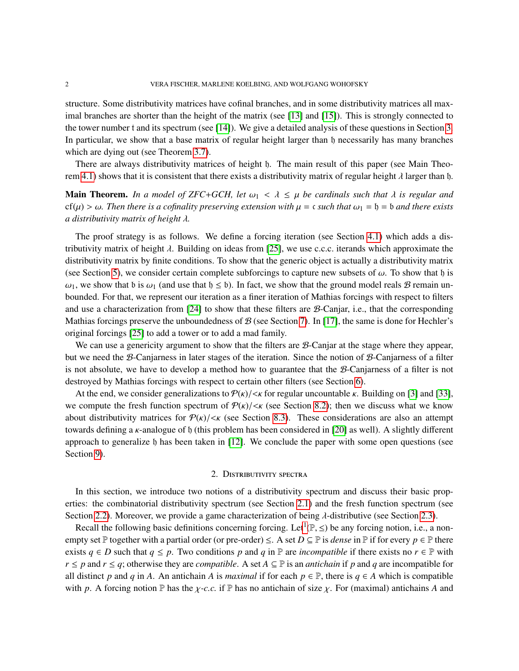structure. Some distributivity matrices have cofinal branches, and in some distributivity matrices all maximal branches are shorter than the height of the matrix (see [\[13\]](#page-54-7) and [\[15\]](#page-54-8)). This is strongly connected to the tower number t and its spectrum (see [\[14\]](#page-54-1)). We give a detailed analysis of these questions in Section [3.](#page-6-0) In particular, we show that a base matrix of regular height larger than h necessarily has many branches which are dying out (see Theorem [3.7\)](#page-11-0).

There are always distributivity matrices of height h. The main result of this paper (see Main Theo-rem [4.1\)](#page-13-0) shows that it is consistent that there exists a distributivity matrix of regular height  $\lambda$  larger than h.

**Main Theorem.** In a model of ZFC+GCH, let  $\omega_1 < \lambda \leq \mu$  be cardinals such that  $\lambda$  is regular and cf( $\mu$ ) >  $\omega$ . Then there is a cofinality preserving extension with  $\mu$  = c such that  $\omega_1$  =  $\mathfrak h$  =  $\mathfrak b$  and there exists *a distributivity matrix of height* λ*.*

The proof strategy is as follows. We define a forcing iteration (see Section [4.1\)](#page-15-0) which adds a distributivity matrix of height  $\lambda$ . Building on ideas from [\[25\]](#page-54-0), we use c.c.c. iterands which approximate the distributivity matrix by finite conditions. To show that the generic object is actually a distributivity matrix (see Section [5\)](#page-24-0), we consider certain complete subforcings to capture new subsets of  $\omega$ . To show that h is  $\omega_1$ , we show that b is  $\omega_1$  (and use that  $\mathfrak{h} \leq \mathfrak{b}$ ). In fact, we show that the ground model reals  $\mathcal B$  remain unbounded. For that, we represent our iteration as a finer iteration of Mathias forcings with respect to filters and use a characterization from [\[24\]](#page-54-9) to show that these filters are B-Canjar, i.e., that the corresponding Mathias forcings preserve the unboundedness of  $\mathcal{B}$  (see Section [7\)](#page-39-0). In [\[17\]](#page-54-10), the same is done for Hechler's original forcings [\[25\]](#page-54-0) to add a tower or to add a mad family.

We can use a genericity argument to show that the filters are *B*-Canjar at the stage where they appear, but we need the B-Canjarness in later stages of the iteration. Since the notion of B-Canjarness of a filter is not absolute, we have to develop a method how to guarantee that the B-Canjarness of a filter is not destroyed by Mathias forcings with respect to certain other filters (see Section [6\)](#page-36-0).

At the end, we consider generalizations to  $P(k)/\ll k$  for regular uncountable k. Building on [\[3\]](#page-53-1) and [\[33\]](#page-55-3), we compute the fresh function spectrum of  $P(k)/\langle k|$  (see Section [8.2\)](#page-50-0); then we discuss what we know about distributivity matrices for  $P(\kappa)/\langle \kappa \rangle$  (see Section [8.3\)](#page-52-0). These considerations are also an attempt towards defining a κ-analogue of <sup>h</sup> (this problem has been considered in [\[20\]](#page-54-11) as well). A slightly different approach to generalize  $\mathfrak h$  has been taken in [\[12\]](#page-54-12). We conclude the paper with some open questions (see Section [9\)](#page-53-2).

### 2. Distributivity spectra

In this section, we introduce two notions of a distributivity spectrum and discuss their basic properties: the combinatorial distributivity spectrum (see Section [2.1\)](#page-2-0) and the fresh function spectrum (see Section [2.2\)](#page-3-1). Moreover, we provide a game characterization of being  $\lambda$ -distributive (see Section [2.3\)](#page-5-0).

Recall the following basic definitions concerning forcing. Let<sup>[1](#page-2-1)</sup>( $\mathbb{P}, \leq$ ) be any forcing notion, i.e., a non-<br>nty set  $\mathbb{P}$  together with a partial order (or pro-order)  $\leq$ . A set  $D \subseteq \mathbb{P}$  is dance in  $\mathbb{P}$ empty set P together with a partial order (or pre-order)  $\leq$ . A set  $D \subseteq P$  is *dense* in P if for every  $p \in P$  there exists  $q \in D$  such that  $q \leq p$ . Two conditions p and q in  $\mathbb P$  are *incompatible* if there exists no  $r \in \mathbb P$  with *r* ≤ *p* and *r* ≤ *q*; otherwise they are *compatible*. A set  $A ⊆ P$  is an *antichain* if *p* and *q* are incompatible for all distinct *p* and *q* in *A*. An antichain *A* is *maximal* if for each  $p \in \mathbb{P}$ , there is  $q \in A$  which is compatible with p. A forcing notion P has the  $\chi$ -c.c. if P has no antichain of size  $\chi$ . For (maximal) antichains A and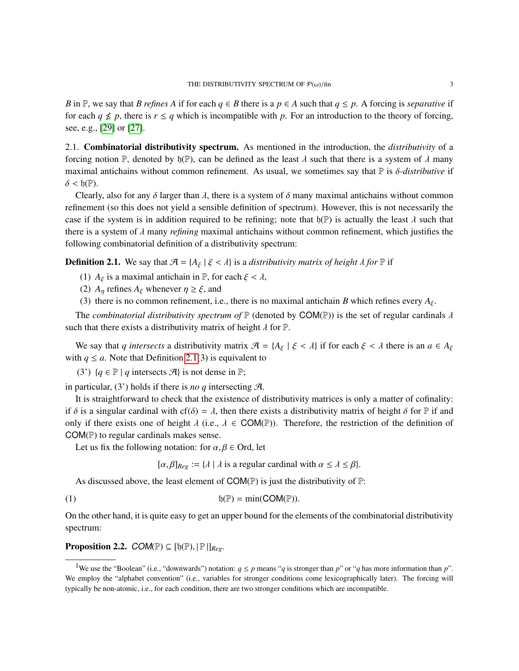*B* in P, we say that *B refines* A if for each  $q \in B$  there is a  $p \in A$  such that  $q \leq p$ . A forcing is *separative* if for each  $q \nleq p$ , there is  $r \leq q$  which is incompatible with p. For an introduction to the theory of forcing, see, e.g., [\[29\]](#page-54-13) or [\[27\]](#page-54-14).

<span id="page-2-0"></span>2.1. Combinatorial distributivity spectrum. As mentioned in the introduction, the *distributivity* of a forcing notion P, denoted by  $\mathfrak{h}(\mathbb{P})$ , can be defined as the least  $\lambda$  such that there is a system of  $\lambda$  many maximal antichains without common refinement. As usual, we sometimes say that <sup>P</sup> is δ*-distributive* if  $\delta < \mathfrak{h}(\mathbb{P}).$ 

Clearly, also for any  $\delta$  larger than  $\lambda$ , there is a system of  $\delta$  many maximal antichains without common refinement (so this does not yield a sensible definition of spectrum). However, this is not necessarily the case if the system is in addition required to be refining; note that  $\mathfrak{h}(\mathbb{P})$  is actually the least  $\lambda$  such that there is a system of λ many *refining* maximal antichains without common refinement, which justifies the following combinatorial definition of a distributivity spectrum:

<span id="page-2-2"></span>**Definition 2.1.** We say that  $\mathcal{A} = \{A_{\xi} \mid \xi < \lambda\}$  is a *distributivity matrix of height*  $\lambda$  *for*  $\mathbb{P}$  if

- (1)  $A_{\xi}$  is a maximal antichain in P, for each  $\xi < \lambda$ ,
- (2)  $A_n$  refines  $A_\xi$  whenever  $\eta \geq \xi$ , and
- (3) there is no common refinement, i.e., there is no maximal antichain *B* which refines every  $A_{\xi}$ .

The *combinatorial distributivity spectrum of*  $\mathbb P$  (denoted by COM( $\mathbb P$ )) is the set of regular cardinals  $\lambda$ such that there exists a distributivity matrix of height  $\lambda$  for  $\mathbb{P}$ .

We say that *q* intersects a distributivity matrix  $\mathcal{A} = \{A_{\xi} \mid \xi < \lambda\}$  if for each  $\xi < \lambda$  there is an  $a \in A_{\xi}$ with  $q \le a$ . Note that Definition [2.1\(](#page-2-2)3) is equivalent to

(3')  ${q \in \mathbb{P} \mid q \text{ intersects } \mathcal{A}}$  is not dense in  $\mathbb{P};$ 

in particular, (3') holds if there is *no q* intersecting A.

It is straightforward to check that the existence of distributivity matrices is only a matter of cofinality: if  $\delta$  is a singular cardinal with cf( $\delta$ ) =  $\lambda$ , then there exists a distributivity matrix of height  $\delta$  for  $\mathbb P$  if and only if there exists one of height  $\lambda$  (i.e.,  $\lambda \in \text{COM}(\mathbb{P})$ ). Therefore, the restriction of the definition of COM(P) to regular cardinals makes sense.

Let us fix the following notation: for  $\alpha, \beta \in$  Ord, let

<span id="page-2-3"></span> $[\alpha, \beta]_{Reg} := {\lambda | \lambda$  is a regular cardinal with  $\alpha \leq \lambda \leq \beta$ .

As discussed above, the least element of  $COM(\mathbb{P})$  is just the distributivity of  $\mathbb{P}$ :

(1)  $\mathfrak{h}(\mathbb{P}) = \min(\text{COM}(\mathbb{P})).$ 

On the other hand, it is quite easy to get an upper bound for the elements of the combinatorial distributivity spectrum:

**Proposition 2.2.**  $COM(\mathbb{P}) \subseteq [\mathfrak{h}(\mathbb{P}), \mathbb{P} \mid]_{Reg}$ .

<span id="page-2-1"></span><sup>&</sup>lt;sup>1</sup>We use the "Boolean" (i.e., "downwards") notation:  $q \leq p$  means "*q* is stronger than *p*" or "*q* has more information than *p*". We employ the "alphabet convention" (i.e., variables for stronger conditions come lexicographically later). The forcing will typically be non-atomic, i.e., for each condition, there are two stronger conditions which are incompatible.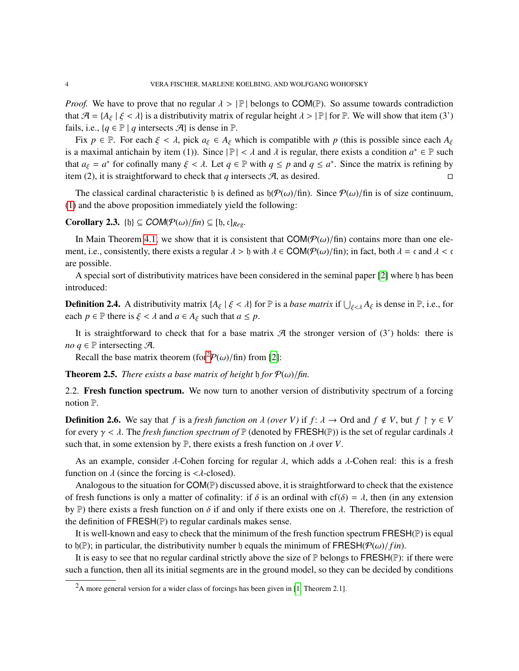*Proof.* We have to prove that no regular  $\lambda > |\mathbb{P}|$  belongs to COM(P). So assume towards contradiction that  $\mathcal{A} = \{A_{\xi} \mid \xi < \lambda\}$  is a distributivity matrix of regular height  $\lambda > |\mathbb{P}|$  for  $\mathbb{P}$ . We will show that item (3') fails, i.e.,  $\{q \in \mathbb{P} \mid q \text{ intersects } \mathcal{A}\}\$ is dense in  $\mathbb{P}$ .

Fix  $p \in \mathbb{P}$ . For each  $\xi < \lambda$ , pick  $a_{\xi} \in A_{\xi}$  which is compatible with p (this is possible since each  $A_{\xi}$ is a maximal antichain by item (1)). Since  $|\mathbb{P}| < \lambda$  and  $\lambda$  is regular, there exists a condition  $a^* \in \mathbb{P}$  such that  $a_i = a^*$  for cofinally many  $\xi \in \lambda$ . Let  $a \in \mathbb{P}$  with  $a \le a^*$  and  $a \le a^*$ . Since the matr that  $a_{\xi} = a^*$  for cofinally many  $\xi < \lambda$ . Let  $q \in \mathbb{P}$  with  $q \leq p$  and  $q \leq a^*$ . Since the matrix is refining by<br>item (2) it is straightforward to shock that *a* intersects  $\mathcal{F}$  as desired item (2), it is straightforward to check that *q* intersects  $\mathcal{A}$ , as desired.

The classical cardinal characteristic h is defined as  $\frac{h}{\phi(\omega)}$ fin). Since  $\frac{\phi(\omega)}{f}$ fin is of size continuum, [\(1\)](#page-2-3) and the above proposition immediately yield the following:

# <span id="page-3-4"></span>**Corollary 2.3.** {b}  $\subseteq$  **COM**( $\mathcal{P}(\omega)/\text{fin}$ )  $\subseteq$  [b, c]<sub>*Reg*</sub>.

In Main Theorem [4.1,](#page-13-0) we show that it is consistent that  $COM(\mathcal{P}(\omega)/\text{fin})$  contains more than one element, i.e., consistently, there exists a regular  $\lambda > 0$  with  $\lambda \in \text{COM}(\mathcal{P}(\omega)/\text{fin})$ ; in fact, both  $\lambda = \mathfrak{c}$  and  $\lambda < \mathfrak{c}$ are possible.

A special sort of distributivity matrices have been considered in the seminal paper [\[2\]](#page-53-0) where h has been introduced:

<span id="page-3-3"></span>**Definition 2.4.** A distributivity matrix  $\{A_{\xi} | \xi < \lambda\}$  for  $\mathbb{P}$  is a *base matrix* if  $\bigcup_{\xi < \lambda} A_{\xi}$  is dense in  $\mathbb{P}$ , i.e., for each  $p \in \mathbb{P}$  there is  $\xi < \lambda$  and  $a \in A_{\xi}$  such that  $a \leq p$ .

It is straightforward to check that for a base matrix  $\mathcal A$  the stronger version of (3') holds: there is *no q*  $\in$   $\mathbb{P}$  intersecting  $\mathcal{A}$ .

Recall the base matrix theorem (for  $\mathcal{P}(\omega)/\text{fin}$ ) from [[2](#page-3-2)]:

<span id="page-3-0"></span>**Theorem 2.5.** *There exists a base matrix of height* b *for*  $P(\omega)/\text{fin}$ *.* 

<span id="page-3-1"></span>2.2. Fresh function spectrum. We now turn to another version of distributivity spectrum of a forcing notion P.

<span id="page-3-5"></span>**Definition 2.6.** We say that *f* is a *fresh function on*  $\lambda$  *(over V)* if *f*:  $\lambda \to 0$ rd and  $f \notin V$ , but  $f \upharpoonright \gamma \in V$ for every  $\gamma < \lambda$ . The *fresh function spectrum of*  $\mathbb P$  (denoted by FRESH( $\mathbb P$ )) is the set of regular cardinals  $\lambda$ such that, in some extension by  $\mathbb{P}$ , there exists a fresh function on  $\lambda$  over *V*.

As an example, consider  $\lambda$ -Cohen forcing for regular  $\lambda$ , which adds a  $\lambda$ -Cohen real: this is a fresh function on  $\lambda$  (since the forcing is  $\langle \lambda$ -closed).

Analogous to the situation for  $COM(\mathbb{P})$  discussed above, it is straightforward to check that the existence of fresh functions is only a matter of cofinality: if  $\delta$  is an ordinal with cf( $\delta$ ) =  $\lambda$ , then (in any extension by P) there exists a fresh function on  $\delta$  if and only if there exists one on  $\lambda$ . Therefore, the restriction of the definition of FRESH(P) to regular cardinals makes sense.

It is well-known and easy to check that the minimum of the fresh function spectrum FRESH(P) is equal to  $\mathfrak{h}(\mathbb{P})$ ; in particular, the distributivity number  $\mathfrak{h}$  equals the minimum of FRESH( $\mathcal{P}(\omega)/f$ *in*).

It is easy to see that no regular cardinal strictly above the size of  $\mathbb P$  belongs to FRESH( $\mathbb P$ ): if there were such a function, then all its initial segments are in the ground model, so they can be decided by conditions

<span id="page-3-2"></span> ${}^{2}$ A more general version for a wider class of forcings has been given in [\[1,](#page-53-3) Theorem 2.1].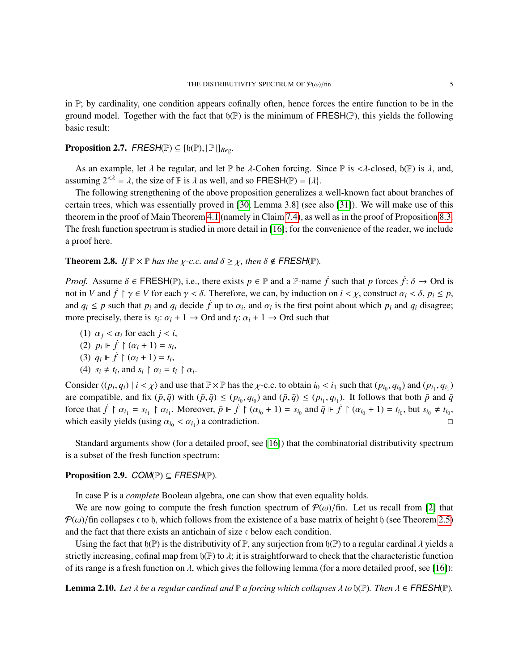in  $\mathbb{P}$ ; by cardinality, one condition appears cofinally often, hence forces the entire function to be in the ground model. Together with the fact that  $\mathfrak{h}(\mathbb{P})$  is the minimum of FRESH( $\mathbb{P}$ ), this yields the following basic result:

# <span id="page-4-0"></span>**Proposition 2.7.** FRESH(P)  $\subseteq$  [b(P),  $|P|$ ] $_{Reg}$ .

As an example, let  $\lambda$  be regular, and let P be  $\lambda$ -Cohen forcing. Since P is < $\lambda$ -closed,  $\mathfrak{h}(\mathbb{P})$  is  $\lambda$ , and, assuming  $2^{<\lambda} = \lambda$ , the size of  $\mathbb P$  is  $\lambda$  as well, and so FRESH( $\mathbb P$ ) = { $\lambda$ }.

The following strengthening of the above proposition generalizes a well-known fact about branches of certain trees, which was essentially proved in [\[30,](#page-54-15) Lemma 3.8] (see also [\[31\]](#page-55-4)). We will make use of this theorem in the proof of Main Theorem [4.1](#page-13-0) (namely in Claim [7.4\)](#page-44-0), as well as in the proof of Proposition [8.3.](#page-51-0) The fresh function spectrum is studied in more detail in [\[16\]](#page-54-6); for the convenience of the reader, we include a proof here.

<span id="page-4-2"></span>**Theorem 2.8.** *If*  $\mathbb{P} \times \mathbb{P}$  *has the*  $\chi$ -c.c. and  $\delta \geq \chi$ , then  $\delta \notin \mathsf{FRESH}(\mathbb{P})$ .

*Proof.* Assume  $\delta \in \mathsf{FRESH}(\mathbb{P})$ , i.e., there exists  $p \in \mathbb{P}$  and a  $\mathbb{P}$ -name  $\dot{f}$  such that  $p$  forces  $\dot{f}$ :  $\delta \to \mathsf{Ord}$  is not in *V* and  $\dot{f} \restriction \gamma \in V$  for each  $\gamma < \delta$ . Therefore, we can, by induction on  $i < \chi$ , construct  $\alpha_i < \delta$ ,  $p_i \leq p$ , and  $q_i \leq p$  such that  $p_i$  and  $q_i$  decide  $\dot{f}$  up to  $\alpha_i$ , and  $\alpha_i$  is the first point about which  $p_i$  and  $q_i$  disagree; more precisely, there is  $s_i: \alpha_i + 1 \rightarrow \text{Ord} \text{ and } t_i: \alpha_i + 1 \rightarrow \text{Ord} \text{ such that}$ 

- (1)  $\alpha_i < \alpha_i$  for each  $j < i$ ,
- (2)  $p_i \Vdash \dot{f} \upharpoonright (\alpha_i + 1) = s_i,$ <br>
(3)  $q_i \Vdash \dot{f} \upharpoonright (\alpha_i + 1) = t$
- (3)  $q_i \Vdash \dot{f} \upharpoonright (\alpha_i + 1) = t_i,$ <br>(4)  $s \neq t$  and  $s \upharpoonright \alpha_i = t$
- (4)  $s_i \neq t_i$ , and  $s_i \upharpoonright \alpha_i = t_i \upharpoonright \alpha_i$ .

Consider  $\langle (p_i, q_i) | i \langle \chi \rangle$  and use that  $\mathbb{P} \times \mathbb{P}$  has the  $\chi$ -c.c. to obtain  $i_0 \langle i_1 \rangle$  such that  $(p_{i_0}, q_{i_0})$  and  $(p_{i_1}, q_{i_1})$ are compatible, and fix  $(\bar{p}, \bar{q})$  with  $(\bar{p}, \bar{q}) \le (p_{i_0}, q_{i_0})$  and  $(\bar{p}, \bar{q}) \le (p_{i_1}, q_{i_1})$ . It follows that both  $\bar{p}$  and  $\bar{q}$ <br>force that  $\bar{f} \upharpoonright \alpha$  =  $\bar{q} \upharpoonright \alpha$ . Moreover,  $\bar{p} \parallel \bar{f} \upharpoonright (\alpha + 1$ force that  $\dot{f} \upharpoonright \alpha_{i_1} = s_{i_1} \upharpoonright \alpha_{i_1}$ . Moreover,  $\bar{p} \upharpoonright \dot{f} \upharpoonright (\alpha_{i_0} + 1) = s_{i_0}$  and  $\bar{q} \upharpoonright \dot{f} \upharpoonright (\alpha_{i_0} + 1) = t_{i_0}$ , but  $s_{i_0} \neq t_{i_0}$ , which easily yields (using  $\alpha_{i_0} < \alpha_{i_1}$ ) a contradiction.

Standard arguments show (for a detailed proof, see [\[16\]](#page-54-6)) that the combinatorial distributivity spectrum is a subset of the fresh function spectrum:

# <span id="page-4-1"></span>**Proposition 2.9.**  $COM(\mathbb{P}) \subseteq FRESH(\mathbb{P})$ .

In case P is a *complete* Boolean algebra, one can show that even equality holds.

We are now going to compute the fresh function spectrum of  $\mathcal{P}(\omega)$ /fin. Let us recall from [\[2\]](#page-53-0) that  $P(\omega)$ /fin collapses c to h, which follows from the existence of a base matrix of height h (see Theorem [2.5\)](#page-3-0) and the fact that there exists an antichain of size c below each condition.

Using the fact that  $\mathfrak{h}(\mathbb{P})$  is the distributivity of  $\mathbb{P}$ , any surjection from  $\mathfrak{h}(\mathbb{P})$  to a regular cardinal  $\lambda$  yields a strictly increasing, cofinal map from  $\mathfrak{h}(\mathbb{P})$  to  $\lambda$ ; it is straightforward to check that the characteristic function of its range is a fresh function on  $\lambda$ , which gives the following lemma (for a more detailed proof, see [\[16\]](#page-54-6)):

<span id="page-4-3"></span>**Lemma 2.10.** Let  $\lambda$  be a regular cardinal and  $\mathbb P$  a forcing which collapses  $\lambda$  to  $\mathfrak{h}(\mathbb P)$ . Then  $\lambda \in \mathsf{FRESH}(\mathbb P)$ .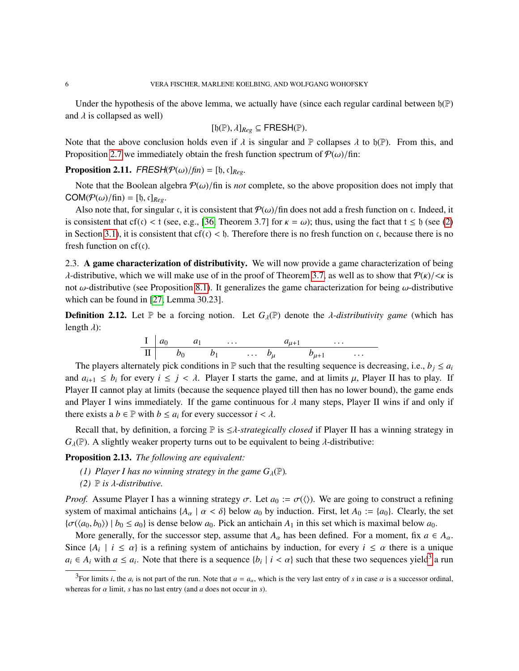Under the hypothesis of the above lemma, we actually have (since each regular cardinal between  $\mathfrak{h}(\mathbb{P})$ ) and  $\lambda$  is collapsed as well)

$$
[\mathfrak{h}(\mathbb{P}), \lambda]_{Reg} \subseteq \mathsf{FRESH}(\mathbb{P}).
$$

Note that the above conclusion holds even if  $\lambda$  is singular and  $\mathbb P$  collapses  $\lambda$  to  $\mathfrak{h}(\mathbb P)$ . From this, and  $\text{P}$  concision 2.7 we immediately obtain the freeb function apostrum of  $\mathcal{O}(\lambda)$  (finite). Proposition [2.7](#page-4-0) we immediately obtain the fresh function spectrum of  $P(\omega)/\text{fin}$ :

<span id="page-5-2"></span>**Proposition 2.11.** FRESH( $\mathcal{P}(\omega)/\text{fin}$ ) = [b, c]<sub>Reg</sub>.

Note that the Boolean algebra  $P(\omega)/\text{fin}$  is *not* complete, so the above proposition does not imply that  $COM(P(\omega)/\text{fin}) = [\mathfrak{h}, \mathfrak{c}]_{Reg}.$ 

Also note that, for singular c, it is consistent that  $P(\omega)/\text{fin}$  does not add a fresh function on c. Indeed, it is consistent that cf(c) < t (see, e.g., [\[36,](#page-55-5) Theorem 3.7] for  $\kappa = \omega$ ); thus, using the fact that  $t \leq \delta$  (see [\(2\)](#page-8-0) in Section [3.1\)](#page-7-0), it is consistent that  $cf(c) < b$ . Therefore there is no fresh function on c, because there is no fresh function on  $cf(c)$ .

<span id="page-5-0"></span>2.3. A game characterization of distributivity. We will now provide a game characterization of being λ-distributive, which we will make use of in the proof of Theorem [3.7,](#page-11-0) as well as to show that  $P(k)/\langle k \rangle$  is not  $\omega$ -distributive (see Proposition [8.1\)](#page-49-0). It generalizes the game characterization for being  $\omega$ -distributive which can be found in [\[27,](#page-54-14) Lemma 30.23].

**Definition 2.12.** Let  $\mathbb{P}$  be a forcing notion. Let  $G_\lambda(\mathbb{P})$  denote the *λ-distributivity game* (which has length  $\lambda$ ):

$$
\begin{array}{c|ccccccccc}\nI & a_0 & a_1 & \dots & a_{\mu+1} & \dots \\
\hline\n\Pi & b_0 & b_1 & \dots & b_\mu & b_{\mu+1} & \dots\n\end{array}
$$

The players alternately pick conditions in P such that the resulting sequence is decreasing, i.e.,  $b_j \le a_i$ and  $a_{i+1} \leq b_i$  for every  $i \leq j < \lambda$ . Player I starts the game, and at limits  $\mu$ , Player II has to play. If Player II cannot play at limits (because the sequence played till then has no lower bound), the game ends and Player I wins immediately. If the game continuous for  $\lambda$  many steps, Player II wins if and only if there exists a  $b \in \mathbb{P}$  with  $b \leq a_i$  for every successor  $i < \lambda$ .

Recall that, by definition, a forcing <sup>P</sup> is <sup>≤</sup>λ*-strategically closed* if Player II has a winning strategy in  $G_{\lambda}(\mathbb{P})$ . A slightly weaker property turns out to be equivalent to being  $\lambda$ -distributive:

<span id="page-5-3"></span>Proposition 2.13. *The following are equivalent:*

- *(1) Player I has no winning strategy in the game*  $G_\lambda(\mathbb{P})$ *.*
- *(2)*  $\mathbb{P}$  *is*  $\lambda$ -distributive.

*Proof.* Assume Player I has a winning strategy  $\sigma$ . Let  $a_0 := \sigma(\langle \rangle)$ . We are going to construct a refining system of maximal antichains  ${A_\alpha \mid \alpha < \delta}$  below  $a_0$  by induction. First, let  $A_0 := \{a_0\}$ . Clearly, the set  ${\lbrace \sigma(\langle a_0, b_0 \rangle) \mid b_0 \leq a_0 \rbrace}$  is dense below  $a_0$ . Pick an antichain  $A_1$  in this set which is maximal below  $a_0$ .

More generally, for the successor step, assume that  $A_\alpha$  has been defined. For a moment, fix  $a \in A_\alpha$ . Since  $\{A_i \mid i \leq \alpha\}$  is a refining system of antichains by induction, for every  $i \leq \alpha$  there is a unique  $a_i \in A_i$  with  $a \le a_i$ . Note that there is a sequence  $\{b_i \mid i < \alpha\}$  such that these two sequences yield<sup>[3](#page-5-1)</sup> a run

<span id="page-5-1"></span><sup>&</sup>lt;sup>3</sup>For limits *i*, the *a*<sub>*i*</sub> is not part of the run. Note that  $a = a_\alpha$ , which is the very last entry of *s* in case  $\alpha$  is a successor ordinal, whereas for  $\alpha$  limit,  $s$  has no last entry (and  $a$  does not occur in  $s$ ).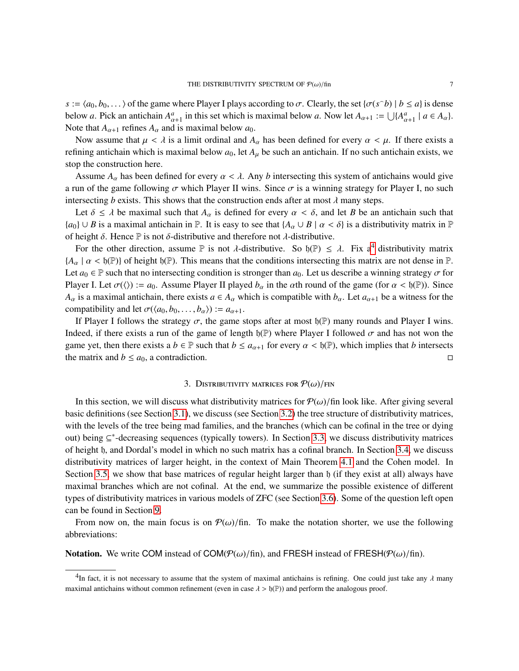*s* :=  $\langle a_0, b_0, \dots \rangle$  of the game where Player I plays according to  $\sigma$ . Clearly, the set  $\{\sigma(s^b) \mid b \le a\}$  is dense below *a*. Pick an antichain  $A_{\alpha+1}^a$  in this set which is maximal below *a*. Now let  $A_{\alpha+1} := \bigcup \{A_{\alpha+1}^a | a \in A_\alpha\}$ .<br>Note that *A* a refines *A* and is maximal below *a*.  $\alpha+1$ <br>die Note that  $A_{\alpha+1}$  refines  $A_{\alpha}$  and is maximal below  $a_0$ .

Now assume that  $\mu < \lambda$  is a limit ordinal and  $A_{\alpha}$  has been defined for every  $\alpha < \mu$ . If there exists a refining antichain which is maximal below  $a_0$ , let  $A_\mu$  be such an antichain. If no such antichain exists, we stop the construction here.

Assume  $A_{\alpha}$  has been defined for every  $\alpha < \lambda$ . Any *b* intersecting this system of antichains would give a run of the game following  $\sigma$  which Player II wins. Since  $\sigma$  is a winning strategy for Player I, no such intersecting *b* exists. This shows that the construction ends after at most  $\lambda$  many steps.

Let  $\delta \leq \lambda$  be maximal such that  $A_\alpha$  is defined for every  $\alpha < \delta$ , and let *B* be an antichain such that  ${a_0} \cup B$  is a maximal antichain in  $\mathbb P$ . It is easy to see that  ${A_\alpha \cup B \mid \alpha < \delta}$  is a distributivity matrix in  $\mathbb P$ of height δ. Hence  $\mathbb P$  is not δ-distributive and therefore not λ-distributive.

For the other direction, assume  $\mathbb P$  is not  $\lambda$ -distributive. So  $\mathfrak{h}(\mathbb P) \leq \lambda$ . Fix a<sup>[4](#page-6-1)</sup> distributivity matrix  $\lambda \geq \mathfrak{h}(\mathbb P)$  of baight  $\mathfrak{h}(\mathbb P)$ . This means that the conditions intersecting this matrix  ${A_{\alpha} \mid \alpha < \mathfrak{h}(\mathbb{P})}$  of height  $\mathfrak{h}(\mathbb{P})$ . This means that the conditions intersecting this matrix are not dense in  $\mathbb{P}$ . Let  $a_0 \in \mathbb{P}$  such that no intersecting condition is stronger than  $a_0$ . Let us describe a winning strategy  $\sigma$  for Player I. Let  $\sigma(\langle) := a_0$ . Assume Player II played  $b_\alpha$  in the  $\alpha$ th round of the game (for  $\alpha < \mathfrak{h}(\mathbb{P})$ ). Since *A*<sub>α</sub> is a maximal antichain, there exists  $a \in A_\alpha$  which is compatible with  $b_\alpha$ . Let  $a_{\alpha+1}$  be a witness for the compatibility and let  $\sigma(\langle a_0, b_0, \ldots, b_\alpha \rangle) := a_{\alpha+1}$ .

If Player I follows the strategy  $\sigma$ , the game stops after at most  $\mathfrak{h}(\mathbb{P})$  many rounds and Player I wins. Indeed, if there exists a run of the game of length  $\mathfrak{h}(\mathbb{P})$  where Player I followed  $\sigma$  and has not won the game yet, then there exists a *b* ∈ P such that *b* ≤ *a*<sub>α+1</sub> for every  $\alpha$  <  $\mathfrak{h}(\mathbb{P})$ , which implies that *b* intersects the matrix and *b* ≤ *a*<sub>0</sub>, a contradiction. the matrix and  $b \le a_0$ , a contradiction.

### 3. DISTRIBUTIVITY MATRICES FOR  $\mathcal{P}(\omega)/FIN$

<span id="page-6-0"></span>In this section, we will discuss what distributivity matrices for  $P(\omega)/\text{fin}$  look like. After giving several basic definitions (see Section [3.1\)](#page-7-0), we discuss (see Section [3.2\)](#page-8-1) the tree structure of distributivity matrices, with the levels of the tree being mad families, and the branches (which can be cofinal in the tree or dying out) being ⊆ ∗ -decreasing sequences (typically towers). In Section [3.3,](#page-10-0) we discuss distributivity matrices of height h, and Dordal's model in which no such matrix has a cofinal branch. In Section [3.4,](#page-10-1) we discuss distributivity matrices of larger height, in the context of Main Theorem [4.1](#page-13-0) and the Cohen model. In Section [3.5,](#page-11-1) we show that base matrices of regular height larger than h (if they exist at all) always have maximal branches which are not cofinal. At the end, we summarize the possible existence of different types of distributivity matrices in various models of ZFC (see Section [3.6\)](#page-12-0). Some of the question left open can be found in Section [9.](#page-53-2)

From now on, the main focus is on  $\mathcal{P}(\omega)/\text{fin}$ . To make the notation shorter, we use the following abbreviations:

**Notation.** We write COM instead of COM( $\mathcal{P}(\omega)/\text{fin}$ ), and FRESH instead of FRESH( $\mathcal{P}(\omega)/\text{fin}$ ).

<span id="page-6-1"></span><sup>&</sup>lt;sup>4</sup>In fact, it is not necessary to assume that the system of maximal antichains is refining. One could just take any  $\lambda$  many  $\mu$  many  $\mu$  mathematic common refinement (aver in esse. ).  $\mu$ <sup>(m</sup>)) and netform the angle maximal antichains without common refinement (even in case  $\lambda > \mathfrak{h}(\mathbb{P})$ ) and perform the analogous proof.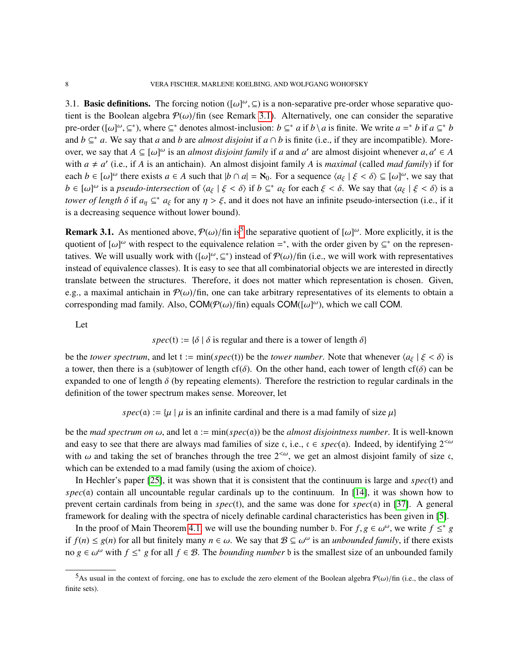<span id="page-7-0"></span>3.1. **Basic definitions.** The forcing notion ( $[\omega]^{\omega}$ ,  $\subseteq$ ) is a non-separative pre-order whose separative quotion is the Boolean elgebra  $\mathcal{D}(\omega)$  (fin (see Bomerk 3.1). Alternatively, one can consider the concretive tient is the Boolean algebra  $\mathcal{P}(\omega)/\text{fin}$  (see Remark [3.1\)](#page-7-1). Alternatively, one can consider the separative pre-order ( $[\omega]^{\omega}, \subseteq^*$ ), where  $\subseteq^*$  denotes almost-inclusion:  $b \subseteq^* a$  if  $b \setminus a$  is finite. We write  $a =^* b$  if  $a \subseteq^* b$ <br>and  $b \subseteq^* a$ . We say that *a* and *b* are *almost disjoint* if  $a \odot b$  is finite (i.e., if they and  $b \subseteq^* a$ . We say that *a* and *b* are *almost disjoint* if  $a \cap b$  is finite (i.e., if they are incompatible). Moreover, we say that  $A \subseteq [\omega]^{\omega}$  is an *almost disjoint family* if *a* and *a'* are almost disjoint whenever  $a, a' \in A$ <br>with  $a \neq a'$  (i.e., if *A* is an antichain). An almost disjoint family *A* is maximal (called mad family with  $a \neq a'$  (i.e., if *A* is an antichain). An almost disjoint family *A* is *maximal* (called *mad family*) if for each  $b \in [\omega]^{\omega}$  there exists  $a \in A$  such that  $|b \cap a| = \aleph_0$ . For a sequence  $\langle a_{\xi} | \xi < \delta \rangle \subseteq [\omega]^{\omega}$ , we say that  $b \in [a, b]^{\omega}$  is a neardo intersection of  $\langle a, b \xi < \delta \rangle$  if  $b \in \mathbb{R}$ . Such a say that  $\langle a, b \xi < \delta \rangle$   $b \in [\omega]^{\omega}$  is a *pseudo-intersection* of  $\langle a_{\xi} | \xi < \delta \rangle$  if  $b \subseteq^* a_{\xi}$  for each  $\xi < \delta$ . We say that  $\langle a_{\xi} | \xi < \delta \rangle$  is a *towar of langth*  $\delta$  if  $a \in \mathbb{R}^*$ ,  $a \in \mathbb{R}^*$  are only  $n > \xi$  and it does not have *tower of length*  $\delta$  if  $a_{\eta} \subseteq^* a_{\xi}$  for any  $\eta > \xi$ , and it does not have an infinite pseudo-intersection (i.e., if it is a decreasing sequence without lower bound).

<span id="page-7-1"></span>**Remark 3.1.** As mentioned above,  $P(\omega)/\text{fin}$  is<sup>[5](#page-7-2)</sup> the separative quotient of  $[\omega]^{\omega}$ . More explicitly, it is the guotient of  $[\omega]^{\omega}$  with respect to the convergence relation  $-\pi$  with the order given by  $\sigma^*$  on the quotient of  $[\omega]^{\omega}$  with respect to the equivalence relation =\*, with the order given by ⊆\* on the representatives tatives. We will usually work with  $([\omega]^\omega, \subseteq^*)$  instead of  $\mathcal{P}(\omega)/\text{fin}$  (i.e., we will work with representatives instead of equivalence classes). It is easy to see that all combinatorial objects we are interested in d instead of equivalence classes). It is easy to see that all combinatorial objects we are interested in directly translate between the structures. Therefore, it does not matter which representation is chosen. Given, e.g., a maximal antichain in  $\mathcal{P}(\omega)/\text{fin}$ , one can take arbitrary representatives of its elements to obtain a corresponding mad family. Also,  $COM(\mathcal{P}(\omega)/\text{fin})$  equals  $COM([\omega]^{\omega})$ , which we call COM.

Let

# *spec*(t) := { $\delta$  |  $\delta$  is regular and there is a tower of length  $\delta$ }

be the *tower spectrum*, and let t := min(*spec*(t)) be the *tower number*. Note that whenever  $\langle a_{\xi} | \xi < \delta \rangle$  is a tower, then there is a (sub)tower of length cf( $\delta$ ). On the other hand, each tower of length cf( $\delta$ ) can be expanded to one of length  $\delta$  (by repeating elements). Therefore the restriction to regular cardinals in the definition of the tower spectrum makes sense. Moreover, let

$$
spec(\mathfrak{a}) := \{ \mu \mid \mu \text{ is an infinite cardinal and there is a mad family of size } \mu \}
$$

be the *mad spectrum on*  $\omega$ , and let  $\alpha := \min(spec(\alpha))$  be the *almost disjointness number*. It is well-known and easy to see that there are always mad families of size c, i.e.,  $c \in spec(a)$ . Indeed, by identifying  $2^{< \omega}$ with  $\omega$  and taking the set of branches through the tree  $2<sup>{\omega}</sup>$ , we get an almost disjoint family of size c, which can be extended to a mad family (using the axiom of choice).

In Hechler's paper [\[25\]](#page-54-0), it was shown that it is consistent that the continuum is large and *spec*(t) and  $spec(a)$  contain all uncountable regular cardinals up to the continuum. In [\[14\]](#page-54-1), it was shown how to prevent certain cardinals from being in *spec*(t), and the same was done for *spec*(a) in [\[37\]](#page-55-0). A general framework for dealing with the spectra of nicely definable cardinal characteristics has been given in [\[5\]](#page-54-5).

In the proof of Main Theorem [4.1,](#page-13-0) we will use the bounding number b. For  $f, g \in \omega^{\omega}$ , we write  $f \leq^* g$ <br> $f(x) \leq g(x)$  for all but finitely many  $g \in \omega$ . We say that  $\mathcal{Q} \subset \omega^{\omega}$  is an unhave ded family if there exist if *f*(*n*) ≤ *g*(*n*) for all but finitely many *n* ∈ ω. We say that  $B ⊆ ω<sup>ω</sup>$  is an *unbounded family*, if there exists  $\cos \theta \leq \frac{ω<sup>ω</sup>}{\sinh \theta}$ ,  $\sinh \theta \leq \frac{ω<sup>ω</sup>}{\sinh \theta}$ ,  $\sinh \theta \leq \frac{ω<sup>ω</sup>}{\sinh \theta}$ no  $g \in \omega^{\omega}$  with  $f \leq^* g$  for all  $f \in \mathcal{B}$ . The *bounding number* b is the smallest size of an unbounded family

<span id="page-7-2"></span><sup>&</sup>lt;sup>5</sup>As usual in the context of forcing, one has to exclude the zero element of the Boolean algebra  $P(\omega)/\text{fin}$  (i.e., the class of finite sets).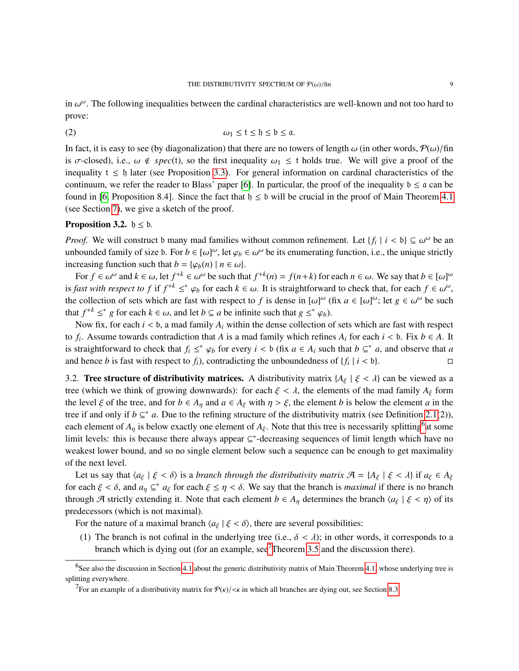in  $\omega^{\omega}$ . The following inequalities between the cardinal characteristics are well-known and not too hard to neover prove:

<span id="page-8-0"></span>
$$
\omega_1 \le t \le \mathfrak{h} \le \mathfrak{a}.
$$

In fact, it is easy to see (by diagonalization) that there are no towers of length  $\omega$  (in other words,  $\mathcal{P}(\omega)/\text{fin}$ is  $\sigma$ -closed), i.e.,  $\omega \notin spec(t)$ , so the first inequality  $\omega_1 \leq t$  holds true. We will give a proof of the inequality  $t \leq 0$  later (see Proposition [3.3\)](#page-9-0). For general information on cardinal characteristics of the continuum, we refer the reader to Blass' paper [\[6\]](#page-54-16). In particular, the proof of the inequality  $b \le a$  can be found in [\[6,](#page-54-16) Proposition 8.4]. Since the fact that  $b \le b$  will be crucial in the proof of Main Theorem [4.1](#page-13-0) (see Section [7\)](#page-39-0), we give a sketch of the proof.

# <span id="page-8-4"></span>**Proposition 3.2.**  $\mathfrak{h} \leq \mathfrak{b}$ .

*Proof.* We will construct b many mad families without common refinement. Let  $\{f_i \mid i < b\} \subseteq \omega^\omega$  be an unbounded family of size b. For  $b \in \omega^\omega$  let  $\omega \in \omega^\omega$  be its enumerating function i.e., the unique strictly unbounded family of size b. For  $b \in [\omega]^{\omega}$ , let  $\varphi_b \in \omega^{\omega}$  be its enumerating function, i.e., the unique strictly increasing function such that  $b = [\omega(\omega)] \mid \eta \in \omega$ . increasing function such that  $b = {\varphi_b(n) \mid n \in \omega}$ .

For  $f \in \omega^{\omega}$  and  $k \in \omega$ , let  $f^{+k} \in \omega^{\omega}$  be such that  $f^{+k}(n) = f(n+k)$  for each  $n \in \omega$ . We say that  $b \in [\omega]^{\omega}$ <br>fort with respect to f if  $f^{+k} \leq x$  or for each  $k \in \omega$ . It is straightforward to chook that for eac is *fast with respect to f* if  $f^{+k} \leq^* \varphi_b$  for each  $k \in \omega$ . It is straightforward to check that, for each  $f \in \omega^{\omega}$ , the collection of sets which are fost with respect to f is dones in  $\omega^{\omega}$  (fix  $a \in \omega^{\omega}$  by the collection of sets which are fast with respect to *f* is dense in  $[\omega]^{\omega}$  (fix  $a \in [\omega]^{\omega}$ ; let  $g \in \omega^{\omega}$  be such that  $f^{+k} \leq^* a$  for each  $k \in \omega$  and let  $b \in a$  be infinite such that  $g \leq^* \omega$ .) that  $f^{+k} \leq^* g$  for each  $k \in \omega$ , and let  $b \subseteq a$  be infinite such that  $g \leq^* \varphi_b$ ).<br>Now fix for each  $i \leq b$ , a mod family A, within the dance collection of

Now fix, for each  $i < b$ , a mad family  $A_i$  within the dense collection of sets which are fast with respect to  $f_i$ . Assume towards contradiction that *A* is a mad family which refines  $A_i$  for each  $i < b$ . Fix  $b \in A$ . It is a traightforward to chook that  $f \leq x$  or for every  $i < b$  (fix  $a \in A$ , evolution that  $b \subseteq x$ , and observe is straightforward to check that  $f_i \leq^* \varphi_b$  for every  $i < b$  (fix  $a \in A_i$  such that  $b \subseteq^* a$ , and observe that *a*<br>and hance *b* is feet with respect to *f*) controdicting the unboundations of  $f \in A_i$ and hence *b* is fast with respect to  $f_i$ ), contradicting the unboundedness of  $\{f_i \mid i < b\}$ .

<span id="page-8-1"></span>3.2. Tree structure of distributivity matrices. A distributivity matrix  $\{A_{\xi} | \xi < \lambda\}$  can be viewed as a tree (which we think of growing downwards): for each  $\xi < \lambda$ , the elements of the mad family  $A_{\xi}$  form the level  $\xi$  of the tree, and for  $b \in A_n$  and  $a \in A_\xi$  with  $\eta > \xi$ , the element *b* is below the element *a* in the tree if and only if  $b \subseteq^* a$ . Due to the refining structure of the distributivity matrix (see Definition [2.1\(](#page-2-2)2)), each element of  $A_{\eta}$  is below exactly one element of  $A_{\xi}$ . Note that this tree is necessarily splitting<sup>[6](#page-8-2)</sup> at some<br>limit langle this is has very than always among  $\epsilon^*$  decreasing assumption of limit langle which h limit levels: this is because there always appear ⊆\*-decreasing sequences of limit length which have no weakest lower bound, and so no single element below such a sequence can be enough to get maximality of the next level.

Let us say that  $\langle a_{\xi} | \xi < \delta \rangle$  is a *branch through the distributivity matrix*  $\mathcal{A} = \{A_{\xi} | \xi < \lambda\}$  if  $a_{\xi} \in A_{\xi}$ for each  $\xi < \delta$ , and  $a_{\eta} \subseteq^* a_{\xi}$  for each  $\xi \le \eta < \delta$ . We say that the branch is *maximal* if there is no branch<br>through  $\mathcal{A}$  strictly extending it. Note that each element  $b \in A$ , determines the branch  $(a + \xi < \eta)$ through A strictly extending it. Note that each element  $b \in A_n$  determines the branch  $\langle a_{\xi} | \xi < \eta \rangle$  of its predecessors (which is not maximal).

For the nature of a maximal branch  $\langle a_{\xi} | \xi < \delta \rangle$ , there are several possibilities:

(1) The branch is not cofinal in the underlying tree (i.e.,  $\delta < \lambda$ ); in other words, it corresponds to a branch which is dying out (for an example, see<sup>[7](#page-8-3)</sup>Theorem [3.5](#page-10-2) and the discussion there).

<span id="page-8-2"></span> $6$ See also the discussion in Section [4.1](#page-15-0) about the generic distributivity matrix of Main Theorem [4.1,](#page-13-0) whose underlying tree is splitting everywhere.

<span id="page-8-3"></span><sup>&</sup>lt;sup>7</sup>For an example of a distributivity matrix for  $P(\kappa)/<\kappa$  in which all branches are dying out, see Section [8.3.](#page-52-0)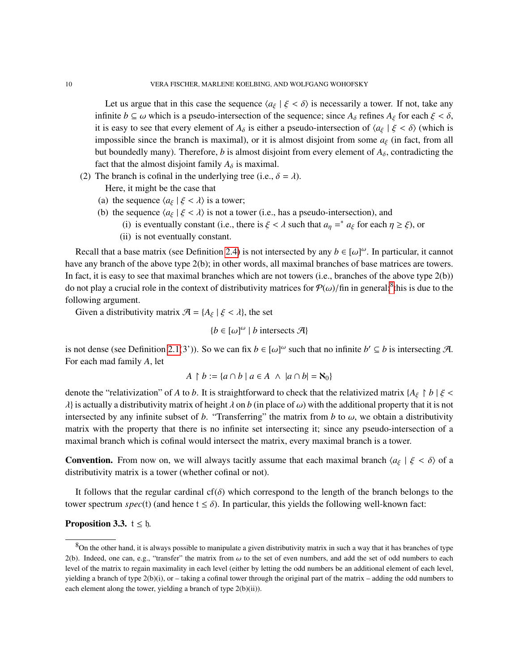Let us argue that in this case the sequence  $\langle a_{\xi} | \xi < \delta \rangle$  is necessarily a tower. If not, take any infinite  $b \subseteq \omega$  which is a pseudo-intersection of the sequence; since  $A_\delta$  refines  $A_\xi$  for each  $\xi < \delta$ , it is easy to see that every element of  $A_\delta$  is either a pseudo-intersection of  $\langle a_\xi | \xi < \delta \rangle$  (which is impossible since the branch is maximal), or it is almost disjoint from some  $a_{\xi}$  (in fact, from all but boundedly many). Therefore, *b* is almost disjoint from every element of  $A_{\delta}$ , contradicting the fact that the almost disjoint family  $A_{\delta}$  is maximal.

(2) The branch is cofinal in the underlying tree (i.e.,  $\delta = \lambda$ ).

Here, it might be the case that

- (a) the sequence  $\langle a_{\xi} | \xi < \lambda \rangle$  is a tower;
- (b) the sequence  $\langle a_{\xi} | \xi < \lambda \rangle$  is not a tower (i.e., has a pseudo-intersection), and
	- (i) is eventually constant (i.e., there is  $\xi < \lambda$  such that  $a_{\eta} =^* a_{\xi}$  for each  $\eta \geq \xi$ ), or<br>
	ii) is not eventually constant
	- (ii) is not eventually constant.

Recall that a base matrix (see Definition [2.4\)](#page-3-3) is not intersected by any  $b \in [\omega]^{\omega}$ . In particular, it cannot have any branch of the above type 2(b); in other words, all maximal branches of base matrices are towers. In fact, it is easy to see that maximal branches which are not towers (i.e., branches of the above type  $2(b)$ ) do not play a crucial role in the context of distributivity matrices for  $P(\omega)/\text{fin}$  in general;<sup>[8](#page-9-1)</sup>this is due to the following grayment following argument.

Given a distributivity matrix  $\mathcal{A} = \{A_{\xi} \mid \xi < \lambda\}$ , the set

$$
{b \in [\omega]^{\omega} | b \text{ intersects } \mathcal{A}}
$$

is not dense (see Definition [2.1\(](#page-2-2)3')). So we can fix  $b \in [\omega]^{\omega}$  such that no infinite  $b' \subseteq b$  is intersecting A.<br>For each mediatorial data For each mad family *A*, let

$$
A \upharpoonright b := \{ a \cap b \mid a \in A \ \land \ |a \cap b| = \aleph_0 \}
$$

denote the "relativization" of *A* to *b*. It is straightforward to check that the relativized matrix { $A_{\xi} \restriction b$  |  $\xi$  <  $\lambda$ } is actually a distributivity matrix of height  $\lambda$  on  $b$  (in place of  $\omega$ ) with the additional property that it is not intersected by any infinite subset of *b*. "Transferring" the matrix from *b* to  $\omega$ , we obtain a distributivity matrix with the property that there is no infinite set intersecting it; since any pseudo-intersection of a maximal branch which is cofinal would intersect the matrix, every maximal branch is a tower.

**Convention.** From now on, we will always tacitly assume that each maximal branch  $\langle a_{\xi} | \xi < \delta \rangle$  of a distributivity matrix is a tower (whether cofinal or not).

It follows that the regular cardinal cf( $\delta$ ) which correspond to the length of the branch belongs to the tower spectrum  $spec(t)$  (and hence  $t \le \delta$ ). In particular, this yields the following well-known fact:

# <span id="page-9-0"></span>**Proposition 3.3.**  $t \leq 5$ .

<span id="page-9-1"></span> $8$ On the other hand, it is always possible to manipulate a given distributivity matrix in such a way that it has branches of type 2(b). Indeed, one can, e.g., "transfer" the matrix from  $\omega$  to the set of even numbers, and add the set of odd numbers to each level of the matrix to regain maximality in each level (either by letting the odd numbers be an additional element of each level, yielding a branch of type 2(b)(i), or – taking a cofinal tower through the original part of the matrix – adding the odd numbers to each element along the tower, yielding a branch of type  $2(b)(ii)$ .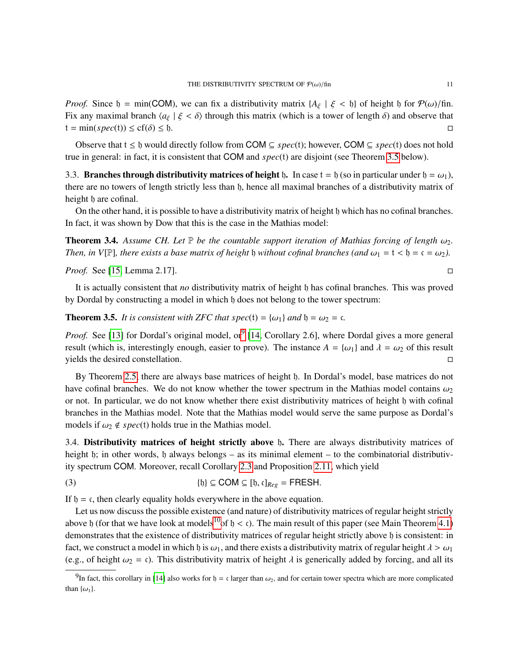*Proof.* Since  $\mathfrak{h} = \min(\text{COM})$ , we can fix a distributivity matrix  $\{A_{\xi} \mid \xi < \mathfrak{h}\}\$  of height  $\mathfrak{h}$  for  $\mathcal{P}(\omega)/\text{fin}$ . Fix any maximal branch  $\langle a_{\xi} | \xi < \delta \rangle$  through this matrix (which is a tower of length  $\delta$ ) and observe that  $t = min(spec(t)) < cf(\delta) < h$ .  $t = min(spec(t)) \leq cf(\delta) \leq b.$ 

Observe that  $t \leq b$  would directly follow from COM  $\subseteq spec(t)$ ; however, COM  $\subseteq spec(t)$  does not hold true in general: in fact, it is consistent that COM and *spec*(t) are disjoint (see Theorem [3.5](#page-10-2) below).

<span id="page-10-0"></span>3.3. Branches through distributivity matrices of height h. In case  $t = h$  (so in particular under  $h = \omega_1$ ), there are no towers of length strictly less than h, hence all maximal branches of a distributivity matrix of height  $\beta$  are cofinal.

On the other hand, it is possible to have a distributivity matrix of height h which has no cofinal branches. In fact, it was shown by Dow that this is the case in the Mathias model:

**Theorem 3.4.** Assume CH. Let  $\mathbb P$  be the countable support iteration of Mathias forcing of length  $\omega_2$ . *Then, in*  $V[\mathbb{P}]$ *, there exists a base matrix of height*  $\mathfrak h$  *without cofinal branches (and*  $\omega_1 = \mathfrak t < \mathfrak h = \mathfrak c = \omega_2$ ).

*Proof.* See [\[15,](#page-54-8) Lemma 2.17].

It is actually consistent that *no* distributivity matrix of height h has cofinal branches. This was proved by Dordal by constructing a model in which h does not belong to the tower spectrum:

<span id="page-10-2"></span>**Theorem 3.5.** *It is consistent with ZFC that spec*(t) =  $\{\omega_1\}$  *and*  $\mathfrak{h} = \omega_2 = \mathfrak{c}$ *.* 

*Proof.* See [\[13\]](#page-54-7) for Dordal's original model, or<sup>[9](#page-10-3)</sup> [\[14,](#page-54-1) Corollary 2.6], where Dordal gives a more general result (which is, interestingly enough, easier to prove). The instance  $A = \{\omega_1\}$  and  $\lambda = \omega_2$  of this result vields the desired constellation. yields the desired constellation.

By Theorem [2.5,](#page-3-0) there are always base matrices of height  $\beta$ . In Dordal's model, base matrices do not have cofinal branches. We do not know whether the tower spectrum in the Mathias model contains  $\omega_2$ or not. In particular, we do not know whether there exist distributivity matrices of height h with cofinal branches in the Mathias model. Note that the Mathias model would serve the same purpose as Dordal's models if  $\omega_2 \notin spec(t)$  holds true in the Mathias model.

<span id="page-10-1"></span>3.4. Distributivity matrices of height strictly above b. There are always distributivity matrices of height h; in other words, h always belongs – as its minimal element – to the combinatorial distributivity spectrum COM. Moreover, recall Corollary [2.3](#page-3-4) and Proposition [2.11,](#page-5-2) which yield

<span id="page-10-4"></span>(3) 
$$
\{b\} \subseteq \text{COM} \subseteq [b, c]_{Reg} = \text{FRESH}.
$$

If  $b = c$ , then clearly equality holds everywhere in the above equation.

Let us now discuss the possible existence (and nature) of distributivity matrices of regular height strictly above h (for that we have look at models<sup>[10](#page-11-2)</sup>of  $h < c$ ). The main result of this paper (see Main Theorem [4.1\)](#page-13-0) demonstrates that the existence of distributivity matrices of regular height strictly above h is consistent: in fact, we construct a model in which h is  $\omega_1$ , and there exists a distributivity matrix of regular height  $\lambda > \omega_1$ (e.g., of height  $\omega_2 = \epsilon$ ). This distributivity matrix of height  $\lambda$  is generically added by forcing, and all its

<span id="page-10-3"></span><sup>&</sup>lt;sup>9</sup>In fact, this corollary in [\[14\]](#page-54-1) also works for  $\mathfrak{h} = \mathfrak{c}$  larger than  $\omega_2$ , and for certain tower spectra which are more complicated than  $\{\omega_1\}$ .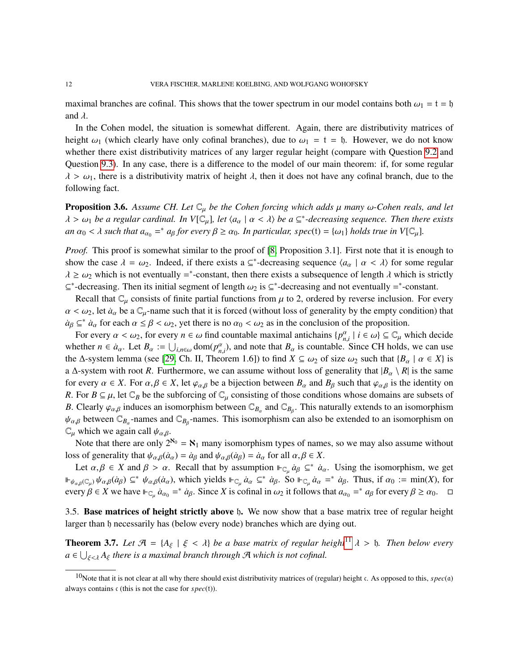maximal branches are cofinal. This shows that the tower spectrum in our model contains both  $\omega_1 = t = b$ and  $\lambda$ .

In the Cohen model, the situation is somewhat different. Again, there are distributivity matrices of height  $\omega_1$  (which clearly have only cofinal branches), due to  $\omega_1 = t = t$ . However, we do not know whether there exist distributivity matrices of any larger regular height (compare with Question [9.2](#page-53-4) and Question [9.3\)](#page-53-5). In any case, there is a difference to the model of our main theorem: if, for some regular  $\lambda > \omega_1$ , there is a distributivity matrix of height  $\lambda$ , then it does not have any cofinal branch, due to the following fact.

<span id="page-11-3"></span>**Proposition 3.6.** Assume CH. Let  $\mathbb{C}_{\mu}$  be the Cohen forcing which adds  $\mu$  many  $\omega$ -Cohen reals, and let  $\lambda > \omega_1$  *be a regular cardinal. In V*[C<sub>µ</sub>], *let*  $\langle a_\alpha | \alpha < \lambda \rangle$  *be a*  $\subseteq^*$ -decreasing sequence. Then there exists  $\alpha_1 \geq \omega_1$  *complementally a particular angeli*  $\cup$  *complementally in V[C<sub>p</sub>*]  $an \alpha_0 < \lambda$  such that  $a_{\alpha_0} = a_{\beta}$  *for every*  $\beta \ge \alpha_0$ . In particular, spec(t) = { $\omega_1$ } *holds true in*  $V[\mathbb{C}_{\mu}]$ .

*Proof.* This proof is somewhat similar to the proof of [\[8,](#page-54-2) Proposition 3.1]. First note that it is enough to show the case  $\lambda = \omega_2$ . Indeed, if there exists a ⊆<sup>\*</sup>-decreasing sequence  $\langle a_\alpha | \alpha < \lambda \rangle$  for some regular  $\lambda \ge \omega_2$  which is not eventually =\*-constant, then there exists a subsequence of length  $\lambda$  which is strictly  $\sigma^*$  decreasing and not eventually  $\sigma^*$  constant  $\subseteq^*$ -decreasing. Then its initial segment of length  $\omega_2$  is  $\subseteq^*$ -decreasing and not eventually =\*-constant.<br>Recell that  $\mathbb{C}$  consists of finite pertial functions from  $\mu$  to 2, ordered by reverse inclusion. For

Recall that  $\mathbb{C}_{\mu}$  consists of finite partial functions from  $\mu$  to 2, ordered by reverse inclusion. For every  $\alpha < \omega_2$ , let  $\dot{a}_\alpha$  be a  $\mathbb{C}_\mu$ -name such that it is forced (without loss of generality by the empty condition) that  $a_{\beta} \subseteq^* \dot{a}_{\alpha}$  for each  $\alpha \leq \beta < \omega_2$ , yet there is no  $\alpha_0 < \omega_2$  as in the conclusion of the proposition.

For every  $\alpha < \omega_2$ , for every  $n \in \omega$  find countable maximal antichains  $\{p_{n,i}^{\alpha} | i \in \omega\} \subseteq \mathbb{C}_{\mu}$  which decide  $\omega$  and  $\alpha$  and  $\omega$  and note that  $R$  is countable. Since  $CH$  holds, we can use whether  $n \in \dot{a}_{\alpha}$ . Let  $B_{\alpha} := \bigcup_{i,n \in \omega} \text{dom}(p_{\alpha,i}^{\alpha})$ , and note that  $B_{\alpha}$  is countable. Since CH holds, we can use<br>the A-system lemma (see [29, Ch, II, Theorem 1.61) to find  $X \subseteq \langle a_0 \rangle$  of size  $\langle a_0 \rangle$  such the  $\Delta$ -system lemma (see [\[29,](#page-54-13) Ch. II, Theorem 1.6]) to find  $X \subseteq \omega_2$  of size  $\omega_2$  such that  $\{B_\alpha \mid \alpha \in X\}$  is a  $\Delta$ -system with root *R*. Furthermore, we can assume without loss of generality that  $|B_{\alpha} \setminus R|$  is the same for every  $\alpha \in X$ . For  $\alpha, \beta \in X$ , let  $\varphi_{\alpha,\beta}$  be a bijection between  $B_\alpha$  and  $B_\beta$  such that  $\varphi_{\alpha,\beta}$  is the identity on *R*. For  $B \subseteq \mu$ , let  $\mathbb{C}_B$  be the subforcing of  $\mathbb{C}_\mu$  consisting of those conditions whose domains are subsets of *B*. Clearly  $\varphi_{\alpha,\beta}$  induces an isomorphism between  $\mathbb{C}_{B_\alpha}$  and  $\mathbb{C}_{B_\beta}$ . This naturally extends to an isomorphism  $\mathbb{C}_{B_\alpha}$  between  $\mathbb{C}_{B_\alpha}$  particles is an isomorphism on the actual of the angle of t  $\psi_{\alpha,\beta}$  between  $\mathbb{C}_{B_{\alpha}}$ -names and  $\mathbb{C}_{B_{\beta}}$ -names. This isomorphism can also be extended to an isomorphism on  $\mathbb{C}_{\alpha}$  which we again call  $\mathcal{U}_{\alpha}$ .  $\mathbb{C}_{\mu}$  which we again call  $\psi_{\alpha,\beta}$ .<br>Note that there are only 2

Note that there are only  $2^{\aleph_0} = \aleph_1$  many isomorphism types of names, so we may also assume without loss of generality that  $\psi_{\alpha,\beta}(\dot{a}_{\alpha}) = \dot{a}_{\beta}$  and  $\psi_{\alpha,\beta}(\dot{a}_{\beta}) = \dot{a}_{\alpha}$  for all  $\alpha, \beta \in X$ .

Let  $\alpha, \beta \in X$  and  $\beta > \alpha$ . Recall that by assumption  $\| \varepsilon_{\mu} \dot{a}_{\beta} \leq^* \dot{a}_{\alpha}$ . Using the isomorphism, we get  $\mathbb{F}_{\psi_{\alpha,\beta}(\mathbb{C}_{\mu})} \psi_{\alpha,\beta}(a_{\beta}) \subseteq^* \psi_{\alpha,\beta}(a_{\alpha})$ , which yields  $\mathbb{F}_{\mathbb{C}_{\mu}} a_{\alpha} \subseteq^* \dot{a}_{\beta}$ . So  $\mathbb{F}_{\mathbb{C}_{\mu}} a_{\alpha} =^* \dot{a}_{\beta}$ . Thus, if  $\alpha_0 := \min(X)$ , for every  $\beta \in X$  we have  $\Vdash_{\mathbb{C}_{\mu}} a_{\alpha_0} =^* a_{\beta}$ . Since *X* is cofinal in  $\omega_2$  it follows that  $a_{\alpha_0} =^* a_{\beta}$  for every  $\beta \ge \alpha_0$ .  $\Box$ 

<span id="page-11-1"></span>3.5. Base matrices of height strictly above h. We now show that a base matrix tree of regular height larger than h necessarily has (below every node) branches which are dying out.

<span id="page-11-0"></span>**Theorem 3.7.** Let  $\mathcal{A} = \{A_{\xi} \mid \xi < \lambda\}$  be a base matrix of regular height<sup>[11](#page-12-1)</sup>  $\lambda > 0$ . Then below every  $a \in \bigcup_{\xi < \lambda} A_{\xi}$  there is a maximal branch through A which is not cofinal.

<span id="page-11-2"></span><sup>&</sup>lt;sup>10</sup>Note that it is not clear at all why there should exist distributivity matrices of (regular) height c. As opposed to this,  $spec(a)$ always contains c (this is not the case for *spec*(t)).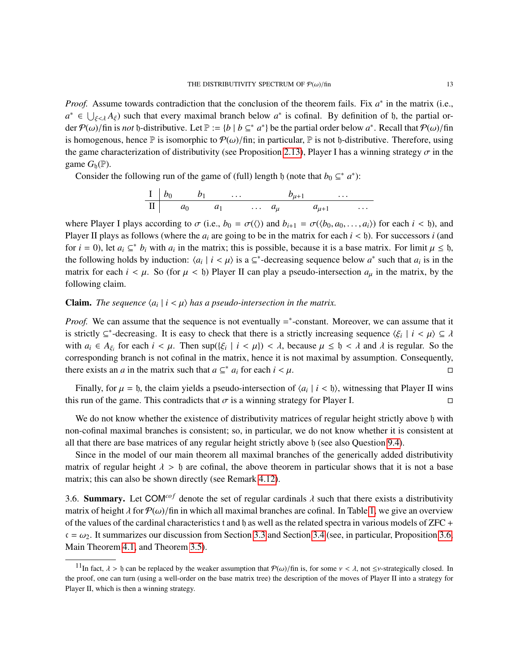*Proof.* Assume towards contradiction that the conclusion of the theorem fails. Fix  $a^*$  in the matrix (i.e.,  $a^* \in \bigcup_{\xi \leq \lambda} A_{\xi}$  such that every maximal branch below  $a^*$  is cofinal. By definition of h, the partial or-<br>den  $\mathcal{D}(\cdot)$  (fin is not h distributive, Let  $\mathbb{R} \subset \{b, b, c^*, s^*\}$ ) be the partial erder below  $s^*$ der  $\mathcal{P}(\omega)$ /fin is *not* h-distributive. Let  $\mathbb{P} := \{b \mid b \subseteq^* a^*\}$  be the partial order below  $a^*$ . Recall that  $\mathcal{P}(\omega)$ /fin<br>is homogenous, hones  $\mathbb{P}$  is isomorphic to  $\mathcal{P}(\omega)$ /fin: in perticular.  $\mathbb{P}$ is homogenous, hence  $\mathbb P$  is isomorphic to  $\mathcal P(\omega)/\text{fin}$ ; in particular,  $\mathbb P$  is not b-distributive. Therefore, using the game characterization of distributivity (see Proposition [2.13\)](#page-5-3), Player I has a winning strategy  $\sigma$  in the game  $G_{\text{h}}(\mathbb{P})$ .

Consider the following run of the game of (full) length h (note that  $b_0 \subseteq^* a^*$ ):

$$
\begin{array}{c|ccccccccc}\nI & b_0 & b_1 & \dots & b_{\mu+1} & \dots \\
\hline\nII & a_0 & a_1 & \dots & a_{\mu} & a_{\mu+1} & \dots\n\end{array}
$$

where Player I plays according to  $\sigma$  (i.e.,  $b_0 = \sigma(\langle \rangle)$  and  $b_{i+1} = \sigma(\langle b_0, a_0, \ldots, a_i \rangle)$  for each  $i < \mathfrak{h}$ ), and Player II plays as follows (where the  $a_i$  are going to be in the matrix for each  $i < \mathfrak{h}$ ). For successors *i* (and for *i* = 0), let  $a_i \subseteq^* b_i$  with  $a_i$  in the matrix; this is possible, because it is a base matrix. For limit  $\mu \leq b$ , the following holds by induction:  $(a, b, c)$  is a  $C^*$  decreasing sequence holew  $a^*$  such that  $a$ , the following holds by induction:  $\langle a_i | i \rangle \langle \mu \rangle$  is a  $\subseteq^*$ -decreasing sequence below  $a^*$  such that  $a_i$  is in the metric for each  $i \leq \mu$ . So (for  $\mu \leq b$ ) Player II can play a pseudo-intersection  $a_i$  in the metr matrix for each  $i < \mu$ . So (for  $\mu < \mathfrak{h}$ ) Player II can play a pseudo-intersection  $a_{\mu}$  in the matrix, by the following claim.

# **Claim.** *The sequence*  $\langle a_i | i \langle \mu \rangle$  *has a pseudo-intersection in the matrix.*

*Proof.* We can assume that the sequence is not eventually =\*-constant. Moreover, we can assume that it is strictly ⊆<sup>\*</sup>-decreasing. It is easy to check that there is a strictly increasing sequence  $\langle \xi_i | i < \mu \rangle \subseteq \lambda$ <br>with  $g_i \in A$ , for each  $i \leq \mu$ . Then  $\sup((\xi, | i \leq \mu)) \leq \lambda$  because  $\mu \leq h \leq \lambda$  and  $\lambda$  is regular. So with  $a_i \in A_{\xi_i}$  for each  $i < \mu$ . Then  $\sup(\{\xi_i \mid i < \mu\}) < \lambda$ , because  $\mu \leq \mathfrak{h} < \lambda$  and  $\lambda$  is regular. So the corresponding branch is not cofinal in the matrix, hence it is not maximal by assumption. Consequently, there exists an *a* in the matrix such that  $a \subseteq^* a_i$  for each  $i < \mu$ .

Finally, for  $\mu = \mathfrak{h}$ , the claim yields a pseudo-intersection of  $\langle a_i | i \rangle$ , witnessing that Player II wins this run of the game. This contradicts that  $\sigma$  is a winning strategy for Player I.

We do not know whether the existence of distributivity matrices of regular height strictly above h with non-cofinal maximal branches is consistent; so, in particular, we do not know whether it is consistent at all that there are base matrices of any regular height strictly above h (see also Question [9.4\)](#page-53-6).

Since in the model of our main theorem all maximal branches of the generically added distributivity matrix of regular height  $\lambda > 0$  are cofinal, the above theorem in particular shows that it is not a base matrix; this can also be shown directly (see Remark [4.12\)](#page-20-0).

<span id="page-12-0"></span>3.6. **Summary.** Let COM<sup>*cof*</sup> denote the set of regular cardinals  $\lambda$  such that there exists a distributivity matrix of height  $\lambda$  for  $\mathcal{P}(\omega)$ /fin in which all maximal branches are cofinal. In Table [1,](#page-13-1) we give an overview of the values of the cardinal characteristics t and h as well as the related spectra in various models of  $ZFC +$  $c = \omega_2$ . It summarizes our discussion from Section [3.3](#page-10-0) and Section [3.4](#page-10-1) (see, in particular, Proposition [3.6,](#page-11-3) Main Theorem [4.1,](#page-13-0) and Theorem [3.5\)](#page-10-2).

<span id="page-12-1"></span><sup>&</sup>lt;sup>11</sup>In fact,  $\lambda > \mathfrak{h}$  can be replaced by the weaker assumption that  $\mathcal{P}(\omega)/\mathfrak{f}$  is, for some  $\nu < \lambda$ , not  $\leq \nu$ -strategically closed. In the proof, one can turn (using a well-order on the base matrix tree) the description of the moves of Player II into a strategy for Player II, which is then a winning strategy.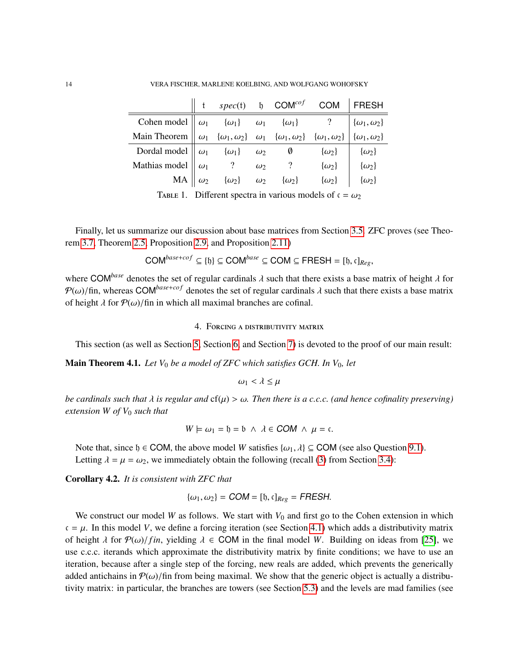|                                                                                                                                                                                                                                                                                                                 |  |  |  | $\parallel$ t spec(t) b COM <sup>cof</sup> COM FRESH |  |
|-----------------------------------------------------------------------------------------------------------------------------------------------------------------------------------------------------------------------------------------------------------------------------------------------------------------|--|--|--|------------------------------------------------------|--|
|                                                                                                                                                                                                                                                                                                                 |  |  |  |                                                      |  |
| Cohen model $\omega_1$ $\{\omega_1\}$ $\omega_1$ $\{\omega_1\}$ $\{\omega_1\}$ ? $\{\omega_1, \omega_2\}$<br>Main Theorem $\omega_1$ $\{\omega_1, \omega_2\}$ $\omega_1$ $\{\omega_1, \omega_2\}$ $\{\omega_1, \omega_2\}$ $\{\omega_1, \omega_2\}$                                                             |  |  |  |                                                      |  |
|                                                                                                                                                                                                                                                                                                                 |  |  |  |                                                      |  |
|                                                                                                                                                                                                                                                                                                                 |  |  |  |                                                      |  |
| Dordal model $\begin{vmatrix} \omega_1 & \{\omega_1\} & \omega_2 & \emptyset & \{\omega_2\} \\ \omega_1 & ? & \omega_2 & ? & \{\omega_2\} \\ MA & \omega_2 & \{\omega_2\} & \omega_2 & \{\omega_2\} \end{vmatrix}$ $\begin{vmatrix} \{\omega_2\} \\ \{\omega_2\} \\ \{\omega_2\} \\ \{\omega_2\} \end{vmatrix}$ |  |  |  |                                                      |  |
|                                                                                                                                                                                                                                                                                                                 |  |  |  |                                                      |  |

<span id="page-13-1"></span>TABLE 1. Different spectra in various models of  $c = \omega_2$ 

Finally, let us summarize our discussion about base matrices from Section [3.5.](#page-11-1) ZFC proves (see Theorem [3.7,](#page-11-0) Theorem [2.5,](#page-3-0) Proposition [2.9,](#page-4-1) and Proposition [2.11\)](#page-5-2)

$$
\mathsf{COM}^{base+cof} \subseteq \{\mathfrak{h}\} \subseteq \mathsf{COM}^{base} \subseteq \mathsf{COM} \subseteq \mathsf{FRESH} = [\mathfrak{h}, \mathfrak{c}]_{Reg},
$$

where COM<sup>base</sup> denotes the set of regular cardinals  $\lambda$  such that there exists a base matrix of height  $\lambda$  for  $P(\omega)/\text{fin}$ , whereas COM<sup>base+cof</sup> denotes the set of regular cardinals  $\lambda$  such that there exists a base matrix of height  $\lambda$  for  $\mathcal{P}(\omega)/\text{fin}$  in which all maximal branches are cofinal.

# 4. Forcing a distributivity matrix

This section (as well as Section [5,](#page-24-0) Section [6,](#page-36-0) and Section [7\)](#page-39-0) is devoted to the proof of our main result:

<span id="page-13-0"></span>Main Theorem 4.1. *Let V*<sup>0</sup> *be a model of ZFC which satisfies GCH. In V*0*, let*

$$
\omega_1 < \lambda \leq \mu
$$

*be cardinals such that* λ *is regular and* cf(µ) > ω*. Then there is a c.c.c. (and hence cofinality preserving) extension W of V*<sup>0</sup> *such that*

$$
W \models \omega_1 = \mathfrak{h} = \mathfrak{b} \ \wedge \ \lambda \in \mathsf{COM} \ \wedge \ \mu = \mathfrak{c}.
$$

Note that, since  $\mathfrak{h} \in \text{COM}$ , the above model *W* satisfies { $\omega_1, \lambda$ }  $\subseteq \text{COM}$  (see also Question [9.1\)](#page-53-7). Letting  $\lambda = \mu = \omega_2$ , we immediately obtain the following (recall [\(3\)](#page-10-4) from Section [3.4\)](#page-10-1):

<span id="page-13-2"></span>Corollary 4.2. *It is consistent with ZFC that*

$$
\{\omega_1,\omega_2\}=\text{COM}=[\mathfrak{h},\mathfrak{c}]_{Reg}=\text{FRESH}.
$$

We construct our model *W* as follows. We start with  $V_0$  and first go to the Cohen extension in which  $c = \mu$ . In this model *V*, we define a forcing iteration (see Section [4.1\)](#page-15-0) which adds a distributivity matrix of height  $\lambda$  for  $\mathcal{P}(\omega)/f$ *in*, yielding  $\lambda \in \mathsf{COM}$  in the final model *W*. Building on ideas from [\[25\]](#page-54-0), we use c.c.c. iterands which approximate the distributivity matrix by finite conditions; we have to use an iteration, because after a single step of the forcing, new reals are added, which prevents the generically added antichains in  $\mathcal{P}(\omega)$ /fin from being maximal. We show that the generic object is actually a distributivity matrix: in particular, the branches are towers (see Section [5.3\)](#page-33-0) and the levels are mad families (see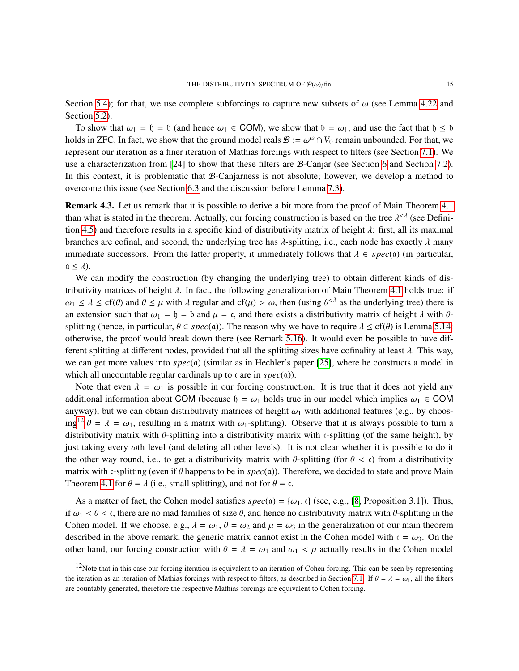Section [5.4\)](#page-34-0); for that, we use complete subforcings to capture new subsets of  $\omega$  (see Lemma [4.22](#page-23-0) and Section [5.2\)](#page-28-0).

To show that  $\omega_1 = \mathfrak{h} = \mathfrak{b}$  (and hence  $\omega_1 \in \text{COM}$ ), we show that  $\mathfrak{b} = \omega_1$ , and use the fact that  $\mathfrak{h} \leq \mathfrak{b}$ holds in ZFC. In fact, we show that the ground model reals  $B := \omega^{\omega} \cap V_0$  remain unbounded. For that, we<br>represent our iteration as a finer iteration of Mathias foreings with respect to filters (see Section 7.1). We represent our iteration as a finer iteration of Mathias forcings with respect to filters (see Section [7.1\)](#page-40-0). We use a characterization from [\[24\]](#page-54-9) to show that these filters are  $\beta$ -Canjar (see Section [6](#page-36-0) and Section [7.2\)](#page-42-0). In this context, it is problematic that  $B$ -Canjarness is not absolute; however, we develop a method to overcome this issue (see Section [6.3](#page-38-0) and the discussion before Lemma [7.3\)](#page-43-0).

<span id="page-14-1"></span>**Remark 4.3.** Let us remark that it is possible to derive a bit more from the proof of Main Theorem [4.1](#page-13-0) than what is stated in the theorem. Actually, our forcing construction is based on the tree  $\lambda^{\leq \lambda}$  (see Definition 4.5) and therefore results in a specific kind of distributivity metrix of bojeth 1: first, all its ma tion [4.5\)](#page-16-0) and therefore results in a specific kind of distributivity matrix of height  $\lambda$ : first, all its maximal branches are cofinal, and second, the underlying tree has  $\lambda$ -splitting, i.e., each node has exactly  $\lambda$  many immediate successors. From the latter property, it immediately follows that  $\lambda \in spec(a)$  (in particular,  $a \leq \lambda$ ).

We can modify the construction (by changing the underlying tree) to obtain different kinds of distributivity matrices of height  $\lambda$ . In fact, the following generalization of Main Theorem [4.1](#page-13-0) holds true: if  $\omega_1 \le \lambda \le \text{cf}(\theta)$  and  $\theta \le \mu$  with  $\lambda$  regular and  $\text{cf}(\mu) > \omega$ , then (using  $\theta^{<}$  as the underlying tree) there is<br>an axtension such that  $\omega = h = h$  and  $\mu = \epsilon$  and there exists a distributivity matrix of boight an extension such that  $\omega_1 = b = b$  and  $\mu = c$ , and there exists a distributivity matrix of height  $\lambda$  with  $\theta$ splitting (hence, in particular,  $\theta \in spec(\mathfrak{a})$ ). The reason why we have to require  $\lambda \leq cf(\theta)$  is Lemma [5.14:](#page-31-0) otherwise, the proof would break down there (see Remark [5.16\)](#page-32-0). It would even be possible to have different splitting at different nodes, provided that all the splitting sizes have cofinality at least  $\lambda$ . This way, we can get more values into *spec*(a) (similar as in Hechler's paper [\[25\]](#page-54-0), where he constructs a model in which all uncountable regular cardinals up to c are in *spec*(a)).

Note that even  $\lambda = \omega_1$  is possible in our forcing construction. It is true that it does not yield any additional information about COM (because  $\mathfrak{h} = \omega_1$  holds true in our model which implies  $\omega_1 \in \text{COM}$ anyway), but we can obtain distributivity matrices of height  $\omega_1$  with additional features (e.g., by choos-ing<sup>[12](#page-14-0)</sup>  $\theta = \lambda = \omega_1$ , resulting in a matrix with  $\omega_1$ -splitting). Observe that it is always possible to turn a distributivity matrix with θ-splitting into a distributivity matrix with <sup>c</sup>-splitting (of the same height), by just taking every ωth level (and deleting all other levels). It is not clear whether it is possible to do it the other way round, i.e., to get a distributivity matrix with  $\theta$ -splitting (for  $\theta < \epsilon$ ) from a distributivity matrix with <sup>c</sup>-splitting (even if θ happens to be in *spec*(a)). Therefore, we decided to state and prove Main Theorem [4.1](#page-13-0) for  $\theta = \lambda$  (i.e., small splitting), and not for  $\theta = \mathfrak{c}$ .

As a matter of fact, the Cohen model satisfies  $spec(a) = \{\omega_1, c\}$  (see, e.g., [\[8,](#page-54-2) Proposition 3.1]). Thus, if  $\omega_1 < \theta < \epsilon$ , there are no mad families of size  $\theta$ , and hence no distributivity matrix with  $\theta$ -splitting in the Cohen model. If we choose, e.g.,  $\lambda = \omega_1$ ,  $\theta = \omega_2$  and  $\mu = \omega_3$  in the generalization of our main theorem described in the above remark, the generic matrix cannot exist in the Cohen model with  $c = \omega_3$ . On the other hand, our forcing construction with  $\theta = \lambda = \omega_1$  and  $\omega_1 < \mu$  actually results in the Cohen model

<span id="page-14-0"></span> $12$ Note that in this case our forcing iteration is equivalent to an iteration of Cohen forcing. This can be seen by representing the iteration as an iteration of Mathias forcings with respect to filters, as described in Section [7.1.](#page-40-0) If  $\theta = \lambda = \omega_1$ , all the filters are countably generated, therefore the respective Mathias forcings are equivalent to Cohen forcing.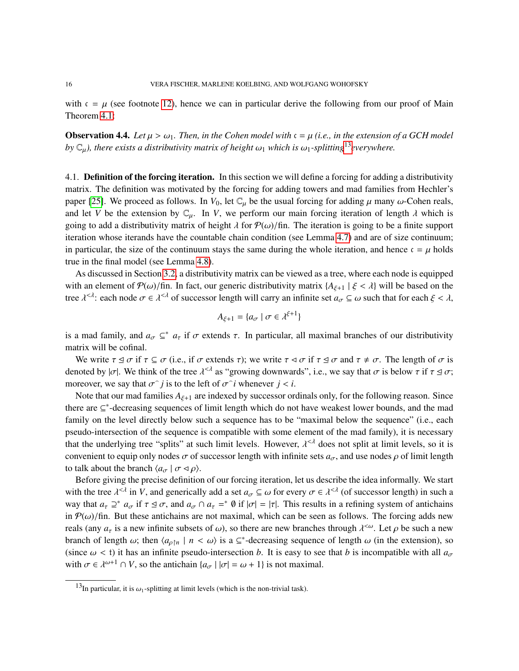with  $c = \mu$  (see footnote [12\)](#page-14-0), hence we can in particular derive the following from our proof of Main Theorem [4.1:](#page-13-0)

**Observation 4.4.** *Let*  $\mu > \omega_1$ *. Then, in the Cohen model with*  $\mathfrak{c} = \mu$  *(i.e., in the extension of a GCH model by*  $\mathbb{C}_{\mu}$ *), there exists a distributivity matrix of height*  $\omega_1$  *which is*  $\omega_1$ *-splitting*<sup>[13](#page-15-1)</sup>*everywhere.* 

<span id="page-15-0"></span>4.1. **Definition of the forcing iteration.** In this section we will define a forcing for adding a distributivity matrix. The definition was motivated by the forcing for adding towers and mad families from Hechler's paper [\[25\]](#page-54-0). We proceed as follows. In  $V_0$ , let  $\mathbb{C}_{\mu}$  be the usual forcing for adding  $\mu$  many  $\omega$ -Cohen reals, and let *V* be the extension by  $\mathbb{C}_{\mu}$ . In *V*, we perform our main forcing iteration of length  $\lambda$  which is going to add a distributivity matrix of height  $\lambda$  for  $\mathcal{P}(\omega)/\text{fin}$ . The iteration is going to be a finite support iteration whose iterands have the countable chain condition (see Lemma [4.7\)](#page-17-0) and are of size continuum; in particular, the size of the continuum stays the same during the whole iteration, and hence  $c = \mu$  holds true in the final model (see Lemma [4.8\)](#page-18-0).

As discussed in Section [3.2,](#page-8-1) a distributivity matrix can be viewed as a tree, where each node is equipped with an element of  $\mathcal{P}(\omega)$ /fin. In fact, our generic distributivity matrix  $\{A_{\xi+1} \mid \xi < \lambda\}$  will be based on the tree  $\lambda^{< \lambda}$ : each node  $\sigma \in \lambda^{< \lambda}$  of successor length will carry an infinite set  $a_{\sigma} \subseteq \omega$  such that for each  $\xi < \lambda$ ,

$$
A_{\xi+1} = \{a_{\sigma} \mid \sigma \in \lambda^{\xi+1}\}
$$

is a mad family, and  $a_{\sigma} \subseteq^* a_{\tau}$  if  $\sigma$  extends  $\tau$ . In particular, all maximal branches of our distributivity metric will be cofined. matrix will be cofinal.

We write  $\tau \leq \sigma$  if  $\tau \subseteq \sigma$  (i.e., if  $\sigma$  extends  $\tau$ ); we write  $\tau \leq \sigma$  if  $\tau \leq \sigma$  and  $\tau \neq \sigma$ . The length of  $\sigma$  is denoted by  $|\sigma|$ . We think of the tree  $\lambda^{<\lambda}$  as "growing downwards", i.e., we say that  $\sigma$  is below  $\tau$  if  $\tau \leq \sigma$ ; moreover, we say that  $\sigma^{\frown} j$  is to the left of  $\sigma^{\frown} i$  whenever  $j < i$ .

Note that our mad families *<sup>A</sup>*ξ+<sup>1</sup> are indexed by successor ordinals only, for the following reason. Since there are ⊆\*-decreasing sequences of limit length which do not have weakest lower bounds, and the mad family on the level directly below such a sequence has to be "maximal below the sequence" (i.e., each pseudo-intersection of the sequence is compatible with some element of the mad family), it is necessary that the underlying tree "splits" at such limit levels. However,  $\lambda^{\leq \lambda}$  does not split at limit levels, so it is<br>convenient to equip only nodes  $\sigma$  of successor length with infinite sets  $\sigma$ , and use nodes a of lim convenient to equip only nodes  $\sigma$  of successor length with infinite sets  $a_{\sigma}$ , and use nodes  $\rho$  of limit length to talk about the branch  $\langle a_{\sigma} | \sigma \triangleleft \rho \rangle$ .

Before giving the precise definition of our forcing iteration, let us describe the idea informally. We start with the tree  $\lambda^{<\lambda}$  in *V*, and generically add a set  $a_{\sigma} \subseteq \omega$  for every  $\sigma \in \lambda^{<\lambda}$  (of successor length) in such a way that  $a_{\sigma} \to a_{\sigma}$  if  $\sigma \to \infty$  and  $a_{\sigma} \cap a_{\sigma} = a_{\sigma}$ . This results in a refining syste way that  $a_{\tau} \supseteq^* a_{\sigma}$  if  $\tau \supseteq \sigma$ , and  $a_{\sigma} \cap a_{\tau} =^* \emptyset$  if  $|\sigma| = |\tau|$ . This results in a refining system of antichains in  $\mathcal{O}(\epsilon)$  (fin. But these entirely are not may imal, which can be seen as follows. The in  $\mathcal{P}(\omega)$ /fin. But these antichains are not maximal, which can be seen as follows. The forcing adds new reals (any  $a_{\tau}$  is a new infinite subsets of  $\omega$ ), so there are new branches through  $\lambda^{\langle \omega \rangle}$ . Let  $\rho$  be such a new branches through  $\lambda^{\langle \omega \rangle}$ . Let  $\rho$  be such a new branch of length  $\omega$ ; then  $\langle a_{\rho} \rangle$ <sup>n</sup>  $| n \langle \omega \rangle$  is a ⊆<sup>\*</sup>-decreasing sequence of length  $\omega$  (in the extension), so (cinea  $\langle \omega, \zeta, \zeta \rangle$ ) it has an infinite people intersection by It is easy to see that b is inco (since  $\omega <$  t) it has an infinite pseudo-intersection *b*. It is easy to see that *b* is incompatible with all  $a_{\sigma}$ with  $\sigma \in \lambda^{\omega+1} \cap V$ , so the antichain  $\{\alpha_{\sigma} \mid |\sigma| = \omega + 1\}$  is not maximal.

<span id="page-15-1"></span><sup>&</sup>lt;sup>13</sup>In particular, it is  $\omega_1$ -splitting at limit levels (which is the non-trivial task).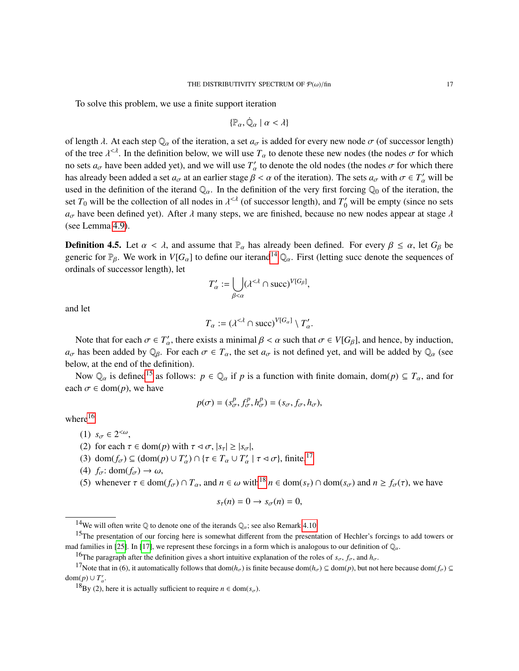To solve this problem, we use a finite support iteration

$$
\{\mathbb{P}_{\alpha},\dot{\mathbb{Q}}_{\alpha}\mid\alpha<\lambda\}
$$

of length  $\lambda$ . At each step  $\mathbb{Q}_\alpha$  of the iteration, a set  $a_{\sigma}$  is added for every new node  $\sigma$  (of successor length) of the tree  $\lambda^{\leq A}$ . In the definition below, we will use  $T_\alpha$  to denote these new nodes (the nodes  $\sigma$  for which no sets  $a_{\sigma}$  have been added yet), and we will use  $T'_{\alpha}$  to denote the old nodes (the nodes  $\sigma$  for which there has already been added a set  $a_{\sigma}$  at an earlier stage  $\beta < \alpha$  of the iteration). The sets  $a_{\sigma}$  with  $\sigma \in T'_{\alpha}$  will be used in the definition of the iteration of the iteration the used in the definition of the iterand  $\mathbb{Q}_\alpha$ . In the definition of the very first forcing  $\mathbb{Q}_0$  of the iteration, the set  $T_0$  will be the collection of all nodes in  $\lambda^{\leq \lambda}$  (of successor length), and  $T'_0$  will be empty (since no sets  $a_{\sigma}$  have been defined yet). After  $\lambda$  many steps, we are finished, because no new nodes appear at stage  $\lambda$ (see Lemma [4.9\)](#page-19-0).

<span id="page-16-0"></span>**Definition 4.5.** Let  $\alpha < \lambda$ , and assume that  $\mathbb{P}_{\alpha}$  has already been defined. For every  $\beta \leq \alpha$ , let  $G_{\beta}$  be generic for  $\mathbb{P}_{\beta}$ . We work in *V*[*G*<sub>α</sub>] to define our iterand<sup>[14](#page-16-1)</sup>  $\mathbb{Q}_{\alpha}$ . First (letting succ denote the sequences of ordinals of successor length), let

$$
T'_{\alpha} := \bigcup_{\beta < \alpha} (\lambda^{<\lambda} \cap \text{succ})^{V[G_{\beta}]},
$$

and let

$$
T_{\alpha} := (\lambda^{<\lambda} \cap \text{succ})^{V[G_{\alpha}]} \setminus T'_{\alpha'}
$$

Note that for each  $\sigma \in T'_\alpha$ , there exists a minimal  $\beta < \alpha$  such that  $\sigma \in V[G_\beta]$ , and hence, by induction, here heap added by  $\mathbb{Q}$ . For each  $\sigma \in T$ , the set  $\alpha$ , is not defined yet, and will be added by  $\mathbb{Q}$ .  $a_{\sigma}$  has been added by  $\mathbb{Q}_{\beta}$ . For each  $\sigma \in T_{\alpha}$ , the set  $a_{\sigma}$  is not defined yet, and will be added by  $\mathbb{Q}_{\alpha}$  (see below, at the end of the definition).

Now  $\mathbb{Q}_\alpha$  is defined<sup>[15](#page-16-2)</sup> as follows:  $p \in \mathbb{Q}_\alpha$  if p is a function with finite domain, dom(p)  $\subseteq T_\alpha$ , and for each  $\sigma \in \text{dom}(p)$ , we have

$$
p(\sigma) = (s^p_{\sigma}, f^p_{\sigma}, h^p_{\sigma}) = (s_{\sigma}, f_{\sigma}, h_{\sigma}),
$$

where $16$ 

(1) 
$$
s_{\sigma} \in 2^{<\omega}
$$
,

(2) for each  $\tau \in \text{dom}(p)$  with  $\tau \leq \sigma$ ,  $|s_{\tau}| \geq |s_{\sigma}|$ ,<br>(3) dom(*f*)  $\subset (\text{dom}(p) \cup T') \cap (\tau \in T \cup T')$ 

- (3) dom( $f_{\sigma}$ )  $\subseteq$  (dom( $p$ )  $\cup$   $T'_{\alpha}$ )  $\cap$  { $\tau \in T_{\alpha} \cup T'_{\alpha}$  |  $\tau \triangleleft \sigma$ }, finite,<sup>[17](#page-16-4)</sup>
- (4)  $f_{\sigma}$ : dom( $f_{\sigma}$ )  $\rightarrow \omega$ ,
- (5) whenever  $\tau \in \text{dom}(f_{\sigma}) \cap T_{\alpha}$ , and  $n \in \omega$  with<sup>[18](#page-16-5)</sup>  $n \in \text{dom}(s_{\tau}) \cap \text{dom}(s_{\sigma})$  and  $n \geq f_{\sigma}(\tau)$ , we have

$$
s_{\tau}(n)=0\rightarrow s_{\sigma}(n)=0,
$$

<span id="page-16-2"></span><span id="page-16-1"></span><sup>&</sup>lt;sup>14</sup>We will often write  $\mathbb Q$  to denote one of the iterands  $\mathbb Q_\alpha$ ; see also Remark [4.10.](#page-19-1)

<sup>&</sup>lt;sup>15</sup>The presentation of our forcing here is somewhat different from the presentation of Hechler's forcings to add towers or mad families in [\[25\]](#page-54-0). In [\[17\]](#page-54-10), we represent these forcings in a form which is analogous to our definition of  $\mathbb{Q}_a$ .

<span id="page-16-4"></span><span id="page-16-3"></span><sup>&</sup>lt;sup>16</sup>The paragraph after the definition gives a short intuitive explanation of the roles of  $s_{\sigma}$ ,  $f_{\sigma}$ , and  $h_{\sigma}$ .

<sup>&</sup>lt;sup>17</sup>Note that in (6), it automatically follows that dom( $h_{\sigma}$ ) is finite because dom( $h_{\sigma}$ ) ⊆ dom(*p*), but not here because dom( $f_{\sigma}$ ) ⊆ dom $(p) \cup T'_\alpha$ .

<span id="page-16-5"></span><sup>&</sup>lt;sup>18</sup>By (2), here it is actually sufficient to require  $n \in \text{dom}(s_{\sigma})$ .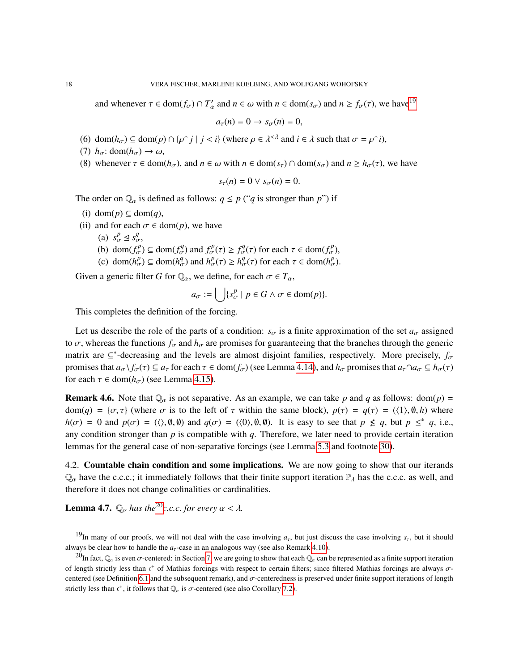and whenever  $\tau \in \text{dom}(f_{\sigma}) \cap T'_{\alpha}$  and  $n \in \omega$  with  $n \in \text{dom}(s_{\sigma})$  and  $n \ge f_{\sigma}(\tau)$ , we have<sup>[19](#page-17-1)</sup>

$$
a_{\tau}(n)=0 \to s_{\sigma}(n)=0,
$$

- (6) dom( $h_{\sigma}$ )  $\subseteq$  dom( $p$ )  $\cap$  { $\rho$ <sup>-</sup>  $j$  |  $j < i$ } (where  $\rho \in \lambda^{<\lambda}$  and  $i \in \lambda$  such that  $\sigma = \rho$ <sup>-</sup> *i*), (7)  $h : \text{dom}(h) \to \emptyset$
- (7)  $h_{\sigma}$ : dom( $h_{\sigma}$ )  $\rightarrow \omega$ ,
- (8) whenever  $\tau \in \text{dom}(h_{\sigma})$ , and  $n \in \omega$  with  $n \in \text{dom}(s_{\tau}) \cap \text{dom}(s_{\sigma})$  and  $n \geq h_{\sigma}(\tau)$ , we have

$$
s_{\tau}(n) = 0 \vee s_{\sigma}(n) = 0.
$$

The order on  $\mathbb{Q}_\alpha$  is defined as follows:  $q \leq p$  ("*q* is stronger than *p*") if

- (i) dom(*p*) ⊆ dom(*q*),
- (ii) and for each  $\sigma \in \text{dom}(p)$ , we have
	- (a)  $s^p_{\sigma} \leq s^q_{\sigma}$ ,<br>(b) denotes
	- (b) dom $(f_{\sigma}^p) \subseteq \text{dom}(f_{\sigma}^q)$  and  $f_{\sigma}^p(\tau) \geq f_{\sigma}^q(\tau)$  for each  $\tau \in \text{dom}(f_{\sigma}^p)$ ,<br>(c) dom(*k*<sup>*p*</sup>)  $\subset \text{dom}(k^q)$  and  $k^p(\tau) \geq k^q(\tau)$  for each  $\tau \in \text{dom}(k^p)$ .
	- (c) dom( $h_{\sigma}^p$ )  $\subseteq$  dom( $h_{\sigma}^q$ ) and  $h_{\sigma}^p(\tau) \ge h_{\sigma}^q(\tau)$  for each  $\tau \in \text{dom}(h_{\sigma}^p)$ .

Given a generic filter *G* for  $\mathbb{Q}_\alpha$ , we define, for each  $\sigma \in T_\alpha$ ,

$$
a_{\sigma} := \bigcup \{ s_{\sigma}^p \mid p \in G \land \sigma \in \text{dom}(p) \}.
$$

This completes the definition of the forcing.

Let us describe the role of the parts of a condition:  $s_{\sigma}$  is a finite approximation of the set  $a_{\sigma}$  assigned to  $\sigma$ , whereas the functions  $f_{\sigma}$  and  $h_{\sigma}$  are promises for guaranteeing that the branches through the generic matrix are  $\subseteq^*$ -decreasing and the levels are almost disjoint families, respectively. More precisely,  $f_{\sigma}$ promises that  $a_{\sigma}$   $\setminus f_{\sigma}(\tau) \subseteq a_{\tau}$  for each  $\tau \in \text{dom}(f_{\sigma})$  (see Lemma [4.14\)](#page-20-1), and  $h_{\sigma}$  promises that  $a_{\tau} \cap a_{\sigma} \subseteq h_{\sigma}(\tau)$ for each  $\tau \in \text{dom}(h_{\sigma})$  (see Lemma [4.15\)](#page-21-0).

<span id="page-17-3"></span>**Remark 4.6.** Note that  $\mathbb{Q}_\alpha$  is not separative. As an example, we can take p and q as follows: dom(p) = dom(*q*) = { $\sigma$ ,  $\tau$ } (where  $\sigma$  is to the left of  $\tau$  within the same block),  $p(\tau) = q(\tau) = (\langle 1 \rangle, \emptyset, h)$  where  $h(\sigma) = 0$  and  $p(\sigma) = (\langle \rangle, \emptyset, \emptyset)$  and  $q(\sigma) = (\langle 0 \rangle, \emptyset, \emptyset)$ . It is easy to see that  $p \nleq q$ , but  $p \leq q$ , i.e., any condition stronger than *p* is compatible with *q*. Therefore, we later need to provide certain iteration lemmas for the general case of non-separative forcings (see Lemma [5.3](#page-25-0) and footnote [30\)](#page-26-0).

4.2. **Countable chain condition and some implications.** We are now going to show that our iterands  $\mathbb{Q}_\alpha$  have the c.c.c.; it immediately follows that their finite support iteration  $\mathbb{P}_\lambda$  has the c.c.c. as well, and therefore it does not change cofinalities or cardinalities.

<span id="page-17-0"></span>**Lemma 4.7.**  $\mathbb{Q}_{\alpha}$  has the<sup>[20](#page-17-2)</sup>*c.c.c. for every*  $\alpha < \lambda$ *.* 

<span id="page-17-1"></span><sup>&</sup>lt;sup>19</sup>In many of our proofs, we will not deal with the case involving  $a<sub>r</sub>$ , but just discuss the case involving  $s<sub>r</sub>$ , but it should always be clear how to handle the  $a<sub>\tau</sub>$ -case in an analogous way (see also Remark [4.10\)](#page-19-1).

<span id="page-17-2"></span><sup>&</sup>lt;sup>20</sup>In fact,  $\mathbb{Q}_\alpha$  is even  $\sigma$ -centered: in Section [7,](#page-39-0) we are going to show that each  $\mathbb{Q}_\alpha$  can be represented as a finite support iteration of length strictly less than  $\epsilon^+$  of Mathias forcings with respect to certain filters; since filtered Mathias forcings are always σ-<br>centared (see Definition 6.1 and the subsequent semal), and  $\pi$  centaredness is gree centered (see Definition [6.1](#page-36-1) and the subsequent remark), and  $\sigma$ -centeredness is preserved under finite support iterations of length strictly less than  $c^+$ , it follows that  $\mathbb{Q}_\alpha$  is  $\sigma$ -centered (see also Corollary [7.2\)](#page-42-1).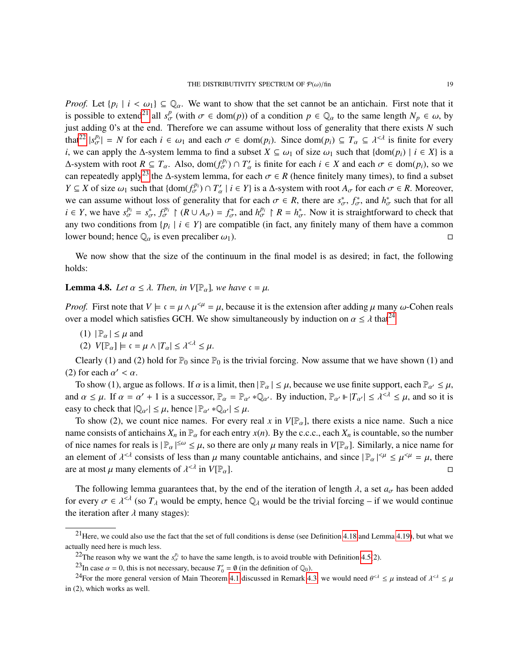*Proof.* Let  $\{p_i \mid i < \omega_1\} \subseteq \mathbb{Q}_\alpha$ . We want to show that the set cannot be an antichain. First note that it is possible to extend<sup>21</sup> all  $s^p_\sigma$  (with  $\sigma \in \text{dom}(p)$ ) of a condition  $p \in \mathbb{Q}_\alpha$  to the same length  $N_p \in \omega$ , by just adding 0's at the end. Therefore we can assume without loss of generality that there exists *N* such that<sup>[22](#page-18-2)</sup>  $|s_{\sigma}^{p_i}| = N$  for each  $i \in \omega_1$  and each  $\sigma \in \text{dom}(p_i)$ . Since  $\text{dom}(p_i) \subseteq T_\alpha \subseteq \lambda^{\leq \lambda}$  is finite for every *i*, we can apply the  $\Delta$ -system lemma to find a subset  $X \subseteq \omega_1$  of size  $\omega_1$  such that {dom( $p_i$ ) |  $i \in X$ } is a Δ-system with root *R* ⊆ *T*<sub>α</sub>. Also, dom( $f_{\sigma}^{p_i}$ ) ∩ *T*<sub>α</sub><sup> $\prime$ </sup> is finite for each *i* ∈ *X* and each  $\sigma$  ∈ dom(*p<sub>i</sub>*), so we can repeatedly apply<sup>[23](#page-18-3)</sup> the ∆-system lemma, for each  $\sigma \in R$  (hence finitely many times), to find a subset  $V \subset Y$  of size (the such that  $(\text{dom}(f^{p_i}) \cap T')$  i.e.  $V$ ) is a  $\Lambda$  system with root  $\Lambda$ , for each  $\sigma \in R$ . Moreo *Y* ⊆ *X* of size  $\omega_1$  such that {dom( $f_{\sigma}^{p_i}$ ) ∩  $T_{\alpha}' \mid i \in Y$ } is a ∆-system with root  $A_{\sigma}$  for each  $\sigma \in R$ . Moreover, we can assume without loss of generality that for each  $\sigma \in R$ , there are  $s_{\sigma}^*$ ,  $f_{\sigma}^*$ , and  $h_{\sigma}^*$  such that for all  $i \in V$ , we have  $s_{\sigma}^{p_i} = s^* - f_{\sigma}^{p_i}$ .  $(P_{\sigma} + A_{\sigma}) = f^*$  and  $h_{\sigma}^{p_i} \upharpoonright P_{\sigma} = h^*$ . N  $i \in Y$ , we have  $s_{\sigma}^{p_i} = s_{\sigma}^*$ ,  $f_{\sigma}^{p_i} \upharpoonright (R \cup A_{\sigma}) = f_{\sigma}^*$ , and  $h_{\sigma}^{p_i} \upharpoonright R = h_{\sigma}^*$ . Now it is straightforward to check that any two conditions from  $\{p_i \mid i \in Y\}$  are compatible (in fact, any finitely many of them have a common lower bound; hence  $\mathbb{Q}_{\alpha}$  is even precaliber  $\omega_1$ ).

We now show that the size of the continuum in the final model is as desired; in fact, the following holds:

<span id="page-18-0"></span>**Lemma 4.8.** *Let*  $\alpha \leq \lambda$ *. Then, in*  $V[\mathbb{P}_{\alpha}]$ *, we have*  $\alpha = \mu$ *.* 

*Proof.* First note that  $V \models c = \mu \wedge \mu^{<\mu} = \mu$ , because it is the extension after adding  $\mu$  many  $\omega$ -Cohen reals over a model which satisfies GCH. We show simultaneously by induction on  $\alpha \leq \lambda$  that<sup>[24](#page-18-4)</sup>

- (1)  $|\mathbb{P}_{\alpha}| \leq \mu$  and
- (2)  $V[\mathbb{P}_{\alpha}] \models \mathfrak{c} = \mu \wedge |T_{\alpha}| \leq \lambda^{<\lambda} \leq \mu.$

Clearly (1) and (2) hold for  $\mathbb{P}_0$  since  $\mathbb{P}_0$  is the trivial forcing. Now assume that we have shown (1) and (2) for each  $\alpha' < \alpha$ .<br>To show (1) ergy

To show (1), argue as follows. If  $\alpha$  is a limit, then  $|\mathbb{P}_{\alpha}| \leq \mu$ , because we use finite support, each  $\mathbb{P}_{\alpha'} \leq \mu$ , and  $\alpha \le \mu$ . If  $\alpha = \alpha' + 1$  is a successor,  $\mathbb{P}_{\alpha} = \mathbb{P}_{\alpha'} * \mathbb{Q}_{\alpha'}$ . By induction,  $\mathbb{P}_{\alpha'} \Vdash |T_{\alpha'}| \le \lambda^{<\lambda} \le \mu$ , and so it is easy to check that  $|\mathbb{Q}_{\alpha'}| \leq \mu$ , hence  $|\mathbb{P}_{\alpha'} * \mathbb{Q}_{\alpha'}| \leq \mu$ .

To show (2), we count nice names. For every real *x* in  $V[\mathbb{P}_{\alpha}]$ , there exists a nice name. Such a nice name consists of antichains  $X_n$  in  $\mathbb{P}_{\alpha}$  for each entry  $x(n)$ . By the c.c.c., each  $X_n$  is countable, so the number of nice names for reals is  $|\mathbb{P}_{\alpha}|^{\leq \omega} \leq \mu$ , so there are only  $\mu$  many reals in  $V[\mathbb{P}_{\alpha}]$ . Similarly, a nice name for an element of  $\lambda^{\leq \lambda}$  consists of less than  $\mu$  many countable antichains, and since  $|\mathbb{P}_{\alpha}|^{\leq \mu} \leq \mu^{\leq \mu} = \mu$ , there are at most  $\mu$  many elements of  $\lambda^{\leq \lambda}$  in  $V[\mathbb{P}_{\alpha}]$ .  $\leq \lambda$  in  $V[\mathbb{P}_{\alpha}].$ 

The following lemma guarantees that, by the end of the iteration of length  $\lambda$ , a set  $a_{\sigma}$  has been added for every  $\sigma \in \lambda^{\leq \lambda}$  (so  $T_{\lambda}$  would be empty, hence  $\mathbb{Q}_{\lambda}$  would be the trivial forcing – if we would continue the iteration ofter  $\lambda$  many stagge). the iteration after  $\lambda$  many stages):

<span id="page-18-1"></span> $21$ Here, we could also use the fact that the set of full conditions is dense (see Definition [4.18](#page-22-0) and Lemma [4.19\)](#page-22-1), but what we actually need here is much less.

<span id="page-18-2"></span><sup>&</sup>lt;sup>22</sup>The reason why we want the  $s_\sigma^{p_i}$  to have the same length, is to avoid trouble with Definition [4.5\(](#page-16-0)2).

<span id="page-18-4"></span><span id="page-18-3"></span><sup>&</sup>lt;sup>23</sup>In case  $\alpha = 0$ , this is not necessary, because  $T'_0 = \emptyset$  (in the definition of  $\mathbb{Q}_0$ ).<br><sup>24</sup>Use the wave appeal version of Main Theorym 4.1 diameter in Dewest 4.

<sup>&</sup>lt;sup>24</sup>For the more general version of Main Theorem [4.1](#page-13-0) discussed in Remark [4.3,](#page-14-1) we would need  $\theta^{\leq \lambda} \leq \mu$  instead of  $\lambda^{\leq \lambda} \leq \mu$ in (2), which works as well.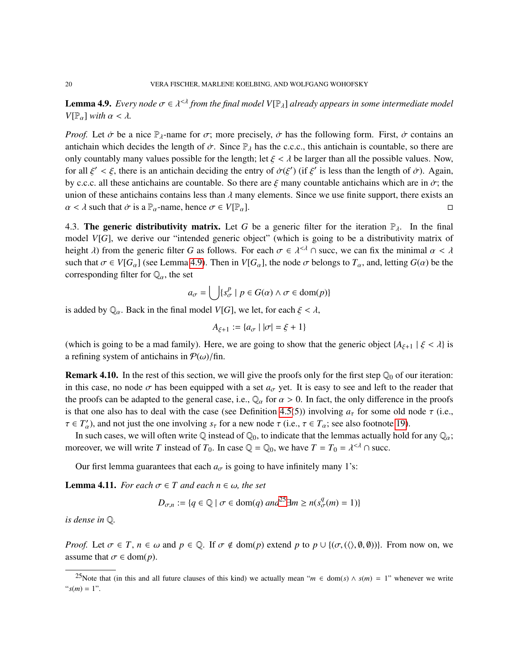<span id="page-19-0"></span>**Lemma 4.9.** *Every node*  $\sigma \in \lambda^{\leq \lambda}$  *from the final model*  $V[\mathbb{P}_{\lambda}]$  *already appears in some intermediate model*<br> $V[\mathbb{P}_{\lambda}]$  with  $\alpha \leq \lambda$  $V[\mathbb{P}_{\alpha}]$  *with*  $\alpha < \lambda$ .

*Proof.* Let  $\dot{\sigma}$  be a nice  $\mathbb{P}_{\lambda}$ -name for  $\sigma$ ; more precisely,  $\dot{\sigma}$  has the following form. First,  $\dot{\sigma}$  contains an antichain which decides the length of  $\dot{\sigma}$ . Since  $\mathbb{P}_{\lambda}$  has the c.c.c., this antichain is countable, so there are only countably many values possible for the length; let  $\xi < \lambda$  be larger than all the possible values. Now, for all  $\xi' < \xi$ , there is an antichain deciding the entry of  $\dot{\sigma}(\xi')$  (if  $\xi'$  is less than the length of  $\dot{\sigma}$ ). Again,<br>by 0.0.0. all these articlaring are countable. So there are  $\xi$  many countable articlaring wh by c.c.c. all these antichains are countable. So there are  $\xi$  many countable antichains which are in  $\dot{\sigma}$ ; the union of these antichains contains less than  $\lambda$  many elements. Since we use finite support, there exists an  $\alpha < \lambda$  such that  $\dot{\sigma}$  is a  $\mathbb{P}_{\alpha}$ -name, hence  $\sigma \in V(\mathbb{P}_{\alpha})$ .  $\alpha < \lambda$  such that  $\dot{\sigma}$  is a  $\mathbb{P}_{\alpha}$ -name, hence  $\sigma \in V[\mathbb{P}_{\alpha}]$ .

4.3. The generic distributivity matrix. Let G be a generic filter for the iteration  $\mathbb{P}_{\lambda}$ . In the final model *V*[*G*], we derive our "intended generic object" (which is going to be a distributivity matrix of height  $\lambda$ ) from the generic filter *G* as follows. For each  $\sigma \in \lambda^{<\lambda} \cap$  succ, we can fix the minimal  $\alpha < \lambda$ <br>such that  $\sigma \in V[G, 1(\infty)$  mma 4.0). Then in  $V[G, 1]$  the node  $\sigma$  belongs to *T* and letting  $G(\alpha)$  be th such that  $\sigma \in V[G_\alpha]$  (see Lemma [4.9\)](#page-19-0). Then in  $V[G_\alpha]$ , the node  $\sigma$  belongs to  $T_\alpha$ , and, letting  $G(\alpha)$  be the corresponding filter for  $\mathbb{Q}_\alpha$ , the set

$$
a_{\sigma} = \bigcup \{ s_{\sigma}^p \mid p \in G(\alpha) \land \sigma \in \text{dom}(p) \}
$$

is added by  $\mathbb{Q}_\alpha$ . Back in the final model  $V[G]$ , we let, for each  $\xi < \lambda$ ,

$$
A_{\xi+1} := \{ a_{\sigma} \mid |\sigma| = \xi + 1 \}
$$

(which is going to be a mad family). Here, we are going to show that the generic object  ${A_{\xi+1} | \xi < \lambda}$  is a refining system of antichains in  $P(\omega)/\text{fin}$ .

<span id="page-19-1"></span>**Remark 4.10.** In the rest of this section, we will give the proofs only for the first step  $\mathbb{Q}_0$  of our iteration: in this case, no node  $\sigma$  has been equipped with a set  $a_{\sigma}$  yet. It is easy to see and left to the reader that the proofs can be adapted to the general case, i.e.,  $\mathbb{Q}_\alpha$  for  $\alpha > 0$ . In fact, the only difference in the proofs is that one also has to deal with the case (see Definition [4.5\(](#page-16-0)5)) involving  $a<sub>\tau</sub>$  for some old node  $\tau$  (i.e.,  $\tau \in T'_\alpha$ ), and not just the one involving  $s_\tau$  for a new node  $\tau$  (i.e.,  $\tau \in T_\alpha$ ; see also footnote [19\)](#page-17-1).<br>In such assess we will often write  $\bigcirc$  instead of  $\bigcirc$ , to indicate that the lammas actually hold.

In such cases, we will often write Q instead of  $\mathbb{Q}_0$ , to indicate that the lemmas actually hold for any  $\mathbb{Q}_a$ ; moreover, we will write *T* instead of  $T_0$ . In case  $\mathbb{Q} = \mathbb{Q}_0$ , we have  $T = T_0 = \lambda^{\leq \lambda} \cap$  succ.

Our first lemma guarantees that each  $a_{\sigma}$  is going to have infinitely many 1's:

<span id="page-19-3"></span>**Lemma 4.11.** *For each*  $\sigma \in T$  *and each*  $n \in \omega$ *, the set* 

$$
D_{\sigma,n} := \{ q \in \mathbb{Q} \mid \sigma \in \text{dom}(q) \text{ and}^{25} \exists m \ge n (s_{\sigma}^q(m) = 1) \}
$$

*is dense in* Q*.*

*Proof.* Let  $\sigma \in T$ ,  $n \in \omega$  and  $p \in \mathbb{Q}$ . If  $\sigma \notin \text{dom}(p)$  extend p to  $p \cup \{(\sigma, (\langle \rangle, \emptyset, \emptyset))\}$ . From now on, we assume that  $\sigma \in \text{dom}(p)$ .

<span id="page-19-2"></span><sup>&</sup>lt;sup>25</sup>Note that (in this and all future clauses of this kind) we actually mean " $m \in \text{dom}(s) \wedge s(m) = 1$ " whenever we write " $s(m) = 1$ ".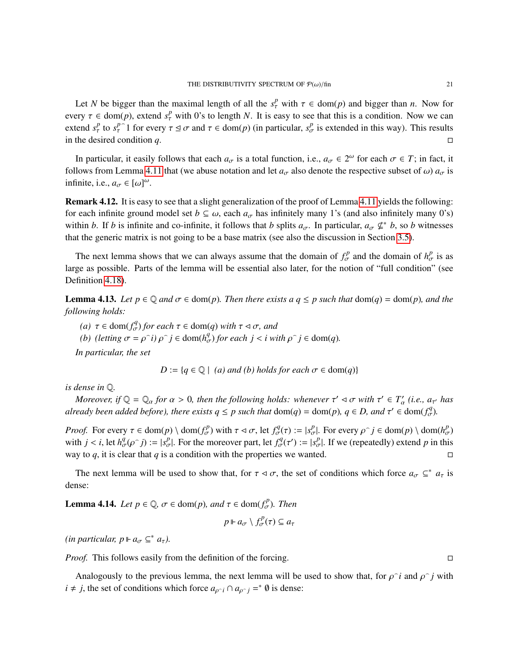Let *N* be bigger than the maximal length of all the  $s^p_\tau$  with  $\tau \in \text{dom}(p)$  and bigger than *n*. Now for every  $\tau \in \text{dom}(p)$ , extend  $s_\tau^p$  with 0's to length *N*. It is easy to see that this is a condition. Now we can<br>extend  $s_\tau^p$  to  $s_\tau^{p-1}$  for every  $\tau \leq \tau$  and  $\tau \in \text{dom}(p)$  (in perticular,  $s_\tau^p$  is extended in extend  $s_r^p$  to  $s_r^{p^2}$  for every  $\tau \le \sigma$  and  $\tau \in \text{dom}(p)$  (in particular,  $s_\sigma^p$  is extended in this way). This results in the desired condition  $q$ .

In particular, it easily follows that each  $a_{\sigma}$  is a total function, i.e.,  $a_{\sigma} \in 2^{\omega}$  for each  $\sigma \in T$ ; in fact, it<br>lows from I amma 4.1.1 that (we abuse notation and let *a*, also denote the respective subset of follows from Lemma [4.11](#page-19-3) that (we abuse notation and let  $a_{\sigma}$  also denote the respective subset of  $\omega$ )  $a_{\sigma}$  is infinite, i.e.,  $a_{\sigma} \in [\omega]^{\omega}$ .

<span id="page-20-0"></span>Remark 4.12. It is easy to see that a slight generalization of the proof of Lemma [4.11](#page-19-3) yields the following: for each infinite ground model set  $b \subseteq \omega$ , each  $a_{\sigma}$  has infinitely many 1's (and also infinitely many 0's) within *b*. If *b* is infinite and co-infinite, it follows that *b* splits  $a_{\sigma}$ . In particular,  $a_{\sigma} \notin b$ , so *b* witnesses that the generic matrix is not going to be a base matrix (see also the discussion in Section [3.5\)](#page-11-1).

The next lemma shows that we can always assume that the domain of  $f_{\sigma}^{p}$  and the domain of  $h_{\sigma}^{p}$  is as large as possible. Parts of the lemma will be essential also later, for the notion of "full condition" (see Definition [4.18\)](#page-22-0).

<span id="page-20-2"></span>**Lemma 4.13.** Let  $p \in \mathbb{Q}$  and  $\sigma \in \text{dom}(p)$ . Then there exists a  $q \leq p$  such that  $\text{dom}(q) = \text{dom}(p)$ , and the *following holds:*

*(a)*  $\tau \in \text{dom}(f_{\sigma}^q)$  *for each*  $\tau \in \text{dom}(q)$  *with*  $\tau \leq \sigma$ *, and*<br>*(b) (letting*  $\sigma = e^{c}i$ )  $e^{c}i \in \text{dom}(h_q^q)$  *for each*  $i < i$  *with* 

*(b) (letting*  $\sigma = \rho \cap i$ *)*  $\rho \cap j \in \text{dom}(h_{\sigma}^q)$  *for each*  $j < i$  *with*  $\rho \cap j \in \text{dom}(q)$ *.* 

*In particular, the set*

$$
D := \{ q \in \mathbb{Q} \mid (a) \text{ and } (b) \text{ holds for each } \sigma \in \text{dom}(q) \}
$$

*is dense in* Q*.*

*Moreover, if*  $\mathbb{Q} = \mathbb{Q}_\alpha$  *for*  $\alpha > 0$ *, then the following holds: whenever*  $\tau' \lhd \sigma$  *with*  $\tau' \in T'_\alpha$  *(i.e.,*  $a_{\tau'}$  *has* case and ded hetore) there exists  $a \leq r$  puch that  $\text{dom}(a) = \text{dom}(r)$ ,  $a \in D$ , and  $\$ *already been added before), there exists*  $q \leq p$  such that  $dom(q) = dom(p)$ ,  $q \in D$ , and  $\tau' \in dom(f_{\sigma}^q)$ .

*Proof.* For every  $\tau \in \text{dom}(p) \setminus \text{dom}(f_{\sigma}^p)$  with  $\tau \triangleleft \sigma$ , let  $f_{\sigma}^q(\tau) := |s_{\sigma}^p|$ . For every  $\rho^{\frown} j \in \text{dom}(p) \setminus \text{dom}(h_{\sigma}^p)$ <br>with  $j \leq j$  let  $h^q(\rho^{\frown} j) := |s_{\sigma}^p|$ . For the moreover part, let  $f^q(\tau') := |s_{\$ with  $j < i$ , let  $h_{\sigma}^{q}(\rho \cap j) := |s_{\sigma}^{p}|$ . For the moreover part, let  $f_{\sigma}^{q}(\tau') := |s_{\sigma}^{p}|$ . If we (repeatedly) extend *p* in this way to  $q$ , it is clear that  $q$  is a condition with the properties we wanted.

The next lemma will be used to show that, for  $\tau \leq \sigma$ , the set of conditions which force  $a_{\sigma} \subseteq^* a_{\tau}$  is dense:

<span id="page-20-1"></span>**Lemma 4.14.** *Let*  $p \in \mathbb{Q}$ ,  $\sigma \in \text{dom}(p)$ *, and*  $\tau \in \text{dom}(f_{\sigma}^{p})$ *. Then* 

$$
p \Vdash a_{\sigma} \setminus f_{\sigma}^p(\tau) \subseteq a_{\tau}
$$

 $(in$  *particular,*  $p \Vdash a_{\sigma} \subseteq^* a_{\tau}$ *).* 

*Proof.* This follows easily from the definition of the forcing.

Analogously to the previous lemma, the next lemma will be used to show that, for  $\rho \hat{i}$  and  $\rho \hat{j}$  with *i* ≠ *j*, the set of conditions which force  $a_{\rho \cap i} \cap a_{\rho \cap j} =^* \emptyset$  is dense: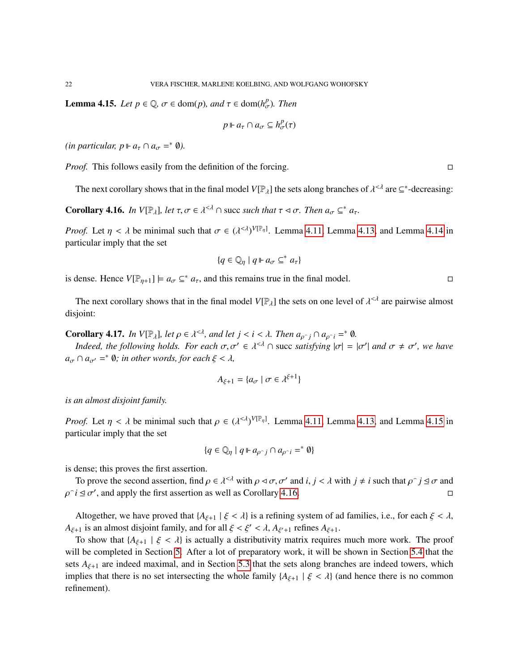<span id="page-21-0"></span>**Lemma 4.15.** *Let*  $p \in \mathbb{Q}$ ,  $\sigma \in \text{dom}(p)$ *, and*  $\tau \in \text{dom}(h^p_{\sigma})$ *. Then* 

$$
p \Vdash a_{\tau} \cap a_{\sigma} \subseteq h_{\sigma}^p(\tau)
$$

 $(in$  particular,  $p \Vdash a_{\tau} \cap a_{\sigma} =^* \emptyset$ ).

*Proof.* This follows easily from the definition of the forcing.

The next corollary shows that in the final model  $V[\mathbb{P}_{\lambda}]$  the sets along branches of  $\lambda^{<\lambda}$  are  $\subseteq^*$ -decreasing:

<span id="page-21-1"></span>**Corollary 4.16.** *In*  $V[\mathbb{P}_{\lambda}]$ *, let*  $\tau, \sigma \in \lambda^{\leq \lambda} \cap$  succ such that  $\tau \lhd \sigma$ *. Then*  $a_{\sigma} \subseteq^* a_{\tau}$ *.* 

*Proof.* Let  $\eta < \lambda$  be minimal such that  $\sigma \in (\lambda^{<\lambda})^{V[\mathbb{P}_{\eta}]}$ . Lemma [4.11,](#page-19-3) Lemma [4.13,](#page-20-2) and Lemma [4.14](#page-20-1) in particular imply that the set particular imply that the set

$$
\{q\in\mathbb{Q}_\eta\mid q\mathrel{\Vdash} a_\sigma\subseteq^* a_\tau\}
$$

is dense. Hence  $V[\mathbb{P}_{\eta+1}] \models a_{\sigma} \subseteq^* a_{\tau}$ , and this remains true in the final model.

The next corollary shows that in the final model  $V[\mathbb{P}_\lambda]$  the sets on one level of  $\lambda^{<\lambda}$  are pairwise almost iont: disjoint:

<span id="page-21-2"></span>**Corollary 4.17.** *In V*[ $\mathbb{P}_{\lambda}$ ]*, let*  $\rho \in \lambda^{<\lambda}$ *, and let*  $j < i < \lambda$ *. Then*  $a_{\rho \gamma}$ *j*  $\cap a_{\rho \gamma}$ *i* =  $*$  Ø*.*<br>*Indeed, the following holds. For each*  $\sigma$ ,  $\sigma'$ ,  $\sigma$ ,  $\lambda^{<\lambda}$ ,  $\circ$  avec eatisfying  $|\sigma|$ 

*Indeed, the following holds. For each*  $\sigma, \sigma' \in \lambda^{<\lambda} \cap$  succ *satisfying*  $|\sigma| = |\sigma'|$  *and*  $\sigma \neq \sigma'$ , we have  $a_{\sigma} \cap a_{\sigma'} =$ <sup>\*</sup>  $\emptyset$ *; in other words, for each*  $\xi < \lambda$ *,* 

$$
A_{\xi+1} = \{a_{\sigma} \mid \sigma \in \lambda^{\xi+1}\}
$$

*is an almost disjoint family.*

*Proof.* Let  $\eta < \lambda$  be minimal such that  $\rho \in (\lambda^{<\lambda})^{V[\mathbb{P}_{\eta}]}$ . Lemma [4.11,](#page-19-3) Lemma [4.13,](#page-20-2) and Lemma [4.15](#page-21-0) in particular imply that the set particular imply that the set

$$
\{q\in\mathbb{Q}_\eta\mid q\mathrel{\Vdash} a_{\rho\widehat{\phantom{\rho}} j}\cap a_{\rho\widehat{\phantom{\rho}} i}=\uparrow\emptyset\}
$$

is dense; this proves the first assertion.

To prove the second assertion, find  $\rho \in \lambda^{<\lambda}$  with  $\rho \triangleleft \sigma$ ,  $\sigma'$  and *i*,  $j < \lambda$  with  $j \neq i$  such that  $\rho \cap j \trianglelefteq \sigma$  and  $i \trianglelefteq \sigma'$ , and apply the first assertion as well as Corollary 4.16. ρ  $\widehat{i} \leq \sigma'$ , and apply the first assertion as well as Corollary [4.16.](#page-21-1)

Altogether, we have proved that  $\{A_{\xi+1} \mid \xi < \lambda\}$  is a refining system of ad families, i.e., for each  $\xi < \lambda$ , *A*<sub> $\xi+1$ </sub> is an almost disjoint family, and for all  $\xi < \xi' < \lambda$ , *A*<sub> $\xi'+1$ </sub> refines *A*<sub> $\xi+1$ </sub>.<br>To show that  $\{\lambda_{k+1}\}\xi < \lambda\}$  is actually a distributivity matrix requires

To show that  ${A_{\xi+1} | \xi < \lambda}$  is actually a distributivity matrix requires much more work. The proof will be completed in Section [5.](#page-24-0) After a lot of preparatory work, it will be shown in Section [5.4](#page-34-0) that the sets  $A_{\xi+1}$  are indeed maximal, and in Section [5.3](#page-33-0) that the sets along branches are indeed towers, which implies that there is no set intersecting the whole family  ${A_{\xi+1} | \xi < \lambda}$  (and hence there is no common refinement).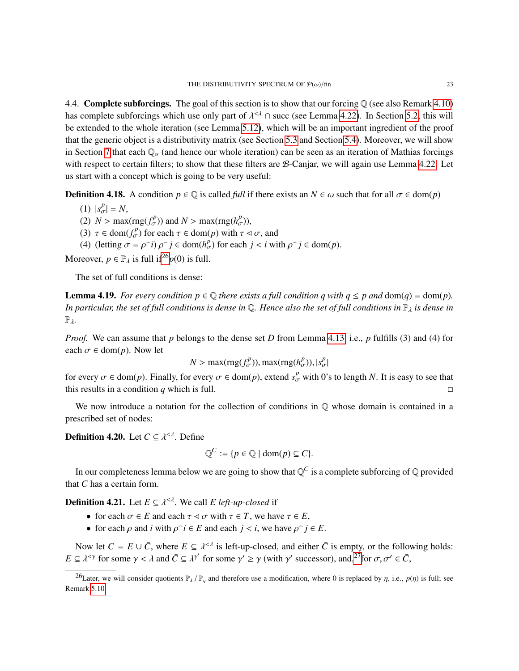4.4. **Complete subforcings.** The goal of this section is to show that our forcing  $\mathbb{Q}$  (see also Remark [4.10\)](#page-19-1) has complete subforcings which use only part of  $\lambda^{\leq \lambda} \cap$  succ (see Lemma [4.22\)](#page-23-0). In Section [5.2,](#page-28-0) this will be a verted to the whole iteration (see Lemma 5.12), which will be an important incredient of the proof be extended to the whole iteration (see Lemma [5.12\)](#page-30-0), which will be an important ingredient of the proof that the generic object is a distributivity matrix (see Section [5.3](#page-33-0) and Section [5.4\)](#page-34-0). Moreover, we will show in Section [7](#page-39-0) that each  $\mathbb{Q}_\alpha$  (and hence our whole iteration) can be seen as an iteration of Mathias forcings with respect to certain filters; to show that these filters are  $\mathcal{B}$ -Canjar, we will again use Lemma [4.22.](#page-23-0) Let us start with a concept which is going to be very useful:

<span id="page-22-0"></span>**Definition 4.18.** A condition  $p \in \mathbb{Q}$  is called *full* if there exists an  $N \in \omega$  such that for all  $\sigma \in \text{dom}(p)$ 

- (1)  $|s_{\sigma}^p| = N$ ,
- (2)  $N > \max(\text{rng}(f_{\sigma}^{p}))$  and  $N > \max(\text{rng}(h_{\sigma}^{p})),$ <br>(3)  $\tau \in \text{dom}(f_{\sigma}^{p})$  for each  $\tau \in \text{dom}(p)$  with  $\tau \in$
- (3)  $\tau \in \text{dom}(f_{\sigma}^p)$  for each  $\tau \in \text{dom}(p)$  with  $\tau \leq \sigma$ , and<br>(4) dotting  $\tau = \rho \geq \rho \geq \epsilon$  is computed in  $\epsilon$  is with
- (4) (letting  $\sigma = \rho \hat{i}$ )  $\rho \hat{j} \in \text{dom}(h_{\sigma}^p)$  for each  $j < i$  with  $\rho \hat{j} \in \text{dom}(p)$ .

Moreover,  $p \in \mathbb{P}_{\lambda}$  is full if<sup>[26](#page-22-2)</sup> $p(0)$  is full.

The set of full conditions is dense:

<span id="page-22-1"></span>**Lemma 4.19.** *For every condition*  $p \in \mathbb{Q}$  *there exists a full condition q with*  $q \leq p$  *and*  $dom(q) = dom(p)$ *. In particular, the set of full conditions is dense in* Q. Hence also the set of full conditions in  $\mathbb{P}_\lambda$  *is dense in* Pλ*.*

*Proof.* We can assume that *p* belongs to the dense set *D* from Lemma [4.13,](#page-20-2) i.e., *p* fulfills (3) and (4) for each  $\sigma \in \text{dom}(p)$ . Now let

$$
N > \max(\text{rng}(f_{\sigma}^{p}))
$$
, 
$$
\max(\text{rng}(h_{\sigma}^{p})), |s_{\sigma}^{p}|
$$

for every  $\sigma \in \text{dom}(p)$ . Finally, for every  $\sigma \in \text{dom}(p)$ , extend  $s^p_{\sigma}$  with 0's to length *N*. It is easy to see that this results in a condition *q* which is full.

We now introduce a notation for the collection of conditions in  $\mathbb{Q}$  whose domain is contained in a prescribed set of nodes:

**Definition 4.20.** Let  $C \subseteq \lambda^{\leq \lambda}$ . Define

$$
\mathbb{Q}^C := \{ p \in \mathbb{Q} \mid \text{dom}(p) \subseteq C \}.
$$

In our completeness lemma below we are going to show that  $\mathbb{Q}^C$  is a complete subforcing of  $\mathbb Q$  provided that *C* has a certain form.

**Definition 4.21.** Let  $E \subseteq \lambda^{\le d}$ . We call  $E$  *left-up-closed* if

- for each  $\sigma \in E$  and each  $\tau \lhd \sigma$  with  $\tau \in T$ , we have  $\tau \in E$ ,
- for each  $\rho$  and  $i$  with  $\rho \hat{i} \in E$  and each  $j < i$ , we have  $\rho \hat{j} \in E$ .

Now let  $C = E \cup \overline{C}$ , where  $E \subseteq \lambda^{<\lambda}$  is left-up-closed, and either  $\overline{C}$  is empty, or the following holds:<br> $\overline{C} \times \lambda^{<\gamma}$  for some  $\alpha' \in \lambda^{<\gamma}$  for some  $\alpha' \geq \alpha'$  (with  $\alpha'$  successor), and <sup>27</sup> for  $\alpha, \alpha$ *E*  $\subseteq$   $\lambda^{<\gamma}$  for some  $\gamma < \lambda$  and  $\overline{C} \subseteq \lambda^{\gamma'}$  for some  $\gamma' \ge \gamma$  (with  $\gamma'$  successor), and,<sup>[27](#page-23-1)</sup>for  $\sigma, \sigma' \in \overline{C}$ ,

<span id="page-22-2"></span><sup>&</sup>lt;sup>26</sup>Later, we will consider quotients  $\mathbb{P}_{\lambda}$  /  $\mathbb{P}_n$  and therefore use a modification, where 0 is replaced by  $\eta$ , i.e.,  $p(\eta)$  is full; see Remark [5.10.](#page-29-0)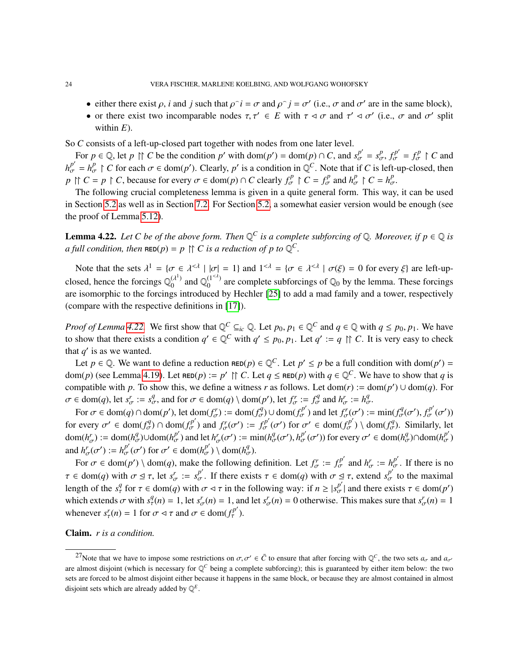- either there exist  $\rho$ , *i* and *j* such that  $\rho \tilde{i} = \sigma$  and  $\rho \tilde{j} = \sigma'$  (i.e.,  $\sigma$  and  $\sigma'$  are in the same block),
- or there exist two incomparable nodes  $\tau, \tau' \in E$  with  $\tau \lhd \sigma$  and  $\tau' \lhd \sigma'$  (i.e.,  $\sigma$  and  $\sigma'$  split within  $E$ ) within *E*).

So *C* consists of a left-up-closed part together with nodes from one later level.

For  $p \in \mathbb{Q}$ , let  $p \upharpoonright C$  be the condition p' with  $\text{dom}(p') = \text{dom}(p) \cap C$ , and  $s_{\sigma}^{p'} = s_{\sigma}^p$ ,  $f_{\sigma}^{p'} = f_{\sigma}^p \upharpoonright C$  and  $h_{\sigma}^{p'} = h_{\sigma}^p \upharpoonright C$  for each  $\sigma \in \text{dom}(p')$ . Clearly, *p*' is a condition in  $\mathbb{Q}^C$ . Note that if *C* is left-up-closed, then *p*  $\uparrow$   $C = p \uparrow C$ , because for every  $\sigma \in \text{dom}(p) \cap C$  clearly  $f_{\sigma}^p \uparrow C = f_{\sigma}^p$  and  $h_{\sigma}^p \uparrow C = h_{\sigma}^p$ .<br>The following crucial completences lamma is given in a quite general form. This way

The following crucial completeness lemma is given in a quite general form. This way, it can be used in Section [5.2](#page-28-0) as well as in Section [7.2.](#page-42-0) For Section [5.2,](#page-28-0) a somewhat easier version would be enough (see the proof of Lemma [5.12\)](#page-30-0).

<span id="page-23-0"></span>**Lemma 4.22.** Let C be of the above form. Then  $\mathbb{Q}^C$  is a complete subforcing of  $\mathbb{Q}$ . Moreover, if  $p \in \mathbb{Q}$  is *a full condition, then*  $\texttt{RED}(p) = p \upharpoonright C$  *is a reduction of p to*  $\mathbb{Q}^C$ *.* 

Note that the sets  $\lambda^1 = {\sigma \in \lambda^{\leq \lambda} \mid \sigma | = 1}$  and  $1^{\leq \lambda} = {\sigma \in \lambda^{\leq \lambda} \mid \sigma(\xi) = 0}$  for every  $\xi$  are left-upclosed, hence the forcings  $\mathbb{Q}_0^{(\lambda^1)}$  $_{0}^{(\lambda^{1})}$  and  $\mathbb{Q}_{0}^{(1<\lambda)}$  $0^{1 \leq 0}$  are complete subforcings of  $\mathbb{Q}_0$  by the lemma. These forcings are isomorphic to the forcings introduced by Hechler [\[25\]](#page-54-0) to add a mad family and a tower, respectively (compare with the respective definitions in [\[17\]](#page-54-10)).

*Proof of Lemma* [4.22.](#page-23-0) We first show that  $\mathbb{Q}^C \subseteq_{ic} \mathbb{Q}$ . Let  $p_0, p_1 \in \mathbb{Q}^C$  and  $q \in \mathbb{Q}$  with  $q \leq p_0, p_1$ . We have to show that there exists a condition  $q' \in \mathbb{Q}^C$  with  $q' \leq p_0, p_1$ . Let  $q' := q \cap C$ . It is very easy to check that  $q'$  is as we wented that  $q'$  is as we wanted.

Let  $p \in \mathbb{Q}$ . We want to define a reduction  $\text{RED}(p) \in \mathbb{Q}^C$ . Let  $p' \leq p$  be a full condition with dom( $p'$ ) = dom(*p*) (see Lemma [4.19\)](#page-22-1). Let  $\text{RED}(p) := p' \upharpoonright C$ . Let  $q \leq \text{RED}(p)$  with  $q \in \mathbb{Q}^C$ . We have to show that *q* is compatible with *p*. To show this, we define a witness *r* as follows. Let dom(*r*) := dom(*p'*)  $\cup$  dom(*q*). For  $\sigma \in \text{dom}(q)$ , let  $s^r_{\sigma} := s^q_{\sigma}$ , and for  $\sigma \in \text{dom}(q) \setminus \text{dom}(p')$ , let  $f^r_{\sigma} := f^q_{\sigma}$  and  $h^r_{\sigma} := h^q_{\sigma}$ .<br>For  $\sigma \in \text{dom}(q) \cap \text{dom}(q')$ , let  $\text{dom}(f^r) := \text{dom}(f^q) \cup \text{dom}(f^{p'})$  and let  $f^r(-q') = \text{dom}(f^q)$ .

For  $\sigma \in \text{dom}(q) \cap \text{dom}(p')$ , let  $\text{dom}(f_{\sigma}^p) := \text{dom}(f_{\sigma}^q) \cup \text{dom}(f_{\sigma}^{p'})$  and let  $f_{\sigma}^r(\sigma') := \min(f_{\sigma}^q(\sigma'), f_{\sigma}^{p'}(\sigma'))$ for every  $\sigma' \in \text{dom}(f_{\sigma}^q) \cap \text{dom}(f_{\sigma}^{p'})$  and  $f_{\sigma}^r(\sigma') := f_{\sigma}^{p'}(\sigma')$  for  $\sigma' \in \text{dom}(f_{\sigma}^{p'}) \setminus \text{dom}(f_{\sigma}^q)$ . Similarly, let  $dom(h_{\sigma}^{p'}) := dom(h_{\sigma}^{q}) \cup dom(h_{\sigma}^{p'})$  and let  $h_{\sigma}^{r}(\sigma') := min(h_{\sigma}^{q}(\sigma'), h_{\sigma}^{p'}(\sigma'))$  for every  $\sigma' \in dom(h_{\sigma}^{q}) \cap dom(h_{\sigma}^{p'})$ and  $h'_{\sigma}(\sigma') := h^{p'}_{\sigma}(\sigma')$  for  $\sigma' \in \text{dom}(h^{p'}_{\sigma}) \setminus \text{dom}(h^{q'}_{\sigma})$  $T_{\sigma}(\sigma') := h^{\rho}_{\sigma}(\sigma')$  for  $\sigma' \in \text{dom}(h^{\rho}_{\sigma}) \setminus \text{dom}(h^{\rho}_{\sigma}).$ 

For  $\sigma \in \text{dom}(p') \setminus \text{dom}(q)$ , make the following definition. Let  $f_{\sigma}^r := f_{\sigma}^{p'}$  and  $h_{\sigma}^r := h_{\sigma}^{p'}$ . If there is no  $\tau \in \text{dom}(q)$  with  $\sigma \leq \tau$ , let  $s_{\sigma}^r := s_{\sigma}^{p'}$ . If there exists  $\tau \in \text{dom}(q)$  with  $\sigma \leq \tau$ , extend  $s_{\sigma}^{p'}$  to the maximal<br>leasth of the  $\mathcal{I}$  for  $\tau \in \text{dom}(q)$  with  $\tau \in \tau$  is the following way if  $y > |s_{\sigma}|$ length of the  $s^q_\tau$  for  $\tau \in \text{dom}(q)$  with  $\sigma \lhd \tau$  in the following way: if  $n \geq |s^{\frac{p'}{\sigma}}|$  and there exists  $\tau \in \text{dom}(p')$ <br>which extends  $\sigma$  with  $s^q(x) = 1$  let  $s^r(x) = 1$  and let  $s^r(x) = 0$  otherwise. This makes which extends  $\sigma$  with  $s^q_\tau(n) = 1$ , let  $s^r_\sigma(n) = 1$ , and let  $s^r_\sigma(n) = 0$  otherwise. This makes sure that  $s^r_\sigma(n) = 1$ whenever  $s^r_\tau(n) = 1$  for  $\sigma \le \tau$  and  $\sigma \in \text{dom}(f^{p'}_\tau)$ .

Claim. *r is a condition.*

<span id="page-23-1"></span><sup>&</sup>lt;sup>27</sup>Note that we have to impose some restrictions on  $\sigma, \sigma' \in \overline{C}$  to ensure that after forcing with  $\mathbb{Q}^C$ , the two sets  $a_{\sigma}$  and  $a_{\sigma'}$  and  $a_{\sigma'}$  and  $a_{\sigma'}$  and  $a_{\sigma'}$ are almost disjoint (which is necessary for  $\mathbb{Q}^C$  being a complete subforcing); this is guaranteed by either item below: the two sets are forced to be almost disjoint either because it happens in the same block, or because they are almost contained in almost disjoint sets which are already added by  $\mathbb{Q}^E$ .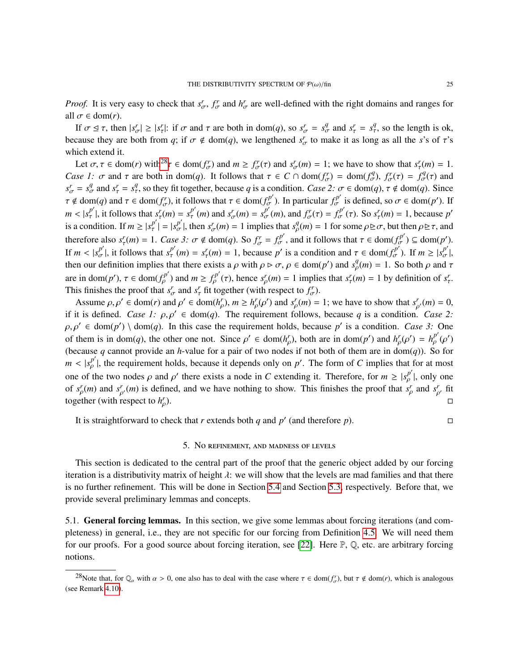*Proof.* It is very easy to check that  $s^r_{\sigma}$ ,  $f^r_{\sigma}$  and  $h^r_{\sigma}$  are well-defined with the right domains and ranges for all  $\sigma \in \text{dom}(r)$ .

If  $σ ⊆ τ$ , then  $|s^r_{\sigma}| ≥ |s^r_{\tau}|$ : if  $σ$  and  $τ$  are both in dom(*q*), so  $s^r_{\sigma} = s^q_{\sigma}$  and  $s^r_{\tau} = s^q_{\tau}$ , so the length is ok, because they are both from *q*; if  $\sigma \notin \text{dom}(q)$ , we lengthened  $s^r_{\sigma}$  to make it as long as all the *s*'s of  $\tau$ 's which extend it.

Let  $\sigma, \tau \in \text{dom}(r)$  with<sup>[28](#page-24-1)</sup> $\tau \in \text{dom}(f_{\sigma}^r)$  and  $m \geq f_{\sigma}^r(\tau)$  and  $s_{\sigma}^r(m) = 1$ ; we have to show that  $s_{\tau}^r(m) = 1$ . *Case 1:*  $\sigma$  and  $\tau$  are both in dom(*q*). It follows that  $\tau \in C \cap \text{dom}(f_{\sigma}^r) = \text{dom}(f_{\sigma}^q)$ ,  $f_{\sigma}^r(\tau) = f_{\sigma}^q(\tau)$  and  $f_{\sigma}^r = g_q^q$  so they fit together because *a* is a condition. *Case 2:*  $\tau \in \text{dom}(a)$ ,  $\tau \$  $s^r_{\sigma} = s^q_{\sigma}$  and  $s^r_{\tau} = s^q_{\tau}$ , so they fit together, because *q* is a condition. *Case 2:*  $\sigma \in \text{dom}(q)$ ,  $\tau \notin \text{dom}(q)$ . Since  $\tau \notin \text{dom}(q)$  and  $\tau \in \text{dom}(f_{\sigma}^r)$ , it follows that  $\tau \in \text{dom}(f_{\sigma}^{p'})$ . In particular  $f_{\sigma}^{p'}$  is defined, so  $\sigma \in \text{dom}(p')$ . If  $m < |s_r^{p'}|$ , it follows that  $s_\tau^r(m) = s_\tau^{p'}(m)$  and  $s_\sigma^r(m) = s_\sigma^{p'}(m)$ , and  $f_\sigma^r(\tau) = f_\sigma^{p'}(\tau)$ . So  $s_\tau^r(m) = 1$ , because p' is a condition. If  $m \ge |s_r^{p'}| = |s_{\sigma}^{p'}|$ , then  $s_{\sigma}^r(m) = 1$  implies that  $s_{\rho}^q(m) = 1$  for some  $\rho \ge \sigma$ , but then  $\rho \ge \tau$ , and therefore also  $s^r_{\tau}(m) = 1$ . *Case 3:*  $\sigma \notin \text{dom}(q)$ . So  $f^r_{\sigma} = f^{p'}_{\sigma}$ , and it follows that  $\tau \in \text{dom}(f^{p'}_{\sigma}) \subseteq \text{dom}(p')$ .<br>If  $m \leq |s^{p'}|$ , it follows that  $s^{p'}_{\tau}(m) = s^r(m) - 1$ , because  $r'$  is a condition and  $\tau \$ If  $m < |s_{\sigma}^{p'}|$ , it follows that  $s_{\tau}^{p'}(m) = s_{\tau}^r(m) = 1$ , because p' is a condition and  $\tau \in \text{dom}(f_{\sigma}^{p'})$ . If  $m \ge |s_{\sigma}^{p'}|$ , then our definition implies that there exists a courith  $\alpha \ge \sigma$  of dom(n') and  $s_{\tau}^$ then our definition implies that there exists a  $\rho$  with  $\rho \triangleright \sigma$ ,  $\rho \in \text{dom}(p')$  and  $s_\rho^q(m) = 1$ . So both  $\rho$  and  $\tau$ are in dom(*p'*),  $\tau \in \text{dom}(f_p^{p'})$  and  $m \ge f_p^{p'}(\tau)$ , hence  $s_p^r(m) = 1$  implies that  $s_\tau^r(m) = 1$  by definition of  $s_\tau^r$ .<br>This finishes the proof that  $s_r^r$  and  $s_r^r$  fit together (with respect to  $f$ ) This finishes the proof that  $s^r_\sigma$  and  $s^r_\tau$  fit together (with respect to  $f^r_\sigma$ ).

Assume  $\rho, \rho' \in \text{dom}(r)$  and  $\rho' \in \text{dom}(h_{\rho}^r), m \ge h_{\rho}^r(\rho')$  and  $s_{\rho}^r(m) = 1$ ; we have to show that  $s_{\rho'}^r(m) = 0$ , it is defined. *Case 1: 0.0'*  $\subset \text{dom}(a)$ . The requirement follows because *a* is a condition. *Case* if it is defined. *Case 1:*  $\rho, \rho' \in \text{dom}(q)$ . The requirement follows, because *q* is a condition. *Case 2:*<br> $\rho, \rho' \in \text{dom}(p') \setminus \text{dom}(q)$ . In this case the requirement holds, because  $p'$  is a condition. *Case 3:* One  $\rho, \rho' \in \text{dom}(p') \setminus \text{dom}(q)$ . In this case the requirement holds, because  $p'$  is a condition. *Case 3:* One of them is in dom(*q*), the other one not. Since  $\rho' \in \text{dom}(h'_{\rho})$ , both are in dom(*p'*) and  $h''_{\rho}(\rho') = h^{p'}_{\rho}(\rho')$ <br>(because a connect provide on *h* value for a poir of two podes if not both of them are in dom(a)). So (because *q* cannot provide an *h*-value for a pair of two nodes if not both of them are in dom(*q*)). So for  $m < |s_p^{p'}|$ , the requirement holds, because it depends only on *p'*. The form of *C* implies that for at most one of the two nodes  $\rho$  and  $\rho'$  there exists a node in *C* extending it. Therefore, for  $m \ge |s_p^{p'}|$ , only one of  $s_p^r(m)$  and  $s_{p'}^r(m)$  is defined, and we have nothing to show. This finishes the proof that  $s_p^r$ together (with respect to  $h_c^r$ ρ and *s r* ρ , fit ρ ).

It is straightforward to check that *r* extends both *q* and  $p'$  (and therefore *p*).

### 5. No refinement, and madness of levels

<span id="page-24-0"></span>This section is dedicated to the central part of the proof that the generic object added by our forcing iteration is a distributivity matrix of height  $\lambda$ : we will show that the levels are mad families and that there is no further refinement. This will be done in Section [5.4](#page-34-0) and Section [5.3,](#page-33-0) respectively. Before that, we provide several preliminary lemmas and concepts.

5.1. **General forcing lemmas.** In this section, we give some lemmas about forcing iterations (and completeness) in general, i.e., they are not specific for our forcing from Definition [4.5.](#page-16-0) We will need them for our proofs. For a good source about forcing iteration, see [\[22\]](#page-54-17). Here P, Q, etc. are arbitrary forcing notions.

<span id="page-24-1"></span><sup>&</sup>lt;sup>28</sup>Note that, for  $\mathbb{Q}_\alpha$  with  $\alpha > 0$ , one also has to deal with the case where  $\tau \in \text{dom}(f'_\n\sigma)$ , but  $\tau \notin \text{dom}(r)$ , which is analogous (see Remark [4.10\)](#page-19-1).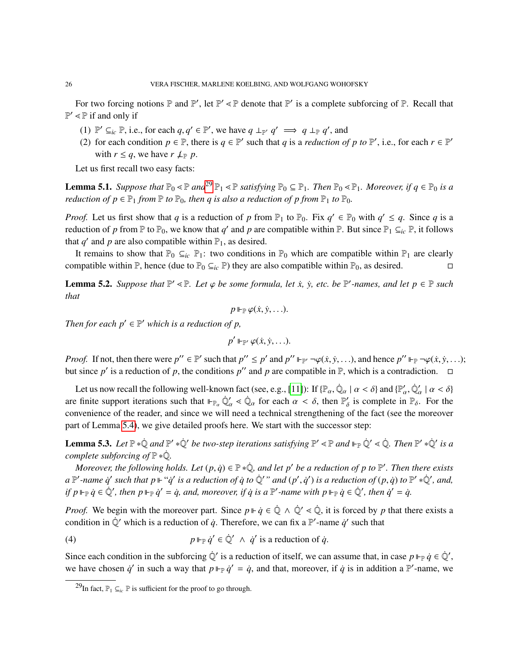For two forcing notions  $\mathbb P$  and  $\mathbb P'$ , let  $\mathbb P' \leq \mathbb P$  denote that  $\mathbb P'$  is a complete subforcing of  $\mathbb P$ . Recall that  $\mathbb{P}' \leq \mathbb{P}$  if and only if

- (1)  $\mathbb{P}' \subseteq_{ic} \mathbb{P}$ , i.e., for each *q*, *q*'  $\in \mathbb{P}'$ , we have  $q \perp_{\mathbb{P}'} q' \implies q \perp_{\mathbb{P}} q'$ , and (2) for each condition  $p \in \mathbb{P}$ , there is  $q \in \mathbb{P}'$  such that *a* is a reduction  $q$
- (2) for each condition  $p \in \mathbb{P}$ , there is  $q \in \mathbb{P}'$  such that *q* is a *reduction of* p to  $\mathbb{P}'$ , i.e., for each  $r \in \mathbb{P}'$ with  $r \leq q$ , we have  $r \nleq p$ .

Let us first recall two easy facts:

<span id="page-25-4"></span>**Lemma 5.1.** *Suppose that*  $\mathbb{P}_0 \le \mathbb{P}$  *and*<sup>[29](#page-25-1)</sup>  $\mathbb{P}_1 \le \mathbb{P}$  *satisfying*  $\mathbb{P}_0 \subseteq \mathbb{P}_1$ *. Then*  $\mathbb{P}_0 \le \mathbb{P}_1$ *. Moreover, if*  $q \in \mathbb{P}_0$  *is a reduction of*  $p \in \mathbb{P}_1$  *from*  $\mathbb{P}$  *to*  $\mathbb{P}_0$ *, then q is also a reduction of p from*  $\mathbb{P}_1$  *to*  $\mathbb{P}_0$ *.* 

*Proof.* Let us first show that *q* is a reduction of *p* from  $\mathbb{P}_1$  to  $\mathbb{P}_0$ . Fix  $q' \in \mathbb{P}_0$  with  $q' \leq q$ . Since *q* is a reduction of *p* from  $\mathbb P$  to  $\mathbb P_0$ , we know that *q'* and *p* are compatible within  $\mathbb P$ . But since  $\mathbb P_1 \subseteq_{ic} \mathbb P$ , it follows that  $q'$  and  $p$  are also compatible within  $\mathbb{P}_1$ , as desired.

It remains to show that  $\mathbb{P}_0 \subseteq_{ic} \mathbb{P}_1$ : two conditions in  $\mathbb{P}_0$  which are compatible within  $\mathbb{P}_1$  are clearly compatible within  $\mathbb{P}$ , hence (due to  $\mathbb{P}_0 \subseteq_{ic} \mathbb{P}$ ) they are also compatible within  $\mathbb{P}_0$ , as desired.

<span id="page-25-3"></span>**Lemma 5.2.** *Suppose that*  $\mathbb{P}' \leq \mathbb{P}$ *. Let*  $\varphi$  *be some formula, let*  $\dot{x}$ *,*  $\dot{y}$ *, etc. be*  $\mathbb{P}'$ *-names, and let*  $p \in \mathbb{P}$  *such* that *that*

$$
p\Vdash_{\mathbb{P}}\varphi(\dot{x},\dot{y},\ldots).
$$

*Then for each*  $p' \in P'$  *which is a reduction of p,* 

$$
p'\Vdash_{\mathbb{P}'}\varphi(\dot{x},\dot{y},\ldots).
$$

*Proof.* If not, then there were  $p'' \in \mathbb{P}'$  such that  $p'' \leq p'$  and  $p'' \Vdash_{\mathbb{P}} \neg \varphi(\dot{x}, \dot{y}, \dots)$ , and hence  $p'' \Vdash_{\mathbb{P}} \neg \varphi(\dot{x}, \dot{y}, \dots)$ ; but since  $p'$  is a reduction of  $p$ , the conditions  $p''$  and  $p$  are compatible in P, which is a contradiction.  $\Box$ 

Let us now recall the following well-known fact (see, e.g., [\[11\]](#page-54-18)): If  $\{\mathbb{P}_{\alpha}, \dot{\mathbb{Q}}_{\alpha} \mid \alpha < \delta\}$  and  $\{\mathbb{P}'_{\alpha}, \dot{\mathbb{Q}}'_{\alpha} \mid \alpha < \delta\}$ are finite support iterations such that  $\mathbb{P}_{\alpha} \dot{\mathbb{Q}}'_{\alpha} \leq \dot{\mathbb{Q}}_{\alpha}$  for each  $\alpha < \delta$ , then  $\mathbb{P}'_{\delta}$  is complete in  $\mathbb{P}_{\delta}$ . For the convenience of the reader, and since we will need a technical strengthening of the fact (see the moreover part of Lemma [5.4\)](#page-26-1), we give detailed proofs here. We start with the successor step:

<span id="page-25-0"></span>**Lemma 5.3.** Let  $\mathbb{P} * \dot{\mathbb{Q}}$  and  $\mathbb{P}' * \dot{\mathbb{Q}}'$  be two-step iterations satisfying  $\mathbb{P}' \leq \mathbb{P}$  and  $\mathbb{P}_{\mathbb{P}} \dot{\mathbb{Q}}' \leq \dot{\mathbb{Q}}$ . Then  $\mathbb{P}' * \dot{\mathbb{Q}}'$  is a *complete subforcing of*  $\mathbb{P} * \dot{\mathbb{Q}}$ *.* 

*Moreover, the following holds. Let*  $(p, \dot{q}) \in \mathbb{P} * \dot{\mathbb{Q}}$ *, and let* p' be a reduction of p to  $\mathbb{P}'$ *. Then there exists*<br> $\mathbb{P}'$  name is such that  $p \mathbb{P}'$  is a reduction of i to  $\dot{\mathbb{Q}}'$ , and  $(p', \dot{q}')$  is  $a \mathbb{P}'$ -name  $\dot{q}'$  such that  $p \Vdash ``\dot{q}'$  is a reduction of  $\dot{q}$  to  $\dot{\mathbb{Q}}'$ " and  $(p', \dot{q}')$  is a reduction of  $(p, \dot{q})$  to  $\mathbb{P}' * \dot{\mathbb{Q}}'$ , and,<br>if  $p \Vdash a \dot{q} \in \dot{\mathbb{Q}}'$ , then  $p \Vdash a \dot{q}' = \dot{q}$  and mergene *if*  $p \Vdash_{\mathbb{P}} \dot{q} \in \dot{\mathbb{Q}}'$ , then  $p \Vdash_{\mathbb{P}} \dot{q}' = \dot{q}$ , and, moreover, if  $\dot{q}$  is a  $\mathbb{P}'$ -name with  $p \Vdash_{\mathbb{P}} \dot{q} \in \dot{\mathbb{Q}}'$ , then  $\dot{q}' = \dot{q}$ .

*Proof.* We begin with the moreover part. Since  $p \Vdash \dot{q} \in \dot{\mathbb{Q}} \land \dot{\mathbb{Q}}' \ll \dot{\mathbb{Q}}$ , it is forced by p that there exists a condition in  $\dot{\mathbb{Q}}'$  which is a reduction of  $\dot{q}$ . Therefore, we can fix a P'-name  $\dot{q}'$  such that

<span id="page-25-2"></span>(4) 
$$
p \Vdash_{\mathbb{P}} \dot{q}' \in \dot{\mathbb{Q}}' \ \wedge \ \dot{q}' \text{ is a reduction of } \dot{q}.
$$

Since each condition in the subforcing  $\dot{Q}'$  is a reduction of itself, we can assume that, in case  $p \Vdash_{\mathbb{P}} \dot{q} \in \dot{Q}'$ , we have chosen  $\dot{q}$  in such a way that  $p \Vdash_{\mathbb{P}} \dot{q}' = \dot{q}$ , and that, moreover, if  $\dot{q}$  is in addition a  $\mathbb{P}'$ -name, we

<span id="page-25-1"></span><sup>&</sup>lt;sup>29</sup>In fact,  $\mathbb{P}_1 \subseteq_{i_c} \mathbb{P}$  is sufficient for the proof to go through.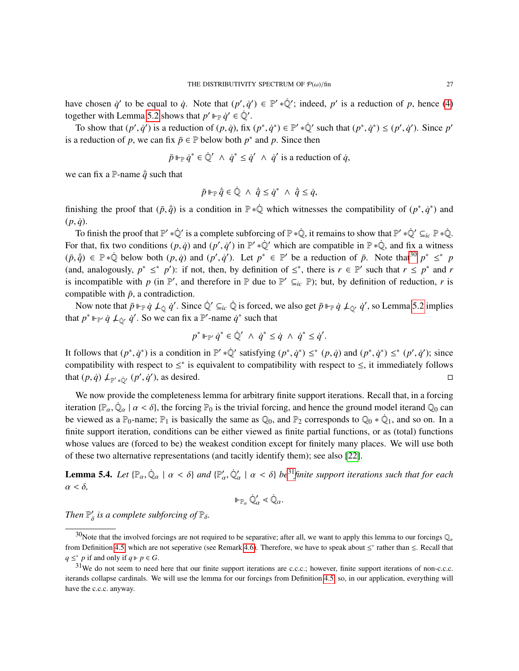have chosen  $\dot{q}'$  to be equal to  $\dot{q}$ . Note that  $(p', \dot{q}') \in \mathbb{P}' * \dot{\mathbb{Q}}'$ ; indeed,  $p'$  is a reduction of *p*, hence [\(4\)](#page-25-2) together with I amma 5.2 shows that  $p' \rvert = \dot{q}' \in \dot{\mathbb{Q}}'$ together with Lemma [5.2](#page-25-3) shows that  $p' \Vdash_{\mathbb{P}} \dot{q}' \in \dot{\mathbb{Q}}'.$ 

To show that  $(p', \dot{q}')$  is a reduction of  $(p, \dot{q})$ , fix  $(p^*, \dot{q}^*) \in \mathbb{P}' * \dot{\mathbb{Q}}'$  such that  $(p^*, \dot{q}^*) \leq (p', \dot{q}')$ . Since  $p'$ is a reduction of *p*, we can fix  $\bar{p} \in \mathbb{P}$  below both  $p^*$  and *p*. Since then

$$
\bar{p} \Vdash_{\mathbb{P}} \dot{q}^* \in \dot{\mathbb{Q}}' \ \wedge \ \dot{q}^* \leq \dot{q}' \ \wedge \ \dot{q}' \text{ is a reduction of } \dot{q},
$$

we can fix a P-name  $\dot{\bar{q}}$  such that

$$
\bar{p}\Vdash_{\mathbb{P}}\dot{\bar{q}}\in\dot{\mathbb{Q}}\ \wedge\ \dot{\bar{q}}\leq\dot{q}^*\ \wedge\ \dot{\bar{q}}\leq\dot{q},
$$

finishing the proof that  $(\bar{p}, \dot{\bar{q}})$  is a condition in  $\mathbb{P} * \dot{\mathbb{Q}}$  which witnesses the compatibility of  $(p^*, \dot{q}^*)$  and  $(p, \dot{q})$ .

To finish the proof that  $\mathbb{P}' * \dot{\mathbb{Q}}'$  is a complete subforcing of  $\mathbb{P} * \dot{\mathbb{Q}}$ , it remains to show that  $\mathbb{P}' * \dot{\mathbb{Q}}' \subseteq_{ic} \mathbb{P} * \dot{\mathbb{Q}}$ . For that, fix two conditions  $(p, \dot{q})$  and  $(p', \dot{q}')$  in  $\mathbb{P}' * \dot{\mathbb{Q}}'$  which are compatible in  $\mathbb{P} * \dot{\mathbb{Q}}$ , and fix a witness  $(\bar{p}, \dot{\bar{q}}) \in \mathbb{P} * \dot{\mathbb{Q}}$  below both  $(p, \dot{q})$  and  $(p', \dot{q}')$ . Let  $p^* \in \mathbb{P}'$  be a reduction of  $\bar{p}$ . Note that<sup>[30](#page-26-0)</sup>  $p^* \leq^* p$ <br>(and analogously  $\bar{p}^* \leq^* p'$ ); if not than by definition of  $\leq^*$  there is (and, analogously,  $p^* \leq^* p'$ ): if not, then, by definition of  $\leq^*$ , there is  $r \in \mathbb{P}'$  such that  $r \leq p^*$  and *r* is incompatible with *p* (in  $\mathbb{P}'$ , and therefore in  $\mathbb{P}$  due to  $\mathbb{P}' \subseteq_{ic} \mathbb{P}$ ); but, by definition of reduction, *r* is compatible with  $\bar{p}$ , a contradiction.

Now note that  $\bar{p} \Vdash_{\mathbb{P}} \dot{q} \not\perp_{\hat{Q}} \dot{q}'$ . Since  $\dot{\mathbb{Q}}' \subseteq_{ic} \dot{\mathbb{Q}}$  is forced, we also get  $\bar{p} \Vdash_{\mathbb{P}} \dot{q} \not\perp_{\hat{Q'}} \dot{q}'$ , so Lemma [5.2](#page-25-3) implies that  $p^* \Vdash_{\mathbb{P}} \dot{q} \not\perp_{\dot{\mathbb{Q}}'} \dot{q}'$ . So we can fix a  $\mathbb{P}'$ -name  $\dot{q}^*$  such that

$$
p^* \Vdash_{\mathbb{P}'} \dot{q}^* \in \dot{\mathbb{Q}}' \ \wedge \ \dot{q}^* \leq \dot{q} \ \wedge \ \dot{q}^* \leq \dot{q}'.
$$

It follows that  $(p^*, \dot{q}^*)$  is a condition in  $\mathbb{P}' * \dot{\mathbb{Q}}'$  satisfying  $(p^*, \dot{q}^*) \leq^* (p, \dot{q})$  and  $(p^*, \dot{q}^*) \leq^* (p', \dot{q}')$ ; since<br>compatibility with respect to  $\leq^*$  is equivalent to compatibility with respect compatibility with respect to  $\leq^*$  is equivalent to compatibility with respect to  $\leq$ , it immediately follows that  $(p, \dot{q}) \not\perp_{\mathbb{P}' * \dot{\mathbb{Q}}'} (p', \dot{q}')$ , as desired.

We now provide the completeness lemma for arbitrary finite support iterations. Recall that, in a forcing iteration { $\mathbb{P}_{\alpha}$ ,  $\dot{\mathbb{Q}}_{\alpha} \mid \alpha < \delta$ }, the forcing  $\mathbb{P}_0$  is the trivial forcing, and hence the ground model iterand  $\mathbb{Q}_0$  can<br>be viewed as a  $\mathbb{P}_0$  name:  $\mathbb{P}_1$  is basically the same as  $\mathbb{Q}_0$  an be viewed as a  $\mathbb{P}_0$ -name;  $\mathbb{P}_1$  is basically the same as  $\mathbb{Q}_0$ , and  $\mathbb{P}_2$  corresponds to  $\mathbb{Q}_0 * \dot{\mathbb{Q}}_1$ , and so on. In a finite support iteration, conditions can be either viewed as finite partial functions, or as (total) functions whose values are (forced to be) the weakest condition except for finitely many places. We will use both of these two alternative representations (and tacitly identify them); see also [\[22\]](#page-54-17).

<span id="page-26-1"></span>**Lemma 5.4.** *Let*  $\{\mathbb{P}_{\alpha}, \dot{\mathbb{Q}}_{\alpha} \mid \alpha < \delta\}$  *and*  $\{\mathbb{P}'_{\alpha}, \dot{\mathbb{Q}}'_{\alpha} \mid \alpha < \delta\}$  *be*<sup>[31](#page-26-2)</sup>*finite support iterations such that for each*  $\alpha \leq \delta$  $\alpha < \delta$ ,

$$
\Vdash_{\mathbb{P}_\alpha} \dot{\mathbb{Q}}'_\alpha < \dot{\mathbb{Q}}_\alpha.
$$

*Then*  $\mathbb{P}'_{\delta}$  *is a complete subforcing of*  $\mathbb{P}_{\delta}$ *.* 

<span id="page-26-0"></span><sup>&</sup>lt;sup>30</sup>Note that the involved forcings are not required to be separative; after all, we want to apply this lemma to our forcings  $\mathbb{Q}_\alpha$ from Definition [4.5,](#page-16-0) which are not seperative (see Remark [4.6\)](#page-17-3). Therefore, we have to speak about ≤<sup>\*</sup> rather than ≤. Recall that *q* ≤<sup>\*</sup> *p* if and only if *q* ⊩ *p* ∈ *G*.

<span id="page-26-2"></span> $31$ We do not seem to need here that our finite support iterations are c.c.c.; however, finite support iterations of non-c.c.c. iterands collapse cardinals. We will use the lemma for our forcings from Definition [4.5,](#page-16-0) so, in our application, everything will have the c.c.c. anyway.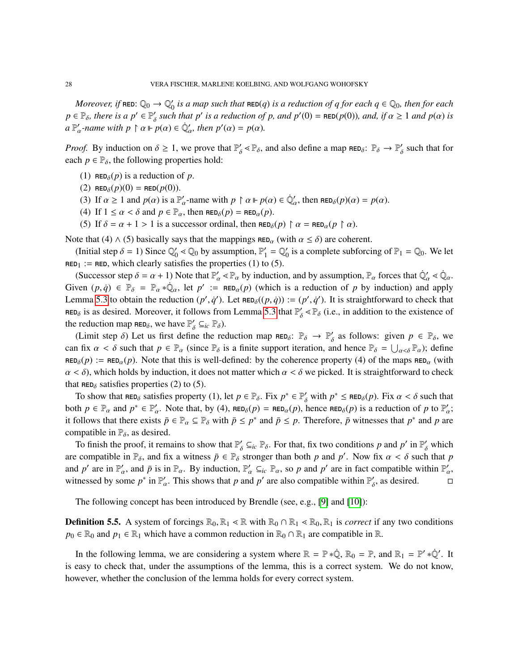*Moreover, if*  $\texttt{RED:} \ \mathbb{Q}_0 \to \mathbb{Q}'_0$  $\int_0'$  *is a map such that*  $\texttt{RED}(q)$  *is a reduction of q for each*  $q \in \mathbb{Q}_0$ *, then for each*  $p \in \mathbb{P}_{\delta}$ , there is a  $p' \in \mathbb{P}'_{\delta}$  such that p' is a reduction of p, and  $p'(0) = \text{RED}(p(0))$ , and, if  $\alpha \ge 1$  and  $p(\alpha)$  is  $a \mathbb{P}'_{\alpha}$ -name with  $p \restriction \alpha \Vdash p(\alpha) \in \dot{\mathbb{Q}}'_{\alpha}$ , then  $p'(\alpha) = p(\alpha)$ .

*Proof.* By induction on  $\delta \ge 1$ , we prove that  $\mathbb{P}'_{\delta} \le \mathbb{P}_{\delta}$ , and also define a map  $\text{RED}_{\delta}$ :  $\mathbb{P}_{\delta} \to \mathbb{P}'_{\delta}$  such that for each  $n \in \mathbb{P}_{\delta}$ , the following properties hold: each  $p \in \mathbb{P}_{\delta}$ , the following properties hold:

- (1) RED<sub> $\delta$ </sub>(*p*) is a reduction of *p*.
- (2) RED<sub> $\delta$ </sub> $(p)(0)$  = RED $(p(0))$ .
- (3) If  $\alpha \ge 1$  and  $p(\alpha)$  is a  $\mathbb{P}'_{\alpha}$ -name with  $p \restriction \alpha \Vdash p(\alpha) \in \dot{\mathbb{Q}}'_{\alpha}$ , then  $\text{RED}_{\delta}(p)(\alpha) = p(\alpha)$ .<br>(4) If  $1 \le \alpha \le \delta$  and  $p \in \mathbb{P}$ , then  $\text{PP}_{\delta}(p) = \text{PP}_{\delta}(p)$ .
- (4) If  $1 \le \alpha < \delta$  and  $p \in P_\alpha$ , then  $RED_\delta(p) = RED_\alpha(p)$ .<br>(5) If  $\delta = \alpha + 1 > 1$  is a successor ordinal, then pro-
- (5) If  $\delta = \alpha + 1 > 1$  is a successor ordinal, then  $\text{RED}_{\delta}(p) \upharpoonright \alpha = \text{RED}_{\alpha}(p \upharpoonright \alpha)$ .

Note that (4)  $\wedge$  (5) basically says that the mappings RED<sub> $\alpha$ </sub> (with  $\alpha \leq \delta$ ) are coherent.

(Initial step  $\delta = 1$ ) Since  $\mathbb{Q}_0$ <br>  $\mathbb{Q}_1 = \text{PP}$ , which algority set  $\gamma'_0$  <  $\mathbb{Q}_0$  by assumption,  $\mathbb{P}'_1$  $'_{1} = \mathbb{Q}'_{0}$  $\zeta_0$  is a complete subforcing of  $\mathbb{P}_1 = \mathbb{Q}_0$ . We let  $RED<sub>1</sub> := RED$ , which clearly satisfies the properties (1) to (5).

(Successor step  $\delta = \alpha + 1$ ) Note that  $\mathbb{P}'_{\alpha} \leq \mathbb{P}_{\alpha}$  by induction, and by assumption,  $\mathbb{P}_{\alpha}$  forces that  $\mathbb{Q}'_{\alpha} \leq \mathbb{Q}_{\alpha}$ . Given  $(p, \dot{q}) \in \mathbb{P}_{\delta} = \mathbb{P}_{\alpha} * \dot{\mathbb{Q}}_{\alpha}$ , let  $p' := \text{RED}_{\alpha}(p)$  (which is a reduction of *p* by induction) and apply<br>Large 5.3 to obtain the reduction  $(p', \dot{q}')$ . Let  $\text{PP}_{\alpha}((p, \dot{q})) := (p', \dot{q}')$ . It is straightforwa Lemma [5.3](#page-25-0) to obtain the reduction  $(p', \dot{q}')$ . Let  $\text{RED}_{\delta}((p, \dot{q})) := (p', \dot{q}')$ . It is straightforward to check that RED<sub> $\delta$ </sub> is as desired. Moreover, it follows from Lemma [5.3](#page-25-0) that  $\mathbb{P}'_{\delta} \leq \mathbb{P}_{\delta}$  (i.e., in addition to the existence of the reduction map  $RED_{\delta}$ , we have  $\mathbb{P}'_{\delta} \subseteq_{ic} \mathbb{P}_{\delta}$ ).

(Limit step  $\delta$ ) Let us first define the reduction map  $\text{RED}_\delta$ :  $\mathbb{P}_\delta \to \mathbb{P}'_\delta$  as follows: given  $p \in \mathbb{P}_\delta$ , we can fix  $\alpha < \delta$  such that  $p \in \mathbb{P}_{\alpha}$  (since  $\mathbb{P}_{\delta}$  is a finite support iteration, and hence  $\mathbb{P}_{\delta} = \bigcup_{\alpha < \delta} \mathbb{P}_{\alpha}$ ); define  $RED_{\delta}(p) := RED_{\alpha}(p)$ . Note that this is well-defined: by the coherence property (4) of the maps  $RED_{\alpha}$  (with  $\alpha < \delta$ ), which holds by induction, it does not matter which  $\alpha < \delta$  we picked. It is straightforward to check that  $RED_{\delta}$  satisfies properties (2) to (5).

To show that  $\text{RED}_\delta$  satisfies property (1), let  $p \in \mathbb{P}_\delta$ . Fix  $p^* \in \mathbb{P}'_\delta$  with  $p^* \le \text{RED}_\delta(p)$ . Fix  $\alpha < \delta$  such that  $\text{PD}_\delta(p)$  is a reduction of *p* to  $\mathbb{P}'$ . both  $p \in \mathbb{P}_\alpha$  and  $p^* \in \mathbb{P}'_\alpha$ . Note that, by (4),  $\text{RED}_\delta(p) = \text{RED}_\alpha(p)$ , hence  $\text{RED}_\delta(p)$  is a reduction of *p* to  $\mathbb{P}'_\alpha$ ; it follows that there exists  $\bar{p} \in \mathbb{P}_{\alpha} \subseteq \mathbb{P}_{\delta}$  with  $\bar{p} \le p^*$  and  $\bar{p} \le p$ . Therefore,  $\bar{p}$  witnesses that  $p^*$  and  $p$  are compatible in  $\mathbb{P}_{\delta}$ , as desired.

To finish the proof, it remains to show that  $\mathbb{P}'_{\delta} \subseteq_{ic} \mathbb{P}_{\delta}$ . For that, fix two conditions *p* and *p'* in  $\mathbb{P}'_{\delta}$  which are compatible in  $\mathbb{P}_{\delta}$ , and fix a witness  $\bar{p} \in \mathbb{P}_{\delta}$  stronger than both *p* and *p'*. Now fix  $\alpha < \delta$  such that *p* and *p'* are in  $\mathbb{P}'$  and  $\bar{p}'$  and  $\bar{p}'$  and  $\bar{p}'$  and  $\bar{p}'$  and  $\bar{p}'$  and and *p*' are in  $\mathbb{P}'_a$ , and  $\bar{p}$  is in  $\mathbb{P}_a$ . By induction,  $\mathbb{P}'_a \subseteq_{ic} \mathbb{P}_a$ , so *p* and *p*' are in fact compatible within  $\mathbb{P}'_a$ , with a second by some  $\mathbb{P}^*$ . This shows that p and  $\mathbb{P}'$  are witnessed by some  $p^*$  in  $\mathbb{P}'_{\alpha}$ . This shows that *p* and *p*' are also compatible within  $\mathbb{P}'_{\delta}$ , as desired. α

The following concept has been introduced by Brendle (see, e.g., [\[9\]](#page-54-19) and [\[10\]](#page-54-20)):

**Definition 5.5.** A system of forcings  $\mathbb{R}_0$ ,  $\mathbb{R}_1 \leq \mathbb{R}$  with  $\mathbb{R}_0 \cap \mathbb{R}_1 \leq \mathbb{R}_0$ ,  $\mathbb{R}_1$  is *correct* if any two conditions  $p_0 \in \mathbb{R}_0$  and  $p_1 \in \mathbb{R}_1$  which have a common reduction in  $\mathbb{R}_0 \cap \mathbb{R}_1$  are compatible in  $\mathbb{R}$ .

In the following lemma, we are considering a system where  $\mathbb{R} = \mathbb{P} * \dot{\mathbb{Q}}$ ,  $\mathbb{R}_0 = \mathbb{P}$ , and  $\mathbb{R}_1 = \mathbb{P}' * \dot{\mathbb{Q}}'$ . It is easy to check that, under the assumptions of the lemma, this is a correct system. We do not know, however, whether the conclusion of the lemma holds for every correct system.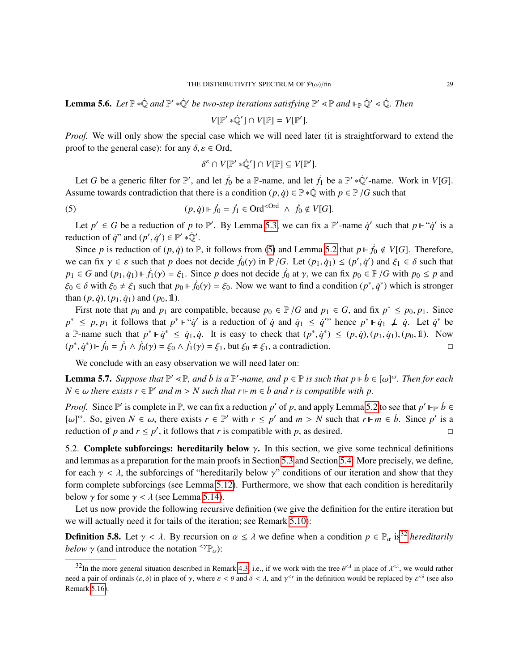<span id="page-28-3"></span>**Lemma 5.6.** Let  $\mathbb{P} * \mathbb{Q}$  and  $\mathbb{P}' * \mathbb{Q}'$  be two-step iterations satisfying  $\mathbb{P}' \leq \mathbb{P}$  and  $\mathbb{P}_{\mathbb{P}} \mathbb{Q}' \leq \mathbb{Q}$ . Then

$$
V[\mathbb{P}' * \dot{\mathbb{Q}}'] \cap V[\mathbb{P}] = V[\mathbb{P}'].
$$

*Proof.* We will only show the special case which we will need later (it is straightforward to extend the proof to the general case): for any  $\delta$ ,  $\varepsilon \in$  Ord,

<span id="page-28-1"></span>
$$
\delta^{\varepsilon} \cap V[\mathbb{P}' * \dot{\mathbb{Q}}'] \cap V[\mathbb{P}] \subseteq V[\mathbb{P}'].
$$

Let *G* be a generic filter for  $\mathbb{P}'$ , and let  $\dot{f}_0$  be a  $\mathbb{P}$ -name, and let  $\dot{f}_1$  be a  $\mathbb{P}' * \dot{\mathbb{Q}}'$ -name. Work in *V*[*G*]. Assume towards contradiction that there is a condition  $(p, \dot{q}) \in \mathbb{P} * \dot{\mathbb{Q}}$  with  $p \in \mathbb{P}/G$  such that

(5) 
$$
(p, \dot{q}) \Vdash \dot{f}_0 = \dot{f}_1 \in \text{Ord}^{<\text{Ord}} \land \dot{f}_0 \notin V[G].
$$

Let  $p' \in G$  be a reduction of p to P'. By Lemma [5.3,](#page-25-0) we can fix a P'-name  $\dot{q}'$  such that  $p \Vdash \dot{q}'$  is a reduction of *q*" and  $(p', q') \in \mathbb{P}' * \mathbb{Q}'$ .<br>Since *p* is reduction of  $(p, q)$  to  $\mathbb{R}$ 

Since *p* is reduction of  $(p, \dot{q})$  to P, it follows from [\(5\)](#page-28-1) and Lemma [5.2](#page-25-3) that  $p \Vdash \dot{f}_0 \notin V[G]$ . Therefore, we can fix  $\gamma \in \varepsilon$  such that *p* does not decide  $\dot{f}_0(\gamma)$  in  $\mathbb{P}/G$ . Let  $(p_1, \dot{q}_1) \le (p', \dot{q}')$  and  $\xi_1 \in \delta$  such that  $p_0 \in G$  and  $(p_0, \dot{q}_0) \le \dot{q}_0$ . Since *n* does not decide  $\dot{f}_0$  at  $\gamma$ , we can fix  $p_1 \in G$  and  $(p_1, \dot{q}_1) \Vdash \dot{f}_1(\gamma) = \xi_1$ . Since *p* does not decide  $\dot{f}_0$  at  $\gamma$ , we can fix  $p_0 \in \mathbb{P}/G$  with  $p_0 \leq p$  and  $\xi_0 \in \delta$  with  $\xi_0 \neq \xi_1$  such that  $p_0 \Vdash \dot{f}_0(\gamma) = \xi_0$ . Now we want to find a condition  $(p^*, \dot{q}^*)$  which is stronger<br>than  $(p, \dot{q})$ ,  $(p, \dot{q})$  and  $(p, \dot{q})$ than  $(p, q)$ ,  $(p_1, q_1)$  and  $(p_0, 1)$ .

First note that  $p_0$  and  $p_1$  are compatible, because  $p_0 \in P/G$  and  $p_1 \in G$ , and fix  $p^* \leq p_0, p_1$ . Since  $\leq p_0$ ,  $p_1$  is follows that  $p^* \cup \{a, b\}$  is a reduction of a and  $a \leq a'$  hance  $p^* \cup a \cup b$ . Let  $a^* \cup a$  $p^* \leq p, p_1$  it follows that  $p^* \Vdash "q'$  is a reduction of  $\dot{q}$  and  $\dot{q}_1 \leq \dot{q}$ " hence  $p^* \Vdash \dot{q}_1 \not\perp \dot{q}$ . Let  $\dot{q}^*$  be a P-name such that  $p^* \Vdash \dot{q}^* \leq \dot{q}_1, \dot{q}$ . It is easy to check that  $(p^*, \dot{q}^*) \leq (p, \dot{q}), (p_1, \dot{q}_1), (p_0, 1)$ . Now  $(p^*, \dot{q}^*)$  ⊩  $\dot{f}_0 = \dot{f}_1 \wedge \dot{f}_0(\gamma) = \xi_0 \wedge \dot{f}_1(\gamma) = \xi_1$ , but  $\xi_0 \neq \xi_1$ , a contradiction.  $\Box$ 

We conclude with an easy observation we will need later on:

<span id="page-28-4"></span>**Lemma 5.7.** *Suppose that*  $\mathbb{P}' \leq \mathbb{P}$ , and *b* is a  $\mathbb{P}'$ -name, and  $p \in \mathbb{P}$  is such that  $p \Vdash \dot{b} \in [\omega]^{\omega}$ . Then for each  $N \in \mathbb{Q}$  there exists  $r \in \mathbb{P}'$  and  $m > N$  such that  $r \Vdash m \subseteq \dot{b}$  and  $r$  is  $N \in \omega$  *there exists*  $r \in \mathbb{P}'$  *and*  $m > N$  *such that*  $r \Vdash m \in \dot{b}$  *and*  $r$  *is compatible with*  $p$ *.* 

*Proof.* Since  $\mathbb{P}'$  is complete in  $\mathbb{P}$ , we can fix a reduction *p*' of *p*, and apply Lemma [5.2](#page-25-3) to see that  $p' \Vdash_{\mathbb{P}'} \dot{b} \in$ [ω]<sup>ω</sup>. So, given  $N \in \omega$ , there exists  $r \in \mathbb{P}'$  with  $r \leq p'$  and  $m > N$  such that  $r \Vdash m \in \dot{b}$ . Since  $p'$  is a reduction of p and  $r \leq p'$ , it follows that r is compatible with p as desired reduction of *p* and  $r \le p'$ , it follows that *r* is compatible with *p*, as desired.

<span id="page-28-0"></span>5.2. Complete subforcings: hereditarily below  $\gamma$ . In this section, we give some technical definitions and lemmas as a preparation for the main proofs in Section [5.3](#page-33-0) and Section [5.4.](#page-34-0) More precisely, we define, for each  $\gamma < \lambda$ , the subforcings of "hereditarily below  $\gamma$ " conditions of our iteration and show that they form complete subforcings (see Lemma [5.12\)](#page-30-0). Furthermore, we show that each condition is hereditarily below  $\gamma$  for some  $\gamma < \lambda$  (see Lemma [5.14\)](#page-31-0).

Let us now provide the following recursive definition (we give the definition for the entire iteration but we will actually need it for tails of the iteration; see Remark [5.10\)](#page-29-0):

**Definition 5.8.** Let  $\gamma < \lambda$ . By recursion on  $\alpha \leq \lambda$  we define when a condition  $p \in \mathbb{P}_\alpha$  is<sup>[32](#page-28-2)</sup> *hereditarily below*  $\gamma$  (and introduce the notation  $\langle \gamma \mathbb{P}_{\alpha} \rangle$ :

<span id="page-28-2"></span><sup>&</sup>lt;sup>32</sup>In the more general situation described in Remark [4.3,](#page-14-1) i.e., if we work with the tree  $\theta^{\leq \lambda}$  in place of  $\lambda^{\leq \lambda}$ , we would rather need a pair of ordinals  $(\varepsilon, \delta)$  in place of  $\gamma$ , where  $\varepsilon < \theta$  and  $\delta < \lambda$ , and  $\gamma^{<\gamma}$  in the definition would be replaced by  $\varepsilon^{<\delta}$  (see also Remark [5.16\)](#page-32-0).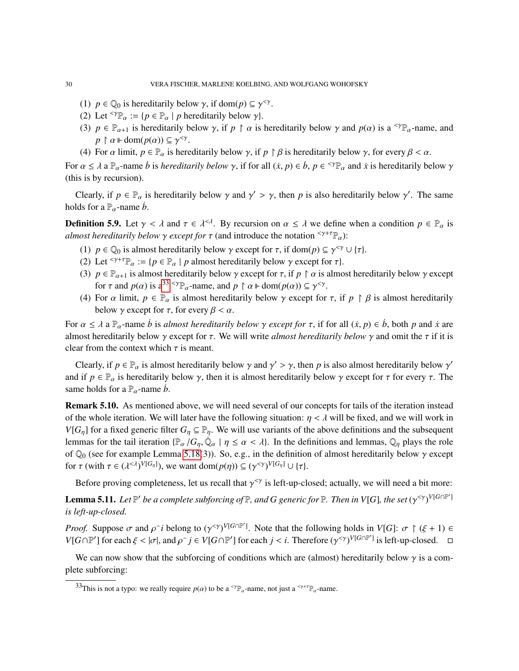- (1)  $p \in \mathbb{Q}_0$  is hereditarily below  $\gamma$ , if dom( $p \in \gamma^{<\gamma}$ .<br>(2) Let  $\leq \gamma \mathbb{Q}$  in Let  $\mathbb{Q} \mathbb{R}$  is hereditarily below  $\alpha$ .
- (2) Let  $^{<\gamma} \mathbb{P}_{\alpha} := \{ p \in \mathbb{P}_{\alpha} \mid p \text{ hereditary below } \gamma \}.$
- (3)  $p \in \mathbb{P}_{\alpha+1}$  is hereditarily below  $\gamma$ , if  $p \restriction \alpha$  is hereditarily below  $\gamma$  and  $p(\alpha)$  is a <sup> $\gamma \mathbb{P}_{\alpha}$ -name, and</sup>  $p \restriction \alpha \Vdash \text{dom}(p(\alpha)) \subseteq \gamma^{\leq \gamma}$ <br>For  $\alpha$  limit  $p \in \mathbb{R}$  is ben
- (4) For  $\alpha$  limit,  $p \in P_\alpha$  is hereditarily below  $\gamma$ , if  $p \upharpoonright \beta$  is hereditarily below  $\gamma$ , for every  $\beta < \alpha$ .

For  $\alpha \le \lambda$  a  $\mathbb{P}_{\alpha}$ -name *b* is *hereditarily below*  $\gamma$ , if for all  $(\dot{x}, p) \in \dot{b}$ ,  $p \in \text{supp}_{\alpha}$  and  $\dot{x}$  is hereditarily below  $\gamma$  (this is by requision) (this is by recursion).

Clearly, if  $p \in \mathbb{P}_{\alpha}$  is hereditarily below  $\gamma$  and  $\gamma' > \gamma$ , then *p* is also hereditarily below  $\gamma'$ . The same holds for a  $\mathbb{P}_{\alpha}$ -name *b*.

**Definition 5.9.** Let  $\gamma < \lambda$  and  $\tau \in \lambda^{<\lambda}$ . By recursion on  $\alpha \leq \lambda$  we define when a condition  $p \in \mathbb{P}_{\alpha}$  is almost haraditarily halow a specult for  $\tau$  (and introduce the notation  $\leq \gamma + \tau \mathbb{D}$ ). *almost hereditarily below*  $\gamma$  *except for*  $\tau$  (and introduce the notation  $\zeta^{\gamma+\tau} \mathbb{P}_{\alpha}$ ):

- (1)  $p \in \mathbb{Q}_0$  is almost hereditarily below  $\gamma$  except for  $\tau$ , if dom( $p$ )  $\subseteq \gamma^{<\gamma} \cup {\tau}$ .<br>(2) Let  $\leq \gamma + \tau \mathbb{D}$  in  $\subset \mathbb{D}$  is almost hereditarily below  $\gamma$  except for  $\tau$ .
- (2) Let <sup> $\langle \gamma + \tau \mathbb{P}_{\alpha} : = \{p \in \mathbb{P}_{\alpha} \mid p \text{ almost hereditary below } \gamma \text{ except for } \tau \}$ .</sup>
- (3)  $p \in \mathbb{P}_{\alpha+1}$  is almost hereditarily below  $\gamma$  except for  $\tau$ , if  $p \restriction \alpha$  is almost hereditarily below  $\gamma$  except for  $\tau$  and  $p(\alpha)$  is a<sup>[33](#page-29-1) <γ</sup> $\mathbb{P}_{\alpha}$ -name, and  $p \restriction \alpha \Vdash dom(p(\alpha)) \subseteq \gamma^{<\gamma}$ <br>For  $\alpha$  limit  $p \in \mathbb{P}$  is almost haraditarily below  $\alpha$  axent for
- (4) For  $\alpha$  limit,  $p \in \mathbb{P}_{\alpha}$  is almost hereditarily below  $\gamma$  except for  $\tau$ , if  $p \upharpoonright \beta$  is almost hereditarily below  $\alpha$  except for  $\tau$ , for  $\alpha$  limit,  $\beta \in \mathbb{P}_{\alpha}$  is almost hereditarily below  $\gamma$  except for  $\tau$ , for every  $\beta < \alpha$ .

For  $\alpha \le \lambda$  a  $\mathbb{P}_{\alpha}$ -name *b* is *almost hereditarily below*  $\gamma$  *except for*  $\tau$ , if for all  $(\dot{x}, p) \in \dot{b}$ , both *p* and  $\dot{x}$  are almost hereditarily below  $\gamma$  except for  $\tau$ . We will write *almost hereditarily below*  $\gamma$  and omit the  $\tau$  if it is clear from the context which  $\tau$  is meant.

Clearly, if  $p \in \mathbb{P}_{\alpha}$  is almost hereditarily below  $\gamma$  and  $\gamma' > \gamma$ , then *p* is also almost hereditarily below  $\gamma'$ <br>d if  $p \in \mathbb{P}$  is hereditarily below  $\gamma$ , then it is almost hereditarily below  $\gamma$  are exactl and if  $p \in \mathbb{P}_\alpha$  is hereditarily below  $\gamma$ , then it is almost hereditarily below  $\gamma$  except for  $\tau$  for every  $\tau$ . The same holds for a  $\mathbb{P}_{\alpha}$ -name *b*.

<span id="page-29-0"></span>Remark 5.10. As mentioned above, we will need several of our concepts for tails of the iteration instead of the whole iteration. We will later have the following situation:  $\eta < \lambda$  will be fixed, and we will work in *V*[ $G_n$ ] for a fixed generic filter  $G_n \subseteq \mathbb{P}_n$ . We will use variants of the above definitions and the subsequent lemmas for the tail iteration  $\{\mathbb{P}_{\alpha}/G_{\eta}, \dot{\mathbb{Q}}_{\alpha} \mid \eta \leq \alpha < \lambda\}$ . In the definitions and lemmas,  $\mathbb{Q}_{\eta}$  plays the role of  $\mathbb{Q}_0$  (see for example Lemma [5.18\(](#page-32-1)3)). So, e.g., in the definition of almost hereditarily below  $\gamma$  except for  $\tau$  (with  $\tau \in (\lambda^{<\lambda})^{V[G_{\eta}]}$ ), we want dom $(p(\eta)) \subseteq (\gamma^{<\gamma})^{V[G_{\eta}]} \cup {\tau}.$ 

Before proving completeness, let us recall that  $\gamma^{<\gamma}$  is left-up-closed; actually, we will need a bit more:

<span id="page-29-2"></span>**Lemma 5.11.** Let  $\mathbb{P}'$  be a complete subforcing of  $\mathbb{P}$ , and G generic for  $\mathbb{P}$ . Then in V[G], the set  $(\gamma^{<\gamma})^{V[G\cap \mathbb{P}']}$ <br>is left un closed *is left-up-closed.*

*Proof.* Suppose  $\sigma$  and  $\rho^i$  belong to  $(\gamma^{<\gamma})^{V[G \cap \mathbb{P}']}$ . Note that the following holds in  $V[G]: \sigma \upharpoonright (\xi + 1) \in V[G \cap \mathbb{P}']$  for each  $\xi \leq |\sigma|$  and  $\phi \circ i \in V[G \cap \mathbb{P}']$  for each  $i \leq i$ . Therefore  $(\phi^{<\gamma})^{V[G \cap \mathbb{$  $V[G \cap \mathbb{P}']$  for each  $\xi < |\sigma|$ , and  $\rho \hat{i} \in V[G \cap \mathbb{P}']$  for each  $j < i$ . Therefore  $(\gamma^{\leq \gamma})^{V[G \cap \mathbb{P}']}$  is left-up-closed.  $\Box$ 

We can now show that the subforcing of conditions which are (almost) hereditarily below  $\gamma$  is a complete subforcing:

<span id="page-29-1"></span><sup>&</sup>lt;sup>33</sup>This is not a typo: we really require  $p(\alpha)$  to be a <sup><γ</sup> $\mathbb{P}_{\alpha}$ -name, not just a <sup><γ+τ</sup> $\mathbb{P}_{\alpha}$ -name.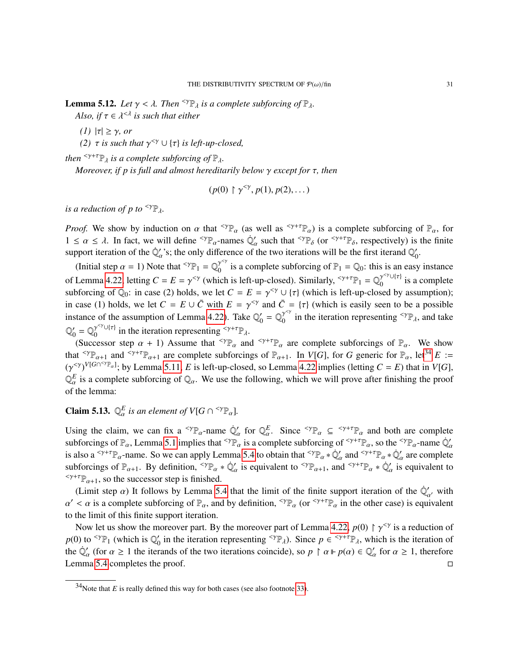<span id="page-30-0"></span>**Lemma 5.12.** *Let*  $\gamma < \lambda$ *. Then* <sup> $\langle \gamma \mathbb{P}_{\lambda} \rangle$  *is a complete subforcing of*  $\mathbb{P}_{\lambda}$ *.*</sup>

*Also, if*  $\tau \in \lambda^{\leq \lambda}$  *is such that either* 

*(1)* <sup>|</sup>τ| ≥ γ*, or*

(2)  $τ$  *is such that*  $γ^{\leqγ} ∪ {τ}$ *is left-up-closed,* 

*then*  $\langle \gamma + \tau \mathbb{P}_{\lambda} \rangle$  *is a complete subforcing of*  $\mathbb{P}_{\lambda}$ *.* 

*Moreover, if p is full and almost hereditarily below* γ *except for* τ*, then*

$$
(p(0) \upharpoonright \gamma^{<\gamma}, p(1), p(2), \dots)
$$

*is a reduction of p to*  $\langle \Psi \rangle$ .

*Proof.* We show by induction on  $\alpha$  that <sup> $\langle \gamma \rangle_{\alpha}$  (as well as  $\langle \gamma + \tau \rangle_{\alpha}$ ) is a complete subforcing of  $\mathbb{P}_{\alpha}$ , for</sup>  $1 \le \alpha \le \lambda$ . In fact, we will define <sup><γ</sup> $\mathbb{P}_{\alpha}$ -names  $\dot{\mathbb{Q}}'_{\alpha}$  such that <sup><γ $\mathbb{P}_{\delta}$ </sup> (or <sup><γ+τ</sup> $\mathbb{P}_{\delta}$ , respectively) is the finite support iteration of the  $\dot{\mathbb{Q}}'$  is the only difference of the tw support iteration of the  $\dot{\mathbb{Q}}'_\alpha$ 's; the only difference of the two iterations will be the first iterand  $\mathbb{Q}'_\alpha$  $\frac{1}{0}$ .

(Initial step  $\alpha = 1$ ) Note that <sup><γ</sup> $\mathbb{P}_1 = \mathbb{Q}_0^{\gamma^{<\gamma}}$  is a complete subforcing of  $\mathbb{P}_1 = \mathbb{Q}_0$ : this is an easy instance of Lemma [4.22,](#page-23-0) letting  $C = E = \gamma^{<\gamma}$  (which is left-up-closed). Similarly,  $\zeta^{\gamma+\tau}P_1 = Q_0^{\gamma^{<\gamma}\cup{\tau}}$  is a complete subforcing of  $\mathbb{Q}_0$ : in case (2) holds, we let  $C = E = \gamma^{<\gamma} \cup {\tau}$  (which is left-up-closed by assumption);<br>in gase (1) holds, we let  $C = E + \bar{\mathcal{O}}$  with  $E = \gamma^{<\gamma}$  and  $\bar{C} = {\tau}$  (which is assilve seen to be a possi in case (1) holds, we let  $C = E \cup \overline{C}$  with  $E = \gamma^{<\gamma}$  and  $\overline{C} = {\tau}$  (which is easily seen to be a possible instance of the ecountries of Lamma 4.22). Take  $\mathbb{Q}' = \mathbb{Q}^{\gamma^{<\gamma}}$  in the iteration representing  $\zeta^{\$ instance of the assumption of Lemma [4.22\)](#page-23-0). Take  $\mathbb{Q}_0$  $\gamma_0' = \mathbb{Q}_0^{\gamma^{<\gamma}}$  in the iteration representing  $\langle \gamma \mathbb{P}_{\lambda}, \rangle$  and take  $\mathbb{O}'$  $\gamma_0' = \mathbb{Q}_0^{\gamma \leq \gamma \cup \{ \tau \}}$  in the iteration representing  $\leq \gamma + \tau \mathbb{P}_\lambda$ .

(Successor step  $\alpha + 1$ ) Assume that  $\langle \Psi_{\alpha} \rangle$  and  $\langle \Psi_{\alpha} \rangle$  are complete subforcings of  $\mathbb{P}_{\alpha}$ . We show that  $\langle \Psi \rangle_{\mathbb{R}_{\alpha+1}}$  and  $\langle \Psi \rangle_{\mathbb{R}_{\alpha+1}}$  are complete subforcings of  $\mathbb{R}_{\alpha+1}$ . In  $V[G]$ , for *G* generic for  $\mathbb{R}_{\alpha}$ , let  $\mathbb{R}^3 \times \mathbb{R}_{\alpha+1}$  $(\gamma^{\langle \gamma \rangle})^{V[G \cap {^{\langle \gamma \rangle}}]$ ; by Lemma [5.11,](#page-29-2) *E* is left-up-closed, so Lemma [4.22](#page-23-0) implies (letting *C* = *E*) that in *V*[*G*],  $\mathbb{R}^E$  is a complete subforcing of  $\mathbb{R}$ . We use the following, which we will prove aft  $\mathbb{Q}_{\alpha}^{E}$  is a complete subforcing of  $\mathbb{Q}_{\alpha}$ . We use the following, which we will prove after finishing the proof of the lemma:

# <span id="page-30-2"></span>**Claim 5.13.**  $\mathbb{Q}_{\alpha}^{E}$  is an element of  $V[G \cap {}^{<\gamma} \mathbb{P}_{\alpha}].$

Using the claim, we can fix a <sup><γp</sup><sub>α</sub>-name  $Q'_\alpha$  for  $Q_\alpha^E$ . Since <sup><γp</sup><sub>α</sub>  $\subseteq$  <sup><γ+τp</sup><sub>α</sub> and both are complete subforcings of  $\mathbb{P}_{\alpha}$ , Lemma [5.1](#page-25-4) implies that  $^{<\gamma}\mathbb{P}_{\alpha}$  is a complete subforcing of  $^{<\gamma+\tau}\mathbb{P}_{\alpha}$ , so the  $^{<\gamma}\mathbb{P}_{\alpha}$ -name  $\mathbb{Q}'$ is also a <sup> $\lt^{\gamma+ \tau} \mathbb{P}_\alpha$ -name. So we can apply Lemma [5.4](#page-26-1) to obtain that  $\lt^{\gamma} \mathbb{P}_\alpha * \mathbb{Q}'_\alpha$  and  $\lt^{\gamma+ \tau} \mathbb{P}_\alpha * \mathbb{Q}'_\alpha$  are complete</sup> subforcings of  $\mathbb{P}_{\alpha+1}$ . By definition,  $^{<\gamma}\mathbb{P}_{\alpha} * \dot{\mathbb{Q}}'_{\alpha}$  is equivalent to  $^{<\gamma}\mathbb{P}_{\alpha+1}$ , and  $^{<\gamma+\tau}\mathbb{P}_{\alpha} * \dot{\mathbb{Q}}'_{\alpha}$  is equivalent to  $\langle \gamma + \tau \mathbb{P}_{\alpha+1}$ , so the successor step is finished.

(Limit step  $\alpha$ ) It follows by Lemma [5.4](#page-26-1) that the limit of the finite support iteration of the  $\dot{\mathbb{Q}}'_{\alpha'}$ , with  $\leq \alpha$  is a complete subforcing of  $\mathbb{R}$  and by definition  $\leq \gamma \mathbb{R}$  (or  $\leq \gamma + \tau \mathbb{R}$ ) in t  $\alpha$  to the limit of this finite support iteration.  $0 < \alpha$  is a complete subforcing of  $\mathbb{P}_{\alpha}$ , and by definition,  $\langle \Psi_{\alpha} \rangle$  (or  $\langle \Psi_{\alpha} \rangle$  in the other case) is equivalent

Now let us show the moreover part. By the moreover part of Lemma [4.22,](#page-23-0)  $p(0) \uparrow \gamma^{<\gamma}$  is a reduction of  $\gamma$  to  $\sim \gamma^{<\gamma}$ . (which is  $\mathbb{R}^{\gamma}$  is the iteration corresponding  $\sim \gamma^{<\gamma}$ .) Since  $p \in \sim \gamma^{+}$ . which  $p(0)$  to <sup>< $\gamma_{\mathbb{P}_1}$  (which is  $\mathbb{Q}'_0$ </sup> of in the iteration representing <sup><γ</sup> $\mathbb{P}_{\lambda}$ ). Since  $p \in \mathbb{S}^{+} \mathbb{P}_{\lambda}$ , which is the iteration of the  $\mathbb{Q}'_{\alpha}$  (for  $\alpha \ge 1$  the iterands of the two iterations coincide), so  $p \restriction \alpha \Vdash p(\alpha) \in \mathbb{Q}'_{\alpha}$ <br>Lamma 5.4 completes the proof Lemma [5.4](#page-26-1) completes the proof. □  $\alpha'$  for  $\alpha \geq 1$ , therefore

<span id="page-30-1"></span> $34$ Note that *E* is really defined this way for both cases (see also footnote [33\)](#page-29-1).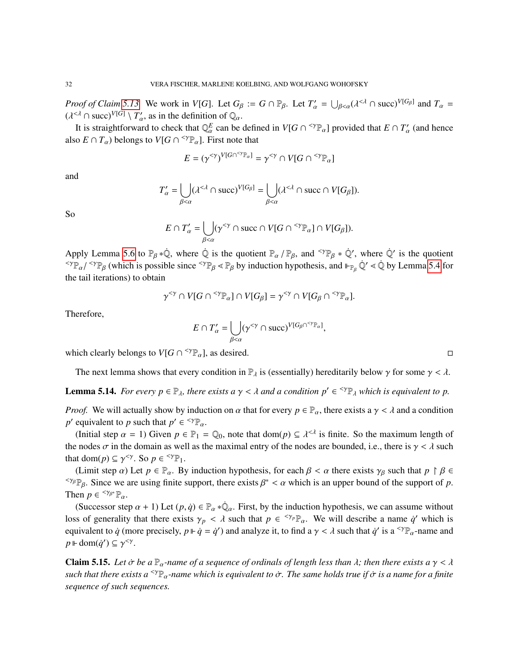*Proof of Claim* [5.13.](#page-30-2) We work in *V*[*G*]. Let  $G_\beta := G \cap \mathbb{P}_\beta$ . Let  $T'_\alpha = \bigcup_{\beta < \alpha} (\lambda^{<\lambda} \cap \text{succ})^{V[G_\beta]}$  and  $T_\alpha = (1)^{<\lambda} \cap \text{succ}^{V[G_\beta]}$  $(\lambda^{\leq \lambda} \cap \text{succ})^{V[G]} \setminus T'_{\alpha}$ , as in the definition of  $\mathbb{Q}_{\alpha}$ .<br>It is straightforward to chook that  $\mathbb{Q}_c^E$  can be

It is straightforward to check that  $\mathbb{Q}_a^E$  can be defined in  $V[G \cap {}^{<\gamma} \mathbb{P}_a]$  provided that  $E \cap T'_a$ also  $E \cap T_\alpha$ ) belongs to  $V[G \cap {}^{<\gamma} \mathbb{P}_\alpha]$ . First note that (and hence

$$
E = (\gamma^{<\gamma})^{V[G \cap {}^{<\gamma} \mathbb{P}_{\alpha}]} = \gamma^{<\gamma} \cap V[G \cap {}^{<\gamma} \mathbb{P}_{\alpha}]
$$

and

$$
T'_{\alpha} = \bigcup_{\beta < \alpha} (\lambda^{<\lambda} \cap \text{succ})^{V[G_{\beta}]} = \bigcup_{\beta < \alpha} (\lambda^{<\lambda} \cap \text{succ} \cap V[G_{\beta}]).
$$

So

$$
E \cap T'_{\alpha} = \bigcup_{\beta < \alpha} (\gamma^{<\gamma} \cap \text{succ} \cap V[G \cap {}^{<\gamma} \mathbb{P}_{\alpha}] \cap V[G_{\beta}]).
$$

Apply Lemma [5.6](#page-28-3) to  $\mathbb{P}_{\beta} * \dot{\mathbb{Q}}$ , where  $\dot{\mathbb{Q}}$  is the quotient  $\mathbb{P}_{\alpha} / \mathbb{P}_{\beta}$ , and  $\langle \mathbb{P}_{\beta} * \dot{\mathbb{Q}}'$ , where  $\dot{\mathbb{Q}}'$  is the quotient  $\langle \mathbb{P}_{\beta} \rangle$  is the quotient  $\langle \mathbb{P}_{\beta} \rangle$  is the quotie <sup><γ</sup> $\mathbb{P}_{\alpha}/$ <sup><γ $\mathbb{P}_{\beta}$  (which is possible since <sup><γ</sup> $\mathbb{P}_{\beta}$   $\ll$   $\mathbb{P}_{\beta}$  by induction hypothesis, and  $\mathbb{P}_{\beta}$   $\mathbb{Q}'$   $\ll$   $\mathbb{Q}$  by Lemma [5.4](#page-26-1) for the toil iterations) to obtain</sup> the tail iterations) to obtain

$$
\gamma^{<\gamma}\cap V[G\cap {}^{<\gamma} \mathbb{P}_\alpha]\cap V[G_\beta]=\gamma^{<\gamma}\cap V[G_\beta\cap {}^{<\gamma} \mathbb{P}_\alpha].
$$

Therefore,

$$
E \cap T'_{\alpha} = \bigcup_{\beta < \alpha} (\gamma^{<\gamma} \cap \text{succ})^{V[G_{\beta} \cap {}^{<\gamma} \mathbb{P}_{\alpha}]},
$$

which clearly belongs to  $V[G \cap {}^{<\gamma} \mathbb{P}_{\alpha}]$ , as desired.

The next lemma shows that every condition in  $\mathbb{P}_{\lambda}$  is (essentially) hereditarily below  $\gamma$  for some  $\gamma < \lambda$ .

<span id="page-31-0"></span>**Lemma 5.14.** *For every*  $p \in \mathbb{P}_{\lambda}$ *, there exists a*  $\gamma < \lambda$  *and a condition*  $p' \in \text{supp}_{\lambda}$  *which is equivalent to p.* 

*Proof.* We will actually show by induction on  $\alpha$  that for every  $p \in \mathbb{P}_\alpha$ , there exists a  $\gamma < \lambda$  and a condition *p*<sup>2</sup> equivalent to *p* such that  $p' \in {}^{<\gamma} \mathbb{P}_{\alpha}$ .

(Initial step  $\alpha = 1$ ) Given  $p \in \mathbb{P}_1 = \mathbb{Q}_0$ , note that  $dom(p) \subseteq \lambda^{<\lambda}$  is finite. So the maximum length of the nodes  $\sigma$  in the domain as well as the maximal entry of the nodes are bounded, i.e., there is  $\gamma < \lambda$  such that dom(*p*)  $\subseteq \gamma^{\leq \gamma}$ . So  $p \in {}^{<\gamma} \mathbb{P}_1$ .<br>(**Limit stap c**) Let  $p \in \mathbb{P}$ . By

(Limit step  $\alpha$ ) Let  $p \in \mathbb{P}_{\alpha}$ . By induction hypothesis, for each  $\beta < \alpha$  there exists  $\gamma_{\beta}$  such that  $p \restriction \beta \in$ <sup><γβ</sup> $\mathbb{P}_{\beta}$ . Since we are using finite support, there exists  $\beta^* < \alpha$  which is an upper bound of the support of *p*.<br>Then  $p \in \text{Spec} \mathbb{R}^n$ Then  $p \in \frac{<\gamma_{\beta^*}}{\beta_{\alpha}}$ .

(Successor step  $\alpha + 1$ ) Let  $(p, \dot{q}) \in \mathbb{P}_{\alpha} * \dot{\mathbb{Q}}_{\alpha}$ . First, by the induction hypothesis, we can assume without loss of generality that there exists  $\gamma_p < \lambda$  such that  $p \in {}^{<\gamma_p} \mathbb{P}_\alpha$ . We will describe a name  $\dot{q}'$  which is equivalent to *i* (more processly  $p \parallel \dot{q} = \dot{q}'$ ) and apply g it to find a  $\alpha \leq \lambda$  such that  $\dot{q$ equivalent to  $\dot{q}$  (more precisely,  $p \Vdash \dot{q} = \dot{q}'$ ) and analyze it, to find a  $\gamma < \lambda$  such that  $\dot{q}'$  is a <sup>< $\gamma \mathbb{P}_{\alpha}$ -name and</sup>  $p \Vdash \text{dom}(\dot{q}') \subseteq \gamma^{\leq \gamma}$ .

<span id="page-31-1"></span>**Claim 5.15.** Let  $\dot{\sigma}$  be a  $\mathbb{P}_{\alpha}$ -name of a sequence of ordinals of length less than  $\lambda$ ; then there exists a  $\gamma < \lambda$ *such that there exists a* <γPα*-name which is equivalent to* <sup>σ</sup>˙ *. The same holds true if* <sup>σ</sup>˙ *is a name for a finite sequence of such sequences.*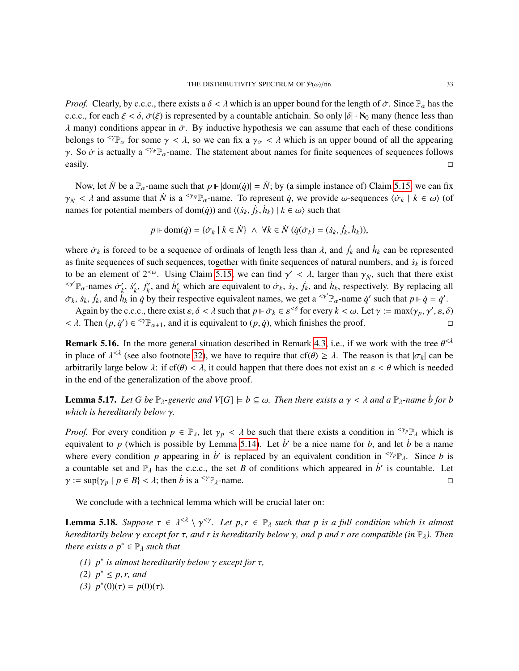*Proof.* Clearly, by c.c.c., there exists a  $\delta < \lambda$  which is an upper bound for the length of  $\dot{\sigma}$ . Since  $\mathbb{P}_{\alpha}$  has the c.c.c., for each  $\xi < \delta$ ,  $\dot{\sigma}(\xi)$  is represented by a countable antichain. So only  $|\delta| \cdot \aleph_0$  many (hence less than  $\lambda$  many) conditions appear in  $\dot{\sigma}$ . By inductive hypothesis we can assume that each of these conditions belongs to  $\gamma_{\mathbb{P}_\alpha}$  for some  $\gamma < \lambda$ , so we can fix a  $\gamma_{\sigma} < \lambda$  which is an upper bound of all the appearing γ. So  $\dot{\sigma}$  is actually a <sup><γ<sub>σ</sub><sub> $\mathbb{P}_{\alpha}$ -name. The statement about names for finite sequences of sequences follows easily.</sup></sub>  $\Box$  easily.

Now, let *N* be a  $\mathbb{P}_\alpha$ -name such that  $p \Vdash |\text{dom}(\dot{q})| = N$ ; by (a simple instance of) Claim [5.15,](#page-31-1) we can fix  $\gamma_N$  <  $\lambda$  and assume that  $\dot{N}$  is a <sup>< $\gamma_N \mathbb{P}_{\alpha}$ -name. To represent  $\dot{q}$ , we provide  $\omega$ -sequences  $\langle \dot{\sigma}_k | k \in \omega \rangle$  (of</sup> names for potential members of dom( $\dot{q}$ )) and  $\langle (s_k, \dot{f}_k, \dot{h}_k) | k \in \omega \rangle$  such that

$$
p \Vdash \text{dom}(\dot{q}) = \{ \dot{\sigma}_k \mid k \in \dot{N} \} \ \land \ \forall k \in \dot{N} \ (\dot{q}(\dot{\sigma}_k) = (\dot{s}_k, \dot{f}_k, \dot{h}_k)),
$$

where  $\dot{\sigma}_k$  is forced to be a sequence of ordinals of length less than  $\lambda$ , and  $\dot{f}_k$  and  $\dot{h}_k$  can be represented<br>on finite coguences of such sequences together with finite sequences of network unphase and *i*<sub></sub> as finite sequences of such sequences, together with finite sequences of natural numbers, and  $\dot{s}_k$  is forced to be an element of  $2^{<\omega}$ . Using Claim [5.15,](#page-31-1) we can find  $\gamma' < \lambda$ , larger than  $\gamma_N$ , such that there exist  $\gamma_N$  are not  $\gamma_N$  and  $\gamma_N$  are  $\gamma_N$  and  $\gamma_N$  are  $\gamma_N$  and  $\gamma_N$  are  $\gamma_N$  and  $\gamma_N$  are  $\gamma_N$  and  $\gamma_N$ <sup><γ'</sup> $\mathbb{P}_{\alpha}$ -names  $\dot{\sigma}'_k$  $\frac{\prime}{k}$ ,  $\dot{s}'_k$  $'_{k}$ ,  $\dot{f}'_{k}$  $h'_{k}$ , and  $h'_{k}$  which are equivalent to  $\dot{\sigma}_{k}$ ,  $\dot{s}_{k}$ ,  $\dot{f}_{k}$ , and  $h_{k}$ , respectively. By replacing all that their presentive equivalent person  $\dot{c}$  and  $\dot{s}$ . The person  $\dot{c}'$  and that  $\dot{r}$  is  $\$  $\sigma_k$ ,  $\dot{s}_k$ ,  $\dot{f}_k$ , and  $\dot{h}_k$  in  $\dot{q}$  by their respective equivalent names, we get a <sup><</sup> $\gamma' \mathbb{P}_{\alpha}$ -name  $\dot{q}'$  such that  $p \Vdash \dot{q} = \dot{q}'$ .

Again by the c.c.c., there exist  $\varepsilon, \delta < \lambda$  such that  $p \Vdash \dot{\sigma}_k \in \varepsilon^{<\delta}$  for every  $k < \omega$ . Let  $\gamma := \max(\gamma_p, \gamma', \varepsilon, \delta)$ .<br>A Then  $(n, \dot{\alpha}') \in {}^{<\gamma} \mathbb{R}$  is equivalent to  $(n, \dot{\alpha})$ , which finishes the proof  $< \lambda$ . Then  $(p, \dot{q}') \in {}^{<\gamma} \mathbb{P}_{\alpha+1}$ , and it is equivalent to  $(p, \dot{q})$ , which finishes the proof.

<span id="page-32-0"></span>**Remark 5.16.** In the more general situation described in Remark [4.3,](#page-14-1) i.e., if we work with the tree  $\theta^{\leq A}$  is place of  $\theta^{\leq A}$  (see also footnote 32), we have to require that  $\theta^{\leq A}$ . The reason is that  $|\pi_1|$ in place of  $\lambda^{<\lambda}$  (see also footnote [32\)](#page-28-2), we have to require that cf( $\theta$ )  $\geq \lambda$ . The reason is that  $|\sigma_k|$  can be orbitrarily large helow  $\lambda$ ; if of  $\theta$ )  $\leq \lambda$  it could happen that there does not quite n  $\alpha \leq$ arbitrarily large below  $\lambda$ : if cf( $\theta$ ) <  $\lambda$ , it could happen that there does not exist an  $\varepsilon < \theta$  which is needed in the end of the generalization of the above proof.

<span id="page-32-2"></span>**Lemma 5.17.** Let G be  $\mathbb{P}_{\lambda}$ -generic and  $V[G] \models b \subseteq \omega$ . Then there exists a  $\gamma < \lambda$  and a  $\mathbb{P}_{\lambda}$ -name  $\dot{b}$  for  $b$ *which is hereditarily below* γ*.*

*Proof.* For every condition  $p \in \mathbb{P}_{\lambda}$ , let  $\gamma_p < \lambda$  be such that there exists a condition in  $\langle \gamma_p \mathbb{P}_{\lambda} \rangle$  which is equivalent to  $p$  (which is possible by Lemma [5.14\)](#page-31-0). Let  $\dot{b}$  be a nice name for  $b$ , and let  $\dot{b}$  be a name where every condition *p* appearing in *b*<sup> $\prime$ </sup> is replaced by an equivalent condition in  $\frac{\langle \gamma_p \rangle}{\rho}$ . Since *b* is a countable set and  $\mathbb{P}_{\lambda}$  has the c.c.c., the set *B* of conditions which appeared in *b*<sup>i</sup> is countable. Let  $\gamma := \sup \{ \gamma_p \mid p \in B \} < \lambda$ ; then *b* is a <sup>< $\gamma p$ </sup><sub> $\lambda$ </sub>-name.

We conclude with a technical lemma which will be crucial later on:

<span id="page-32-1"></span>**Lemma 5.18.** *Suppose*  $\tau \in \lambda^{\leq \lambda} \setminus \gamma^{\leq \gamma}$ . Let  $p, r \in \mathbb{P}_{\lambda}$  *such that p is a full condition which is almost*<br>haraditarily helow as exact for  $\tau$  and n is haraditarily helow  $\alpha$  and n and n are compatible *hereditarily below* γ *except for*  $\tau$ *, and r is hereditarily below* γ*, and p and r are compatible (in*  $\mathbb{P}_{\lambda}$ ). Then *there exists a*  $p^* \in \mathbb{P}_\lambda$  *such that* 

- *(1) p*<sup>∗</sup> *is almost hereditarily below γ except for*  $τ$ *,*  $(2)$   $\binom{n}{2}$   $\binom{n}{2}$   $\binom{n}{2}$   $\binom{n}{2}$   $\binom{n}{2}$   $\binom{n}{2}$   $\binom{n}{2}$   $\binom{n}{2}$   $\binom{n}{2}$   $\binom{n}{2}$   $\binom{n}{2}$   $\binom{n}{2}$   $\binom{n}{2}$   $\binom{n}{2}$   $\binom{n}{2}$
- *(2)*  $p^*$  ≤ *p*, *r*, and<br>*(3)*  $p^*(0)(\tau) = p(0)$
- (3)  $p^*(0)(τ) = p(0)(τ)$ .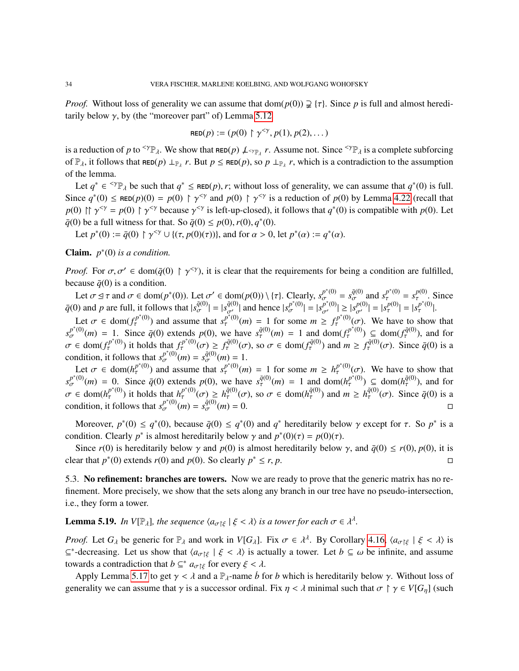*Proof.* Without loss of generality we can assume that  $dom(p(0)) \supsetneq {\tau}$ . Since *p* is full and almost hereditarily below  $\gamma$ , by (the "moreover part" of) Lemma [5.12](#page-30-0)

$$
\text{red}(p) := (p(0) \upharpoonright \gamma^{<\gamma}, p(1), p(2), \dots)
$$

is a reduction of *p* to <sup><γ</sup> $\mathbb{P}_{\lambda}$ . We show that  $\text{RED}(p) \neq \{r\}_{\lambda}$  *r*. Assume not. Since <sup><γ $\mathbb{P}_{\lambda}$  is a complete subforcing</sup> of  $\mathbb{P}_{\lambda}$ , it follows that  $\text{RED}(p) \perp_{\mathbb{P}_{\lambda}} r$ . But  $p \le \text{RED}(p)$ , so  $p \perp_{\mathbb{P}_{\lambda}} r$ , which is a contradiction to the assumption of the lemma.

Let  $q^* \in {}^{<\gamma} \mathbb{P}_\lambda$  be such that  $q^* \leq \text{RED}(p)$ , *r*; without loss of generality, we can assume that  $q^*(0)$  is full.<br>  $q^*(0) \leq \text{PP}(p)(0) = p(0)$ .  $\text{GeV}$  and  $p(0)$ ,  $\text{GeV}$  is a reduction of  $p(0)$  by Lamma 4.22 (r Since  $q^*(0) \le \text{RED}(p)(0) = p(0) \upharpoonright \gamma^{<\gamma}$  and  $p(0) \upharpoonright \gamma^{<\gamma}$  is a reduction of  $p(0)$  by Lemma [4.22](#page-23-0) (recall that  $p(0)$  is  $\gamma^{<\gamma} = p(0) \upharpoonright \gamma^{<\gamma}$  has  $p(0) \downharpoonright \gamma^{<\gamma}$  is left up aloged) if follows that  $q^*(0)$  i *p*(0)  $\uparrow \uparrow \gamma^{<\gamma} = p(0) \uparrow \gamma^{<\gamma}$  because  $\gamma^{<\gamma}$  is left-up-closed), it follows that  $q^*(0)$  is compatible with *p*(0). Let  $\bar{q}(0)$  be a full witness for that  $S_0$   $\bar{q}(0) < p(0)$ ,  $q^*(0)$ *q*<sup>{</sup>(0} be a full witness for that. So  $\bar{q}(0) \leq p(0), r(0), q^*(0)$ .<br>
Let  $r^*(0) := \bar{q}(0) \hbar q^{s}(1) [(\pi, p(0)(\pi))]$  and for  $q > 0$ .

Let  $p^*(0) := \bar{q}(0) \upharpoonright \gamma^{<\gamma} \cup \{(\tau, p(0)(\tau))\}\text{, and for } \alpha > 0\text{, let } p^*(\alpha) := q^*(\alpha).$ 

# Claim.  $p^*(0)$  *is a condition.*

*Proof.* For  $\sigma, \sigma' \in \text{dom}(\bar{q}(0) \upharpoonright \gamma^{<\gamma})$ , it is clear that the requirements for being a condition are fulfilled, because  $\bar{q}(0)$  is a condition.

Let  $\sigma \le \tau$  and  $\sigma \in \text{dom}(p^*(0))$ . Let  $\sigma' \in \text{dom}(p(0)) \setminus {\tau}$ . Clearly,  $s_{\sigma}^{p^*(0)} = s_{\sigma}^{\bar{q}(0)}$  and  $s_{\tau}^{p^*(0)} = s_{\tau}^{p(0)}$ <br>
and *n* are full it follows that  $|s_{\sigma}^{\bar{q}(0)}| = |s_{\sigma}^{\bar{q}(0)}|$  and happe  $|s_{\sigma}^{p^*(0)}|$  $_{\tau}^{p(0)}$ . Since  $\bar{q}(0)$  and p are full, it follows that  $|s_{\sigma}^{\bar{q}(0)}| = |s_{\sigma'}^{\bar{q}(0)}|$  and hence  $|s_{\sigma}^{p^*(0)}| = |s_{\sigma'}^{p^*(0)}| \ge |s_{\sigma'}^{p^*(0)}| = |s_{\tau}^{p^*(0)}| = |s_{\tau}^{p^*(0)}| = |s_{\tau}^{p^*(0)}|$ .

(0) and *p* are full, it follows that  $s_{\sigma}^{p^*}(0)$  and hence  $|s_{\sigma} - | = |s_{\sigma'}| \le |s_{\sigma'}| + |s_{\sigma'}| = |s_{\tau} - |s_{\tau}|$ .<br>
Let  $\sigma \in \text{dom}(f_f^{p^*(0)})$  and assume that  $s_f^{p^*(0)}(m) = 1$  for some  $m \ge f_f^{p^*(0)}(\sigma)$ . We have to show that  $s_{\sigma}^{p^*(0)}(m) = 1$ . Since  $\bar{q}(0)$  extends  $p(0)$ , we have  $s_{\tau}^{\bar{q}(0)}(m) = 1$  and dom  $\bar{q}^{(0)}(m) = 1$  and dom $(f_{\tau}^{p^{*}(0)})$  $(\tau^{(p^*(0)}_{\tau}) \subseteq \text{dom}(f^{(\bar{q}(0)}_{\tau}))$  $(\tau^{(0)}_T)$ , and for  $\sigma \in \text{dom}(f_\tau^{p^*(0)})$  it holds that  $f_\tau^{p^*(0)}(\sigma) \geq f_\tau^{\bar{q}(0)}(\sigma)$ , so  $\sigma \in \text{dom}(f_\tau^{\bar{q}(0)})$  and  $m \geq f_\tau^{\bar{q}(0)}(\sigma)$ . Since  $\bar{q}(0)$  is a condition it follows that  $g^{p^*(0)}(\infty) = g^{\bar{q}(0)}(\infty) = 1$ condition, it follows that  $s_{\sigma}^{p^*(0)}(m) = s_{\sigma}^{\bar{q}(0)}(m) = 1$ .

Let  $\sigma \in \text{dom}(h_\tau^{p^*(0)})$  and assume that  $s_\tau^{p^*(0)}(m) = 1$  for some  $m \ge h_\tau^{p^*(0)}(\sigma)$ . We have to show that  $\frac{1}{2}$ <br>  $\sigma^{(0)}(m) = 0$ . Since  $\bar{g}(0)$  extends  $p(0)$ , we have  $\bar{g}^{(0)}(m) = 1$  and dom $\frac{1}{2}$   $\sigma^{(p^*(0))}$  $s_{\sigma}^{p^*(0)}(m) = 0$ . Since  $\bar{q}(0)$  extends  $p(0)$ , we have  $s_{\tau}^{\bar{q}(0)}(m) = 1$  and  $\text{dom}(h_{\tau}^{p^*(0)}) \subseteq \text{dom}(h_{\tau}^{\bar{q}(0)})$ , and for  $\sigma \in \text{dom}(h_{\tau}^{p^*(0)})$  it holds that  $h_{\tau}^{p^*(0)}(\sigma) \ge h_{\tau}^{\bar{q}(0)}(\sigma)$ , so  $\sigma \in \text{dom}(h_{\tau}^{\bar{q}(0)})$  and  $m \ge h_{\tau}^{\bar{q}(0)}(\sigma)$ . Since  $\bar{q}(0)$  is a condition it follows that  $e^{p^*(0)}(m) = e^{\bar{q}(0)}(m) = 0$ condition, it follows that  $s_{\sigma}^{p^*(0)}(m) = s_{\sigma}^{\bar{q}(0)}(m)$  $\bar{q}^{(0)}(m) = 0.$ 

Moreover,  $p^*(0) \le q^*(0)$ , because  $\bar{q}(0) \le q^*(0)$  and  $q^*$  hereditarily below  $\gamma$  except for  $\tau$ . So  $p^*$  is a position Clearly  $r^*$  is a proof hereditarily below  $\gamma$  and  $r^*(0)(\tau) = r(0)(\tau)$ . condition. Clearly *p*<sup>\*</sup> is almost hereditarily below  $\gamma$  and  $p^*(0)(\tau) = p(0)(\tau)$ .<br>Since  $r(0)$  is hereditarily below  $\gamma$  and  $r(0)$  is almost hereditarily below.

Since *r*(0) is hereditarily below  $\gamma$  and *p*(0) is almost hereditarily below  $\gamma$ , and  $\bar{q}(0) \le r(0)$ ,  $p(0)$ , it is ear that  $p^*(0)$  extends *r*(0) and *p*(0). So clearly  $p^* \le r$ . *p*. clear that  $p^*(0)$  extends  $r(0)$  and  $p(0)$ . So clearly  $p$  $* \leq r, p.$ 

<span id="page-33-0"></span>5.3. No refinement: branches are towers. Now we are ready to prove that the generic matrix has no refinement. More precisely, we show that the sets along any branch in our tree have no pseudo-intersection, i.e., they form a tower.

**Lemma 5.19.** In  $V[\mathbb{P}_{\lambda}]$ , the sequence  $\langle a_{\sigma\upharpoonright\xi} | \xi < \lambda \rangle$  is a tower for each  $\sigma \in \lambda^{\lambda}$ .

*Proof.* Let  $G_{\lambda}$  be generic for  $\mathbb{P}_{\lambda}$  and work in  $V[G_{\lambda}]$ . Fix  $\sigma \in \lambda^{\lambda}$ . By Corollary [4.16,](#page-21-1)  $\langle a_{\sigma \upharpoonright \xi} | \xi < \lambda \rangle$  is  $\subseteq^*$ -decreasing. Let us show that  $\langle a_{\sigma} \rangle_{\xi} \mid \xi < \lambda$  is actually a tower. Let  $b \subseteq \omega$  be infinite, and assume towards a contradiction that  $b \subset^* a_{\sigma}$  is for overv  $\xi < \lambda$ towards a contradiction that  $b \subseteq^* a_{\sigma \upharpoonright \xi}$  for every  $\xi < \lambda$ .<br>Apply Lamma 5.17 to get  $\alpha \leq \lambda$  and a  $\mathbb{R}_+$  name is for

Apply Lemma [5.17](#page-32-2) to get  $\gamma < \lambda$  and a  $\mathbb{P}_{\lambda}$ -name *b* for *b* which is hereditarily below  $\gamma$ . Without loss of generality we can assume that  $\gamma$  is a successor ordinal. Fix  $\eta < \lambda$  minimal such that  $\sigma \upharpoonright \gamma \in V[G_n]$  (such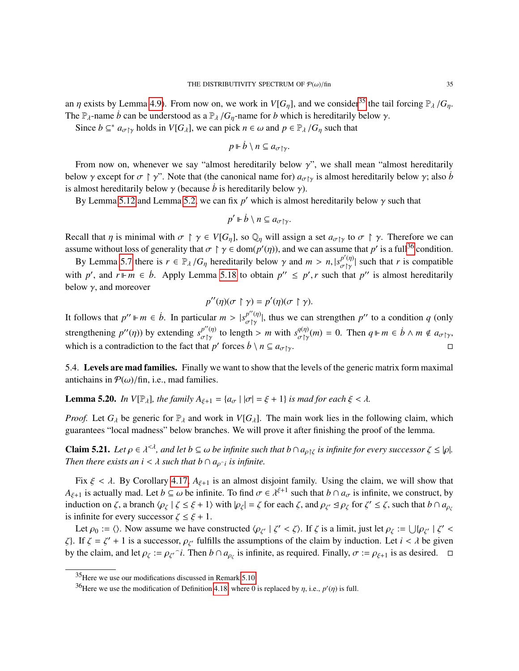an  $\eta$  exists by Lemma [4.9\)](#page-19-0). From now on, we work in  $V[G_n]$ , and we consider<sup>[35](#page-34-1)</sup> the tail forcing  $\mathbb{P}_{\lambda}/G_n$ . The  $\mathbb{P}_{\lambda}$ -name *b* can be understood as a  $\mathbb{P}_{\lambda}/G_{\eta}$ -name for *b* which is hereditarily below  $\gamma$ .

Since  $b \subseteq^* a_{\sigma \upharpoonright \gamma}$  holds in  $V[G_\lambda]$ , we can pick  $n \in \omega$  and  $p \in \mathbb{P}_\lambda / G_\eta$  such that

$$
p \Vdash \dot{b} \setminus n \subseteq a_{\sigma \upharpoonright \gamma}.
$$

From now on, whenever we say "almost hereditarily below  $\gamma$ ", we shall mean "almost hereditarily below  $\gamma$  except for  $\sigma \upharpoonright \gamma$ ". Note that (the canonical name for)  $a_{\sigma\upharpoonright \gamma}$  is almost hereditarily below  $\gamma$ ; also *b* is almost hereditarily below  $\gamma$  (because *b* is hereditarily below  $\gamma$ ).

By Lemma [5.12](#page-30-0) and Lemma [5.2,](#page-25-3) we can fix  $p'$  which is almost hereditarily below  $\gamma$  such that

$$
p' \Vdash \dot{b} \setminus n \subseteq a_{\sigma \upharpoonright \gamma}.
$$

Recall that  $\eta$  is minimal with  $\sigma \restriction \gamma \in V[G_{\eta}]$ , so  $\mathbb{Q}_{\eta}$  will assign a set  $a_{\sigma \restriction \gamma}$  to  $\sigma \restriction \gamma$ . Therefore we can assume without loss of generality that  $\sigma \upharpoonright \gamma \in \text{dom}(p'(\eta))$ , and we can assume that  $p'$  is a full<sup>[36](#page-34-2)</sup> condition.

By Lemma [5.7](#page-28-4) there is  $r \in \mathbb{P}_{\lambda}/G_{\eta}$  hereditarily below  $\gamma$  and  $m > n$ ,  $|s_{\sigma \uparrow \gamma}^{p'(\eta)}|$  such that *r* is compatible that  $p''$  and  $n \parallel m \in \mathbb{R}$ . Againt Lemma 5.18 to obtain  $p'' \leq p'$  a such that  $p''$  is close t with *p'*, and  $r \Vdash m \in \dot{b}$ . Apply Lemma [5.18](#page-32-1) to obtain  $p'' \leq p'$ , *r* such that  $p''$  is almost hereditarily helow  $\alpha$  and moreover. below  $\gamma$ , and moreover

$$
p''(\eta)(\sigma \upharpoonright \gamma) = p'(\eta)(\sigma \upharpoonright \gamma).
$$

It follows that  $p'' \Vdash m \in \dot{b}$ . In particular  $m > |s^{p''(\eta)}_{\sigma\upharpoonright \gamma}$  $\begin{bmatrix} p''(\eta) \\ \sigma \upharpoonright \gamma \end{bmatrix}$ , thus we can strengthen  $p''$  to a condition *q* (only strengthening  $p''(\eta)$ ) by extending  $s_{\sigma\upharpoonright\gamma}^{p''(\eta)}$  $p''(\eta)$  to length > *m* with  $s^{q(\eta)}_{\sigma\upharpoonright\gamma}(m) = 0$ . Then  $q \Vdash m \in \dot{b} \land m \notin a_{\sigma\upharpoonright\gamma}$ , which is a contradiction to the fact that *p*' forces  $\dot{b} \setminus n \subseteq a_{\sigma \uparrow \gamma}$ .

<span id="page-34-0"></span>5.4. Levels are mad families. Finally we want to show that the levels of the generic matrix form maximal antichains in  $P(\omega)$ /fin, i.e., mad families.

**Lemma 5.20.** *In V*[ $\mathbb{P}_{\lambda}$ ]*, the family A*<sub> $\xi+1$ </sub> = { $a_{\sigma}$  |  $|\sigma|$  =  $\xi$  + 1} *is mad for each*  $\xi$  <  $\lambda$ *.* 

*Proof.* Let  $G_\lambda$  be generic for  $\mathbb{P}_\lambda$  and work in  $V[G_\lambda]$ . The main work lies in the following claim, which guarantees "local madness" below branches. We will prove it after finishing the proof of the lemma.

<span id="page-34-3"></span>**Claim 5.21.** *Let*  $\rho \in \lambda^{<\lambda}$ , and let  $b \subseteq \omega$  be infinite such that  $b \cap a_{\rho \upharpoonright \zeta}$  is infinite for every successor  $\zeta \leq |\rho|$ .<br>Than thang exists an  $i \leq \lambda$  such that  $b \cap a_{\rho}$  is infinite. *Then there exists an i* <  $\lambda$  *such that b*  $\cap$   $a_{\rho \cap i}$  *is infinite.* 

Fix  $\xi < \lambda$ . By Corollary [4.17,](#page-21-2)  $A_{\xi+1}$  is an almost disjoint family. Using the claim, we will show that  $A_{\xi+1}$  is actually mad. Let  $b \subseteq \omega$  be infinite. To find  $\sigma \in \lambda^{\xi+1}$  such that  $b \cap a_{\sigma}$  is infinite, we construct, by induction on  $\zeta$  a branch  $(a \cup \zeta \le \xi + 1)$  with  $|a| = \zeta$  for each  $\zeta$  and  $a \in \mathcal{A}$  as f induction on  $\zeta$ , a branch  $\langle \rho_{\zeta} | \zeta \leq \xi + 1 \rangle$  with  $|\rho_{\zeta}| = \zeta$  for each  $\zeta$ , and  $\rho_{\zeta'} \leq \rho_{\zeta}$  for  $\zeta' \leq \zeta$ , such that  $b \cap a_{\rho_{\zeta}}$ is infinite for every successor  $\zeta \leq \xi + 1$ .

Let  $\rho_0 := \langle \rangle$ . Now assume we have constructed  $\langle \rho_{\zeta'} | \zeta' < \zeta \rangle$ . If  $\zeta$  is a limit, just let  $\rho_{\zeta} := \bigcup \{ \rho_{\zeta'} | \zeta' \}$ . ζ}. If ζ = ζ' + 1 is a successor,  $\rho_{\zeta}$  fulfills the assumptions of the claim by induction. Let *i* < *λ* be given by the claim and let  $\alpha$  in  $\alpha$  on  $\zeta$ . Then  $\beta \circ \alpha$  is infinite as required. Finally  $\sigma$  in  $\$ by the claim, and let  $\rho_{\zeta} := \rho_{\zeta'}$  *i*. Then  $b \cap a_{\rho_{\zeta}}$  is infinite, as required. Finally,  $\sigma := \rho_{\zeta+1}$  is as desired.  $\Box$ 

<span id="page-34-1"></span><sup>35</sup>Here we use our modifications discussed in Remark [5.10.](#page-29-0)

<span id="page-34-2"></span><sup>&</sup>lt;sup>36</sup>Here we use the modification of Definition [4.18,](#page-22-0) where 0 is replaced by  $\eta$ , i.e.,  $p'(\eta)$  is full.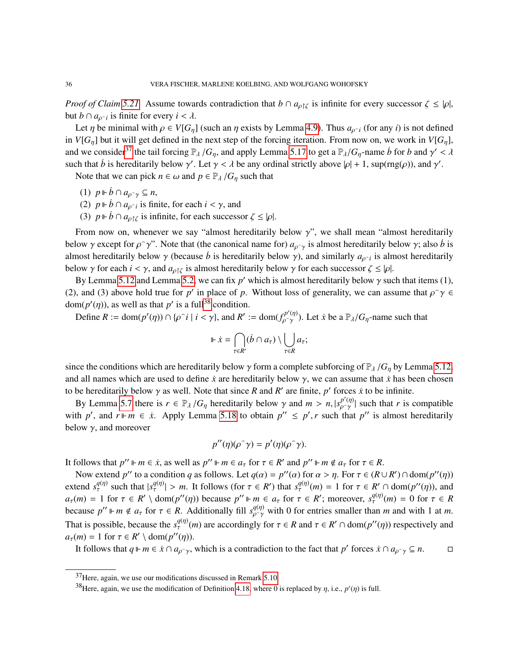*Proof of Claim* [5.21.](#page-34-3) Assume towards contradiction that  $b \cap a_{\rho}$  is infinite for every successor  $\zeta \leq |\rho|$ , but *b*  $\cap$  *a<sub>p</sub>* $\cdot$ *i* is finite for every *i* <  $\lambda$ .

Let  $\eta$  be minimal with  $\rho \in V[G_{\eta}]$  (such an  $\eta$  exists by Lemma [4.9\)](#page-19-0). Thus  $a_{\rho^{-i}}$  (for any *i*) is not defined  $V[G_{\eta}]$  and  $\eta$  is not defined in the next stap of the foreing iteration. From now on, we work in  $V[G$ in *V*[ $G_n$ ] but it will get defined in the next step of the forcing iteration. From now on, we work in *V*[ $G_n$ ], and we consider<sup>[37](#page-35-0)</sup> the tail forcing  $\mathbb{P}_{\lambda}/G_{\eta}$ , and apply Lemma [5.17](#page-32-2) to get a  $\mathbb{P}_{\lambda}/G_{\eta}$ -name *b* for *b* and  $\gamma'$ <br>such that *b* is haraditarily halow  $\alpha'$ . Let  $\alpha < \lambda$  be any ordinal strictly above  $|\alpha| + 1$ , λ such that *b*<sup>i</sup> is hereditarily below  $\gamma'$ . Let  $\gamma < \lambda$  be any ordinal strictly above  $|\rho| + 1$ , sup(rng( $\rho$ )), and  $\gamma'$ .

Note that we can pick  $n \in \omega$  and  $p \in \mathbb{P}_{\lambda}/G_{\eta}$  such that

- (1)  $p \Vdash \dot{b} \cap a_{\rho \gamma} \subseteq n$ ,
- (2)  $p \Vdash \dot{b} \cap a_{\rho \uparrow i}$  is finite, for each  $i < \gamma$ , and<br>(3)  $p \Vdash \dot{b} \cap a_{\rho \uparrow i}$  is infinite for each success
- (3)  $p \Vdash \dot{b} \cap a_{\rho \upharpoonright \zeta}$  is infinite, for each successor  $\zeta \leq |\rho|$ .

From now on, whenever we say "almost hereditarily below  $\gamma$ ", we shall mean "almost hereditarily below  $\gamma$  except for  $\rho \gamma$ ". Note that (the canonical name for)  $a_{\rho \gamma}$  is almost hereditarily below  $\gamma$ ; also *b* is almost hereditarily below  $\gamma$  is almost hereditarily below  $\gamma$ . almost hereditarily below  $\gamma$  (because *b* is hereditarily below  $\gamma$ ), and similarly  $a_{\rho \gamma i}$  is almost hereditarily below  $\gamma$  for each successor  $\zeta \leq |\alpha|$ below  $\gamma$  for each  $i < \gamma$ , and  $a_{\rho} \gamma$  is almost hereditarily below  $\gamma$  for each successor  $\zeta \leq |\rho|$ .

By Lemma [5.12](#page-30-0) and Lemma [5.2,](#page-25-3) we can fix *p*' which is almost hereditarily below  $\gamma$  such that items (1), and (3) above held true for *p*' in place of *p*. Without loss of gonerality, we can assume that  $\frac{\partial \gamma}{\partial \phi}$ (2), and (3) above hold true for *p*' in place of *p*. Without loss of generality, we can assume that  $\rho^{\gamma} \rho \in \text{dom}(n'(n))$  as well as that  $n'$  is a full<sup>38</sup> condition dom( $p'(\eta)$ ), as well as that p' is a full<sup>[38](#page-35-1)</sup> condition.

 $m(p'(\eta))$ , as well as that *p'* is a full<sup>38</sup> condition.<br>Define  $R := \text{dom}(p'(\eta)) \cap \{p \in i \mid i < \gamma\}$ , and  $R' := \text{dom}(f_{p \cap \gamma}^{p'(\eta)})$ a $(\eta^{(\eta)})$ . Let *i* be a  $\mathbb{P}_{\lambda}/G_{\eta}$ -name such that

$$
\Vdash \dot{x} = \bigcap_{\tau \in R'} (\dot{b} \cap a_{\tau}) \setminus \bigcup_{\tau \in R} a_{\tau};
$$

ρ

since the conditions which are hereditarily below  $\gamma$  form a complete subforcing of  $\mathbb{P}_{\lambda}/G_{\eta}$  by Lemma [5.12,](#page-30-0) and all names which are used to define  $\dot{x}$  are hereditarily below  $\gamma$ , we can assume that  $\dot{x}$  has been chosen to be hereditarily below  $\gamma$  as well. Note that since *R* and *R'* are finite, *p'* forces *x* to be infinite.<br>By Lamma 5.7 than is  $\alpha \in \mathbb{R}$ . *Sometimize helow*  $\alpha$  and  $m > n \log^{p'(\eta)}$  such that *x* is *a* 

By Lemma [5.7](#page-28-4) there is  $r \in \mathbb{P}_{\lambda}/G_{\eta}$  hereditarily below  $\gamma$  and  $m > n$ ,  $|s_{\rho \gamma}^{p'(\eta)}|$  such that *r* is compatible the  $p''$  and  $r \parallel m \in \mathbb{R}$ . Apply Lemma 5.18 to obtain  $p'' \leq p'$ , r such that  $p''$  is almost here with *p'*, and  $r \Vdash m \in \dot{x}$ . Apply Lemma [5.18](#page-32-1) to obtain  $p'' \leq p'$ , *r* such that  $p''$  is almost hereditarily helow  $\alpha$  and moreover. below  $\gamma$ , and moreover

$$
p''(\eta)(\rho^{\widehat{\ }}\gamma)=p'(\eta)(\rho^{\widehat{\ }}\gamma).
$$

It follows that  $p'' \Vdash m \in \dot{x}$ , as well as  $p'' \Vdash m \in a_{\tau}$  for  $\tau \in R'$  and  $p'' \Vdash m \notin a_{\tau}$  for  $\tau \in R$ .<br>Now extend  $p''$  to a condition a as follows. Let  $g(x) = p''(x)$  for  $x > n$ . For  $\tau \in (R)$ .

Now extend *p*'' to a condition *q* as follows. Let  $q(\alpha) = p''(\alpha)$  for  $\alpha > \eta$ . For  $\tau \in (R \cup R') \cap \text{dom}(p''(\eta))$ <br>cond  $g^{(q)}$  such that  $|g^{(q)}| > m$ . It follows (for  $\tau \in R'$ ) that  $g^{(q)}(m) = 1$  for  $\tau \in R' \cap \text{dom}(p''(\eta))$  and extend  $s_{\tau}^{q(\eta)}$  such that  $|s_{\tau}^{q(\eta)}| > m$ . It follows (for  $\tau \in R'$ ) that  $s_{\tau}^{q(\eta)}(m) = 1$  for  $\tau \in R' \cap \text{dom}(p''(\eta))$ , and  $q_{\tau}(m) = 1$  for  $\tau \in R' \setminus \text{dom}(p''(\eta))$  because  $n'' \perp m \in q$  for  $\tau \in R'$ ; moreover  $s_{\tau}^{q(\eta)}$  $a_{\tau}(m) = 1$  for  $\tau \in R' \setminus \text{dom}(p''(\eta))$  because  $p'' \Vdash m \in a_{\tau}$  for  $\tau \in R'$ ; moreover,  $s_{\tau}^{q(\eta)}(m) = 0$  for  $\tau \in R$ <br>because  $p'' \Vdash m \notin a$  for  $\tau \in R$ . Additionally fill  $g^{q(\eta)}$  with 0 for ontries smaller than *m* and wit because  $p'' \Vdash m \notin a_{\tau}$  for  $\tau \in R$ . Additionally fill  $s_{\rho \gamma}^{q(\eta)}$  with 0 for entries smaller than *m* and with 1 at *m*. That is possible, because the  $s_\tau^{q(\eta)}(m)$  are accordingly for  $\tau \in R$  and  $\tau \in R' \cap \text{dom}(p''(\eta))$  respectively and  $q_\tau(m) = 1$  for  $\tau \in R' \setminus \text{dom}(p''(n))$  $a_{\tau}(m) = 1$  for  $\tau \in R' \setminus \text{dom}(p''(\eta))$ .<br>It follows that  $a \parallel m \in \mathcal{F} \cap a$ .

It follows that  $q \Vdash m \in \dot{x} \cap a_{\rho \sim \gamma}$ , which is a contradiction to the fact that  $p'$  forces  $\dot{x} \cap a_{\rho \sim \gamma} \subseteq n$ .

<span id="page-35-0"></span><sup>37</sup>Here, again, we use our modifications discussed in Remark [5.10.](#page-29-0)

<span id="page-35-1"></span><sup>&</sup>lt;sup>38</sup>Here, again, we use the modification of Definition [4.18,](#page-22-0) where 0 is replaced by  $\eta$ , i.e.,  $p'(\eta)$  is full.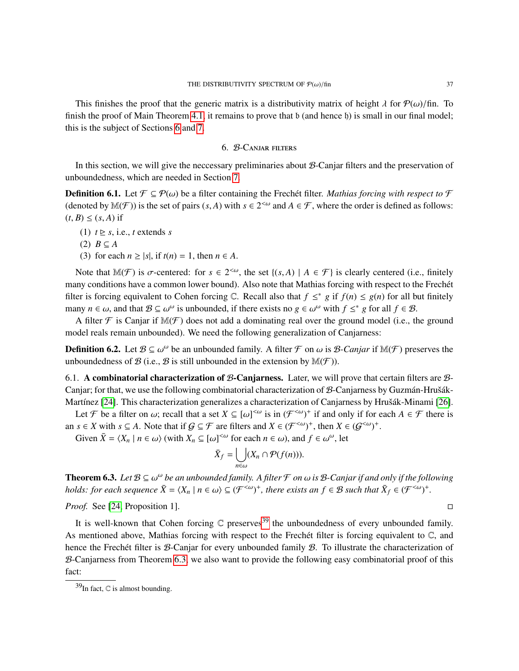This finishes the proof that the generic matrix is a distributivity matrix of height  $\lambda$  for  $\mathcal{P}(\omega)/\text{fin}$ . To finish the proof of Main Theorem [4.1,](#page-13-0) it remains to prove that b (and hence b) is small in our final model; this is the subject of Sections [6](#page-36-0) and [7.](#page-39-0)

### 6. B-Canjar filters

<span id="page-36-0"></span>In this section, we will give the neccessary preliminaries about  $B$ -Canjar filters and the preservation of unboundedness, which are needed in Section [7.](#page-39-0)

<span id="page-36-1"></span>**Definition 6.1.** Let  $\mathcal{F} \subseteq \mathcal{P}(\omega)$  be a filter containing the Frechet filter. *Mathias forcing with respect to*  $\mathcal{F}$ (denoted by  $\mathbb{M}(\mathcal{F})$ ) is the set of pairs  $(s, A)$  with  $s \in 2^{<\omega}$  and  $A \in \mathcal{F}$ , where the order is defined as follows:  $(t, B) \leq (s, A)$  if

- (1)  $t \geq s$ , i.e., *t* extends *s*
- (2) *B* ⊆ *A*
- (3) for each  $n \ge |s|$ , if  $t(n) = 1$ , then  $n \in A$ .

Note that  $M(\mathcal{F})$  is  $\sigma$ -centered: for  $s \in 2^{<\omega}$ , the set  $\{(s, A) \mid A \in \mathcal{F}\}\$ is clearly centered (i.e., finitely many conditions have a common lower bound). Also note that Mathias forcing with respect to the Frechet filter is forcing equivalent to Cohen forcing  $\mathbb C$ . Recall also that  $f \leq^* g$  if  $f(n) \leq g(n)$  for all but finitely many  $n \in \omega$ , and that  $\mathcal{B} \subseteq \omega^{\omega}$  is unbounded, if there exists no  $g \in \omega^{\omega}$  with  $f \leq^* g$  for all  $f \in \mathcal{B}$ .<br>A filter  $\mathcal{F}$  is Conject if  $\mathbb{M}(\mathcal{F})$  does not add a dominating real over the ground model

A filter  $\mathcal F$  is Canjar if  $\mathbb M(\mathcal F)$  does not add a dominating real over the ground model (i.e., the ground model reals remain unbounded). We need the following generalization of Canjarness:

**Definition 6.2.** Let  $\mathcal{B} \subseteq \omega^{\omega}$  be an unbounded family. A filter  $\mathcal{F}$  on  $\omega$  is  $\mathcal{B}$ -Canjar if  $\mathbb{M}(\mathcal{F})$  preserves the unbounded range of  $\mathcal{B}$  (i.e.  $\mathcal{B}$  is still unbounded in the extension by unboundedness of  $\mathcal{B}$  (i.e.,  $\mathcal{B}$  is still unbounded in the extension by  $\mathbb{M}(\mathcal{F})$ ).

6.1. A combinatorial characterization of B-Canjarness. Later, we will prove that certain filters are  $B$ -Canjar; for that, we use the following combinatorial characterization of  $B$ -Canjarness by Guzmán-Hrušák-Martínez [\[24\]](#page-54-9). This characterization generalizes a characterization of Canjarness by Hrušák-Minami [\[26\]](#page-54-21).

Let *F* be a filter on  $\omega$ ; recall that a set  $X \subseteq [\omega]^{\langle \omega \rangle}$  is in  $(\mathcal{F}^{\langle \omega \rangle +})^+$  if and only if for each  $A \in \mathcal{F}$  there is an *s*  $\in$  *X* with *s*  $\subseteq$  *A*. Note that if  $G \subseteq \mathcal{F}$  are filters and  $X \in (\mathcal{F}^{<\omega})^+$ , then  $X \in (\mathcal{G}^{<\omega})^+$ .

Given  $\bar{X} = \langle X_n | n \in \omega \rangle$  (with  $X_n \subseteq [\omega]^{<\omega}$  for each  $n \in \omega$ ), and  $f \in \omega^{\omega}$ , let

$$
\bar{X}_f = \bigcup_{n \in \omega} (X_n \cap \mathcal{P}(f(n))).
$$

<span id="page-36-3"></span>**Theorem 6.3.** *Let*  $B \subseteq \omega^\omega$  be an unbounded family. A filter  $\mathcal F$  on  $\omega$  is  $B$ -Canjar if and only if the following holds: for each sequence  $\bar{Y} = (X \cup Z \leq \omega) \subseteq (X \leq \omega)$ <sup>+</sup> there grits an  $f \in B$  such that  $\bar{Y} \subseteq ($ *holds: for each sequence*  $\bar{X} = \langle X_n \mid n \in \omega \rangle \subseteq (\mathcal{F}^{<\omega})^+$ *, there exists an*  $f \in \mathcal{B}$  *such that*  $\bar{X}_f \in (\mathcal{F}^{<\omega})^+$ *.* 

*Proof.* See [\[24,](#page-54-9) Proposition 1]. □

It is well-known that Cohen forcing  $\mathbb C$  preserves<sup>[39](#page-36-2)</sup> the unboundedness of every unbounded family. As mentioned above, Mathias forcing with respect to the Frechet filter is forcing equivalent to  $\mathbb{C}$ , and hence the Frechet filter is  $\mathcal{B}-\text{Canjar}$  for every unbounded family  $\mathcal{B}$ . To illustrate the characterization of B-Canjarness from Theorem [6.3,](#page-36-3) we also want to provide the following easy combinatorial proof of this fact:

<span id="page-36-2"></span> $39$ In fact,  $\mathbb C$  is almost bounding.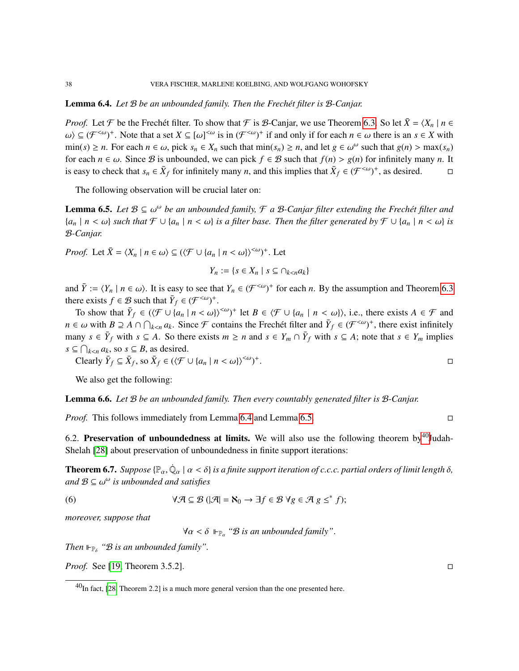### <span id="page-37-0"></span>Lemma 6.4. *Let* B *be an unbounded family. Then the Frech´et filter is* B*-Canjar.*

*Proof.* Let  $\mathcal F$  be the Frechet filter. To show that  $\mathcal F$  is  $\mathcal B$ -Canjar, we use Theorem [6.3.](#page-36-3) So let  $\bar X = \langle X_n | n \in \mathbb R$  $\omega$ )  $\subseteq$  ( $\mathcal{F}^{<\omega}$ )<sup>+</sup>. Note that a set  $X \subseteq [\omega]^{<\omega}$  is in ( $\mathcal{F}^{<\omega}$ )<sup>+</sup> if and only if for each  $n \in \omega$  there is an  $s \in X$  with min(c)  $> n$ . For each  $n \in \omega$  with the min(c)  $> n$  and let  $g \in \omega^{\omega}$  such tha  $\min(s) \ge n$ . For each  $n \in \omega$ , pick  $s_n \in X_n$  such that  $\min(s_n) \ge n$ , and let  $g \in \omega^{\omega}$  such that  $g(n) > \max(s_n)$  for each  $n \in \omega$ . Since  $\mathcal{B}$  is unbounded we can pick  $f \in \mathcal{B}$  such that  $f(n) > g(n)$  for infinitely many n. I for each  $n \in \omega$ . Since B is unbounded, we can pick  $f \in B$  such that  $f(n) > g(n)$  for infinitely many *n*. It is easy to check that  $\bar{x}_n \in \bar{X}_f$  for infinitely many *n*, and this implies that  $\bar{X}_f \in (\mathcal{F}^{<\omega})^+$ , as d is easy to check that  $s_n \in \bar{X}_f$  for infinitely many *n*, and this implies that  $\bar{X}_f \in (\mathcal{F}^{< \omega})^+$ , as desired.

The following observation will be crucial later on:

<span id="page-37-1"></span>**Lemma 6.5.** *Let*  $B \subseteq \omega^{\omega}$  *be an unbounded family,*  $\mathcal{F}$  *a*  $B$ *-Canjar filter extending the Frechét filter and*<br> $[a, |B \leq \omega]$  such that  $\mathcal{F} \cup \{a, |B \leq \omega\}$  is a filter hase. Then the filter concreted by  $\mathcal$ {*a<sup>n</sup>* <sup>|</sup> *<sup>n</sup>* < ω} *such that* F ∪ {*a<sup>n</sup>* <sup>|</sup> *<sup>n</sup>* < ω} *is a filter base. Then the filter generated by* F ∪ {*a<sup>n</sup>* <sup>|</sup> *<sup>n</sup>* < ω} *is* B*-Canjar.*

*Proof.* Let  $\bar{X} = \langle X_n | n \in \omega \rangle \subseteq (\langle \mathcal{F} \cup \{a_n | n < \omega\} \rangle^{<\omega})^+$ . Let

$$
Y_n := \{ s \in X_n \mid s \subseteq \cap_{k < n} a_k \}
$$

and  $\overline{Y} := \langle Y_n | n \in \omega \rangle$ . It is easy to see that  $Y_n \in (\mathcal{F}^{<\omega})^+$  for each *n*. By the assumption and Theorem [6.3](#page-36-3) there exists  $f \in \mathcal{P}$  such that  $\overline{Y} \subseteq (\mathcal{F}^{<\omega})^+$ there exists  $f \in \mathcal{B}$  such that  $\overline{Y}_f \in (\mathcal{F}^{<\omega})^+$ .

To show that  $\overline{Y}_f \in (\langle \mathcal{F} \cup \{a_n \mid n < \omega\} \rangle^{<\omega})^+$  let  $B \in \langle \mathcal{F} \cup \{a_n \mid n < \omega\} \rangle$ , i.e., there exists  $A \in \mathcal{F}$  and  $\overline{Y}_f \cap A \cap \overline{Y}_g \cap A \cap \overline{Y}_g$ . Since  $\mathcal{F}_g$  contains the Freehot filter and  $\overline{Y}_$ *n* ∈ ω with *B* ⊇ *A* ∩  $\bigcap_{k < n} a_k$ . Since *F* contains the Frechet filter and  $\overline{Y}_f \in (\mathcal{F}^{< \omega})^+$ , there exist infinitely *f*  $f$  many  $s \in \overline{Y}_f$  with  $s \subseteq A$ . So there exists  $m \ge n$  and  $s \in Y_m \cap \overline{Y}_f$  with  $s \subseteq A$ ; note that  $s \in Y_m$  implies  $s \subseteq \bigcap_{k < n} a_k$ , so  $s \subseteq B$ , as desired.

Clearly 
$$
\overline{Y}_f \subseteq \overline{X}_f
$$
, so  $\overline{X}_f \in (\langle \mathcal{F} \cup \{a_n \mid n < \omega\} \rangle^{<\omega})^+$ .

We also get the following:

<span id="page-37-5"></span>Lemma 6.6. *Let* B *be an unbounded family. Then every countably generated filter is* B*-Canjar.*

*Proof.* This follows immediately from Lemma [6.4](#page-37-0) and Lemma [6.5.](#page-37-1)

6.2. Preservation of unboundedness at limits. We will also use the following theorem by  $40$  Judah-Shelah [\[28\]](#page-54-22) about preservation of unboundedness in finite support iterations:

<span id="page-37-4"></span>**Theorem 6.7.** *Suppose*  $\{\mathbb{P}_{\alpha}, \dot{\mathbb{Q}}_{\alpha} \mid \alpha < \delta\}$  *is a finite support iteration of c.c.c. partial orders of limit length*  $\delta$ *,* and  $\mathbb{R} \subset \mathbb{Q}^{\omega}$  *is uphounded and satisfies and* B ⊆ ω <sup>ω</sup> *is unbounded and satisfies*

(6) 
$$
\forall \mathcal{A} \subseteq \mathcal{B} \ (\vert \mathcal{A} \vert = \aleph_0 \rightarrow \exists f \in \mathcal{B} \ \forall g \in \mathcal{A} \ g \leq^* f);
$$

*moreover, suppose that*

<span id="page-37-3"></span> $∀α < δ ⊢<sub>ℝ<sub>α</sub></sub> "B is an unbounded family".$ 

Then  $\mathbb{P}_{\delta}$  " $\mathcal{B}$  *is an unbounded family"*.

*Proof.* See [\[19,](#page-54-23) Theorem 3.5.2]. □

<span id="page-37-2"></span> $^{40}$ In fact, [\[28,](#page-54-22) Theorem 2.2] is a much more general version than the one presented here.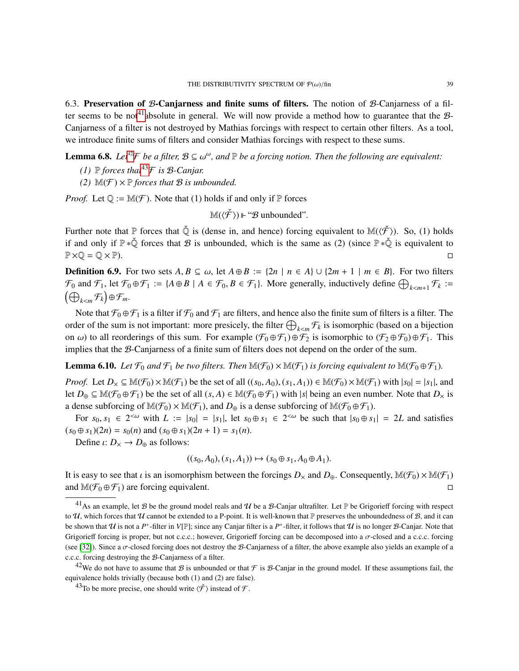<span id="page-38-0"></span>6.3. Preservation of B-Canjarness and finite sums of filters. The notion of B-Canjarness of a fil-ter seems to be not<sup>[41](#page-38-1)</sup>absolute in general. We will now provide a method how to guarantee that the  $\mathcal{B}$ -Canjarness of a filter is not destroyed by Mathias forcings with respect to certain other filters. As a tool, we introduce finite sums of filters and consider Mathias forcings with respect to these sums.

<span id="page-38-5"></span>**Lemma 6.8.** *Let<sup>[42](#page-38-2)</sup>* $\mathcal{F}$  *be a filter,*  $\mathcal{B} \subseteq \omega^{\omega}$ , and  $\mathbb{P}$  *be a forcing notion. Then the following are equivalent:* 

- *(1)*  $\mathbb P$  *forces that*<sup>[43](#page-38-3)</sup> $\mathcal F$  *is*  $\mathcal B$ *-Canjar.*
- *(2)*  $\mathbb{M}(\mathcal{F}) \times \mathbb{P}$  *forces that*  $\mathcal{B}$  *is unbounded.*

*Proof.* Let  $\mathbb{Q} := \mathbb{M}(\mathcal{F})$ . Note that (1) holds if and only if  $\mathbb{P}$  forces

$$
\mathbb{M}(\langle \check{\mathcal{F}} \rangle) \Vdash \text{``}\mathcal{B} \text{ unbounded''}.
$$

Further note that  $\mathbb P$  forces that  $\check{\mathbb Q}$  is (dense in, and hence) forcing equivalent to  $\mathbb M(\langle \check{\mathcal{F}} \rangle)$ . So, (1) holds if and only if  $\mathbb{P} * \check{\mathbb{Q}}$  forces that  $\mathcal B$  is unbounded, which is the same as (2) (since  $\mathbb{P} * \check{\mathbb{Q}}$  is equivalent to  $\mathbb{P} \times \mathbb{Q} = \mathbb{Q} \times \mathbb{P}$ .

<span id="page-38-6"></span>**Definition 6.9.** For two sets  $A, B \subseteq \omega$ , let  $A \oplus B := \{2n \mid n \in A\} \cup \{2m+1 \mid m \in B\}$ . For two filters  $\mathcal{F}_0$  and  $\mathcal{F}_1$ , let  $\mathcal{F}_0 \oplus \mathcal{F}_1 := \{A \oplus B \mid A \in \mathcal{F}_0, B \in \mathcal{F}_1\}$ . More generally, inductively define  $\bigoplus_{k \le m+1} \mathcal{F}_k :=$  $(A)$  $E_{k\leq m}$ F<sub>k</sub> $\bigoplus$   $\bigoplus$  F<sub>m</sub>.

Note that  $\mathcal{F}_0 \oplus \mathcal{F}_1$  is a filter if  $\mathcal{F}_0$  and  $\mathcal{F}_1$  are filters, and hence also the finite sum of filters is a filter. The order of the sum is not important: more presicely, the filter  $\bigoplus_{k\leq m} \mathcal{F}_k$  is isomorphic (based on a bijection onder of the sum is not important. Inote presidely, the liner  $\bigcup_{k \leq m} \gamma_k$  is isomorphic (based on a origention<br>on  $\omega$ ) to all reorderings of this sum. For example  $(\mathcal{F}_0 \oplus \mathcal{F}_1) \oplus \mathcal{F}_2$  is isomorphic to  $(\mathcal{$ implies that the B-Canjarness of a finite sum of filters does not depend on the order of the sum.

<span id="page-38-4"></span>**Lemma 6.10.** Let  $\mathcal{F}_0$  and  $\mathcal{F}_1$  be two filters. Then  $\mathbb{M}(\mathcal{F}_0) \times \mathbb{M}(\mathcal{F}_1)$  is forcing equivalent to  $\mathbb{M}(\mathcal{F}_0 \oplus \mathcal{F}_1)$ .

*Proof.* Let  $D_\times \subseteq M(\mathcal{F}_0) \times M(\mathcal{F}_1)$  be the set of all  $((s_0, A_0), (s_1, A_1)) \in M(\mathcal{F}_0) \times M(\mathcal{F}_1)$  with  $|s_0| = |s_1|$ , and let  $D_{\oplus} \subseteq \mathbb{M}(\mathcal{F}_0 \oplus \mathcal{F}_1)$  be the set of all  $(s, A) \in \mathbb{M}(\mathcal{F}_0 \oplus \mathcal{F}_1)$  with |s| being an even number. Note that  $D_{\times}$  is a dense subforcing of  $\mathbb{M}(\mathcal{F}_0) \times \mathbb{M}(\mathcal{F}_1)$ , and  $D_{\oplus}$  is a dense subforcing of  $\mathbb{M}(\mathcal{F}_0 \oplus \mathcal{F}_1)$ .

For  $s_0$ ,  $s_1 \in 2^{&\omega}$  with  $L := |s_0| = |s_1|$ , let  $s_0 \oplus s_1 \in 2^{&\omega}$  be such that  $|s_0 \oplus s_1| = 2L$  and satisfies  $(s_0 \oplus s_1)(2n) = s_0(n)$  and  $(s_0 \oplus s_1)(2n + 1) = s_1(n)$ .

Define  $\iota: D_{\times} \to D_{\oplus}$  as follows:

$$
((s_0, A_0), (s_1, A_1)) \mapsto (s_0 \oplus s_1, A_0 \oplus A_1).
$$

It is easy to see that *i* is an isomorphism between the forcings  $D_{\times}$  and  $D_{\oplus}$ . Consequently,  $\mathbb{M}(\mathcal{F}_0) \times \mathbb{M}(\mathcal{F}_1)$ <br>and  $\mathbb{M}(\mathcal{F}_0 \oplus \mathcal{F}_1)$  are forcing equivalent. and  $\mathbb{M}(\mathcal{F}_0 \oplus \mathcal{F}_1)$  are forcing equivalent.

<span id="page-38-1"></span><sup>&</sup>lt;sup>41</sup>As an example, let  $\mathcal B$  be the ground model reals and  $\mathcal U$  be a  $\mathcal B$ -Canjar ultrafilter. Let  $\mathbb P$  be Grigorieff forcing with respect to U, which forces that U cannot be extended to a P-point. It is well-known that P preserves the unboundedness of B, and it can be shown that U is not a P<sup>+</sup>-filter in V[P]; since any Canjar filter is a P<sup>+</sup>-filter, it follows that U is no longer B-Canjar. Note that Grigorieff forcing is proper, but not c.c.c.; however, Grigorieff forcing can be decomposed into a σ-closed and a c.c.c. forcing (see [\[32\]](#page-55-6)). Since a σ-closed forcing does not destroy the <sup>B</sup>-Canjarness of a filter, the above example also yields an example of a c.c.c. forcing destroying the B-Canjarness of a filter.

<span id="page-38-2"></span><sup>&</sup>lt;sup>42</sup>We do not have to assume that B is unbounded or that F is B-Canjar in the ground model. If these assumptions fail, the equivalence holds trivially (because both (1) and (2) are false).

<span id="page-38-3"></span><sup>&</sup>lt;sup>43</sup>To be more precise, one should write  $\langle \check{\mathcal{F}} \rangle$  instead of  $\mathcal{F}$ .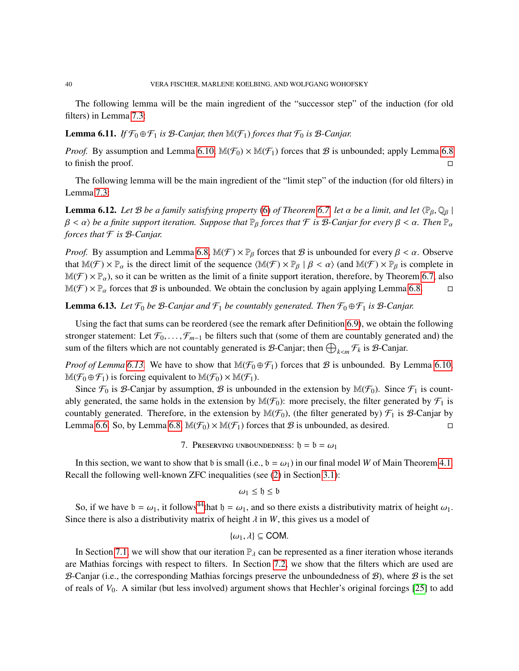The following lemma will be the main ingredient of the "successor step" of the induction (for old filters) in Lemma [7.3:](#page-43-0)

# <span id="page-39-2"></span>**Lemma 6.11.** *If*  $\mathcal{F}_0 \oplus \mathcal{F}_1$  *is*  $\mathcal{B}$ *-Canjar, then*  $\mathbb{M}(\mathcal{F}_1)$  *forces that*  $\mathcal{F}_0$  *is*  $\mathcal{B}$ *-Canjar.*

*Proof.* By assumption and Lemma [6.10,](#page-38-4)  $\mathbb{M}(\mathcal{F}_0) \times \mathbb{M}(\mathcal{F}_1)$  forces that B is unbounded; apply Lemma [6.8](#page-38-5) to finish the proof.  $\Box$ 

The following lemma will be the main ingredient of the "limit step" of the induction (for old filters) in Lemma [7.3:](#page-43-0)

<span id="page-39-3"></span>**Lemma 6.12.** *Let* B *be a family satisfying property* [\(6\)](#page-37-3) *of Theorem* [6.7,](#page-37-4) *let*  $\alpha$  *be a limit, and let*  $\langle \mathbb{P}_\beta, \mathbb{Q}_\beta |$  $\beta < \alpha$ ) be a finite support iteration. Suppose that  $\mathbb{P}_\beta$  forces that  $\mathcal F$  is  $\mathcal B$ -Canjar for every  $\beta < \alpha$ . Then  $\mathbb{P}_\alpha$ *forces that* F *is* B*-Canjar.*

*Proof.* By assumption and Lemma [6.8,](#page-38-5)  $\mathbb{M}(\mathcal{F}) \times \mathbb{P}_{\beta}$  forces that  $\mathcal{B}$  is unbounded for every  $\beta < \alpha$ . Observe that  $\mathbb{M}(\mathcal{F}) \times \mathbb{P}_{\alpha}$  is the direct limit of the sequence  $\langle \mathbb{M}(\mathcal{F}) \times \mathbb{P}_{\beta} | \beta < \alpha \rangle$  (and  $\mathbb{M}(\mathcal{F}) \times \mathbb{P}_{\beta}$  is complete in  $M(\mathcal{F}) \times \mathbb{P}_{\alpha}$ , so it can be written as the limit of a finite support iteration, therefore, by Theorem [6.7,](#page-37-4) also  $M(\mathcal{F}) \times \mathbb{P}_{\alpha}$  forces that  $\mathcal{B}$  is unbounded. We obtain the conclusion by again applying Lem  $\mathbb{M}(\mathcal{F}) \times \mathbb{P}_{\alpha}$  forces that  $\mathcal B$  is unbounded. We obtain the conclusion by again applying Lemma [6.8.](#page-38-5)

<span id="page-39-1"></span>**Lemma 6.13.** *Let*  $\mathcal{F}_0$  *be*  $\mathcal{B}$ *-Canjar and*  $\mathcal{F}_1$  *be countably generated. Then*  $\mathcal{F}_0 \oplus \mathcal{F}_1$  *is*  $\mathcal{B}$ *-Canjar.* 

Using the fact that sums can be reordered (see the remark after Definition [6.9\)](#page-38-6), we obtain the following stronger statement: Let  $\mathcal{F}_0, \ldots, \mathcal{F}_{m-1}$  be filters such that (some of them are countably generated and) the sum of the filters which are not countably generated is B-Canjar; then  $\bigoplus_{k \le m} \mathcal{F}_k$  is B-Canjar.

*Proof of Lemma* [6.13.](#page-39-1) We have to show that  $\mathbb{M}(\mathcal{F}_0 \oplus \mathcal{F}_1)$  forces that B is unbounded. By Lemma [6.10,](#page-38-4)  $\mathbb{M}(\mathcal{F}_0 \oplus \mathcal{F}_1)$  is forcing equivalent to  $\mathbb{M}(\mathcal{F}_0) \times \mathbb{M}(\mathcal{F}_1)$ .

Since  $\mathcal{F}_0$  is B-Canjar by assumption, B is unbounded in the extension by  $\mathbb{M}(\mathcal{F}_0)$ . Since  $\mathcal{F}_1$  is countably generated, the same holds in the extension by  $\mathbb{M}(\mathcal{F}_0)$ : more precisely, the filter generated by  $\mathcal{F}_1$  is countably generated. Therefore, in the extension by  $\mathbb{M}(\mathcal{F}_0)$ , (the filter generated by)  $\mathcal{F}_1$  is  $\mathcal{B}$ -Canjar by Lemma [6.6.](#page-37-5) So, by Lemma [6.8,](#page-38-5)  $\mathbb{M}(\mathcal{F}_0) \times \mathbb{M}(\mathcal{F}_1)$  forces that  $\mathcal B$  is unbounded, as desired.

7. PRESERVING UNBOUNDEDNESS:  $h = b = \omega_1$ 

<span id="page-39-0"></span>In this section, we want to show that b is small (i.e.,  $b = \omega_1$ ) in our final model *W* of Main Theorem [4.1.](#page-13-0) Recall the following well-known ZFC inequalities (see [\(2\)](#page-8-0) in Section [3.1\)](#page-7-0):

$$
\omega_1 \leq \mathfrak{h} \leq \mathfrak{b}
$$

So, if we have  $b = \omega_1$ , it follows<sup>[44](#page-40-1)</sup>that  $b = \omega_1$ , and so there exists a distributivity matrix of height  $\omega_1$ . Since there is also a distributivity matrix of height  $\lambda$  in *W*, this gives us a model of

$$
\{\omega_1,\lambda\}\subseteq\mathsf{COM}.
$$

In Section [7.1,](#page-40-0) we will show that our iteration  $\mathbb{P}_{\lambda}$  can be represented as a finer iteration whose iterands are Mathias forcings with respect to filters. In Section [7.2,](#page-42-0) we show that the filters which are used are B-Canjar (i.e., the corresponding Mathias forcings preserve the unboundedness of  $B$ ), where  $B$  is the set of reals of *V*0. A similar (but less involved) argument shows that Hechler's original forcings [\[25\]](#page-54-0) to add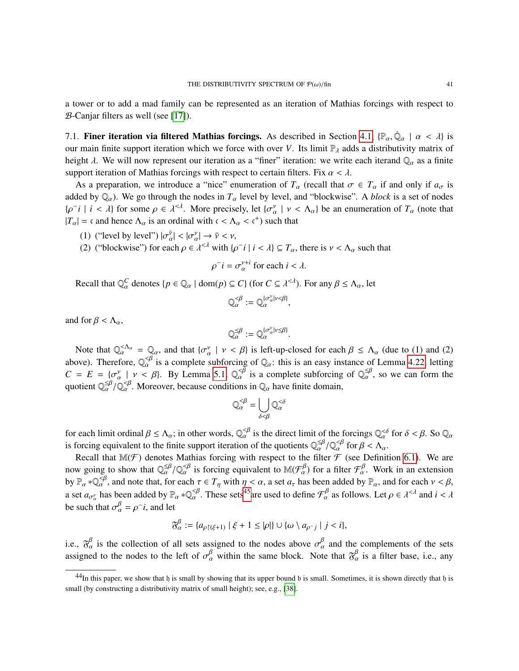a tower or to add a mad family can be represented as an iteration of Mathias forcings with respect to  $B$ -Canjar filters as well (see [\[17\]](#page-54-10)).

<span id="page-40-0"></span>7.1. **Finer iteration via filtered Mathias forcings.** As described in Section [4.1,](#page-15-0)  $\{\mathbb{P}_{\alpha}, \dot{\mathbb{Q}}_{\alpha} \mid \alpha < \lambda\}$  is our main finite support iteration which we force with over *V*. Its limit  $\mathbb{P}_{\alpha}$  adds a distribu our main finite support iteration which we force with over *V*. Its limit  $\mathbb{P}_{\lambda}$  adds a distributivity matrix of height  $\lambda$ . We will now represent our iteration as a "finer" iteration: we write each iterand  $\mathbb{Q}_\alpha$  as a finite support iteration of Mathias forcings with respect to certain filters. Fix  $\alpha < \lambda$ .

As a preparation, we introduce a "nice" enumeration of  $T_\alpha$  (recall that  $\sigma \in T_\alpha$  if and only if  $a_\sigma$  is added by  $\mathbb{Q}_\alpha$ ). We go through the nodes in  $T_\alpha$  level by level, and "blockwise". A *block* is a set of nodes  ${\rho \circ i \mid i < \lambda}$  for some  $\rho \in \lambda^{<\lambda}$ . More precisely, let  ${\sigma_{\alpha}^{\nu} \mid \nu < \Lambda_{\alpha}}$  be an enumeration of  $T_{\alpha}$  (note that  $|T_{\alpha}| = c$  and hence  $\Lambda_{\alpha}$  is an ordinal with  $c < \Lambda_{\alpha} < c^{+}$ ) such that

- (1) ("level by level")  $|\sigma_{\alpha}^{\bar{\nu}}| < |\sigma_{\alpha}^{\nu}| \rightarrow \bar{\nu} < \nu$ ,<br>(2) ("blookurise") for each  $\epsilon \in \mathbb{R}^{\leq d}$  with  $\epsilon$
- (2) ("blockwise") for each  $\rho \in \lambda^{<\lambda}$  with  $\{\rho \cap i \mid i < \lambda\} \subseteq T_\alpha$ , there is  $\nu < \Lambda_\alpha$  such that

 $\hat{i} = \sigma_{\alpha}^{v+i}$  for each  $i < \lambda$ .

Recall that  $\mathbb{Q}_{\alpha}^C$  denotes {*p*  $\in \mathbb{Q}_{\alpha}$  | dom(*p*)  $\subseteq C$ } (for  $C \subseteq \lambda^{<\lambda}$ ). For any  $\beta \leq \Lambda_{\alpha}$ , let

$$
\mathbb{Q}_{\alpha}^{\leq \beta} := \mathbb{Q}_{\alpha}^{\{\sigma_{\alpha}^{\gamma}| \gamma \leq \beta\}},
$$

and for  $\beta < \Lambda_{\alpha}$ ,

$$
\mathbb{Q}_{\alpha}^{\leq\beta}:=\mathbb{Q}_{\alpha}^{\{\sigma^\nu_\alpha|\nu\leq\beta\}}.
$$

 $\mathbb{Q}_{\alpha}^{\leq \beta} := \mathbb{Q}_{\alpha}^{\{\sigma_{\alpha}^{\gamma}\} \leq \beta\}}.$ <br>Note that  $\mathbb{Q}_{\alpha}^{<\Lambda_{\alpha}} = \mathbb{Q}_{\alpha}$ , and that  $\{\sigma_{\alpha}^{\gamma} \mid \gamma < \beta\}$  is left-up-closed for each  $\beta \leq \Lambda_{\alpha}$  (due to (1) and (2) and (2) above). Therefore,  $\mathbb{Q}_{\alpha}^{\leq \beta}$  is a complete subforcing of  $\mathbb{Q}_{\alpha}$ : this is an easy instance of Lemma [4.22,](#page-23-0) letting  $C = E = (\alpha^{\gamma} + \alpha \leq \beta)$ . By Lamma 5.1.  $\mathbb{Q}^{\leq \beta}$  is a complete subforcing of  $\mathbb{Q}^{\leq \beta$  $C = E = \{ \sigma_{\alpha}^{\nu} \mid \nu \langle \beta \rangle \}$ . By Lemma [5.1,](#page-25-4)  $\mathbb{Q}_{\alpha}^{\langle \beta \rangle}$  is a complete subforcing of  $\mathbb{Q}_{\alpha}^{\leq \beta}$ , so we can form the quotient  $\mathbb{Q}_{\beta}^{\leq \beta}$ . Moreover, because conditions in  $\mathbb{Q}_{\alpha}$ , beye finite do quotient  $\mathbb{Q}_{\alpha}^{\leq\beta}/\mathbb{Q}_{\alpha}^{\leq\beta}$ . Moreover, because conditions in  $\mathbb{Q}_{\alpha}$  have finite domain,

$$
\mathbb{Q}_{\alpha}^{\leq \beta} = \bigcup_{\delta < \beta} \mathbb{Q}_{\alpha}^{\leq \delta}
$$

for each limit ordinal  $\beta \leq \Lambda_{\alpha}$ ; in other words,  $\mathbb{Q}_{\alpha}^{<\beta}$  is the direct limit of the forcings  $\mathbb{Q}_{\alpha}^{<\delta}$  for  $\delta < \beta$ . So  $\mathbb{Q}_{\alpha}$ is forcing equivalent to the finite support iteration of the quotients  $\mathbb{Q}_{\alpha}^{\leq \beta} / \mathbb{Q}_{\alpha}^{< \beta}$  for  $\beta < \Lambda_{\alpha}$ .<br>Possell that  $\mathbb{M}(\mathcal{F})$  denotes Methics forcing with respect to the filter  $\mathcal{F}$  (see Defini

Recall that  $\mathbb{M}(\mathcal{F})$  denotes Mathias forcing with respect to the filter  $\mathcal F$  (see Definition [6.1\)](#page-36-1). We are now going to show that  $\mathbb{Q}_{\alpha}^{\leq\beta}/\mathbb{Q}_{\alpha}^{<\beta}$  is forcing equivalent to  $\mathbb{M}(\mathcal{F}_{\alpha}^{\beta})$  for a filter  $\mathcal{F}_{\alpha}^{\beta}$ . Work in an extension by  $\mathbb{R}^n \to \mathbb{Q}^{\leq\beta}$  and note that for each  $\pi \in \mathcal{F}_\alpha$ , by  $\mathbb{P}_{\alpha} * \mathbb{Q}_{\alpha}^{\lt \beta}$ , and note that, for each  $\tau \in T_{\eta}$  with  $\eta < \alpha$ , a set  $a_{\tau}$  has been added by  $\mathbb{P}_{\alpha}$ , and for each  $\nu < \beta$ , a set  $a_{\sigma^{\gamma}_{\alpha}}$  has been added by  $\mathbb{P}_{\alpha} * \mathbb{Q}_{\alpha}^{\prec \beta}$ . These sets<sup>45</sup>are used to define  $\mathcal{F}_{\alpha}^{\beta}$  as follows. Let  $\rho \in \lambda^{<\lambda}$  and  $i < \lambda$ be such that  $\sigma_{\alpha}^{\beta} = \rho^{\gamma} i$ , and let

$$
\mathfrak{F}_{\alpha}^{\beta} := \{ a_{\rho \upharpoonright (\xi+1)} \mid \xi+1 \leq |\rho| \} \cup \{ \omega \setminus a_{\rho \cap j} \mid j < i \},\
$$

i.e.,  $\mathfrak{F}_{\alpha}^{\beta}$  is the collection of all sets assigned to the nodes above  $\sigma_{\alpha}^{\beta}$  and the complements of the sets assigned to the nodes to the left of  $\sigma_{\beta}^{\beta}$  within the seme block. Note that  $\mathfrak{F}_{\beta}^$ assigned to the nodes to the left of  $\sigma_{\alpha}^{\beta}$  within the same block. Note that  $\mathfrak{F}_{\alpha}^{\beta}$  is a filter base, i.e., any

<span id="page-40-1"></span> $^{44}$ In this paper, we show that h is small by showing that its upper bound b is small. Sometimes, it is shown directly that h is small (by constructing a distributivity matrix of small height); see, e.g., [\[38\]](#page-55-7).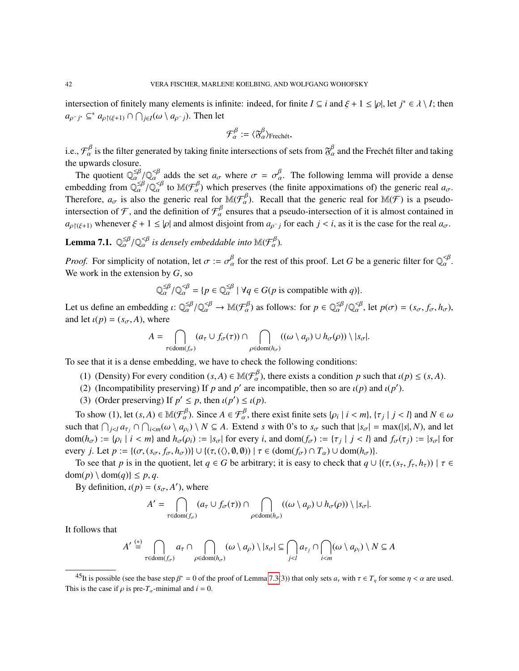intersection of finitely many elements is infinite: indeed, for finite  $I \subseteq i$  and  $\xi + 1 \leq |\rho|$ , let  $j^* \in \lambda \setminus I$ ; then  $a_{\rho \cap j^*} \subseteq^* a_{\rho \upharpoonright (\xi+1)} \cap \bigcap_{j \in I} (\omega \setminus a_{\rho \cap j})$ . Then let

$$
\mathcal{F}_{\alpha}^{\beta} := \langle \mathfrak{F}_{\alpha}^{\beta} \rangle_{\text{Frechét}},
$$

i.e.,  $\mathcal{F}_{\alpha}^{\beta}$  is the filter generated by taking finite intersections of sets from  $\mathfrak{F}_{\alpha}^{\beta}$  and the Frechet filter and taking the upwards closure.

The quotient  $\mathbb{Q}_{\alpha}^{\leq\beta}/\mathbb{Q}_{\alpha}^{\leq\beta}$  adds the set  $a_{\sigma}$  where  $\sigma = \sigma_{\alpha}^{\beta}$ . The following lemma will provide a dense The quotient  $\mathbb{Q}_{\alpha}^{\leq \rho}/\mathbb{Q}_{\alpha}^{\leq \rho}$  adds the set  $a_{\sigma}$  where  $\sigma = \sigma_{\alpha}^{\rho}$ . The following lemma will provide a dense<br>embedding from  $\mathbb{Q}_{\alpha}^{\leq \beta}/\mathbb{Q}_{\alpha}^{\leq \beta}$  to  $\mathbb{M}(\mathcal{F}_{\alpha}^{\beta})$  which preserv Therefore,  $a_{\sigma}$  is also the generic real for  $\mathbb{M}(\mathcal{F}_{\alpha}^{\beta})$ . Recall that the generic real for  $\mathbb{M}(\mathcal{F})$  is a pseudo-<br>intersection of  $\mathcal{T}$  and the definition of  $\mathcal{F}_{\alpha}^{\beta}$  suppose that a possed inter intersection of  $\mathcal{F}$ , and the definition of  $\mathcal{F}^{\beta}_{\alpha}$  ensures that a pseudo-intersection of it is almost contained in  $a_{\rho}(\xi+1)$  whenever  $\xi + 1 \leq |\rho|$  and almost disjoint from  $a_{\rho}$  *j* for each  $j < i$ , as it is the case for the real  $a_{\sigma}$ .

<span id="page-41-1"></span>**Lemma 7.1.**  $\mathbb{Q}_{\alpha}^{\leq\beta}/\mathbb{Q}_{\alpha}^{\leq\beta}$  is densely embeddable into  $\mathbb{M}(\mathcal{F}_{\alpha}^{\beta})$ .

*Proof.* For simplicity of notation, let  $\sigma := \sigma_{\alpha}^{\beta}$  for the rest of this proof. Let *G* be a generic filter for  $\mathbb{Q}_{\alpha}^{\prec\beta}$ . We work in the extension by *G*, so

$$
\mathbb{Q}_{\alpha}^{\leq \beta} / \mathbb{Q}_{\alpha}^{\leq \beta} = \{ p \in \mathbb{Q}_{\alpha}^{\leq \beta} \mid \forall q \in G(p \text{ is compatible with } q) \}.
$$

Let us define an embedding  $\iota: \mathbb{Q}_{\alpha}^{\leq \beta}/\mathbb{Q}_{\alpha}^{\leq \beta} \to \mathbb{M}(\mathcal{F}_{\alpha}^{\beta})$  as follows: for  $p \in \mathbb{Q}_{\alpha}^{\leq \beta}/\mathbb{Q}_{\alpha}^{\leq \beta}$ , let  $p(\sigma) = (s_{\sigma}, f_{\sigma}, h_{\sigma})$ , and let  $\iota(n) = (s_{\alpha}, f_{\alpha}, h_{\alpha})$ and let  $\iota(p) = (s_{\sigma}, A)$ , where

$$
A = \bigcap_{\tau \in \text{dom}(f_{\sigma})} (a_{\tau} \cup f_{\sigma}(\tau)) \cap \bigcap_{\rho \in \text{dom}(h_{\sigma})} ((\omega \setminus a_{\rho}) \cup h_{\sigma}(\rho)) \setminus |s_{\sigma}|.
$$

To see that it is a dense embedding, we have to check the following conditions:

- (1) (Density) For every condition  $(s, A) \in M(\mathcal{F}_{\alpha}^{\beta})$ , there exists a condition *p* such that  $\iota(p) \leq (s, A)$ .<br>(2) (Incompatibility preserving) If a and  $p'$  are incompatible, then so are  $\iota(p)$  and  $\iota(p')$ .
- (2) (Incompatibility preserving) If *p* and *p'* are incompatible, then so are  $\iota(p)$  and  $\iota(p')$ .<br>(3) (Order preserving) If  $p' \leq p$  then  $\iota(p') \leq \iota(p)$
- (3) (Order preserving) If  $p' \le p$ , then  $\iota(p') \le \iota(p)$ .

To show (1), let  $(s, A) \in \mathbb{M}(\mathcal{F}_{\alpha}^{\beta})$ . Since  $A \in \mathcal{F}_{\alpha}^{\beta}$ , there exist finite sets  $\{\rho_i \mid i < m\}$ ,  $\{\tau_j \mid j < l\}$  and  $N \in \omega$ such that  $\bigcap_{j < l} a_{\tau_j} \cap \bigcap_{i < m} (\omega \setminus a_{\rho_i}) \setminus N \subseteq A$ . Extend *s* with 0's to  $s_{\sigma}$  such that  $|s_{\sigma}| = \max(|s|, N)$ , and let  $\dim(k) := [s_{\sigma}]$  is  $\sigma \in A$  and  $f_{\sigma}(x) := [s_{\sigma}]$  for dom( $h_{\sigma}$ ) := { $\rho_i$  |  $i < m$ } and  $h_{\sigma}(\rho_i) := |s_{\sigma}|$  for every *i*, and dom( $f_{\sigma}$ ) := { $\tau_j$  |  $j < l$ } and  $f_{\sigma}(\tau_j) := |s_{\sigma}|$  for every *j*. Let  $p := \{(\sigma, (s_{\sigma}, f_{\sigma}, h_{\sigma}))\} \cup \{(\tau, (\langle), \emptyset, \emptyset \rangle) | \tau \in (\text{dom}(f_{\sigma}) \cap T_{\alpha}) \cup \text{dom}(h_{\sigma})\}.$ 

To see that *p* is in the quotient, let  $q \in G$  be arbitrary; it is easy to check that  $q \cup \{(\tau, (s_\tau, f_\tau, h_\tau)) | \tau \in G\}$  $dom(p) \setminus dom(q) \leq p, q.$ 

By definition,  $\iota(p) = (s_{\sigma}, A')$ , where

$$
A' = \bigcap_{\tau \in \text{dom}(f_{\sigma})} (a_{\tau} \cup f_{\sigma}(\tau)) \cap \bigcap_{\rho \in \text{dom}(h_{\sigma})} ((\omega \setminus a_{\rho}) \cup h_{\sigma}(\rho)) \setminus |s_{\sigma}|.
$$

It follows that

$$
A' \stackrel{(*)}{=} \bigcap_{\tau \in \text{dom}(f_{\sigma})} a_{\tau} \cap \bigcap_{\rho \in \text{dom}(h_{\sigma})} (\omega \setminus a_{\rho}) \setminus |s_{\sigma}| \subseteq \bigcap_{j < l} a_{\tau_j} \cap \bigcap_{i < m} (\omega \setminus a_{\rho_i}) \setminus N \subseteq A
$$

<span id="page-41-0"></span><sup>&</sup>lt;sup>45</sup>It is possible (see the base step  $\beta^* = 0$  of the proof of Lemma [7.3\(](#page-43-0)3)) that only sets  $a_{\tau}$  with  $\tau \in T_{\eta}$  for some  $\eta < \alpha$  are used. This is the case if  $\rho$  is pre- $T_\alpha$ -minimal and  $i = 0$ .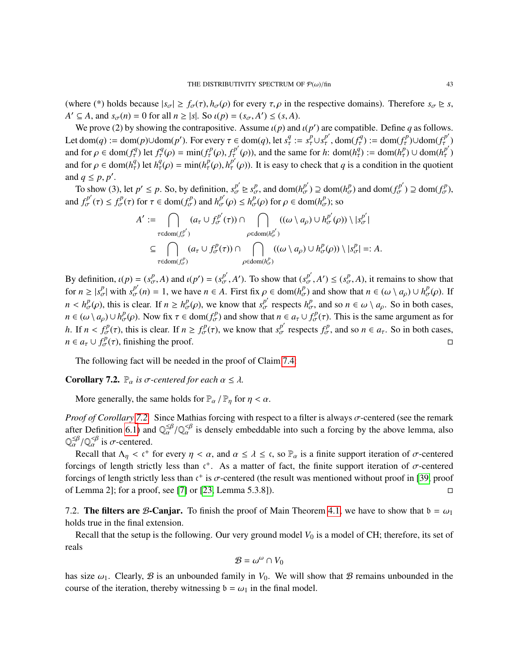(where (\*) holds because  $|s_{\sigma}| \ge f_{\sigma}(\tau)$ ,  $h_{\sigma}(\rho)$  for every  $\tau, \rho$  in the respective domains). Therefore  $s_{\sigma} \ge s$ , *A*<sup> $\prime$ </sup>  $\subseteq$  *A*, and *s<sub>σ</sub>*(*n*) = 0 for all *n*  $\ge$  |*s*|. So *ι*(*p*) = (*s<sub>σ</sub>*, *A*<sup> $\prime$ </sup>)  $\le$  (*s*, *A*).<br>We prove (2) by showing the contrapositive. Assume *i*(*n*) and

We prove (2) by showing the contrapositive. Assume  $\iota(p)$  and  $\iota(p')$  are compatible. Define *q* as follows.<br>  $\iota$  dom(*a*) in dom(*n*) idom(*n*). For given  $\tau \in \text{dom}(a)$  let  $\tau^q$  in  $\epsilon^{p'}$  dom( $\epsilon^{q'}$ ) in dom( $\epsilon^{p'}$ Let dom(q) := dom(p) $\cup$ dom(p'). For every  $\tau \in \text{dom}(q)$ , let  $s_\tau^q := s_\tau^p \cup s_\tau^{p'}$ , dom( $f_\tau^q$ ) := dom( $f_\tau^p$ ) $\cup$ dom( $f_\tau^{p'}$ ) and for  $\rho \in \text{dom}(f_\tau^q)$  let  $f_\tau^q(\rho) = \min(f_\tau^p(\rho), f_\tau^{p'}(\rho))$ , and the same for h:  $\text{dom}(h_\tau^q) := \text{dom}(h_\tau^p) \cup \text{dom}(h_\tau^{p'})$ and for  $\rho \in \text{dom}(h_\tau^q)$  let  $h_\tau^q(\rho) = \min(h_\tau^p(\rho), h_\tau^{p'}(\rho))$ . It is easy to check that q is a condition in the quoties  $\eta$ <sup>q</sup>) let  $h^q_\tau$  $t^q_\tau(\rho) = \min(h^p_\tau)$  $\frac{p}{\tau}(\rho), h_{\tau}^{p'}$  $_{\tau}^{p}(\rho)$ ). It is easy to check that *q* is a condition in the quotient and  $q \leq p, p'$ .<br>To show (3)

To show (3), let  $p' \le p$ . So, by definition,  $s_\sigma^{p'} \ge s_\sigma^p$ , and  $dom(h_\sigma^{p'}) \supseteq dom(h_\sigma^p)$  and  $dom(f_\sigma^{p'}) \supseteq dom(f_\sigma^p)$ , and  $f_{\sigma}^{p'}(\tau) \leq f_{\sigma}^{p}(\tau)$  for  $\tau \in \text{dom}(f_{\sigma}^{p})$  and  $h_{\sigma}^{p'}(\rho) \leq h_{\sigma}^{p}(\rho)$  for  $\rho \in \text{dom}(h_{\sigma}^{p})$ ; so

$$
A' := \bigcap_{\tau \in \text{dom}(f_{\sigma}^{p'})} (a_{\tau} \cup f_{\sigma}^{p'}(\tau)) \cap \bigcap_{\rho \in \text{dom}(h_{\sigma}^{p'})} ((\omega \setminus a_{\rho}) \cup h_{\sigma}^{p'}(\rho)) \setminus |s_{\sigma}^{p'}|
$$
  

$$
\subseteq \bigcap_{\tau \in \text{dom}(f_{\sigma}^{p})} (a_{\tau} \cup f_{\sigma}^{p}(\tau)) \cap \bigcap_{\rho \in \text{dom}(h_{\sigma}^{p})} ((\omega \setminus a_{\rho}) \cup h_{\sigma}^{p}(\rho)) \setminus |s_{\sigma}^{p}| =: A.
$$

By definition,  $\iota(p) = (s_{\sigma}^p, A)$  and  $\iota(p') = (s_{\sigma}^{p'}, A')$ . To show that  $(s_{\sigma}^{p'}, A') \leq (s_{\sigma}^p, A)$ , it remains to show that for  $n \ge |s^p_{\sigma}|$  with  $s^p_{\sigma}(n) = 1$ , we have  $n \in A$ . First fix  $\rho \in \text{dom}(h^p_{\sigma})$  and show that  $n \in (\omega \setminus a_{\rho}) \cup h^p_{\sigma}(\rho)$ . If  $n < h^p_\sigma(\rho)$ , this is clear. If  $n \ge h^p_\sigma(\rho)$ , we know that  $s^{p'}_\sigma$  respects  $h^p_\sigma$ , and so  $n \in \omega \setminus a_\rho$ . So in both cases,  $n \in (\omega \setminus a_\rho) \cup h_\sigma^p(\rho)$ . Now fix  $\tau \in \text{dom}(f_\sigma^p)$  and show that  $n \in a_\tau \cup f_\sigma^p(\tau)$ . This is the same argument as for *h*. If  $n < f^p_{\sigma}(\tau)$ , this is clear. If  $n \ge f^p_{\sigma}(\tau)$ , we know that  $s^p_{\sigma}$  respects  $f^p_{\sigma}$ , and so  $n \in a_{\tau}$ . So in both cases, *n* ∈ *a*<sub>τ</sub> ∪  $f_{\sigma}^{p}(\tau)$ , finishing the proof.

The following fact will be needed in the proof of Claim [7.4:](#page-44-0)

<span id="page-42-1"></span>**Corollary 7.2.**  $\mathbb{P}_{\alpha}$  *is*  $\sigma$ -centered for each  $\alpha \leq \lambda$ .

More generally, the same holds for  $\mathbb{P}_{\alpha}$  /  $\mathbb{P}_{\eta}$  for  $\eta < \alpha$ .

*Proof of Corollary [7.2.](#page-42-1)* Since Mathias forcing with respect to a filter is always σ-centered (see the remark after Definition [6.1\)](#page-36-1) and  $\mathbb{Q}_{\alpha}^{\leq\beta}/\mathbb{Q}_{\alpha}^{<\beta}$  is densely embeddable into such a forcing by the above lemma, also  $\mathbb{Q}_{\alpha}^{\leq\beta}/\mathbb{Q}_{\alpha}^{<\beta}$  is  $\pi$  contared  $\mathbb{Q}_{\alpha}^{\leq\beta}/\mathbb{Q}_{\alpha}^{<\beta}$  is  $\sigma$ -centered.<br>Possil that  $\Lambda \leq \epsilon^+$ .

Recall that  $\Lambda_{\eta} < c^{+}$  for every  $\eta < \alpha$ , and  $\alpha \leq \lambda \leq c$ , so  $\mathbb{P}_{\alpha}$  is a finite support iteration of  $\sigma$ -centered raings of langth strictly less than  $c^{+}$ . As a matter of feet, the finite support iteration o forcings of length strictly less than  $c^+$ . As a matter of fact, the finite support iteration of  $\sigma$ -centered<br>forcings of length strictly less than  $c^+$  is  $\sigma$  centered (the result was mantioned without proof in [30, forcings of length strictly less than  $c^+$  is  $\sigma$ -centered (the result was mentioned without proof in [\[39,](#page-55-8) proof<br>of Lamma 2); for a proof see [7] or [23, Lamma 5, 3, 81) of Lemma 2]; for a proof, see [\[7\]](#page-54-24) or [\[23,](#page-54-25) Lemma 5.3.8]).

<span id="page-42-0"></span>7.2. The filters are B-Canjar. To finish the proof of Main Theorem [4.1,](#page-13-0) we have to show that  $b = \omega_1$ holds true in the final extension.

Recall that the setup is the following. Our very ground model  $V_0$  is a model of CH; therefore, its set of reals

$$
\mathcal{B}=\omega^\omega\cap V_0
$$

has size  $\omega_1$ . Clearly, B is an unbounded family in  $V_0$ . We will show that B remains unbounded in the course of the iteration, thereby witnessing  $b = \omega_1$  in the final model.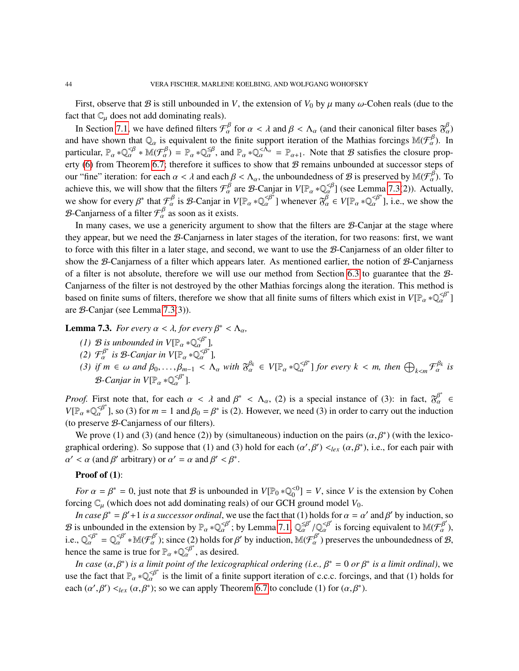First, observe that B is still unbounded in *V*, the extension of  $V_0$  by  $\mu$  many  $\omega$ -Cohen reals (due to the fact that  $\mathbb{C}_{\mu}$  does not add dominating reals).

In Section [7.1,](#page-40-0) we have defined filters  $\mathcal{F}_{\alpha}^{\beta}$  for  $\alpha < \lambda$  and  $\beta < \Lambda_{\alpha}$  (and their canonical filter bases  $\mathfrak{F}_{\alpha}^{\beta}$ ) and have shown that  $\mathbb{Q}_\alpha$  is equivalent to the finite support iteration of the Mathias forcings  $\mathbb{M}(\mathcal{F}_\alpha^\beta)$ . In particular,  $\mathbb{P}_{\alpha} * \mathbb{Q}_{\alpha}^{\leq \beta} * \mathbb{M}(\mathcal{F}_{\alpha}^{\beta}) = \mathbb{P}_{\alpha} * \mathbb{Q}_{\alpha}^{\leq \beta}$ , and  $\mathbb{P}_{\alpha} * \mathbb{Q}_{\alpha}^{\leq \hat{\Lambda}_{\alpha}} = \mathbb{P}_{\alpha+1}$ . Note that B satisfies the closure prop-erty [\(6\)](#page-37-3) from Theorem [6.7;](#page-37-4) therefore it suffices to show that  $B$  remains unbounded at successor steps of our "fine" iteration: for each  $\alpha < \lambda$  and each  $\beta < \Lambda_{\alpha}$ , the unboundedness of B is preserved by  $\mathbb{M}(\mathcal{F}_{\alpha}^{\beta})$ . To achieve this, we will show that the filters  $\mathcal{F}_{\alpha}^{\beta}$  are B-Canjar in  $V[\mathbb{P}_{\alpha} * \mathbb{Q}_{\$ our "fine" iteration: for each  $\alpha < \lambda$  and each  $\beta < \Lambda_{\alpha}$ , the unboundedness of  $\beta$  is preserved by  $\mathbb{M}(\mathcal{F}_{\alpha}^{\beta})$ . To we show for every  $\beta^*$  that  $\mathcal{F}_\alpha^\beta$  is  $\mathcal{B}$ -Canjar in  $V[\mathbb{P}_\alpha * \mathbb{Q}_\alpha^{<\beta^*}]$  whenever  $\mathfrak{F}_\alpha^\beta \in V[\mathbb{P}_\alpha * \mathbb{Q}_\alpha^{<\beta^*}]$ , i.e., we show the B-Canjarness of a filter  $\mathcal{F}_{\alpha}^{\beta}$  as soon as it exists.

In many cases, we use a genericity argument to show that the filters are B-Canjar at the stage where they appear, but we need the B-Canjarness in later stages of the iteration, for two reasons: first, we want to force with this filter in a later stage, and second, we want to use the B-Canjarness of an older filter to show the B-Canjarness of a filter which appears later. As mentioned earlier, the notion of B-Canjarness of a filter is not absolute, therefore we will use our method from Section [6.3](#page-38-0) to guarantee that the B-Canjarness of the filter is not destroyed by the other Mathias forcings along the iteration. This method is based on finite sums of filters, therefore we show that all finite sums of filters which exist in  $V[\mathbb{P}_{\alpha} * \mathbb{Q}_{\alpha}^{\leq \beta^*}]$ are B-Canjar (see Lemma [7.3\(](#page-43-0)3)).

<span id="page-43-0"></span>**Lemma 7.3.** *For every*  $\alpha < \lambda$ , *for every*  $\beta^* < \Lambda_\alpha$ ,

- 
- *(1) B is unbounded in*  $V[\mathbb{P}_{\alpha} * \mathbb{Q}_{\alpha}^{\leq \beta^*}],$ <br> *(2)*  $\mathcal{F}_{\alpha}^{\beta^*}$  *is B-Canjar in*  $V[\mathbb{P}_{\alpha} * \mathbb{Q}_{\alpha}^{\leq \beta^*}],$ <br> *(3) if*  $m \in \mathcal{L}$  *s* and  $\beta$  $\begin{matrix} 4\rho \\ \alpha \end{matrix}$  ],
- (3) if  $m \in \omega$  and  $\beta_0, \ldots, \beta_{m-1} < \Lambda_\alpha$  with  $\mathfrak{F}_\alpha^{\beta_k} \in V[\mathbb{P}_\alpha * \mathbb{Q}_\alpha^{\prec \beta^*}]$  for every  $k < m$ , then  $\bigoplus_{k < m} \mathcal{F}_\alpha^{\beta_k}$  is B-Canjar in  $V[\mathbb{P}_{\alpha} * \mathbb{Q}_{\alpha}^{\leq \beta^*}].$

*Proof.* First note that, for each  $\alpha < \lambda$  and  $\beta^* < \Lambda_\alpha$ , (2) is a special instance of (3): in fact,  $\delta^{\beta^*}_{\alpha} \in$ <br> $V(\mathbb{R}) \rightarrow \mathbb{R}^{3^*}$  to  $(3)$  for  $\mathbb{R}^n = 1$  and  $\beta_i = \beta^*$  is (2). However, we need (3) in order  $V[\mathbb{P}_{\alpha} * \mathbb{Q}_{\alpha}^{<\beta^*}]$ , so (3) for  $m = 1$  and  $\beta_0 = \beta^*$  is (2). However, we need (3) in order to carry out the induction (to preserve B-Canjarness of our filters).

We prove (1) and (3) (and hence (2)) by (simultaneous) induction on the pairs  $(\alpha, \beta^*)$  (with the lexico-<br>problem ordering). So suppose that (1) and (3) hold for each  $(\alpha', \beta') \leq (\alpha, \beta^*)$  i.e., for each pair with graphical ordering). So suppose that (1) and (3) hold for each  $(\alpha', \beta') <_{lex} (\alpha, \beta^*)$ , i.e., for each pair with  $\alpha' < \alpha$  (and  $\beta'$  orbitrary) or  $\alpha' = \alpha$  and  $\beta' < \beta^*$ ' <  $\alpha$  (and  $\beta'$  arbitrary) or  $\alpha' = \alpha$  and  $\beta' < \beta^*$ .

# Proof of  $(1)$ :

*For*  $\alpha = \beta^* = 0$ , just note that  $\beta$  is unbounded in  $V[\mathbb{P}_0 * \mathbb{Q}_0^{<0}] = V$ , since *V* is the extension by Cohen forcing  $\mathbb{C}_{\mu}$  (which does not add dominating reals) of our GCH ground model  $V_0$ .

*In case*  $\beta^* = \beta' + 1$  *is a successor ordinal*, we use the fact that (1) holds for  $\alpha = \alpha'$  and  $\beta'$  by induction, so is unknowned in the automator by  $\mathbb{R}(\mathbb{C}^{\beta'}$ , by Lamma 7.1,  $\mathbb{R}^{\beta'}$  ( $\mathbb{R}^{\beta'}$ ) is fo B is unbounded in the extension by  $\mathbb{P}_{\alpha} * \mathbb{Q}_{\alpha}^{\leq \beta'}$ ; by Lemma [7.1,](#page-41-1)  $\mathbb{Q}_{\alpha}^{\leq \beta'}/\mathbb{Q}_{\alpha}^{\leq \beta'}$  is forcing equivalent to  $\mathbb{M}(\mathcal{F}_{\alpha}^{\beta'})$ , i.e.,  $\mathbb{Q}_{\alpha}^{\leq \beta'} = \mathbb{Q}_{\alpha}^{\leq \beta'} * \mathbb{M}(\mathcal{F}_{\alpha}^{\beta$ hence the same is true for  $\mathbb{P}_{\alpha} * \mathbb{Q}_{\alpha}^{\leq \beta^*}$ , as desired.

*In case*  $(\alpha, \beta^*)$  *is a limit point of the lexicographical ordering (i.e.,*  $\beta^* = 0$  *or*  $\beta^*$  *is a limit ordinal)*, we the feat that  $\mathbb{R} \cup \mathbb{R}^{S^*}$  is the limit of a finite support iteration of a a a foreing use the fact that  $\mathbb{P}_{\alpha} * \mathbb{Q}_{\alpha}^{\leq \beta^*}$  is the limit of a finite support iteration of c.c.c. forcings, and that (1) holds for each  $(\alpha', \beta') <_{lex} (\alpha, \beta^*)$ ; so we can apply Theorem [6.7](#page-37-4) to conclude (1) for  $(\alpha, \beta^*)$ .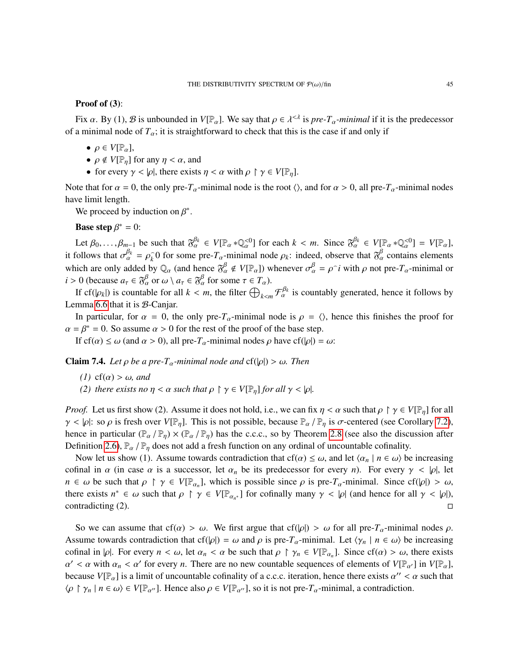### Proof of (3):

Fix  $\alpha$ . By (1),  $\beta$  is unbounded in  $V[\mathbb{P}_{\alpha}]$ . We say that  $\rho \in \lambda^{<\lambda}$  is *pre-T<sub>α</sub>-minimal* if it is the predecessor of a minimal node of  $T_\alpha$ ; it is straightforward to check that this is the case if and only if

- $\rho \in V[\mathbb{P}_{\alpha}],$
- $\rho \notin V[\mathbb{P}_n]$  for any  $\eta < \alpha$ , and
- for every  $\gamma < |\rho|$ , there exists  $\eta < \alpha$  with  $\rho \restriction \gamma \in V[\mathbb{P}_n]$ .

Note that for  $\alpha = 0$ , the only pre- $T_\alpha$ -minimal node is the root  $\langle \rangle$ , and for  $\alpha > 0$ , all pre- $T_\alpha$ -minimal nodes have limit length.

We proceed by induction on  $\beta^*$ .

**Base step**  $\beta^* = 0$ :

Let  $\beta_0, \ldots, \beta_{m-1}$  be such that  $\mathfrak{F}_{\alpha}^{\beta_k} \in V[\mathbb{P}_{\alpha} * \mathbb{Q}_{\alpha}^{<0}]$  for each  $k < m$ . Since  $\mathfrak{F}_{\alpha}^{\beta_k} \in V[\mathbb{P}_{\alpha} * \mathbb{Q}_{\alpha}^{<0}] = V[\mathbb{P}_{\alpha}]$ ,<br>collows that  $\mathcal{F}_{\alpha}^{\beta_k} = \mathfrak{g} \in \Omega$  for some are *T*, min it follows that  $\sigma_{\alpha}^{\beta_k} = \rho_k^{\frown}$  $\hat{k}$  of for some pre- $T_{\alpha}$ -minimal node  $\rho_k$ : indeed, observe that  $\delta^{\beta}_{\alpha}$  contains elements which are only added by  $\mathbb{Q}_\alpha$  (and hence  $\mathfrak{F}_\alpha^\beta \notin V[\mathbb{P}_\alpha]$ ) whenever  $\sigma_\alpha^\beta = \rho^\frown i$  with  $\rho$  not pre- $T_\alpha$ -minimal or *i* > 0 (because  $a_{\tau} \in \mathfrak{F}_{\alpha}^{\beta}$  or  $\omega \setminus a_{\tau} \in \mathfrak{F}_{\alpha}^{\beta}$  for some  $\tau \in T_{\alpha}$ ).<br>If of (look) is countable for all  $k \leq m$  the filter  $\bigcap$ 

If  $cf(|\rho_k|)$  is countable for all  $k < m$ , the filter  $\bigoplus_{k < m} \mathcal{F}_{\alpha}^{\beta_k}$  is countably generated, hence it follows by mma 6.6 that it is  $\mathcal{R}$ . Caniar Lemma [6.6](#page-37-5) that it is  $B$ -Canjar.

In particular, for  $\alpha = 0$ , the only pre- $T_\alpha$ -minimal node is  $\rho = \langle \rangle$ , hence this finishes the proof for  $\alpha = \beta^* = 0$ . So assume  $\alpha > 0$  for the rest of the proof of the base step.<br>If  $g(f(\alpha) < \alpha)$  (and  $\alpha > 0$ ) all pro T, minimal podes a baye  $g(f(\alpha)) =$ 

If cf( $\alpha$ )  $\leq \omega$  (and  $\alpha > 0$ ), all pre- $T_{\alpha}$ -minimal nodes  $\rho$  have cf( $|\rho|$ ) =  $\omega$ :

<span id="page-44-0"></span>**Claim 7.4.** *Let*  $\rho$  *be a pre-T<sub>α</sub>-minimal node and* cf(| $\rho$ |) >  $\omega$ *. Then* 

- *(1)* cf( $\alpha$ ) >  $\omega$ *, and*
- *(2) there exists no*  $\eta < \alpha$  *such that*  $\rho \restriction \gamma \in V[\mathbb{P}_n]$  *for all*  $\gamma < |\rho|$ *.*

*Proof.* Let us first show (2). Assume it does not hold, i.e., we can fix  $\eta < \alpha$  such that  $\rho \restriction \gamma \in V[\mathbb{P}_n]$  for all  $\gamma < |\rho|$ : so  $\rho$  is fresh over  $V[\mathbb{P}_n]$ . This is not possible, because  $\mathbb{P}_\alpha/\mathbb{P}_n$  is  $\sigma$ -centered (see Corollary [7.2\)](#page-42-1), hence in particular  $(\mathbb{P}_{\alpha}/\mathbb{P}_{\eta}) \times (\mathbb{P}_{\alpha}/\mathbb{P}_{\eta})$  has the c.c.c., so by Theorem [2.8](#page-4-2) (see also the discussion after Definition [2.6\)](#page-3-5),  $\mathbb{P}_{\alpha}$  /  $\mathbb{P}_{\eta}$  does not add a fresh function on any ordinal of uncountable cofinality.

Now let us show (1). Assume towards contradiction that cf( $\alpha$ )  $\leq \omega$ , and let  $\langle \alpha_n | n \in \omega \rangle$  be increasing cofinal in  $\alpha$  (in case  $\alpha$  is a successor, let  $\alpha_n$  be its predecessor for every *n*). For every  $\gamma < |\rho|$ , let *n* ∈ ω be such that  $\rho \upharpoonright \gamma \in V[\mathbb{P}_{\alpha_n}]$ , which is possible since  $\rho$  is pre- $T_\alpha$ -minimal. Since cf(| $\rho$ |) > ω, there exists  $n^* \in \mathcal{L}$  such that  $\rho \upharpoonright \alpha \in V[\mathbb{P}_{\alpha}]$  for expressible many  $\alpha \leq |\alpha|$  (and han there exists  $n^* \in \omega$  such that  $\rho \upharpoonright \gamma \in V[\mathbb{P}_{\alpha_n^*}]$  for cofinally many  $\gamma < |\rho|$  (and hence for all  $\gamma < |\rho|$ ), contradicting (2) contradicting (2).

So we can assume that cf( $\alpha$ ) >  $\omega$ . We first argue that cf( $|\rho|$ ) >  $\omega$  for all pre- $T_\alpha$ -minimal nodes  $\rho$ . Assume towards contradiction that cf(| $\rho$ |) =  $\omega$  and  $\rho$  is pre- $T_\alpha$ -minimal. Let  $\langle \gamma_n | n \in \omega \rangle$  be increasing cofinal in |ρ|. For every  $n < \omega$ , let  $\alpha_n < \alpha$  be such that  $\rho \upharpoonright \gamma_n \in V[\mathbb{P}_{\alpha_n}]$ . Since  $cf(\alpha) > \omega$ , there exists  $\alpha' < \alpha$  with  $\alpha \leq \alpha'$  for every *n*. There are no now countable sequences of elements of  $V[\mathbb{P}_n]$ . because  $V[\mathbb{P}_{\alpha}]$  is a limit of uncountable cofinality of a c.c.c. iteration, hence there exists  $\alpha'' < \alpha$  such that  $\alpha' < \alpha$  with  $\alpha_n < \alpha'$  for every *n*. There are no new countable sequences of elements of  $V[\mathbb{P}_{\alpha'}]$  in  $V[\mathbb{P}_{\alpha}]$ ,<br>equivalently like a limit of uncountable cofinality of a c.c. e. iteration, hence there exists  $\alpha''$  $\langle \rho \restriction \gamma_n \mid n \in \omega \rangle \in V[\mathbb{P}_{\alpha''}]$ . Hence also  $\rho \in V[\mathbb{P}_{\alpha''}]$ , so it is not pre- $T_\alpha$ -minimal, a contradiction.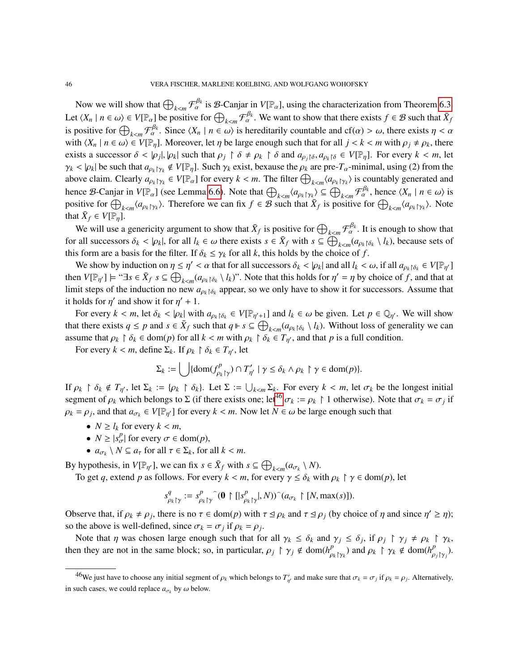Now we will show that  $\bigoplus_{k \leq m} \mathcal{F}_{\alpha}^{\beta_k}$  is  $\mathcal{B}$ -Canjar in  $V[\mathbb{P}_{\alpha}]$ , using the characterization from Theorem [6.3.](#page-36-3) Let  $\langle X_n \mid n \in \omega \rangle \in V[\mathbb{P}_{\alpha}]$  be positive for  $\bigoplus_{k \leq m} \mathcal{F}_{\alpha}^{\beta_k}$ . We want to show that there exists  $f \in \mathcal{B}$  such that  $\overline{X}_f$ **Example**  $\forall$  Γ*μ* α<sub>*l*</sub> | *n* ∈ ωi is positive for  $\bigcup_{k < m} \mathcal{F}_{\alpha}^{B_k}$ . Since  $\langle X_n | n \in \omega \rangle$  is hereditarily countable and cf(α) > ω, there exists  $\eta < \alpha$  with  $\langle Y_n | n \in \omega \rangle \in V(\mathbb{F}_p)$ . Moreover let n be large a *k*<sub>*k*m</sub> *n*  $\alpha$  . Since  $\langle A_n | n \in \omega \rangle$  is necessarily countable and  $c_1(a) > \omega$ , there exists  $\eta < \alpha$  with  $\langle X_n | n \in \omega \rangle \in V[\mathbb{P}_\eta]$ . Moreover, let  $\eta$  be large enough such that for all  $j < k < m$  with  $\rho_j \neq \rho_k$ , there exists a successor  $\delta < |\rho_j|, |\rho_k|$  such that  $\rho_j \upharpoonright \delta \neq \rho_k \upharpoonright \delta$  and  $a_{\rho_j \upharpoonright \delta}, a_{\rho_k \upharpoonright \delta} \in V[\mathbb{P}_\eta]$ . For every  $k < m$ , let  $\gamma_k < |\rho_k|$  be such that  $a_{\rho_k|\gamma_k} \notin V[\mathbb{P}_\eta]$ . Such  $\gamma_k$  exist, bexause the  $\rho_k$  are pre- $T_\alpha$ -minimal, using (2) from the above claim. Clearly  $a_{\rho_k\uparrow\gamma_k} \in V[\mathbb{P}_\alpha]$  for every  $k < m$ . The filter  $\bigoplus_{k < m} \langle a_{\rho_k\uparrow\gamma_k} \rangle$  is countably generated and **k** and the set of the set of the set of the set of the set of the set of the set of the set of the set of the set of the set of the set of the set of the set of the set of the set of the set of the set of the set of the positive for  $\bigoplus_{k \le m} \langle a_{\rho_k} \gamma_k \rangle$ . Therefore we can fix  $f \in B$  such that  $\overline{X}_f$  is positive for  $\bigoplus_{k \le m} \langle a_{\rho_k} \gamma_k \rangle$ . Note that  $\bar{X}_f \in V[\mathbb{P}_\eta].$ 

We will use a genericity argument to show that  $\bar{X}_f$  is positive for  $\bigoplus_{k \leq m} \mathcal{F}_{\alpha}^{\beta_k}$ . It is enough to show that *k* ∈ *m δ k* ε *m k* ε ω there exists *s* ∈ *X*<sup> $f$ </sup> with *s* ⊆  $\bigoplus_{k < m} {a_{\rho_k \upharpoonright \delta_k} \setminus l_k}$ , because sets of this form are a basis for the filter. If  $\delta_i \leq \alpha_k$  for all *k* this holds by the obsise of f this form are a basis for the filter. If  $\delta_k \leq \gamma_k$  for all *k*, this holds by the choice of *f*.<br>We show by induction on  $n \leq n' \leq \alpha$  that for all average  $\delta_k \leq |\alpha|$  and all *k*.

We show by induction on  $\eta \leq \eta' < \alpha$  that for all successors  $\delta_k < |\rho_k|$  and all  $l_k < \omega$ , if all  $a_{\rho_k} \uparrow \delta_k \in V[\mathbb{P}_{\eta'}]$ <br>on  $V[\mathbb{D}_k] \cup \{a_{\rho_k} \mid \delta_k \in \mathbb{C} \}$  ( $\alpha_k \to l_k$ )). Note that this holds for  $\eta' = n$  by shoice then  $V[\mathbb{P}_{\eta'}] \models " \exists s \in \bar{X}_f \ s \subseteq \bigoplus_{k < m} (a_{\rho_k \upharpoonright \delta_k} \setminus l_k)$ ". Note that this holds for  $\eta' = \eta$  by choice of *f*, and that at limit atoms of the induction no new  $\alpha$ , are appear so we only have to show it for succ *<sup>k</sup>*<*<sup>m</sup>* limit steps of the induction no new  $a_{\rho_k} \uparrow \delta_k$  appear, so we only have to show it for successors. Assume that it holds for  $\eta'$  and show it for  $\eta' + 1$ .

For every  $k < m$ , let  $\delta_k < |\rho_k|$  with  $a_{\rho_k} \upharpoonright \delta_k \in V[\mathbb{P}_{\eta'+1}]$  and  $l_k \in \omega$  be given. Let  $p \in \mathbb{Q}_{\eta'}$ . We will show that there exists  $q \leq p$  and  $s \in \overline{X}_f$  such that  $q \Vdash s \subseteq \bigoplus_{k \leq m} (a_{\rho_k \upharpoonright \delta_k} \setminus l_k)$ . Without loss of generality we can *<sup>k</sup>*<*<sup>m</sup>* assume that <sup>ρ</sup>*<sup>k</sup>* <sup>δ</sup>*<sup>k</sup>* <sup>∈</sup> dom(*p*) for all *<sup>k</sup>* <sup>&</sup>lt; *<sup>m</sup>* with <sup>ρ</sup>*<sup>k</sup>* <sup>δ</sup>*<sup>k</sup>* <sup>∈</sup> *<sup>T</sup>*η <sup>0</sup>, and that *p* is a full condition.

For every  $k < m$ , define  $\Sigma_k$ . If  $\rho_k \upharpoonright \delta_k \in T_{\eta'}$ , let

$$
\Sigma_k := \bigcup \{ \mathrm{dom}(f_{\rho_k \upharpoonright \gamma}^p) \cap T'_{\eta'} \mid \gamma \leq \delta_k \wedge \rho_k \upharpoonright \gamma \in \mathrm{dom}(p) \}.
$$

If  $\rho_k \upharpoonright \delta_k \notin T_{\eta'}$ , let  $\Sigma_k := \{\rho_k \upharpoonright \delta_k\}$ . Let  $\Sigma := \bigcup_{k \le m} \Sigma_k$ . For every  $k < m$ , let  $\sigma_k$  be the longest initial segment of  $\alpha$ , which helongs to  $\Sigma$  (if there exists one; let<sup>46</sup>  $\sigma_k := \alpha_k \upharpoonright 1$  otherwise segment of  $\rho_k$  which belongs to  $\Sigma$  (if there exists one; let<sup>[46](#page-45-0)</sup>  $\sigma_k := \rho_k \upharpoonright 1$  otherwise). Note that  $\sigma_k = \sigma_j$  if  $\rho_k = \rho_j$ , and that  $a_{\sigma_k} \in V[\mathbb{P}_{\eta'}]$  for every  $k < m$ . Now let  $N \in \omega$  be large enough such that

- $N \geq l_k$  for every  $k < m$ ,
- $N \ge |s_{\sigma}^p|$  for every  $\sigma \in \text{dom}(p)$ ,
- $\bullet$  *a*<sub>σ*k*</sub> \ *N* ⊆ *a*<sub>τ</sub> for all *τ* ∈ Σ*k*, for all *k* < *m*.

By hypothesis, in  $V[\mathbb{P}_{\eta'}]$ , we can fix  $s \in \bar{X}_f$  with  $s \subseteq \bigoplus_{k \le m} (a_{\sigma_k} \setminus N)$ .

To get *q*, extend *p* as follows. For every  $k < m$ , for every  $\gamma \le \delta_k$  with  $\rho_k \upharpoonright \gamma \in \text{dom}(p)$ , let

$$
s^q_{\rho_k\upharpoonright\gamma} := s^p_{\rho_k\upharpoonright\gamma} \widehat{(\mathbf{0} \upharpoonright [s^p_{\rho_k\upharpoonright\gamma}|, N)})^{\widehat{}}(a_{\sigma_k} \upharpoonright [N, \max(s)]).
$$

Observe that, if  $\rho_k \neq \rho_j$ , there is no  $\tau \in \text{dom}(p)$  with  $\tau \leq \rho_k$  and  $\tau \leq \rho_j$  (by choice of  $\eta$  and since  $\eta' \geq \eta$ ); so the above is well-defined, since  $\sigma_k = \sigma_j$  if  $\rho_k = \rho_j$ .<br>Note that n was chosen large apouch such that for

Note that  $\eta$  was chosen large enough such that for all  $\gamma_k \leq \delta_k$  and  $\gamma_j \leq \delta_j$ , if  $\rho_j \upharpoonright \gamma_j \neq \rho_k \upharpoonright \gamma_k$ , then they are not in the same block; so, in particular,  $\rho_j \upharpoonright \gamma_j \notin \text{dom}(h_{\rho_k|\gamma_k}^p)$  and  $\rho_k \upharpoonright \gamma_k \notin \text{dom}(h_{\rho_j|\gamma_j}^p)$ .

<span id="page-45-0"></span><sup>&</sup>lt;sup>46</sup>We just have to choose any initial segment of  $\rho_k$  which belongs to  $T'_\eta$  $\nabla'_{\eta'}$  and make sure that  $\sigma_k = \sigma_j$  if  $\rho_k = \rho_j$ . Alternatively, in such cases, we could replace  $a_{\sigma_k}$  by  $\omega$  below.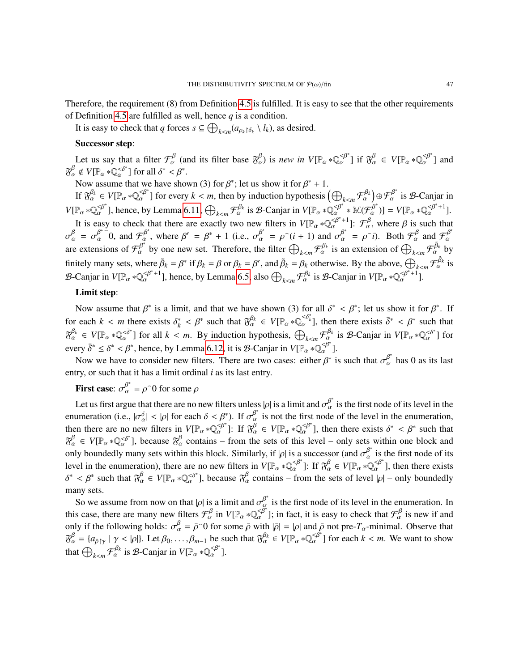Therefore, the requirement (8) from Definition [4.5](#page-16-0) is fulfilled. It is easy to see that the other requirements of Definition [4.5](#page-16-0) are fulfilled as well, hence  $q$  is a condition.

It is easy to check that *q* forces  $s \subseteq \bigoplus_{k \le m} (a_{\rho_k} \upharpoonright \delta_k \setminus l_k)$ , as desired.

# Successor step:

Let us say that a filter  $\mathcal{F}_{\alpha}^{\beta}$  (and its filter base  $\mathfrak{F}_{\alpha}^{\beta}$ ) is *new in*  $V[\mathbb{P}_{\alpha} * \mathbb{Q}_{\alpha}^{\prec \beta^*}]$  if  $\mathfrak{F}_{\alpha}^{\beta} \in V[\mathbb{P}_{\alpha} * \mathbb{Q}_{\alpha}^{\prec \beta^*}]$  and  $\mathcal{F}_{\alpha}^{\gamma} = \mathbb{Q}_{\alpha}^{\prec \beta^*}$  and  $\mathfrak{F}_{\alpha}^{\beta} \notin V[\mathbb{P}_{\alpha} * \mathbb{Q}_{\alpha}^{<\delta^*}]$  for all  $\delta^* < \beta^*$ .<br>Now assume that we have show

e that we have shown (3) for  $\beta^*$ ; let us show it for  $\beta^* + 1$ .

Now assume that we have shown (3) for  $\beta^*$ ; let us show it for  $\beta^* + 1$ .<br>If  $\mathfrak{F}_{\alpha}^{\beta_k} \in V[\mathbb{P}_{\alpha} * \mathbb{Q}_{\alpha}^{<\beta^*}]$  for every  $k < m$ , then by induction hypothesis  $\left(\bigoplus_{k < m} \mathcal{F}_{\alpha}^{\beta_k}\right)$ .  $\bigoplus_{\alpha \in \mathcal{B}^*} \mathcal{F}_\alpha^{\beta^*}$  is  $\mathcal{B}$ -Canjar in  $V[\mathbb{P}_{\alpha} * \mathbb{Q}_{\alpha}^{\leq \beta^*}],$  hence, by Lemma [6.11,](#page-39-2)  $\bigoplus_{k \leq m} \mathcal{F}_{\alpha}^{\beta_k}$  is *B*-Canjar in  $V[\mathbb{P}_{\alpha} * \mathbb{Q}_{\alpha}^{\leq \beta^*} * \mathbb{M}(\mathcal{F}_{\alpha}^{\beta^*})] = V[\mathbb{P}_{\alpha} * \mathbb{Q}_{\alpha}^{\leq \beta^*+1}].$ <br> *It is again to shock that there* It is easy to check that there are exactly two new filters in  $V[\mathbb{P}_{\alpha} * \mathbb{Q}_{\alpha}^{\beta^{*}+1}]$ :  $\mathcal{F}_{\alpha}^{\beta}$ , where  $\beta$  is such that  $\alpha^{ \beta^{*} \cap \alpha}$  and  $\mathcal{F}_{\alpha}^{\beta^{*}}$  where  $\beta^{*}$  where  $\beta^{*}$  and  $\mathcal{F}_{\alpha}^{\beta^{*$ are extensions of  $\mathcal{F}_{\alpha}^{\beta^*}$  by one new set. Therefore, the filter  $\bigoplus_{k \leq m} \mathcal{F}_{\alpha}^{\beta_k}$  is an extension of  $\bigoplus_{k \leq m} \mathcal{F}_{\alpha}^{\beta_k}$  by  $\beta_{\alpha} = \sigma_{\alpha}^{\beta^{*}}$  0, and  $\mathcal{F}_{\alpha}^{\beta'}$ , where  $\beta' = \beta^{*} + 1$  (i.e.,  $\sigma_{\alpha}^{\beta'} = \rho^-(i+1)$  and  $\sigma_{\alpha}^{\beta^{*}} = \rho^-(i)$ . Both  $\mathcal{F}_{\alpha}^{\beta}$  and  $\mathcal{F}_{\alpha}^{\beta}$ finitely many sets, where  $\tilde{\beta}_k = \beta^*$  if  $\beta_k = \beta$  or  $\beta_k = \beta'$ , and  $\tilde{\beta}_k = \beta_k$  otherwise. By the above,  $\bigoplus_{k \leq m} \mathcal{F}_{\alpha}^{\tilde{\beta}_k}$  is  $\beta_k$  Conjugate  $V_{\alpha}$  $\mathcal{B}$ -Canjar in  $V[\mathbb{P}_{\alpha} * \mathbb{Q}_{\alpha}^{\leq \beta^*+1}]$ , hence, by Lemma [6.5,](#page-37-1) also  $\bigoplus_{k \leq m} \mathcal{F}_{\alpha}^{\beta_k}$  is  $\mathcal{B}$ -Canjar in  $V[\mathbb{P}_{\alpha} * \mathbb{Q}_{\alpha}^{\leq \beta^*+1}]$ .

# Limit step:

Now assume that  $\beta^*$  is a limit, and that we have shown (3) for all  $\delta^* < \beta^*$ ; let us show it for  $\beta^*$ . If for each  $k < m$  there exists  $\delta_k^*$  $\chi_k^* < \beta^*$  such that  $\mathfrak{F}_{\alpha}^{\beta_k} \in V[\mathbb{P}_{\alpha} * \mathbb{Q}_{\alpha}^{<\delta_k^*}]$ , then there exists  $\bar{\delta}^* < \beta^*$  such that  $\mathfrak{F}_{\alpha}^{\beta_k} \in V[\mathbb{P}_{\alpha} * \mathbb{Q}_{\alpha}^{<\delta^*}]$  for all  $k < m$ . By induction hypothesis,  $\bigoplus_{k < m} \mathcal{F}_{\alpha}^{\beta_k}$  is  $\mathcal{B}$ -Canjar in  $V[\mathbb{P}_{\alpha} * \mathbb{Q}_{\alpha}^{<\delta^*}]$  for  $\alpha_{\alpha} \in V_{1}^{\alpha}$  a  $\alpha_{\alpha} \in \alpha$  ] for an  $\alpha \leq m$ . By induction hypothesis,  $\bigcup_{k \leq m} \alpha_{\alpha} \leq \alpha_{\alpha} \leq \beta^* \leq \beta^* < \beta^*$ , hence, by Lemma [6.12,](#page-39-3) it is *B*-Canjar in  $V[\mathbb{P}_{\alpha} * \mathbb{Q}_{\alpha}^{\alpha}]$ .

Now we have to consider new filters. There are two cases: either  $\beta^*$  is such that  $\sigma_\alpha^{\beta^*}$  has 0 as its last entry, or such that it has a limit ordinal *i* as its last entry.

**First case:**  $\sigma_{\alpha}^{\beta^*} = \rho^{\frown}0$  for some  $\rho$ 

Let us first argue that there are no new filters unless  $|\rho|$  is a limit and  $\sigma_{\alpha}^{\beta^*}$  is the first node of its level in the importance is  $|\rho|$  and  $|\sigma_{\alpha}|$  and  $|\sigma_{\alpha}|$  and  $|\sigma_{\alpha}|$  and  $|\sigma_{\alpha}|$  is not the first no enumeration (i.e.,  $|\sigma_{\alpha}^{\delta}| < |\rho|$  for each  $\delta < \beta^*$ ). If  $\sigma_{\alpha}^{\beta^*}$  is not the first node of the level in the enumeration, then there are no new filters in  $V[\mathbb{P}_{\alpha} * \mathbb{Q}_{\alpha}^{\leq \beta^*}]$ : If  $\mathfrak{F}_{\alpha}^{\beta} \in V[\mathbb{P}_{\alpha} * \mathbb{Q}_{\alpha}^{\leq \beta^*}]$ , then there exists  $\delta^* \leq \beta^*$  such that  $\mathfrak{F}_{\alpha}^{\beta} \subset V[\mathbb{P}_{\alpha} * \mathbb{Q}_{\alpha}^{\leq \beta^*}]$ , hen there ex  $\mathfrak{F}_{\alpha}^{\beta} \in V[\mathbb{P}_{\alpha} * \mathbb{Q}_{\alpha}^{<\delta^*}]$ , because  $\mathfrak{F}_{\alpha}^{\beta}$  contains – from the sets of this level – only sets within one block and only boundedly many sets within this block. Similarly, if |ρ| is a successor (and  $\sigma_{\alpha}^{\beta^*}$  is the first node of its level in the enumeration), there are no new filters in  $V_{\alpha}$   $\beta^*$ . If  $\gamma^{\beta}$   $\in V_{\alpha}$   $\beta^*$ level in the enumeration), there are no new filters in  $V[\mathbb{P}_{\alpha} * \mathbb{Q}_{\alpha}^{\leq \beta^*}]$ : If  $\mathcal{B}_{\alpha}^{\beta} \in V[\mathbb{P}_{\alpha} * \mathbb{Q}_{\alpha}^{\leq \beta^*}]$ , then there exists δ <sup>\*</sup> <  $\beta^*$  such that  $\mathfrak{F}_{\alpha}^{\beta} \in V[\mathbb{P}_{\alpha} * \mathbb{Q}_{\alpha}^{<\delta^*}]$ ], because  $\delta^{\beta}_{\alpha}$  contains – from the sets of level  $|\rho|$  – only boundedly many sets.

So we assume from now on that  $|\rho|$  is a limit and  $\sigma_{\alpha}^{\beta^*}$  is the first node of its level in the enumeration. In this case, there are many new filters  $\mathcal{F}_{\alpha}^{\beta}$  in  $V[\mathbb{P}_{\alpha} * \mathbb{Q}_{\alpha}^{\langle \beta^{*} \rangle}]$ ; in fact, it is easy to check that  $\mathcal{F}_{\alpha}^{\beta}$  is new if and only if the following holds:  $\sigma_{\alpha}^{\beta} = \bar{\rho}^{\circ} 0$  for some  $\bar{\rho}$  with  $|\bar{\rho}| = |\rho|$  and  $\bar{\rho}$  not pre- $T_{\alpha}$ -minimal. Observe that  $\mathfrak{F}_{\alpha}^{\beta} = {\alpha_{\bar{\rho}}}_{[\gamma]} \mid \gamma < |\rho|$ . Let  $\beta_0, \ldots, \beta_{m-1}$  be such that  $\mathfrak{F}_{$  $\beta_{\alpha}^{\beta} = \bar{\rho}^{\hat{}}0$  for some  $\bar{\rho}$  with  $|\bar{\rho}| = |\rho|$  and  $\bar{\rho}$  not pre- $T_{\alpha}$ -minimal. Observe that that  $\bigoplus_{k < m} \mathcal{F}_{\alpha}^{\beta_k}$  is  $\mathcal{B}$ -Canjar in  $V[\mathbb{P}_{\alpha} * \mathbb{Q}_{\alpha}^{<\beta^*}].$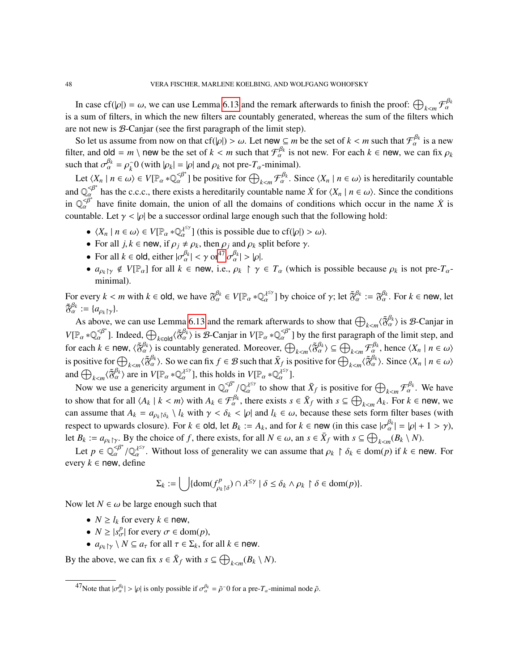In case cf(| $\rho$ |) =  $\omega$ , we can use Lemma [6.13](#page-39-1) and the remark afterwards to finish the proof:  $\bigoplus_{k \leq m} \mathcal{F}_{\alpha}^{\beta_k}$ In case er( $\mu_1$ ) =  $\omega$ , we can use Eemma 0.15 and the remark arterwards to missiline proof.  $\bigcup_{k \le m} \chi_{\alpha}$  is a sum of filters, in which the new filters are countably generated, whereas the sum of the filters which are not new is B-Canjar (see the first paragraph of the limit step).

So let us assume from now on that  $cf(\rho) > \omega$ . Let new  $\subseteq m$  be the set of  $k < m$  such that  $\mathcal{F}_{\alpha}^{\beta_k}$  is a new  $\subseteq n$  on  $\beta_k$  are new  $\subseteq n$  on  $\beta_k$  and  $\beta_k$  and  $\beta_k$  and  $\beta_k$  and  $\beta_k$  and  $\beta_k$  and  $\beta_k$  and  $\beta_k$ filter, and old = *m* \ new be the set of  $k < m$  such that  $\mathcal{F}_{\alpha}^{\beta_k}$  is not new. For each  $k \in \text{new}$ , we can fix  $\rho_k$ <br>such that  $\sigma^{\beta_k} = \rho_0^2 0$  (with  $|\rho_k| = |\rho|$  and  $\alpha_k$  not real  $T$ , minimal) such that  $\sigma_{\alpha}^{\beta_k} = \rho_k^{\widehat{\beta}}$  $\hat{k}_{k}^{(i)}$  (with  $|\rho_{k}| = |\rho|$  and  $\rho_{k}$  not pre- $T_{\alpha}$ -minimal).

Let  $\langle X_n | n \in \omega \rangle \in V[\mathbb{P}_\alpha * \mathbb{Q}_\alpha^{\leq \beta^*}]$  be positive for  $\bigoplus_{k \leq m} \mathcal{F}_\alpha^{\beta_k}$ . Since  $\langle X_n | n \in \omega \rangle$  is hereditarily countable *k*<sub>*k*m</sub> *n* ∈ ω ε *v*<sub>L<sup>n</sup></sub> *a* \* $Q_{\alpha}$  ] be positive for  $Q_{k *n*  $\alpha$  . Since  $\langle X_n | n \in \omega \rangle$  is increditatily countable and  $Q_{\alpha}^{S^*}$  has the c.c.c., there exists a hereditarily countable name *X* for  $\langle X_n | n \$$ in  $\mathbb{Q}_{\alpha}^{\leq \beta^*}$  have finite domain, the union of all the domains of conditions which occur in the name  $\dot{X}$  is countable. Let  $\gamma < |\rho|$  be a successor ordinal large enough such that the following hold:

- $\langle X_n | n \in \omega \rangle \in V[\mathbb{P}_\alpha * \mathbb{Q}_\alpha^{\lambda^{\leq y}}]$  (this is possible due to cf( $|\rho| > \omega$ ).
- For all *j*, *k* ∈ new, if  $ρ_j \neq ρ_k$ , then  $ρ_j$  and  $ρ_k$  split before γ.<br>
 For all *k* ∈ ald aithor  $\big| \frac{β_k}{β_k} \leq \frac{α^{47} β_{k}}{β_{k}} \big| \leq \frac{1}{\frac{α^{27} 8k}{\frac{α^{27} 8k}{\frac{α^{27} 8k}{\frac{α^{27} 8k}{\frac{α^{27} 8k}{\frac{α^{2$
- For all  $k \in \text{old}$ , either  $|\sigma_{\alpha}^{\beta_k}| < \gamma \text{ or }^{47} |\sigma_{\alpha}^{\beta_k}| > |\rho|$  $|\sigma_{\alpha}^{\beta_k}| < \gamma \text{ or }^{47} |\sigma_{\alpha}^{\beta_k}| > |\rho|$  $|\sigma_{\alpha}^{\beta_k}| < \gamma \text{ or }^{47} |\sigma_{\alpha}^{\beta_k}| > |\rho|$ .
- $a_{\rho_k\upharpoonright\gamma} \notin V[\mathbb{P}_\alpha]$  for all  $k \in \text{new}$ , i.e.,  $\rho_k \upharpoonright \gamma \in T_\alpha$  (which is possible because  $\rho_k$  is not pre- $T_\alpha$ minimal).

For every  $k < m$  with  $k \in \text{old}$ , we have  $\mathfrak{F}_{\alpha}^{\beta_k} \in V[\mathbb{P}_{\alpha} * \mathbb{Q}_{\alpha}^{\lambda^{\leq \gamma}}]$  by choice of  $\gamma$ ; let  $\tilde{\mathfrak{F}}_{\alpha}^{\beta_k} := \mathfrak{F}_{\alpha}^{\beta_k}$ . For  $k \in \text{new}$ , let  $\tilde{\mathfrak{F}}_{\alpha}^{\beta_k} := \{ \alpha \in \mathbb{N} \}$  $\tilde{\mathfrak{F}}_{\alpha}^{\beta_k} := \{a_{\rho_k\upharpoonright\gamma}\}.$ 

As above, we can use Lemma [6.13](#page-39-1) and the remark afterwards to show that  $\bigoplus_{k \leq m} \langle \tilde{\delta}_{n}^{\beta_k} \rangle$  is *B*-Canjar in *N* and the cold  $\langle \tilde{B}_{k}^{\beta_{k}} \rangle$  is  $B$ -Canjar in  $V[\mathbb{P}_{\alpha} * \mathbb{Q}_{\alpha}^{\prec \beta^{*}}]$  by the first paragraph of the limit step, and  $V[\mathbb{P}_{\alpha} * \mathbb{Q}_{\alpha}^{\prec \beta^{*}}]$  by the first paragraph of the limit step, and for each  $k \in \text{new}$ ,  $\langle \tilde{\mathfrak{F}}_a^{\beta_k} \rangle$  is countably generated. Moreover,  $\bigoplus_{k < m} \langle \tilde{\mathfrak{F}}_a^{\beta_k} \rangle \subseteq \bigoplus_{k < m} \mathcal{F}_a^{\beta_k}$ , hence  $\langle X_n | n \in \omega \rangle$ is positive for  $\bigoplus_{k < m} \langle \tilde{\mathfrak{F}}_k^{\beta_k} \rangle$ . So we can fix *f* ∈ *B* such that  $\bar{X}_f$  is positive for  $\bigoplus_{k < m} \langle \tilde{\mathfrak{F}}_k^{\beta_k} \rangle$ . So we can fix *f* ∈ *B* such that  $\bar{X}_f$  is positive for  $\bigoplus_{k < m} \langle \tilde{\mathfrak$ and  $\bigoplus_{k < m} \langle \tilde{\mathfrak{F}}_{\alpha}^{B_k} \rangle$  are in  $V[\mathbb{P}_{\alpha} * \mathbb{Q}_{\alpha}^{\lambda^{\leq \gamma}}]$ , this holds in  $V[\mathbb{P}_{\alpha} * \mathbb{Q}_{\alpha}^{\lambda^{\leq \gamma}}]$ .  $\langle \tilde{\delta}^{\beta_k}_{\alpha} \rangle$ . Since  $\langle X_n | n \in \omega \rangle$ 

Now we use a genericity argument in  $\mathbb{Q}_{\alpha}^{\prec \beta^*}/\mathbb{Q}_{\alpha}^{\lambda^{\leq \gamma}}$  to show that  $\bar{X}_f$  is positive for  $\bigoplus_{k \leq m} \mathcal{F}_{\alpha}^{\beta_k}$ . We have  $\alpha$  to show that  $A_f$  is positive for  $\bigcup_{k \le m}$ to show that for all  $\langle A_k | k \rangle \langle k \rangle$  with  $A_k \in \mathcal{F}_\alpha^{\beta_k}$ , there exists  $s \in \bar{X}_f$  with  $s \subseteq \bigoplus_{k \leq m} A_k$ . For  $k \in \mathbb{N}$  even, we *<sup>k</sup>*<*<sup>m</sup>* can assume that  $A_k = a_{\rho_k} \delta_k \setminus l_k$  with  $\gamma < \delta_k < |\rho|$  and  $l_k \in \omega$ , because these sets form filter bases (with proposed to varying a locuse). For  $k \in \text{old}$  let  $R_{\rho_k} = A_{\rho_k}$  and for  $k \in \text{row}$  (in this associate) respect to upwards closure). For  $k \in \text{old}$ , let  $B_k := A_k$ , and for  $k \in \text{new}$  (in this case  $|\sigma_\alpha^{\beta_k}| = |\rho| + 1 > \gamma$ ), let  $B_k := a_k$ . By the choice of f there exists for all  $N \in \mathcal{O}$ , and  $\overline{\mathcal{O}} \subset \overline{\mathcal{N}}$ . ( $B_k \setminus N$ ) let  $B_k := a_{\rho_k \upharpoonright \gamma}$ . By the choice of *f*, there exists, for all  $N \in \omega$ , an  $s \in \bar{X}_f$  with  $s \subseteq \bigoplus_{k \le m} (B_k \setminus N)$ .

 $B_k := u_{\rho_k}$  *fy*. By the enoted of *f*, there exists, for an  $N \in \omega$ , an  $s \in A_f$  with  $s \subseteq \bigcup_{k \le m} (B_k \setminus N)$ .<br>Let  $p \in \mathbb{Q}_s^{2\beta^*}/\mathbb{Q}_d^{A^{2\gamma}}$ . Without loss of generality we can assume that  $\rho_k \upharpoonright \delta_k \in \text{dom}(p)$  if every  $k \in \text{new}$ , define

$$
\Sigma_k := \bigcup \{ \mathrm{dom}(f_{\rho_k \upharpoonright \delta}^p) \cap \lambda^{\leq \gamma} \mid \delta \leq \delta_k \wedge \rho_k \upharpoonright \delta \in \mathrm{dom}(p) \}.
$$

Now let  $N \in \omega$  be large enough such that

- $N \geq l_k$  for every  $k \in \text{new}$ ,
- $N \ge |s_{\sigma}^p|$  for every  $\sigma \in \text{dom}(p)$ ,
- $a_{\rho_k\upharpoonright\gamma} \setminus N \subseteq a_{\tau}$  for all  $\tau \in \Sigma_k$ , for all  $k \in \text{new}$ .

By the above, we can fix  $s \in \bar{X}_f$  with  $s \subseteq \bigoplus_{k \le m} (B_k \setminus N)$ .

<span id="page-47-0"></span><sup>&</sup>lt;sup>47</sup>Note that  $|\sigma_{\alpha}^{\beta_k}| > |\rho|$  is only possible if  $\sigma_{\alpha}^{\beta_k} = \tilde{\rho}^0$  for a pre- $T_{\alpha}$ -minimal node  $\tilde{\rho}$ .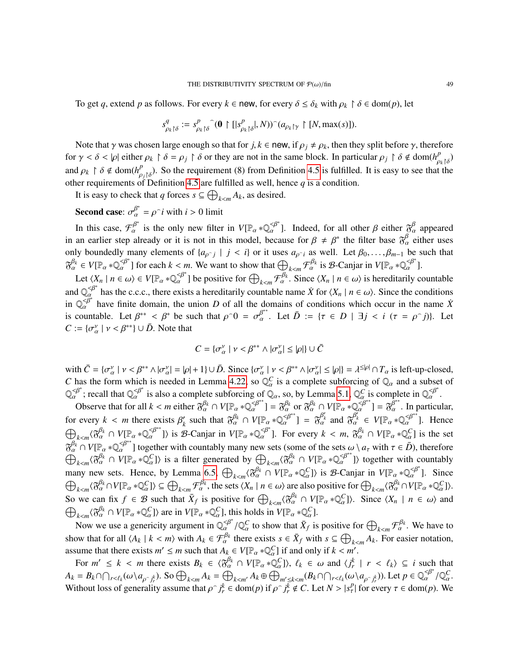To get *q*, extend *p* as follows. For every  $k \in \text{new}$ , for every  $\delta \leq \delta_k$  with  $\rho_k \restriction \delta \in \text{dom}(p)$ , let

$$
s^q_{\rho_k\restriction \delta}:=s^p_{\rho_k\restriction \delta}\widehat{\phantom{\alpha}}(\mathbf{0}\restriction [ |s^p_{\rho_k\restriction \delta}|,N))\widehat{\phantom{\alpha}}(a_{\rho_k\restriction \gamma}\restriction [N,\max(s)]).
$$

Note that  $\gamma$  was chosen large enough so that for  $j, k \in \text{new}$ , if  $\rho_j \neq \rho_k$ , then they split before  $\gamma$ , therefore for  $\gamma < \delta < |\rho|$  either  $\rho_k \upharpoonright \delta = \rho_j \upharpoonright \delta$  or they are not in the same block. In particular  $\rho_j \upharpoonright \delta \notin \text{dom}(h_{\rho_k \upharpoonright \delta}^p)$ -<br>ρ<sub>k</sub> |δ<br>+ +h and  $\rho_k \upharpoonright \delta \notin \text{dom}(h_{\rho_j \upharpoonright \delta}^p)$ . So the requirement (8) from Definition [4.5](#page-16-0) is fulfilled. It is easy to see that the other requirements of Definition [4.5](#page-16-0) are fulfilled as well, hence  $q$  is a condition.

It is easy to check that *q* forces  $s \subseteq \bigoplus_{k \le m} A_k$ , as desired.

**Second case:**  $\sigma_{\alpha}^{\beta^*} = \rho^{\frown} i$  with  $i > 0$  limit

In this case,  $\mathcal{F}_{\alpha}^{\beta^*}$  is the only new filter in  $V[\mathbb{P}_{\alpha} * \mathbb{Q}_{\alpha}^{\beta^*}]$ . Indeed, for all other  $\beta$  either  $\mathcal{F}_{\alpha}^{\beta}$  appeared<br>an application electron is the not in this model, because for  $\beta \neq \beta^*$  in an earlier step already or it is not in this model, because for  $\beta \neq \beta^*$  the filter base  $\delta_a^{\beta}$  either uses only boundedly many elements of  $\{a_{\rho^j} \mid j < i\}$  or it uses  $a_{\rho^j i}$  as well. Let  $\beta_0, \ldots, \beta_{m-1}$  be such that  $\mathcal{B}_{\alpha}^{\beta_k} \in V[\mathbb{P}_{\alpha} * \mathbb{Q}_{\alpha}^{\leq \beta^*}]$  for each  $k < m$ . We want to show that  $\bigoplus_{k < m} \mathcal{F}_{\alpha}^{\beta_k}$  is  $\mathcal{B}$ -Canjar in  $V[\mathbb{P}_{\alpha} * \mathbb{Q}_{\alpha}^{\leq \beta^*}].$ 

Let  $\langle X_n \mid n \in \omega \rangle \in V[\mathbb{P}_{\alpha} * \mathbb{Q}_{\alpha}^{\alpha}]$  be positive for  $\bigoplus_{k \leq m} \mathcal{F}_{\alpha}^{\beta_k}$ . Since  $\langle X_n \mid n \in \omega \rangle$  is hereditarily countable is  $\langle X_n \mid n \in \omega \rangle$  is hereditarily countable  $\mathbb{R}^d$  has the c.c.c., there exists a hereditarily countable name *X* for  $\langle X_n | n \in \omega \rangle$ . Since the conditions and  $\mathbb{Q}_{\alpha}^{\mathscr{A}^*}$  has the c.c.c., there exists a hereditarily countable name *X* for  $\langle X_n | n \in \omega \rangle$ in  $\mathbb{Q}_{\alpha}^{\leq \beta^*}$  have finite domain, the union *D* of all the domains of conditions which occur in the name *X*<sup>i</sup> is countable. Let  $\beta^{**} < \beta^*$  be such that  $\rho^0 = \sigma_{\alpha}^{\beta^{**}}$ . Let  $\overline{D} := \{\tau \in D \mid \exists j \le i \ (\tau = \rho^j)\}\$ . Let  $C := {\{\sigma_\alpha^v \mid v < \beta^{**}\}} \cup \overline{D}$ . Note that

$$
C = \{\sigma_{\alpha}^{\nu} \mid \nu < \beta^{**} \land |\sigma_{\alpha}^{\nu}| \leq |\rho| \} \cup \bar{C}
$$

with  $\bar{C} = {\sigma_{\alpha}^{\nu} \mid \nu < \beta^{**} \land |\sigma_{\alpha}^{\nu}| = |\rho| + 1} \cup \bar{D}$ . Since  ${\sigma_{\alpha}^{\nu} \mid \nu < \beta^{**} \land |\sigma_{\alpha}^{\nu}| \leq |\rho|} = \lambda^{\leq |\rho|} \cap T_{\alpha}$  is left-up-closed, *C* has the form which is needed in Lemma [4.22,](#page-23-0) so  $\mathbb{Q}_{\alpha}^{C}$  is a complete subforcing of  $\mathbb{Q}_{\alpha}$  and a subset of  $\mathbb{Q}_{\alpha}^{\leq \beta^*}$ ; recall that  $\mathbb{Q}_{\alpha}^{\leq \beta^*}$  is also a complete subforcing of  $\mathbb{Q}_{\alpha}$ , so, by Lemma [5.1,](#page-25-4)  $\mathbb{Q}_{\alpha}^{\mathbb{C}}$ is complete in  $\mathbb{Q}_{\alpha}^{\leq \beta^*}$ .

α Observe that for all  $k < m$  either  $\mathfrak{F}_{\alpha}^{\beta_k} \cap V[\mathbb{P}_{\alpha} * \mathbb{Q}_{\alpha}^{\leq \beta^{**}}] = \mathfrak{F}_{\alpha}^{\beta_k}$  or  $\mathfrak{F}_{\alpha}^{\beta_k} \cap V[\mathbb{P}_{\alpha} * \mathbb{Q}_{\alpha}^{\leq \beta^{**}}] = \mathfrak{F}_{\alpha}^{\beta^{**}}$ . In particular, for every  $k < m$  there exists  $\beta'_k$ <br>  $\bigoplus_{k=0}^{\infty}$   $\bigoplus_{k=0}^{\infty}$   $\bigoplus_{k=0}^{\infty}$  $\chi_k^{\prime}$  such that  $\mathfrak{F}_{\alpha}^{\beta_k} \cap V[\mathbb{P}_{\alpha} * \mathbb{Q}_{\alpha}^{\beta^*}] = \mathfrak{F}_{\alpha}^{\beta'_k}$  and  $\mathfrak{F}_{\alpha}^{\beta'_k} \in V[\mathbb{P}_{\alpha} * \mathbb{Q}_{\alpha}^{\beta^*}]$ . Hence  $\bigoplus_{k \le m} \{\widetilde{\sigma}_{\alpha}^{\beta_k} \cap V[\mathbb{P}_{\alpha} * \mathbb{Q}_{\alpha}^{\le \beta^{**}}]\}$  is the set  $\mathbb{Z}^{\beta_k}$  and  $\mathbb{Z}^{\beta_k}$  and  $\mathbb{Z}^{\beta_k}$  and  $\mathbb{Z}^{\beta_k}$  and  $\mathbb{Z}^{\beta_k}$  and  $\mathbb{Z}^{\beta_k}$  and  $\mathbb{Z}^{\beta_k}$  and  $\mathbb{Z}^{\beta_k}$  and  $\mathbb{$  $\mathcal{B}_{\alpha}^{k} \cap V[\mathbb{P}_{\alpha} * \mathbb{Q}_{\alpha}^{2}]$  together with countably many new sets (some of the sets  $\omega \setminus a_{\tau}$  with  $\tau \in \overline{D}$ ), therefore  $\bigoplus_{k} \mathcal{B}_{\alpha}^{k} \cap V[\mathbb{P}_{\alpha} * \mathbb{Q}_{\alpha}^{2}]$  is a filter generated by  $\bigoplus_{k} \math$  $\bigoplus_{k \leq m} \{ \delta_{\alpha} \in \mathbb{R}^n : k \in \mathbb{Z}^n : \mathbb{R}^n : k \in \mathbb{Z}^n \}$  is  $\mathbb{R}^n$  and  $\mathbb{R}^n \setminus \{ \mathbb{R}^n : k \in \mathbb{Z}^n : \mathbb{R}^n : \mathbb{R}^n : \mathbb{R}^n \setminus \mathbb{R}^n \}$  is B-Canjar in  $V[\mathbb{R}_\alpha * \mathbb{Q}_\alpha^{0}]$ . Since  $\bigoplus_{k \leq m} \{$  $\langle \tilde{\mathcal{B}}_{\alpha}^{\beta_k} \cap V[\mathbb{P}_{\alpha} * \mathbb{Q}_{\alpha}^C] \rangle$  is a filter generated by  $\bigoplus_{k < m} \langle \tilde{\mathcal{B}}_{\alpha}^{\beta_k} \cap V[\mathbb{P}_{\alpha} * \mathbb{Q}_{\alpha}^{\prec \beta^{**}}] \rangle$  together with countably  $\langle \mathcal{R}_\alpha^{\beta_k} \cap V[\mathbb{P}_\alpha * \mathbb{Q}_\alpha^C] \rangle \subseteq \bigoplus_{k < m} \mathcal{F}_\alpha^{\beta_k}$ , the sets  $\langle X_n | n \in \omega \rangle$  are also positive for  $\bigoplus_{k < m} \langle \mathcal{R}_\alpha^{\beta_k} \cap V[\mathbb{P}_\alpha * \mathbb{Q}_\alpha^C] \rangle$ .  $\bigcup_{k < m} \{ \delta \alpha + \nu \}$   $\downarrow$   $a \ast \mathcal{Q}_{\alpha} \}$   $\leq \bigcup_{k < m} \{ \delta \alpha + \nu \}$   $\downarrow$   $a \ast \mathcal{Q}_{\alpha} \}$ .<br>
So we can fix  $f \in \mathcal{B}$  such that  $\overline{X}_f$  is positive for  $\bigoplus_{k < m} \{ \delta \alpha^k \} \cap V[\mathbb{P}_{\alpha} * \mathbb{Q}_{\alpha}^C]$ . Since  $\langle X_n | n \in \$  $\bigoplus_{k \leq m} \{\mathfrak{F}_{\alpha}^{B_k} \cap V[\mathbb{P}_{\alpha} * \mathbb{Q}_{\alpha}^C] \}$  are in  $V[\mathbb{P}_{\alpha} * \mathbb{Q}_{\alpha}^C]$ , this holds in  $V[\mathbb{P}_{\alpha} * \mathbb{Q}_{\alpha}^C]$ .

Now we use a genericity argument in  $\mathbb{Q}_{\alpha}^{\prec \beta}$ , this holds in  $v_{\perp \alpha}^{\perp \alpha} \ll_{\alpha} 1$ .<br>
Now we use a genericity argument in  $\mathbb{Q}_{\alpha}^{\prec \beta} / \mathbb{Q}_{\alpha}^C$  to show that  $\bar{X}_f$  is positive for  $\bigoplus_{k \leq m} \mathcal{F}_{\alpha$  $\alpha$  to show that  $\Lambda_f$  is positive for  $\bigcup_{k \le m}$ show that for all  $\langle A_k | k \langle m \rangle$  with  $A_k \in \mathcal{F}_\alpha^{\beta_k}$  there exists  $s \in \bar{X}_f$  with  $s \subseteq \bigoplus_{k \le m} A_k$ . For easier notation, assume that there exists  $m' \le m$  such that  $A_k \in V[\mathbb{P}_\alpha * \mathbb{Q}_\alpha^C]$  if and only if  $k < m'$ .<br>For  $m' < k < m$  there exists  $P \in (\mathbb{Z}^{\beta_k} \cap V[\mathbb{P}_\alpha * \mathbb{Q}_\alpha^C]) \mid \ell \in (\mathbb{Z} \cup \mathbb{Q}^{\alpha_k}]$ .

For  $m' \leq k < m$  there exists  $B_k \in \langle \mathfrak{F}_{\alpha}^{\beta_k} \cap V[\mathbb{P}_{\alpha} * \mathbb{Q}_{\alpha}^C] \rangle$ ,  $\ell_k \in \omega$  and  $\langle j_r^k | r < \ell_k \rangle \subseteq i$  such that  $\ell_k \in \Omega$  $A_k = B_k \cap \bigcap_{r < \ell_k} (\omega \setminus a_{\rho \cap j_r^k})$ . So  $\bigoplus_{k < m} A_k = \bigoplus_{k < m'} A_k \oplus \bigoplus_{m' \leq k < m} (B_k \cap \bigcap_{r < \ell_k} (\omega \setminus a_{\rho \cap j_r^k}))$ . Let  $p \in \mathbb{Q}_\alpha^{< \beta^*}/\mathbb{Q}_\alpha^C$ . Without loss of generality assume that  $\rho \gamma^k = \text{dom}(p)$  if  $\rho \gamma^k \notin C$ . Let  $N > |s^p|$  for every  $\tau \in \text{dom}(p)$ . We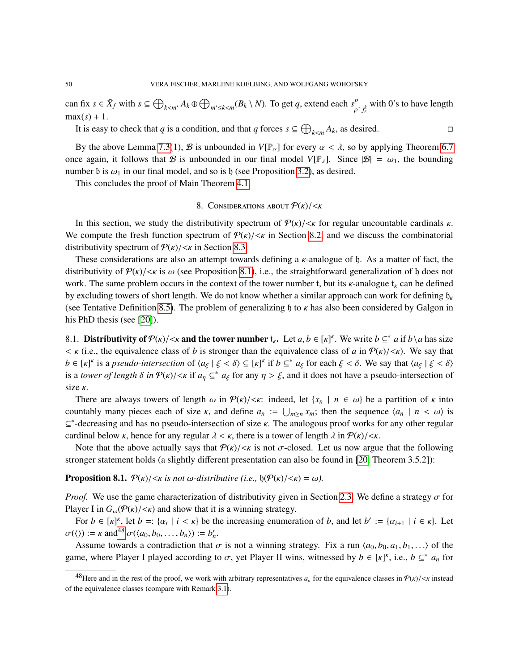can fix  $s \in \bar{X}_f$  with  $s \subseteq \bigoplus_{k \le m'} A_k \oplus \bigoplus_{m' \le k \le m} (B_k \setminus N)$ . To get *q*, extend each  $s_\rho^p$ ρ  $\int_{r}^{k}$  with 0's to have length  $max(s) + 1$ .

It is easy to check that *q* is a condition, and that *q* forces  $s \subseteq \bigoplus_{k \le m}$  $A_k$ , as desired.

By the above Lemma [7.3\(](#page-43-0)1), B is unbounded in  $V[\mathbb{P}_{\alpha}]$  for every  $\alpha < \lambda$ , so by applying Theorem [6.7](#page-37-4) once again, it follows that B is unbounded in our final model  $V[\mathbb{P}_{\lambda}]$ . Since  $|\mathcal{B}| = \omega_1$ , the bounding number b is  $\omega_1$  in our final model, and so is h (see Proposition [3.2\)](#page-8-4), as desired.

This concludes the proof of Main Theorem [4.1.](#page-13-0)

# 8. CONSIDERATIONS ABOUT  $P(k)/\lt k$

In this section, we study the distributivity spectrum of  $P(\kappa)/\langle \kappa \rangle$  for regular uncountable cardinals  $\kappa$ . We compute the fresh function spectrum of  $P(k)/\langle k \rangle$  in Section [8.2,](#page-50-0) and we discuss the combinatorial distributivity spectrum of  $P(k)/\langle k \rangle$  in Section [8.3.](#page-52-0)

These considerations are also an attempt towards defining a  $\kappa$ -analogue of  $\beta$ . As a matter of fact, the distributivity of  $P(k)/\langle k|$  is  $\omega$  (see Proposition [8.1\)](#page-49-0), i.e., the straightforward generalization of h does not work. The same problem occurs in the context of the tower number t, but its  $\kappa$ -analogue t<sub> $\kappa$ </sub> can be defined by excluding towers of short length. We do not know whether a similar approach can work for defining  $\mathfrak{h}_k$ (see Tentative Definition [8.5\)](#page-52-1). The problem of generalizing h to  $\kappa$  has also been considered by Galgon in his PhD thesis (see [\[20\]](#page-54-11)).

8.1. **Distributivity of**  $P(k)/\langle k \rangle$  and the tower number  $t_k$ . Let  $a, b \in [\kappa]^k$ . We write  $b \subseteq^* a$  if  $b \setminus a$  has size  $\langle k, b \rangle$  and the tower number  $t_k$ . Let  $a, b \in [\kappa]^k$ . We write  $b \subseteq^* a$  if  $b \setminus a$  has size  $\lt$   $\kappa$  (i.e., the equivalence class of *b* is stronger than the equivalence class of *a* in  $\mathcal{P}(\kappa)/\lt\kappa$ ). We say that  $b \in [\kappa]^k$  is a *pseudo-intersection* of  $\langle a_{\xi} | \xi < \delta \rangle \subseteq [\kappa]^k$  if  $b \subseteq^* a_{\xi}$  for each  $\xi < \delta$ . We say that  $\langle a_{\xi} | \xi < \delta \rangle$ <br>is a *towar of langth*  $\delta$  in  $\mathcal{D}(\kappa)/\langle \kappa \rangle$  if  $a_{\xi} \subset^* a_{\xi}$  for any  $n > \xi$  and i is a *tower of length*  $\delta$  *in*  $P(\kappa)/<\kappa$  if  $a_\eta \subseteq^* a_\xi$  for any  $\eta > \xi$ , and it does not have a pseudo-intersection of size κ.

There are always towers of length  $\omega$  in  $\mathcal{P}(\kappa)/\langle \kappa|$ : indeed, let  $\{x_n \mid n \in \omega\}$  be a partition of  $\kappa$  into countably many pieces each of size  $\kappa$ , and define  $a_n := \bigcup_{m \geq n} x_m$ ; then the sequence  $\langle a_n | n \langle \omega \rangle$  is  $\zeta^*$  decreesing and has no pseudo intersection of size  $\kappa$ . The appleceus proof works for any other regular  $\subseteq^*$ -decreasing and has no pseudo-intersection of size κ. The analogous proof works for any other regular cordinal below  $\kappa$  being for any regular  $\lambda \leq \kappa$  there is a tower of langth  $\lambda$  in  $\mathcal{D}(\kappa)/\leq \kappa$ cardinal below *κ*, hence for any regular  $\lambda < \kappa$ , there is a tower of length  $\lambda$  in  $P(\kappa)/\langle \kappa \rangle$ .

Note that the above actually says that  $P(k)/\langle k \rangle$  is not  $\sigma$ -closed. Let us now argue that the following stronger statement holds (a slightly different presentation can also be found in [\[20,](#page-54-11) Theorem 3.5.2]):

<span id="page-49-0"></span>**Proposition 8.1.**  $P(\kappa)/\langle \kappa \rangle$  *is not*  $\omega$ -distributive (*i.e.*,  $\phi(P(\kappa)/\langle \kappa \rangle) = \omega$ ).

*Proof.* We use the game characterization of distributivity given in Section [2.3.](#page-5-0) We define a strategy  $\sigma$  for Player I in  $G_{\omega}(\mathcal{P}(\kappa)/<\kappa)$  and show that it is a winning strategy.

For  $b \in [\kappa]^{\kappa}$ , let  $b =: {\{\alpha_i \mid i < \kappa\}}$  be the increasing enumeration of *b*, and let  $b' := {\{\alpha_{i+1} \mid i \in \kappa\}}$ . Let  $\sigma(\langle \rangle) := \kappa \text{ and}^{48} \sigma(\langle a_0, b_0, \ldots, b_n \rangle) := b'_n.$  $\sigma(\langle \rangle) := \kappa \text{ and}^{48} \sigma(\langle a_0, b_0, \ldots, b_n \rangle) := b'_n.$  $\sigma(\langle \rangle) := \kappa \text{ and}^{48} \sigma(\langle a_0, b_0, \ldots, b_n \rangle) := b'_n.$ <br>Assume towards a contradiction that

Assume towards a contradiction that  $\sigma$  is not a winning strategy. Fix a run  $\langle a_0, b_0, a_1, b_1, \ldots \rangle$  of the game, where Player I played according to  $\sigma$ , yet Player II wins, witnessed by  $b \in [\kappa]^k$ , i.e.,  $b \subseteq^* a_n$  for

<span id="page-49-1"></span><sup>&</sup>lt;sup>48</sup>Here and in the rest of the proof, we work with arbitrary representatives  $a_n$  for the equivalence classes in  $P(\kappa)/\langle \kappa \rangle$  instead of the equivalence classes (compare with Remark [3.1\)](#page-7-1).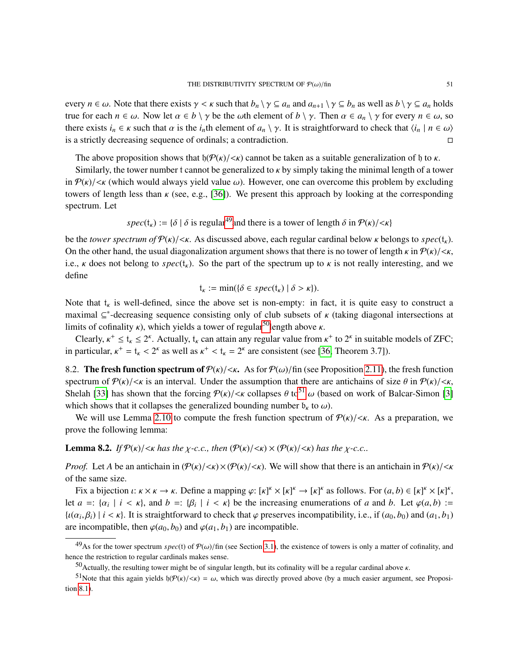every  $n \in \omega$ . Note that there exists  $\gamma < \kappa$  such that  $b_n \setminus \gamma \subseteq a_n$  and  $a_{n+1} \setminus \gamma \subseteq b_n$  as well as  $b \setminus \gamma \subseteq a_n$  holds true for each  $n \in \omega$ . Now let  $\alpha \in b \setminus \gamma$  be the  $\omega$ th element of  $b \setminus \gamma$ . Then  $\alpha \in a_n \setminus \gamma$  for every  $n \in \omega$ , so there exists  $i_n \in \kappa$  such that  $\alpha$  is the  $i_n$ <sup>th</sup> element of  $a_n \setminus \gamma$ . It is straightforward to check that  $\langle i_n | n \in \omega \rangle$  is a strictly decreasing sequence of ordinals; a contradiction. is a strictly decreasing sequence of ordinals; a contradiction.

The above proposition shows that  $\mathfrak{h}(\mathcal{P}(\kappa)/\langle \kappa \rangle)$  cannot be taken as a suitable generalization of h to  $\kappa$ .

Similarly, the tower number t cannot be generalized to  $\kappa$  by simply taking the minimal length of a tower in  $P(k)/\langle k|$  (which would always yield value  $\omega$ ). However, one can overcome this problem by excluding towers of length less than  $\kappa$  (see, e.g., [\[36\]](#page-55-5)). We present this approach by looking at the corresponding spectrum. Let

 $spec(t_{\kappa}) := {\delta | \delta}$  is regular<sup>[49](#page-50-1)</sup> and there is a tower of length  $\delta$  in  $P(\kappa)/\langle \kappa \rangle$ 

be the *tower spectrum of*  $P(k)/\langle k|$ . As discussed above, each regular cardinal below k belongs to *spec*(t<sub>k</sub>). On the other hand, the usual diagonalization argument shows that there is no tower of length  $\kappa$  in  $\mathcal{P}(\kappa)/<\kappa$ , i.e.,  $\kappa$  does not belong to  $spec(t_{\kappa})$ . So the part of the spectrum up to  $\kappa$  is not really interesting, and we define

$$
\mathfrak{t}_{\kappa} := \min(\{\delta \in spec(\mathfrak{t}_{\kappa}) \mid \delta > \kappa\}).
$$

Note that  $t_k$  is well-defined, since the above set is non-empty: in fact, it is quite easy to construct a more in  $\epsilon^*$  denotes the construction of the plant of the construction of the construction of the construction o maximal  $\subseteq^*$ -decreasing sequence consisting only of club subsets of  $\kappa$  (taking diagonal intersections at limits of cofinality  $\kappa$ ) which vialds a tower of reqular<sup>50</sup>langth above  $\kappa$ limits of cofinality  $\kappa$ ), which yields a tower of regular<sup>[50](#page-50-2)</sup>length above  $\kappa$ .

Clearly,  $\kappa^+ \le t_{\kappa} \le 2^{\kappa}$ . Actually,  $t_{\kappa}$  can attain any regular value from  $\kappa^+$  to  $2^{\kappa}$  in suitable models of ZFC;<br>particular,  $\kappa^+ = t_{\kappa} \le 2^{\kappa}$  as well as  $\kappa^+ \le t_{\kappa} = 2^{\kappa}$  are consistent in particular,  $\kappa^+ = t_{\kappa} < 2^{\kappa}$  as well as  $\kappa^+ < t_{\kappa} = 2^{\kappa}$  are consistent (see [\[36,](#page-55-5) Theorem 3.7]).

<span id="page-50-0"></span>8.2. The fresh function spectrum of  $P(k)/\langle k\rangle$ . As for  $P(\omega)/\text{fin}$  (see Proposition [2.11\)](#page-5-2), the fresh function spectrum of  $P(\kappa)/\langle \kappa \rangle$  is an interval. Under the assumption that there are antichains of size  $\theta$  in  $P(\kappa)/\langle \kappa \rangle$ , Shelah [\[33\]](#page-55-3) has shown that the forcing  $P(\kappa)/\langle \kappa \rangle$  collapses  $\theta$  to<sup>[51](#page-50-3)</sup>  $\omega$  (based on work of Balcar-Simon [\[3\]](#page-53-1) which shows that it collapses the generalized bounding number  $b_k$  to  $\omega$ ).

We will use Lemma [2.10](#page-4-3) to compute the fresh function spectrum of  $P(\kappa)/\langle \kappa|$ . As a preparation, we prove the following lemma:

<span id="page-50-4"></span>**Lemma 8.2.** *If*  $\mathcal{P}(\kappa)/\langle \kappa \rangle$  *has the*  $\chi$ -c.c., then  $(\mathcal{P}(\kappa)/\langle \kappa \rangle) \times (\mathcal{P}(\kappa)/\langle \kappa \rangle)$  *has the*  $\chi$ -c.c..

*Proof.* Let *A* be an antichain in  $(\mathcal{P}(\kappa)/\langle k \rangle \times (\mathcal{P}(\kappa)/\langle k \rangle)$ . We will show that there is an antichain in  $\mathcal{P}(\kappa)/\langle k \rangle$ of the same size.

Fix a bijection *ι*:  $\kappa \times \kappa \to \kappa$ . Define a mapping  $\varphi: [\kappa]^{\kappa} \times [\kappa]^{\kappa} \to [\kappa]^{\kappa}$  as follows. For  $(a, b) \in [\kappa]^{\kappa} \times [\kappa]^{\kappa}$ ,  $a =: [\alpha + i \le \kappa]$  and  $b =: [\beta + i \le \kappa]$  be the increasing equivariant of a and  $b = \lambda$  of  $\$ let  $a =: \{\alpha_i \mid i \leq \kappa\}$ , and  $b =: \{\beta_i \mid i \leq \kappa\}$  be the increasing enumerations of *a* and *b*. Let  $\varphi(a, b) :=$  $\{u(\alpha_i, \beta_i) \mid i \leq \kappa\}$ . It is straightforward to check that  $\varphi$  preserves incompatibility, i.e., if  $(a_0, b_0)$  and  $(a_1, b_1)$ <br>are incompatible, then  $\varphi(a_1, b_1)$  and  $\varphi(a_2, b_1)$  are incompatible. are incompatible, then  $\varphi(a_0, b_0)$  and  $\varphi(a_1, b_1)$  are incompatible.

<span id="page-50-1"></span><sup>&</sup>lt;sup>49</sup>As for the tower spectrum *spec*(t) of  $P(\omega)/\text{fin}$  (see Section [3.1\)](#page-7-0), the existence of towers is only a matter of cofinality, and hence the restriction to regular cardinals makes sense.

<span id="page-50-3"></span><span id="page-50-2"></span><sup>&</sup>lt;sup>50</sup>Actually, the resulting tower might be of singular length, but its cofinality will be a regular cardinal above κ.

<sup>&</sup>lt;sup>51</sup>Note that this again yields  $\mathfrak{h}(\mathcal{P}(\kappa)/<\kappa) = \omega$ , which was directly proved above (by a much easier argument, see Proposition [8.1\)](#page-49-0).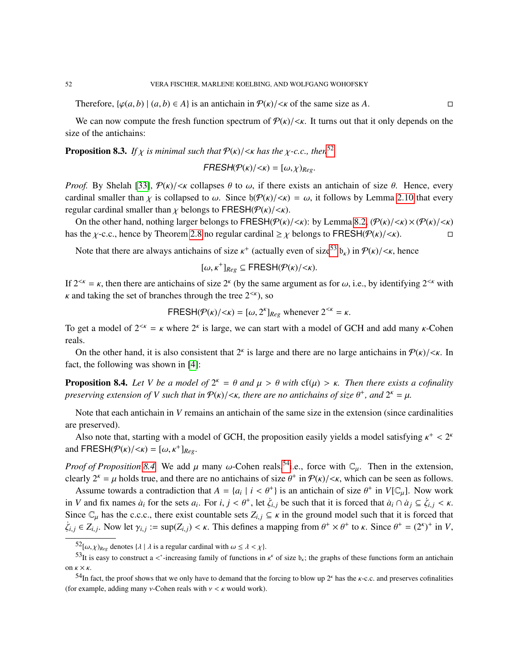Therefore,  $\{\varphi(a, b) \mid (a, b) \in A\}$  is an antichain in  $\mathcal{P}(\kappa)/\langle \kappa \rangle$  of the same size as A.

We can now compute the fresh function spectrum of  $P(k)/\langle k|$ . It turns out that it only depends on the size of the antichains:

<span id="page-51-0"></span>**Proposition 8.3.** *If*  $\chi$  *is minimal such that*  $P(\kappa)/\langle \kappa \rangle$  *has the*  $\chi$ -*c.c., then*<sup>[52](#page-51-1)</sup>

 $FRESH(P(K)/\langle K\rangle=[\omega,\chi]_{Re\varphi}.$ 

*Proof.* By Shelah [\[33\]](#page-55-3),  $P(\kappa)/\langle \kappa \rangle$  collapses  $\theta$  to  $\omega$ , if there exists an antichain of size  $\theta$ . Hence, every cardinal smaller than  $\chi$  is collapsed to  $\omega$ . Since  $\mathfrak{h}(\mathcal{P}(\kappa)/<\kappa) = \omega$ , it follows by Lemma [2.10](#page-4-3) that every regular cardinal smaller than  $\chi$  belongs to FRESH( $\mathcal{P}(\kappa)/<\kappa$ ).

On the other hand, nothing larger belongs to FRESH( $P(k)/\langle k\rangle$ : by Lemma [8.2,](#page-50-4)  $(P(k)/\langle k\rangle \times (P(k)/\langle k\rangle \times k)$ <br>s the *y*-c.c., hence by Theorem 2.8 no regular cardinal > *y* belongs to FRESH( $P(k)/\langle k\rangle$ ). has the *χ*-c.c., hence by Theorem [2.8](#page-4-2) no regular cardinal  $\geq \chi$  belongs to FRESH( $\mathcal{P}(\kappa)/\langle \kappa \rangle$ ).

Note that there are always antichains of size  $\kappa^+$  (actually even of size<sup>[53](#page-51-2)</sup>  $b_k$ ) in  $P(\kappa)/<\kappa$ , hence

$$
[\omega,\kappa^+]_{Reg} \subseteq \mathsf{FRESH}(\mathcal{P}(\kappa)/<\kappa).
$$

If 2<sup><κ</sup> = κ, then there are antichains of size 2<sup>κ</sup> (by the same argument as for ω, i.e., by identifying 2<sup><κ</sup> with  $\kappa$  and taking the set of branches through the tree 2<sup><κ</sup>), so  $\kappa$  and taking the set of branches through the tree  $2^{<\kappa}$ ), so

$$
FRESH(\mathcal{P}(\kappa)/<\kappa) = [\omega, 2^{\kappa}]_{Reg} \text{ whenever } 2^{<\kappa} = \kappa.
$$

To get a model of  $2^{< \kappa} = \kappa$  where  $2^{\kappa}$  is large, we can start with a model of GCH and add many  $\kappa$ -Cohen reals.

On the other hand, it is also consistent that  $2^k$  is large and there are no large antichains in  $P(k)/\langle k|$ . In fact, the following was shown in [\[4\]](#page-54-26):

<span id="page-51-3"></span>**Proposition 8.4.** *Let V be a model of*  $2^k = \theta$  *and*  $\mu > \theta$  *with* cf( $\mu$ ) >  $\kappa$ . Then there exists a cofinality<br>preserving extension of *V* such that in  $\Phi(\kappa)$  /  $\kappa$  there are no articleans of size  $\theta^+$ , an *preserving extension of V* such that in  $P(\kappa) / < \kappa$ , there are no antichains of size  $\theta^+$ , and  $2^{\kappa} = \mu$ .

Note that each antichain in *V* remains an antichain of the same size in the extension (since cardinalities are preserved).

Also note that, starting with a model of GCH, the proposition easily yields a model satisfying  $\kappa^+ < 2^k$ <br> $A EDECH(\mathcal{D}(\kappa)/\kappa) = \kappa^+$ and  $\mathsf{FRESH}(\mathcal{P}(\kappa)/<\kappa) = [\omega, \kappa^+]_{Reg}.$ 

*Proof of Proposition* [8.4.](#page-51-3) We add  $\mu$  many  $\omega$ -Cohen reals,<sup>[54](#page-51-4)</sup>i.e., force with  $\mathbb{C}_{\mu}$ . Then in the extension, clearly  $2^k = \mu$  holds true, and there are no antichains of size  $\theta^+$  in  $\mathcal{P}(\kappa)/<\kappa$ , which can be seen as follows.

Assume towards a contradiction that  $A = \{a_i \mid i < \theta^+\}$  is an antichain of size  $\theta^+$  in  $V[\mathbb{C}_\mu]$ . Now work  $V$  and fix names  $\alpha$  for the sets  $a_n$ . For  $i_n \in \mathbb{R}^+$  that  $\lambda^n$  has such that it is forced that  $\alpha \circ \$ in V and fix names  $a_i$  for the sets  $a_i$ . For  $i, j < \theta^+$ , let  $\dot{\zeta}_{i,j}$  be such that it is forced that  $\dot{a}_i \cap \dot{a}_j \subseteq \dot{\zeta}_{i,j} < \kappa$ .<br>Since  $\Gamma$  has the e.g.c. there exist counteble sets  $Z \subseteq \zeta$  is the ground model Since  $\mathbb{C}_{\mu}$  has the c.c.c., there exist countable sets  $Z_{i,j} \subseteq \kappa$  in the ground model such that it is forced that  $\dot{\zeta}_{i,j} \in Z_{i,j}$ . Now let  $\gamma_{i,j} := \sup(Z_{i,j}) < \kappa$ . This defines a mapping from  $\theta^+ \times \theta^+$  to  $\kappa$ . Since  $\theta^+ = (2^{\kappa})^+$  in *V*,

<span id="page-51-2"></span><span id="page-51-1"></span> $52[\omega, \chi]_{\text{Reg}}$  denotes  $\{\lambda \mid \lambda \text{ is a regular cardinal with } \omega \leq \lambda \leq \chi\}.$ 

<sup>&</sup>lt;sup>53</sup>It is easy to construct a <\*-increasing family of functions in  $\kappa^k$  of size  $b_{\kappa}$ ; the graphs of these functions form an antichain on  $\kappa \times \kappa$ .

<span id="page-51-4"></span><sup>&</sup>lt;sup>54</sup>In fact, the proof shows that we only have to demand that the forcing to blow up  $2^k$  has the  $\kappa$ -c.c. and preserves cofinalities (for example, adding many *ν*-Cohen reals with  $\nu < \kappa$  would work).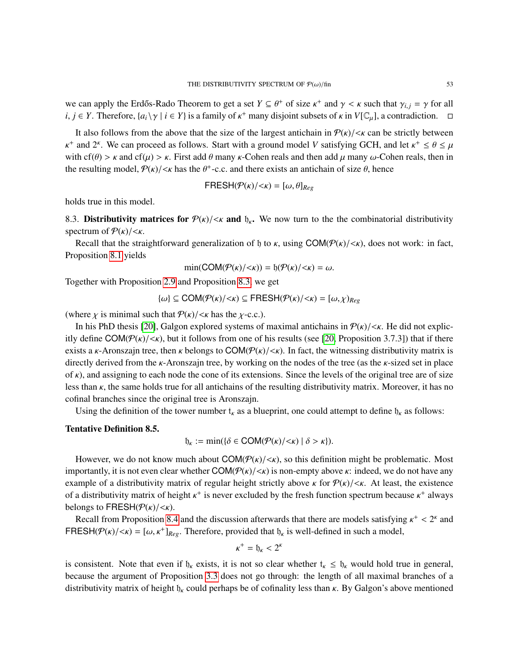we can apply the Erdős-Rado Theorem to get a set  $Y \subseteq \theta^+$  of size  $\kappa^+$  and  $\gamma < \kappa$  such that  $\gamma_{i,j} = \gamma$  for all  $i \in V$ . Therefore,  $\{g_i\}_{i,j} \in V$  is a family of  $\kappa^+$  many disjoint subsets of  $\kappa$  in  $V[\mathbb{C}]$ , a  $i, j \in Y$ . Therefore,  $\{a_i \setminus \gamma \mid i \in Y\}$  is a family of  $\kappa^+$  many disjoint subsets of  $\kappa$  in  $V[\mathbb{C}_\mu]$ , a contradiction.  $\Box$ 

It also follows from the above that the size of the largest antichain in  $P(k)/\langle k \rangle$  can be strictly between with cf( $\theta$ ) > κ and cf( $\mu$ ) > κ. First add  $\theta$  many κ-Cohen reals and then add  $\mu$  many ω-Cohen reals, then in + and 2<sup>k</sup>. We can proceed as follows. Start with a ground model *V* satisfying GCH, and let  $\kappa^+ \le \theta \le \mu$ <br>with of  $(\theta) > \kappa$  and of  $(\mu) > \kappa$ . First add  $\theta$  many  $\kappa$  Cohen reals and then add  $\mu$  many  $\kappa$ . Cohen re the resulting model,  $P(\kappa)/<\kappa$  has the  $\theta^+$ -c.c. and there exists an antichain of size  $\theta$ , hence

$$
FRESH(\mathcal{P}(\kappa)/<\kappa)=[\omega,\theta]_{Reg}
$$

holds true in this model.

<span id="page-52-0"></span>8.3. Distributivity matrices for  $P(k)/\langle k \rangle$  and  $b_k$ . We now turn to the the combinatorial distributivity spectrum of  $P(K)/\langle K \rangle$ .

Recall that the straightforward generalization of h to  $\kappa$ , using COM( $\mathcal{P}(\kappa)/\langle \kappa \rangle$ , does not work: in fact, Proposition [8.1](#page-49-0) yields

$$
\min(COM(\mathcal{P}(\kappa)/<\kappa)) = \mathfrak{h}(\mathcal{P}(\kappa)/<\kappa) = \omega.
$$

Together with Proposition [2.9](#page-4-1) and Proposition [8.3,](#page-51-0) we get

$$
\{\omega\} \subseteq \text{COM}(\mathcal{P}(\kappa)/<\kappa) \subseteq \text{FRESH}(\mathcal{P}(\kappa)/<\kappa) = [\omega, \chi)_{Reg}
$$

(where  $\chi$  is minimal such that  $P(\kappa)/\langle \kappa \rangle$  has the  $\chi$ -c.c.).

In his PhD thesis [\[20\]](#page-54-11), Galgon explored systems of maximal antichains in  $P(\kappa)/\langle \kappa|$ . He did not explicitly define  $COM(\mathcal{P}(\kappa)/\langle \kappa \rangle)$ , but it follows from one of his results (see [\[20,](#page-54-11) Proposition 3.7.3]) that if there exists a *κ*-Aronszajn tree, then *κ* belongs to COM( $\mathcal{P}(\kappa)/\langle \kappa \rangle$ ). In fact, the witnessing distributivity matrix is directly derived from the  $\kappa$ -Aronszajn tree, by working on the nodes of the tree (as the  $\kappa$ -sized set in place of  $\kappa$ ), and assigning to each node the cone of its extensions. Since the levels of the original tree are of size less than κ, the same holds true for all antichains of the resulting distributivity matrix. Moreover, it has no cofinal branches since the original tree is Aronszajn.

Using the definition of the tower number  $t_k$  as a blueprint, one could attempt to define  $b_k$  as follows:

# <span id="page-52-1"></span>Tentative Definition 8.5.

$$
\mathfrak{h}_{\kappa} := \min(\{\delta \in \text{COM}(\mathcal{P}(\kappa)/<\kappa) \mid \delta > \kappa\}).
$$

However, we do not know much about  $COM(P(\kappa)/\langle \kappa \rangle)$ , so this definition might be problematic. Most importantly, it is not even clear whether  $COM(\mathcal{P}(\kappa)/\langle \kappa \rangle)$  is non-empty above  $\kappa$ : indeed, we do not have any example of a distributivity matrix of regular height strictly above  $\kappa$  for  $P(\kappa)/\langle \kappa|$ . At least, the existence of a distributivity matrix of height  $\kappa^+$  is never excluded by the fresh function spectrum because  $\kappa^+$  always helongs to  $EDECH(\mathcal{Q}(\kappa)/\kappa)$ belongs to FRESH( $\mathcal{P}(\kappa)/<\kappa$ ).

Recall from Proposition [8.4](#page-51-3) and the discussion afterwards that there are models satisfying  $\kappa^+ < 2^{\kappa}$  and<br> $\kappa^+ \leq 2^{\kappa}$  and  $\kappa^+ \leq 2^{\kappa}$  and  $\kappa^+ \leq 2^{\kappa}$  and  $\kappa^+ \leq 2^{\kappa}$  and  $\kappa^+ \leq 2^{\kappa}$  and FRESH( $P(k)/\langle k \rangle = [\omega, k^+]_{Reg}$ . Therefore, provided that  $\mathfrak{h}_k$  is well-defined in such a model,

$$
\kappa^+ = \mathfrak{h}_\kappa < 2^t
$$

is consistent. Note that even if  $\mathfrak{h}_k$  exists, it is not so clear whether  $\mathfrak{t}_k \leq \mathfrak{h}_k$  would hold true in general, because the argument of Proposition [3.3](#page-9-0) does not go through: the length of all maximal branches of a distributivity matrix of height  $\mathfrak{h}_k$  could perhaps be of cofinality less than  $\kappa$ . By Galgon's above mentioned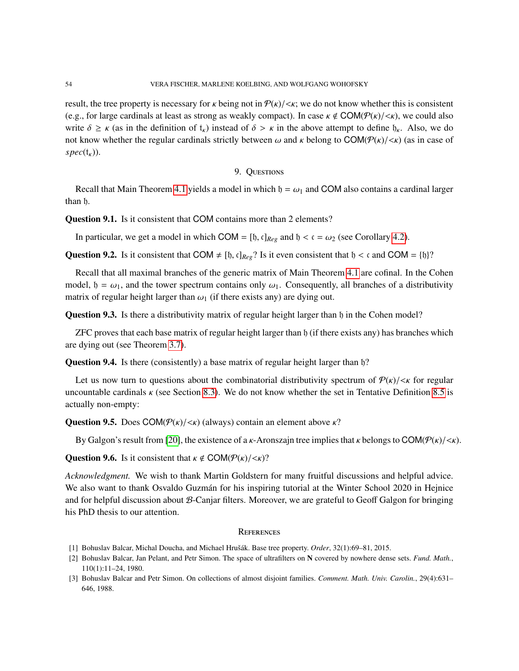result, the tree property is necessary for  $\kappa$  being not in  $\mathcal{P}(\kappa)/<\kappa$ ; we do not know whether this is consistent (e.g., for large cardinals at least as strong as weakly compact). In case  $\kappa \notin COM(\mathcal{P}(\kappa)/\langle \kappa \rangle)$ , we could also write  $\delta \ge \kappa$  (as in the definition of  $t_{\kappa}$ ) instead of  $\delta > \kappa$  in the above attempt to define  $\mathfrak{h}_{\kappa}$ . Also, we do not know whether the regular cardinals strictly between  $\omega$  and  $\kappa$  belong to COM( $\mathcal{P}(\kappa)/\langle \kappa \rangle$ ) (as in case of  $spec(t_{\kappa}))$ .

## 9. QUESTIONS

<span id="page-53-2"></span>Recall that Main Theorem [4.1](#page-13-0) yields a model in which  $\mathfrak{h} = \omega_1$  and COM also contains a cardinal larger than h.

<span id="page-53-7"></span>Question 9.1. Is it consistent that COM contains more than 2 elements?

In particular, we get a model in which COM = [ $\mathfrak{h}$ ,  $\mathfrak{c}$ ]<sub>*Reg*</sub> and  $\mathfrak{h} < \mathfrak{c} = \omega_2$  (see Corollary [4.2\)](#page-13-2).

<span id="page-53-4"></span>**Question 9.2.** Is it consistent that COM  $\neq$  [b, c]<sub>*Reg*</sub>? Is it even consistent that b < c and COM = {b}?

Recall that all maximal branches of the generic matrix of Main Theorem [4.1](#page-13-0) are cofinal. In the Cohen model,  $b = \omega_1$ , and the tower spectrum contains only  $\omega_1$ . Consequently, all branches of a distributivity matrix of regular height larger than  $\omega_1$  (if there exists any) are dying out.

<span id="page-53-5"></span>Question 9.3. Is there a distributivity matrix of regular height larger than h in the Cohen model?

ZFC proves that each base matrix of regular height larger than h (if there exists any) has branches which are dying out (see Theorem [3.7\)](#page-11-0).

<span id="page-53-6"></span>Question 9.4. Is there (consistently) a base matrix of regular height larger than  $\mathfrak{h}$ ?

Let us now turn to questions about the combinatorial distributivity spectrum of  $P(k)/\langle k \rangle$  for regular uncountable cardinals  $\kappa$  (see Section [8.3\)](#page-52-0). We do not know whether the set in Tentative Definition [8.5](#page-52-1) is actually non-empty:

**Question 9.5.** Does COM( $\mathcal{P}(\kappa)/\langle \kappa \rangle$  (always) contain an element above  $\kappa$ ?

By Galgon's result from [\[20\]](#page-54-11), the existence of a *κ*-Aronszajn tree implies that *κ* belongs to COM( $P(k)/\langle k \rangle$ ).

**Question 9.6.** Is it consistent that  $\kappa \notin \text{COM}(\mathcal{P}(\kappa)/<\kappa)$ ?

*Acknowledgment.* We wish to thank Martin Goldstern for many fruitful discussions and helpful advice. We also want to thank Osvaldo Guzmán for his inspiring tutorial at the Winter School 2020 in Hejnice and for helpful discussion about B-Canjar filters. Moreover, we are grateful to Geoff Galgon for bringing his PhD thesis to our attention.

#### **REFERENCES**

- <span id="page-53-3"></span>[1] Bohuslav Balcar, Michal Doucha, and Michael Hrušák. Base tree property. *Order*, 32(1):69–81, 2015.
- <span id="page-53-0"></span>[2] Bohuslav Balcar, Jan Pelant, and Petr Simon. The space of ultrafilters on N covered by nowhere dense sets. *Fund. Math.*, 110(1):11–24, 1980.
- <span id="page-53-1"></span>[3] Bohuslav Balcar and Petr Simon. On collections of almost disjoint families. *Comment. Math. Univ. Carolin.*, 29(4):631– 646, 1988.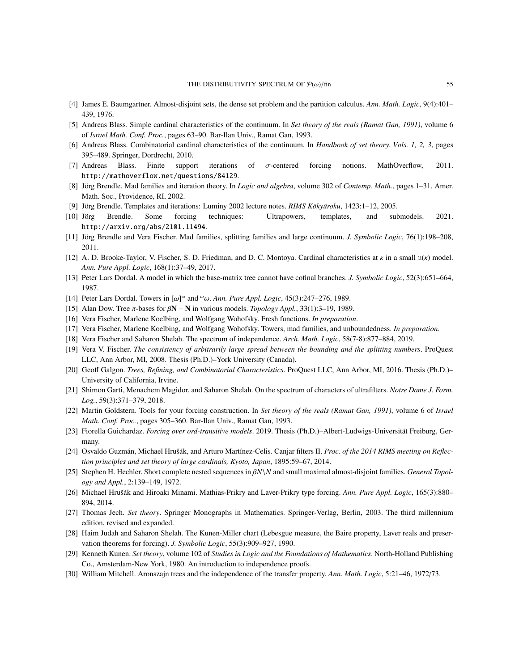- <span id="page-54-26"></span>[4] James E. Baumgartner. Almost-disjoint sets, the dense set problem and the partition calculus. *Ann. Math. Logic*, 9(4):401– 439, 1976.
- <span id="page-54-5"></span>[5] Andreas Blass. Simple cardinal characteristics of the continuum. In *Set theory of the reals (Ramat Gan, 1991)*, volume 6 of *Israel Math. Conf. Proc.*, pages 63–90. Bar-Ilan Univ., Ramat Gan, 1993.
- <span id="page-54-16"></span>[6] Andreas Blass. Combinatorial cardinal characteristics of the continuum. In *Handbook of set theory. Vols. 1, 2, 3*, pages 395–489. Springer, Dordrecht, 2010.
- <span id="page-54-24"></span>[7] Andreas Blass. Finite support iterations of σ-centered forcing notions. MathOverflow, 2011. http://mathoverflow.net/questions/84129.
- <span id="page-54-2"></span>[8] Jörg Brendle. Mad families and iteration theory. In *Logic and algebra*, volume 302 of *Contemp. Math.*, pages 1-31. Amer. Math. Soc., Providence, RI, 2002.
- <span id="page-54-19"></span>[9] Jörg Brendle. Templates and iterations: Luminy 2002 lecture notes. *RIMS Kōkyūroku*, 1423:1–12, 2005.
- <span id="page-54-20"></span>[10] Jörg Brendle. Some forcing techniques: Ultrapowers, templates, and submodels. 2021. http://arxiv.org/abs/2101.11494.
- <span id="page-54-18"></span>[11] Jorg Brendle and Vera Fischer. Mad families, splitting families and large continuum. ¨ *J. Symbolic Logic*, 76(1):198–208, 2011.
- <span id="page-54-12"></span>[12] A. D. Brooke-Taylor, V. Fischer, S. D. Friedman, and D. C. Montoya. Cardinal characteristics at  $\kappa$  in a small  $u(\kappa)$  model. *Ann. Pure Appl. Logic*, 168(1):37–49, 2017.
- <span id="page-54-7"></span>[13] Peter Lars Dordal. A model in which the base-matrix tree cannot have cofinal branches. *J. Symbolic Logic*, 52(3):651–664, 1987.
- <span id="page-54-1"></span>[14] Peter Lars Dordal. Towers in  $[\omega]^{\omega}$  and  $^{\omega}\omega$ . Ann. *Pure Appl. Logic*, 45(3):247–276, 1989.
- <span id="page-54-8"></span>[15] Alan Dow. Tree π-bases for β<sup>N</sup> <sup>−</sup> <sup>N</sup> in various models. *Topology Appl.*, 33(1):3–19, 1989.
- <span id="page-54-6"></span>[16] Vera Fischer, Marlene Koelbing, and Wolfgang Wohofsky. Fresh functions. *In preparation*.
- <span id="page-54-10"></span>[17] Vera Fischer, Marlene Koelbing, and Wolfgang Wohofsky. Towers, mad families, and unboundedness. *In preparation*.
- <span id="page-54-4"></span>[18] Vera Fischer and Saharon Shelah. The spectrum of independence. *Arch. Math. Logic*, 58(7-8):877–884, 2019.
- <span id="page-54-23"></span>[19] Vera V. Fischer. *The consistency of arbitrarily large spread between the bounding and the splitting numbers*. ProQuest LLC, Ann Arbor, MI, 2008. Thesis (Ph.D.)–York University (Canada).
- <span id="page-54-11"></span>[20] Geoff Galgon. *Trees, Refining, and Combinatorial Characteristics*. ProQuest LLC, Ann Arbor, MI, 2016. Thesis (Ph.D.)– University of California, Irvine.
- <span id="page-54-3"></span>[21] Shimon Garti, Menachem Magidor, and Saharon Shelah. On the spectrum of characters of ultrafilters. *Notre Dame J. Form. Log.*, 59(3):371–379, 2018.
- <span id="page-54-17"></span>[22] Martin Goldstern. Tools for your forcing construction. In *Set theory of the reals (Ramat Gan, 1991)*, volume 6 of *Israel Math. Conf. Proc.*, pages 305–360. Bar-Ilan Univ., Ramat Gan, 1993.
- <span id="page-54-25"></span>[23] Fiorella Guichardaz. *Forcing over ord-transitive models*. 2019. Thesis (Ph.D.)–Albert-Ludwigs-Universität Freiburg, Germany.
- <span id="page-54-9"></span>[24] Osvaldo Guzmán, Michael Hrušák, and Arturo Martínez-Celis. Canjar filters II. *Proc. of the 2014 RIMS meeting on Reflection principles and set theory of large cardinals, Kyoto, Japan*, 1895:59–67, 2014.
- <span id="page-54-0"></span>[25] Stephen H. Hechler. Short complete nested sequences in β*N*\*<sup>N</sup>* and small maximal almost-disjoint families. *General Topology and Appl.*, 2:139–149, 1972.
- <span id="page-54-21"></span>[26] Michael Hrušák and Hiroaki Minami. Mathias-Prikry and Laver-Prikry type forcing. Ann. Pure Appl. Logic, 165(3):880– 894, 2014.
- <span id="page-54-14"></span>[27] Thomas Jech. *Set theory*. Springer Monographs in Mathematics. Springer-Verlag, Berlin, 2003. The third millennium edition, revised and expanded.
- <span id="page-54-22"></span>[28] Haim Judah and Saharon Shelah. The Kunen-Miller chart (Lebesgue measure, the Baire property, Laver reals and preservation theorems for forcing). *J. Symbolic Logic*, 55(3):909–927, 1990.
- <span id="page-54-13"></span>[29] Kenneth Kunen. *Set theory*, volume 102 of *Studies in Logic and the Foundations of Mathematics*. North-Holland Publishing Co., Amsterdam-New York, 1980. An introduction to independence proofs.
- <span id="page-54-15"></span>[30] William Mitchell. Aronszajn trees and the independence of the transfer property. *Ann. Math. Logic*, 5:21–46, 1972/73.